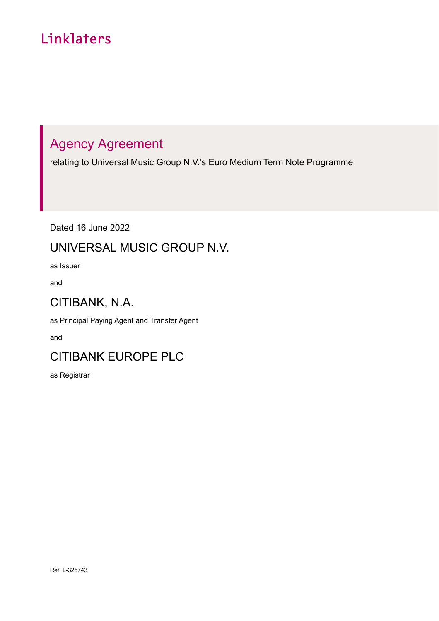# Linklaters

# Agency Agreement

relating to Universal Music Group N.V.'s Euro Medium Term Note Programme

Dated 16 June 2022

# UNIVERSAL MUSIC GROUP N.V.

as Issuer

and

# CITIBANK, N.A.

as Principal Paying Agent and Transfer Agent

and

# CITIBANK EUROPE PLC

as Registrar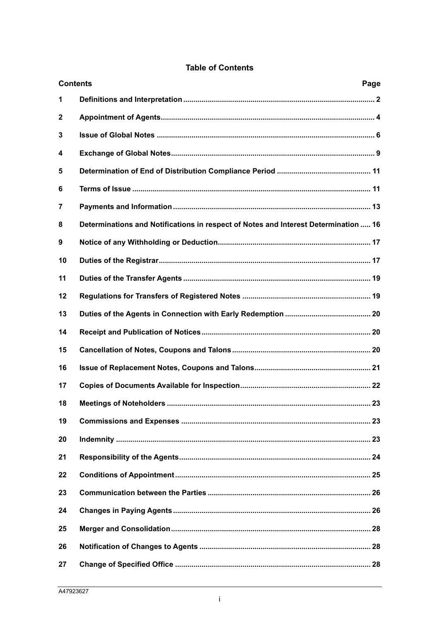|              | <b>Contents</b><br>Page                                                             |
|--------------|-------------------------------------------------------------------------------------|
| 1            |                                                                                     |
| $\mathbf{2}$ |                                                                                     |
| 3            |                                                                                     |
| 4            |                                                                                     |
| 5            |                                                                                     |
| 6            |                                                                                     |
| 7            |                                                                                     |
| 8            | Determinations and Notifications in respect of Notes and Interest Determination  16 |
| 9            |                                                                                     |
| 10           |                                                                                     |
| 11           |                                                                                     |
| 12           |                                                                                     |
| 13           |                                                                                     |
| 14           |                                                                                     |
| 15           |                                                                                     |
| 16           |                                                                                     |
| 17           |                                                                                     |
| 18           |                                                                                     |
| 19           |                                                                                     |
| 20           |                                                                                     |
| 21           |                                                                                     |
| 22           |                                                                                     |
| 23           |                                                                                     |
| 24           |                                                                                     |
| 25           |                                                                                     |
| 26           |                                                                                     |
| 27           |                                                                                     |

# **Table of Contents**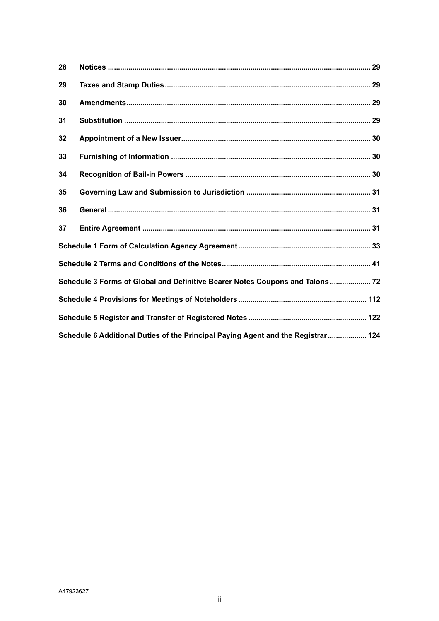| 28 |                                                                                  |  |
|----|----------------------------------------------------------------------------------|--|
| 29 |                                                                                  |  |
| 30 |                                                                                  |  |
| 31 |                                                                                  |  |
| 32 |                                                                                  |  |
| 33 |                                                                                  |  |
| 34 |                                                                                  |  |
| 35 |                                                                                  |  |
| 36 |                                                                                  |  |
| 37 |                                                                                  |  |
|    |                                                                                  |  |
|    |                                                                                  |  |
|    | Schedule 3 Forms of Global and Definitive Bearer Notes Coupons and Talons 72     |  |
|    |                                                                                  |  |
|    |                                                                                  |  |
|    | Schedule 6 Additional Duties of the Principal Paying Agent and the Registrar 124 |  |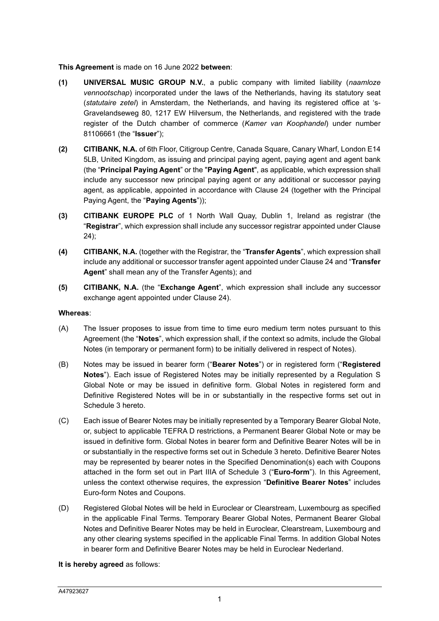#### **This Agreement** is made on 16 June 2022 **between**:

- **(1) UNIVERSAL MUSIC GROUP N.V.**, a public company with limited liability (*naamloze vennootschap*) incorporated under the laws of the Netherlands, having its statutory seat (*statutaire zetel*) in Amsterdam, the Netherlands, and having its registered office at 's-Gravelandseweg 80, 1217 EW Hilversum, the Netherlands, and registered with the trade register of the Dutch chamber of commerce (*Kamer van Koophandel*) under number 81106661 (the "**Issuer**");
- **(2) CITIBANK, N.A.** of 6th Floor, Citigroup Centre, Canada Square, Canary Wharf, London E14 5LB, United Kingdom, as issuing and principal paying agent, paying agent and agent bank (the "**Principal Paying Agent**" or the "**Paying Agent**", as applicable, which expression shall include any successor new principal paying agent or any additional or successor paying agent, as applicable, appointed in accordance with Clause 24 (together with the Principal Paying Agent, the "**Paying Agents**"));
- **(3) CITIBANK EUROPE PLC** of 1 North Wall Quay, Dublin 1, Ireland as registrar (the "**Registrar**", which expression shall include any successor registrar appointed under Clause 24);
- **(4) CITIBANK, N.A.** (together with the Registrar, the "**Transfer Agents**", which expression shall include any additional or successor transfer agent appointed under Clause 24 and "**Transfer Agent**" shall mean any of the Transfer Agents); and
- **(5) CITIBANK, N.A.** (the "**Exchange Agent**", which expression shall include any successor exchange agent appointed under Clause 24).

#### **Whereas**:

- (A) The Issuer proposes to issue from time to time euro medium term notes pursuant to this Agreement (the "**Notes**", which expression shall, if the context so admits, include the Global Notes (in temporary or permanent form) to be initially delivered in respect of Notes).
- (B) Notes may be issued in bearer form ("**Bearer Notes**") or in registered form ("**Registered Notes**"). Each issue of Registered Notes may be initially represented by a Regulation S Global Note or may be issued in definitive form. Global Notes in registered form and Definitive Registered Notes will be in or substantially in the respective forms set out in Schedule 3 hereto.
- (C) Each issue of Bearer Notes may be initially represented by a Temporary Bearer Global Note, or, subject to applicable TEFRA D restrictions, a Permanent Bearer Global Note or may be issued in definitive form. Global Notes in bearer form and Definitive Bearer Notes will be in or substantially in the respective forms set out in Schedule 3 hereto. Definitive Bearer Notes may be represented by bearer notes in the Specified Denomination(s) each with Coupons attached in the form set out in Part IIIA of Schedule 3 ("**Euro-form**"). In this Agreement, unless the context otherwise requires, the expression "**Definitive Bearer Notes**" includes Euro-form Notes and Coupons.
- (D) Registered Global Notes will be held in Euroclear or Clearstream, Luxembourg as specified in the applicable Final Terms. Temporary Bearer Global Notes, Permanent Bearer Global Notes and Definitive Bearer Notes may be held in Euroclear, Clearstream, Luxembourg and any other clearing systems specified in the applicable Final Terms. In addition Global Notes in bearer form and Definitive Bearer Notes may be held in Euroclear Nederland.

**It is hereby agreed** as follows: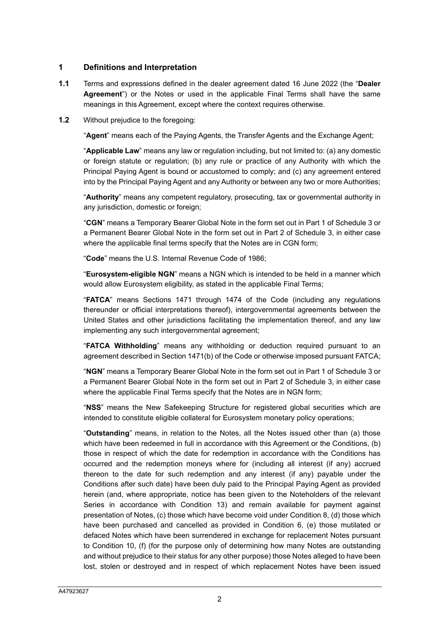## **1 Definitions and Interpretation**

- **1.1** Terms and expressions defined in the dealer agreement dated 16 June 2022 (the "**Dealer Agreement**") or the Notes or used in the applicable Final Terms shall have the same meanings in this Agreement, except where the context requires otherwise.
- **1.2** Without prejudice to the foregoing:

"**Agent**" means each of the Paying Agents, the Transfer Agents and the Exchange Agent;

"**Applicable Law**" means any law or regulation including, but not limited to: (a) any domestic or foreign statute or regulation; (b) any rule or practice of any Authority with which the Principal Paying Agent is bound or accustomed to comply; and (c) any agreement entered into by the Principal Paying Agent and any Authority or between any two or more Authorities;

"**Authority**" means any competent regulatory, prosecuting, tax or governmental authority in any jurisdiction, domestic or foreign;

"**CGN**" means a Temporary Bearer Global Note in the form set out in Part 1 of Schedule 3 or a Permanent Bearer Global Note in the form set out in Part 2 of Schedule 3, in either case where the applicable final terms specify that the Notes are in CGN form;

"**Code**" means the U.S. Internal Revenue Code of 1986;

"**Eurosystem-eligible NGN**" means a NGN which is intended to be held in a manner which would allow Eurosystem eligibility, as stated in the applicable Final Terms;

"**FATCA**" means Sections 1471 through 1474 of the Code (including any regulations thereunder or official interpretations thereof), intergovernmental agreements between the United States and other jurisdictions facilitating the implementation thereof, and any law implementing any such intergovernmental agreement;

"**FATCA Withholding**" means any withholding or deduction required pursuant to an agreement described in Section 1471(b) of the Code or otherwise imposed pursuant FATCA;

"**NGN**" means a Temporary Bearer Global Note in the form set out in Part 1 of Schedule 3 or a Permanent Bearer Global Note in the form set out in Part 2 of Schedule 3, in either case where the applicable Final Terms specify that the Notes are in NGN form;

"**NSS**" means the New Safekeeping Structure for registered global securities which are intended to constitute eligible collateral for Eurosystem monetary policy operations;

"**Outstanding**" means, in relation to the Notes, all the Notes issued other than (a) those which have been redeemed in full in accordance with this Agreement or the Conditions, (b) those in respect of which the date for redemption in accordance with the Conditions has occurred and the redemption moneys where for (including all interest (if any) accrued thereon to the date for such redemption and any interest (if any) payable under the Conditions after such date) have been duly paid to the Principal Paying Agent as provided herein (and, where appropriate, notice has been given to the Noteholders of the relevant Series in accordance with Condition 13) and remain available for payment against presentation of Notes, (c) those which have become void under Condition 8, (d) those which have been purchased and cancelled as provided in Condition 6, (e) those mutilated or defaced Notes which have been surrendered in exchange for replacement Notes pursuant to Condition 10, (f) (for the purpose only of determining how many Notes are outstanding and without prejudice to their status for any other purpose) those Notes alleged to have been lost, stolen or destroyed and in respect of which replacement Notes have been issued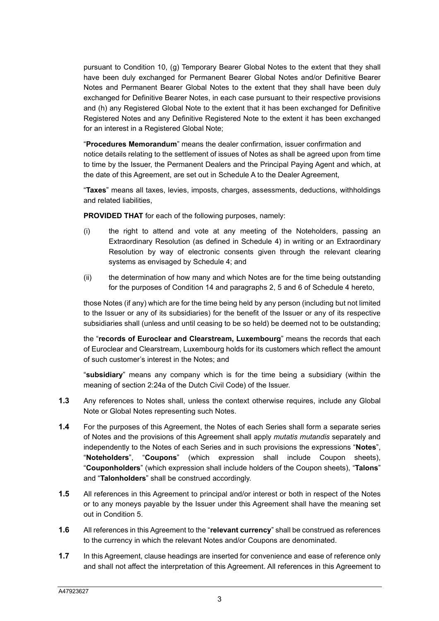pursuant to Condition 10, (g) Temporary Bearer Global Notes to the extent that they shall have been duly exchanged for Permanent Bearer Global Notes and/or Definitive Bearer Notes and Permanent Bearer Global Notes to the extent that they shall have been duly exchanged for Definitive Bearer Notes, in each case pursuant to their respective provisions and (h) any Registered Global Note to the extent that it has been exchanged for Definitive Registered Notes and any Definitive Registered Note to the extent it has been exchanged for an interest in a Registered Global Note;

"**Procedures Memorandum**" means the dealer confirmation, issuer confirmation and notice details relating to the settlement of issues of Notes as shall be agreed upon from time to time by the Issuer, the Permanent Dealers and the Principal Paying Agent and which, at the date of this Agreement, are set out in Schedule A to the Dealer Agreement,

"**Taxes**" means all taxes, levies, imposts, charges, assessments, deductions, withholdings and related liabilities,

**PROVIDED THAT** for each of the following purposes, namely:

- (i) the right to attend and vote at any meeting of the Noteholders, passing an Extraordinary Resolution (as defined in Schedule 4) in writing or an Extraordinary Resolution by way of electronic consents given through the relevant clearing systems as envisaged by Schedule 4; and
- (ii) the determination of how many and which Notes are for the time being outstanding for the purposes of Condition 14 and paragraphs 2, 5 and 6 of Schedule 4 hereto,

those Notes (if any) which are for the time being held by any person (including but not limited to the Issuer or any of its subsidiaries) for the benefit of the Issuer or any of its respective subsidiaries shall (unless and until ceasing to be so held) be deemed not to be outstanding;

the "**records of Euroclear and Clearstream, Luxembourg**" means the records that each of Euroclear and Clearstream, Luxembourg holds for its customers which reflect the amount of such customer's interest in the Notes; and

"**subsidiary**" means any company which is for the time being a subsidiary (within the meaning of section 2:24a of the Dutch Civil Code) of the Issuer.

- **1.3** Any references to Notes shall, unless the context otherwise requires, include any Global Note or Global Notes representing such Notes.
- **1.4** For the purposes of this Agreement, the Notes of each Series shall form a separate series of Notes and the provisions of this Agreement shall apply *mutatis mutandis* separately and independently to the Notes of each Series and in such provisions the expressions "**Notes**", "**Noteholders**", "**Coupons**" (which expression shall include Coupon sheets), "**Couponholders**" (which expression shall include holders of the Coupon sheets), "**Talons**" and "**Talonholders**" shall be construed accordingly.
- **1.5** All references in this Agreement to principal and/or interest or both in respect of the Notes or to any moneys payable by the Issuer under this Agreement shall have the meaning set out in Condition 5.
- **1.6** All references in this Agreement to the "**relevant currency**" shall be construed as references to the currency in which the relevant Notes and/or Coupons are denominated.
- **1.7** In this Agreement, clause headings are inserted for convenience and ease of reference only and shall not affect the interpretation of this Agreement. All references in this Agreement to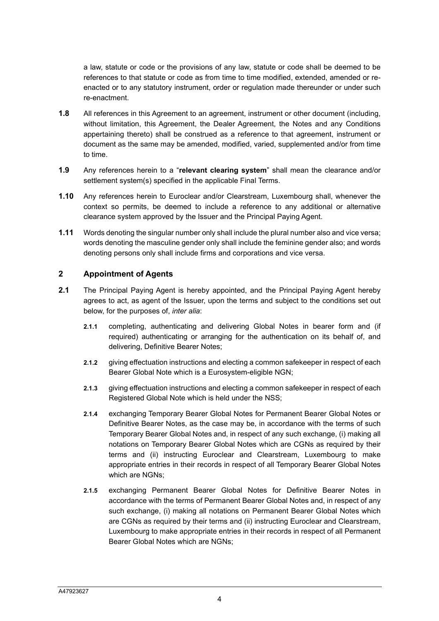a law, statute or code or the provisions of any law, statute or code shall be deemed to be references to that statute or code as from time to time modified, extended, amended or reenacted or to any statutory instrument, order or regulation made thereunder or under such re-enactment.

- **1.8** All references in this Agreement to an agreement, instrument or other document (including, without limitation, this Agreement, the Dealer Agreement, the Notes and any Conditions appertaining thereto) shall be construed as a reference to that agreement, instrument or document as the same may be amended, modified, varied, supplemented and/or from time to time.
- **1.9** Any references herein to a "**relevant clearing system**" shall mean the clearance and/or settlement system(s) specified in the applicable Final Terms.
- **1.10** Any references herein to Euroclear and/or Clearstream, Luxembourg shall, whenever the context so permits, be deemed to include a reference to any additional or alternative clearance system approved by the Issuer and the Principal Paying Agent.
- **1.11** Words denoting the singular number only shall include the plural number also and vice versa; words denoting the masculine gender only shall include the feminine gender also; and words denoting persons only shall include firms and corporations and vice versa.

#### **2 Appointment of Agents**

- **2.1** The Principal Paying Agent is hereby appointed, and the Principal Paying Agent hereby agrees to act, as agent of the Issuer, upon the terms and subject to the conditions set out below, for the purposes of, *inter alia*:
	- **2.1.1** completing, authenticating and delivering Global Notes in bearer form and (if required) authenticating or arranging for the authentication on its behalf of, and delivering, Definitive Bearer Notes;
	- **2.1.2** giving effectuation instructions and electing a common safekeeper in respect of each Bearer Global Note which is a Eurosystem-eligible NGN;
	- **2.1.3** giving effectuation instructions and electing a common safekeeper in respect of each Registered Global Note which is held under the NSS;
	- **2.1.4** exchanging Temporary Bearer Global Notes for Permanent Bearer Global Notes or Definitive Bearer Notes, as the case may be, in accordance with the terms of such Temporary Bearer Global Notes and, in respect of any such exchange, (i) making all notations on Temporary Bearer Global Notes which are CGNs as required by their terms and (ii) instructing Euroclear and Clearstream, Luxembourg to make appropriate entries in their records in respect of all Temporary Bearer Global Notes which are NGNs;
	- **2.1.5** exchanging Permanent Bearer Global Notes for Definitive Bearer Notes in accordance with the terms of Permanent Bearer Global Notes and, in respect of any such exchange, (i) making all notations on Permanent Bearer Global Notes which are CGNs as required by their terms and (ii) instructing Euroclear and Clearstream, Luxembourg to make appropriate entries in their records in respect of all Permanent Bearer Global Notes which are NGNs;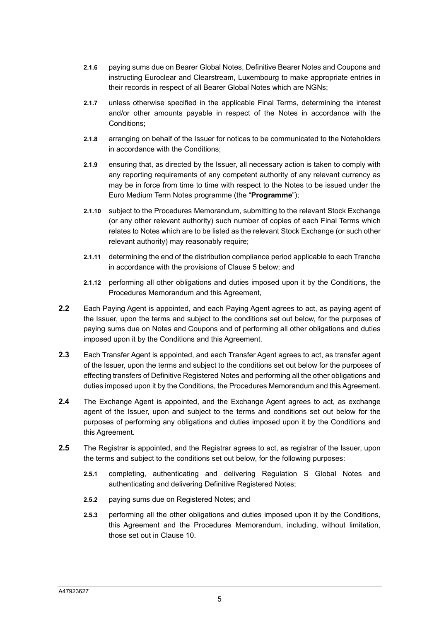- **2.1.6** paying sums due on Bearer Global Notes, Definitive Bearer Notes and Coupons and instructing Euroclear and Clearstream, Luxembourg to make appropriate entries in their records in respect of all Bearer Global Notes which are NGNs;
- **2.1.7** unless otherwise specified in the applicable Final Terms, determining the interest and/or other amounts payable in respect of the Notes in accordance with the Conditions;
- **2.1.8** arranging on behalf of the Issuer for notices to be communicated to the Noteholders in accordance with the Conditions;
- **2.1.9** ensuring that, as directed by the Issuer, all necessary action is taken to comply with any reporting requirements of any competent authority of any relevant currency as may be in force from time to time with respect to the Notes to be issued under the Euro Medium Term Notes programme (the "**Programme**");
- **2.1.10** subject to the Procedures Memorandum, submitting to the relevant Stock Exchange (or any other relevant authority) such number of copies of each Final Terms which relates to Notes which are to be listed as the relevant Stock Exchange (or such other relevant authority) may reasonably require;
- **2.1.11** determining the end of the distribution compliance period applicable to each Tranche in accordance with the provisions of Clause 5 below; and
- **2.1.12** performing all other obligations and duties imposed upon it by the Conditions, the Procedures Memorandum and this Agreement,
- **2.2** Each Paying Agent is appointed, and each Paying Agent agrees to act, as paying agent of the Issuer, upon the terms and subject to the conditions set out below, for the purposes of paying sums due on Notes and Coupons and of performing all other obligations and duties imposed upon it by the Conditions and this Agreement.
- **2.3** Each Transfer Agent is appointed, and each Transfer Agent agrees to act, as transfer agent of the Issuer, upon the terms and subject to the conditions set out below for the purposes of effecting transfers of Definitive Registered Notes and performing all the other obligations and duties imposed upon it by the Conditions, the Procedures Memorandum and this Agreement.
- **2.4** The Exchange Agent is appointed, and the Exchange Agent agrees to act, as exchange agent of the Issuer, upon and subject to the terms and conditions set out below for the purposes of performing any obligations and duties imposed upon it by the Conditions and this Agreement.
- **2.5** The Registrar is appointed, and the Registrar agrees to act, as registrar of the Issuer, upon the terms and subject to the conditions set out below, for the following purposes:
	- **2.5.1** completing, authenticating and delivering Regulation S Global Notes and authenticating and delivering Definitive Registered Notes;
	- **2.5.2** paying sums due on Registered Notes; and
	- **2.5.3** performing all the other obligations and duties imposed upon it by the Conditions, this Agreement and the Procedures Memorandum, including, without limitation, those set out in Clause 10.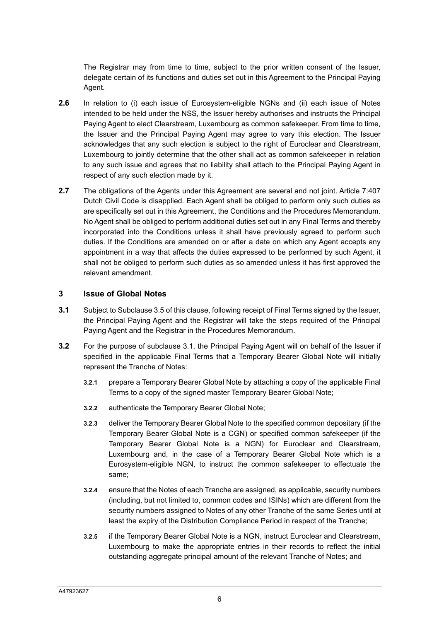The Registrar may from time to time, subject to the prior written consent of the Issuer, delegate certain of its functions and duties set out in this Agreement to the Principal Paying Agent.

- **2.6** In relation to (i) each issue of Eurosystem-eligible NGNs and (ii) each issue of Notes intended to be held under the NSS, the Issuer hereby authorises and instructs the Principal Paying Agent to elect Clearstream, Luxembourg as common safekeeper. From time to time, the Issuer and the Principal Paying Agent may agree to vary this election. The Issuer acknowledges that any such election is subject to the right of Euroclear and Clearstream, Luxembourg to jointly determine that the other shall act as common safekeeper in relation to any such issue and agrees that no liability shall attach to the Principal Paying Agent in respect of any such election made by it.
- **2.7** The obligations of the Agents under this Agreement are several and not joint. Article 7:407 Dutch Civil Code is disapplied. Each Agent shall be obliged to perform only such duties as are specifically set out in this Agreement, the Conditions and the Procedures Memorandum. No Agent shall be obliged to perform additional duties set out in any Final Terms and thereby incorporated into the Conditions unless it shall have previously agreed to perform such duties. If the Conditions are amended on or after a date on which any Agent accepts any appointment in a way that affects the duties expressed to be performed by such Agent, it shall not be obliged to perform such duties as so amended unless it has first approved the relevant amendment.

#### **3 Issue of Global Notes**

- **3.1** Subject to Subclause 3.5 of this clause, following receipt of Final Terms signed by the Issuer, the Principal Paying Agent and the Registrar will take the steps required of the Principal Paying Agent and the Registrar in the Procedures Memorandum.
- **3.2** For the purpose of subclause 3.1, the Principal Paying Agent will on behalf of the Issuer if specified in the applicable Final Terms that a Temporary Bearer Global Note will initially represent the Tranche of Notes:
	- **3.2.1** prepare a Temporary Bearer Global Note by attaching a copy of the applicable Final Terms to a copy of the signed master Temporary Bearer Global Note;
	- **3.2.2** authenticate the Temporary Bearer Global Note;
	- **3.2.3** deliver the Temporary Bearer Global Note to the specified common depositary (if the Temporary Bearer Global Note is a CGN) or specified common safekeeper (if the Temporary Bearer Global Note is a NGN) for Euroclear and Clearstream, Luxembourg and, in the case of a Temporary Bearer Global Note which is a Eurosystem-eligible NGN, to instruct the common safekeeper to effectuate the same;
	- **3.2.4** ensure that the Notes of each Tranche are assigned, as applicable, security numbers (including, but not limited to, common codes and ISINs) which are different from the security numbers assigned to Notes of any other Tranche of the same Series until at least the expiry of the Distribution Compliance Period in respect of the Tranche;
	- **3.2.5** if the Temporary Bearer Global Note is a NGN, instruct Euroclear and Clearstream, Luxembourg to make the appropriate entries in their records to reflect the initial outstanding aggregate principal amount of the relevant Tranche of Notes; and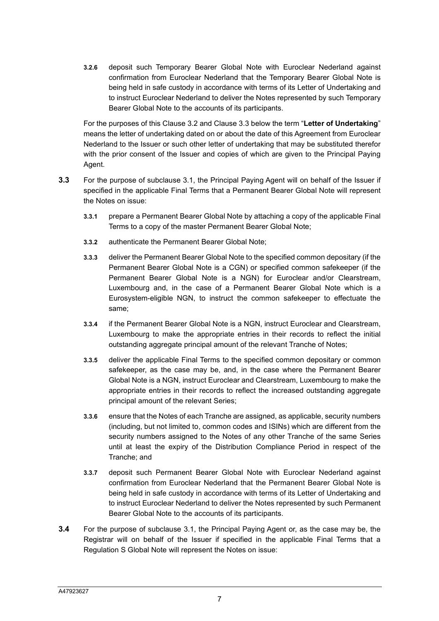**3.2.6** deposit such Temporary Bearer Global Note with Euroclear Nederland against confirmation from Euroclear Nederland that the Temporary Bearer Global Note is being held in safe custody in accordance with terms of its Letter of Undertaking and to instruct Euroclear Nederland to deliver the Notes represented by such Temporary Bearer Global Note to the accounts of its participants.

For the purposes of this Clause 3.2 and Clause 3.3 below the term "**Letter of Undertaking**" means the letter of undertaking dated on or about the date of this Agreement from Euroclear Nederland to the Issuer or such other letter of undertaking that may be substituted therefor with the prior consent of the Issuer and copies of which are given to the Principal Paying Agent.

- **3.3** For the purpose of subclause 3.1, the Principal Paying Agent will on behalf of the Issuer if specified in the applicable Final Terms that a Permanent Bearer Global Note will represent the Notes on issue:
	- **3.3.1** prepare a Permanent Bearer Global Note by attaching a copy of the applicable Final Terms to a copy of the master Permanent Bearer Global Note;
	- **3.3.2** authenticate the Permanent Bearer Global Note;
	- **3.3.3** deliver the Permanent Bearer Global Note to the specified common depositary (if the Permanent Bearer Global Note is a CGN) or specified common safekeeper (if the Permanent Bearer Global Note is a NGN) for Euroclear and/or Clearstream, Luxembourg and, in the case of a Permanent Bearer Global Note which is a Eurosystem-eligible NGN, to instruct the common safekeeper to effectuate the same;
	- **3.3.4** if the Permanent Bearer Global Note is a NGN, instruct Euroclear and Clearstream, Luxembourg to make the appropriate entries in their records to reflect the initial outstanding aggregate principal amount of the relevant Tranche of Notes;
	- **3.3.5** deliver the applicable Final Terms to the specified common depositary or common safekeeper, as the case may be, and, in the case where the Permanent Bearer Global Note is a NGN, instruct Euroclear and Clearstream, Luxembourg to make the appropriate entries in their records to reflect the increased outstanding aggregate principal amount of the relevant Series;
	- **3.3.6** ensure that the Notes of each Tranche are assigned, as applicable, security numbers (including, but not limited to, common codes and ISINs) which are different from the security numbers assigned to the Notes of any other Tranche of the same Series until at least the expiry of the Distribution Compliance Period in respect of the Tranche; and
	- **3.3.7** deposit such Permanent Bearer Global Note with Euroclear Nederland against confirmation from Euroclear Nederland that the Permanent Bearer Global Note is being held in safe custody in accordance with terms of its Letter of Undertaking and to instruct Euroclear Nederland to deliver the Notes represented by such Permanent Bearer Global Note to the accounts of its participants.
- **3.4** For the purpose of subclause 3.1, the Principal Paying Agent or, as the case may be, the Registrar will on behalf of the Issuer if specified in the applicable Final Terms that a Regulation S Global Note will represent the Notes on issue: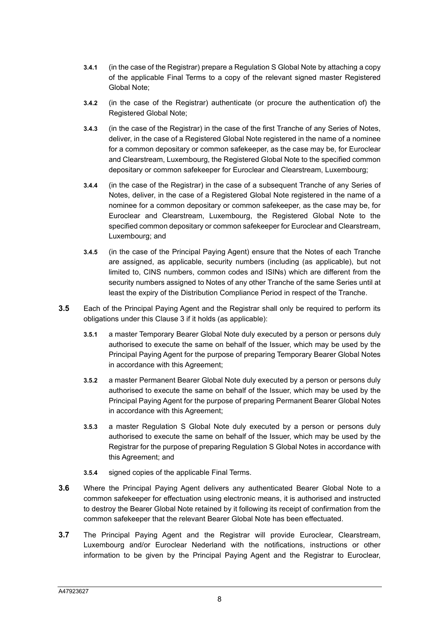- **3.4.1** (in the case of the Registrar) prepare a Regulation S Global Note by attaching a copy of the applicable Final Terms to a copy of the relevant signed master Registered Global Note;
- **3.4.2** (in the case of the Registrar) authenticate (or procure the authentication of) the Registered Global Note;
- **3.4.3** (in the case of the Registrar) in the case of the first Tranche of any Series of Notes, deliver, in the case of a Registered Global Note registered in the name of a nominee for a common depositary or common safekeeper, as the case may be, for Euroclear and Clearstream, Luxembourg, the Registered Global Note to the specified common depositary or common safekeeper for Euroclear and Clearstream, Luxembourg;
- **3.4.4** (in the case of the Registrar) in the case of a subsequent Tranche of any Series of Notes, deliver, in the case of a Registered Global Note registered in the name of a nominee for a common depositary or common safekeeper, as the case may be, for Euroclear and Clearstream, Luxembourg, the Registered Global Note to the specified common depositary or common safekeeper for Euroclear and Clearstream, Luxembourg; and
- **3.4.5** (in the case of the Principal Paying Agent) ensure that the Notes of each Tranche are assigned, as applicable, security numbers (including (as applicable), but not limited to, CINS numbers, common codes and ISINs) which are different from the security numbers assigned to Notes of any other Tranche of the same Series until at least the expiry of the Distribution Compliance Period in respect of the Tranche.
- **3.5** Each of the Principal Paying Agent and the Registrar shall only be required to perform its obligations under this Clause 3 if it holds (as applicable):
	- **3.5.1** a master Temporary Bearer Global Note duly executed by a person or persons duly authorised to execute the same on behalf of the Issuer, which may be used by the Principal Paying Agent for the purpose of preparing Temporary Bearer Global Notes in accordance with this Agreement;
	- **3.5.2** a master Permanent Bearer Global Note duly executed by a person or persons duly authorised to execute the same on behalf of the Issuer, which may be used by the Principal Paying Agent for the purpose of preparing Permanent Bearer Global Notes in accordance with this Agreement;
	- **3.5.3** a master Regulation S Global Note duly executed by a person or persons duly authorised to execute the same on behalf of the Issuer, which may be used by the Registrar for the purpose of preparing Regulation S Global Notes in accordance with this Agreement; and
	- **3.5.4** signed copies of the applicable Final Terms.
- **3.6** Where the Principal Paying Agent delivers any authenticated Bearer Global Note to a common safekeeper for effectuation using electronic means, it is authorised and instructed to destroy the Bearer Global Note retained by it following its receipt of confirmation from the common safekeeper that the relevant Bearer Global Note has been effectuated.
- **3.7** The Principal Paying Agent and the Registrar will provide Euroclear, Clearstream, Luxembourg and/or Euroclear Nederland with the notifications, instructions or other information to be given by the Principal Paying Agent and the Registrar to Euroclear,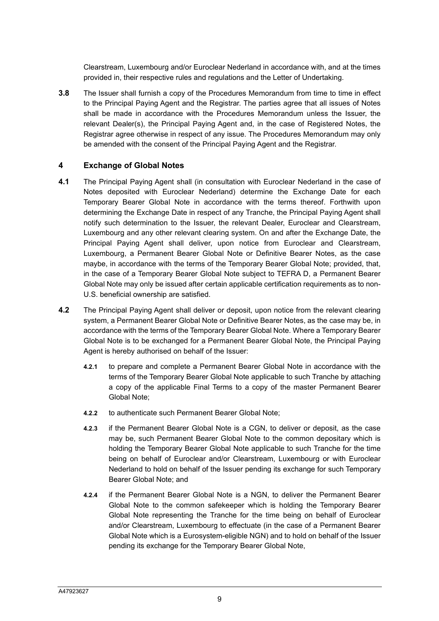Clearstream, Luxembourg and/or Euroclear Nederland in accordance with, and at the times provided in, their respective rules and regulations and the Letter of Undertaking.

**3.8** The Issuer shall furnish a copy of the Procedures Memorandum from time to time in effect to the Principal Paying Agent and the Registrar. The parties agree that all issues of Notes shall be made in accordance with the Procedures Memorandum unless the Issuer, the relevant Dealer(s), the Principal Paying Agent and, in the case of Registered Notes, the Registrar agree otherwise in respect of any issue. The Procedures Memorandum may only be amended with the consent of the Principal Paying Agent and the Registrar.

#### **4 Exchange of Global Notes**

- **4.1** The Principal Paying Agent shall (in consultation with Euroclear Nederland in the case of Notes deposited with Euroclear Nederland) determine the Exchange Date for each Temporary Bearer Global Note in accordance with the terms thereof. Forthwith upon determining the Exchange Date in respect of any Tranche, the Principal Paying Agent shall notify such determination to the Issuer, the relevant Dealer, Euroclear and Clearstream, Luxembourg and any other relevant clearing system. On and after the Exchange Date, the Principal Paying Agent shall deliver, upon notice from Euroclear and Clearstream, Luxembourg, a Permanent Bearer Global Note or Definitive Bearer Notes, as the case maybe, in accordance with the terms of the Temporary Bearer Global Note; provided, that, in the case of a Temporary Bearer Global Note subject to TEFRA D, a Permanent Bearer Global Note may only be issued after certain applicable certification requirements as to non-U.S. beneficial ownership are satisfied.
- **4.2** The Principal Paying Agent shall deliver or deposit, upon notice from the relevant clearing system, a Permanent Bearer Global Note or Definitive Bearer Notes, as the case may be, in accordance with the terms of the Temporary Bearer Global Note. Where a Temporary Bearer Global Note is to be exchanged for a Permanent Bearer Global Note, the Principal Paying Agent is hereby authorised on behalf of the Issuer:
	- **4.2.1** to prepare and complete a Permanent Bearer Global Note in accordance with the terms of the Temporary Bearer Global Note applicable to such Tranche by attaching a copy of the applicable Final Terms to a copy of the master Permanent Bearer Global Note;
	- **4.2.2** to authenticate such Permanent Bearer Global Note;
	- **4.2.3** if the Permanent Bearer Global Note is a CGN, to deliver or deposit, as the case may be, such Permanent Bearer Global Note to the common depositary which is holding the Temporary Bearer Global Note applicable to such Tranche for the time being on behalf of Euroclear and/or Clearstream, Luxembourg or with Euroclear Nederland to hold on behalf of the Issuer pending its exchange for such Temporary Bearer Global Note; and
	- **4.2.4** if the Permanent Bearer Global Note is a NGN, to deliver the Permanent Bearer Global Note to the common safekeeper which is holding the Temporary Bearer Global Note representing the Tranche for the time being on behalf of Euroclear and/or Clearstream, Luxembourg to effectuate (in the case of a Permanent Bearer Global Note which is a Eurosystem-eligible NGN) and to hold on behalf of the Issuer pending its exchange for the Temporary Bearer Global Note,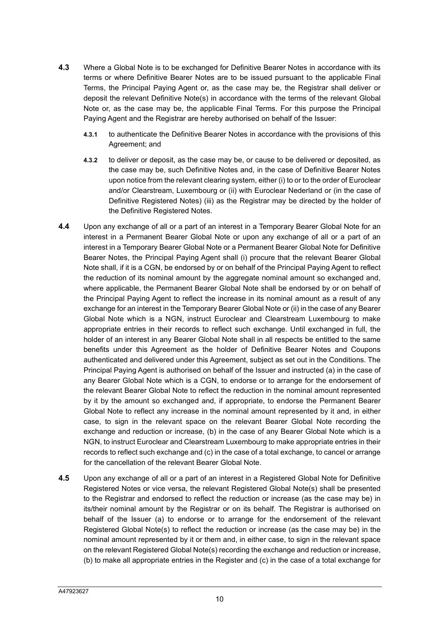- **4.3** Where a Global Note is to be exchanged for Definitive Bearer Notes in accordance with its terms or where Definitive Bearer Notes are to be issued pursuant to the applicable Final Terms, the Principal Paying Agent or, as the case may be, the Registrar shall deliver or deposit the relevant Definitive Note(s) in accordance with the terms of the relevant Global Note or, as the case may be, the applicable Final Terms. For this purpose the Principal Paying Agent and the Registrar are hereby authorised on behalf of the Issuer:
	- **4.3.1** to authenticate the Definitive Bearer Notes in accordance with the provisions of this Agreement; and
	- **4.3.2** to deliver or deposit, as the case may be, or cause to be delivered or deposited, as the case may be, such Definitive Notes and, in the case of Definitive Bearer Notes upon notice from the relevant clearing system, either (i) to or to the order of Euroclear and/or Clearstream, Luxembourg or (ii) with Euroclear Nederland or (in the case of Definitive Registered Notes) (iii) as the Registrar may be directed by the holder of the Definitive Registered Notes.
- **4.4** Upon any exchange of all or a part of an interest in a Temporary Bearer Global Note for an interest in a Permanent Bearer Global Note or upon any exchange of all or a part of an interest in a Temporary Bearer Global Note or a Permanent Bearer Global Note for Definitive Bearer Notes, the Principal Paying Agent shall (i) procure that the relevant Bearer Global Note shall, if it is a CGN, be endorsed by or on behalf of the Principal Paying Agent to reflect the reduction of its nominal amount by the aggregate nominal amount so exchanged and, where applicable, the Permanent Bearer Global Note shall be endorsed by or on behalf of the Principal Paying Agent to reflect the increase in its nominal amount as a result of any exchange for an interest in the Temporary Bearer Global Note or (ii) in the case of any Bearer Global Note which is a NGN, instruct Euroclear and Clearstream Luxembourg to make appropriate entries in their records to reflect such exchange. Until exchanged in full, the holder of an interest in any Bearer Global Note shall in all respects be entitled to the same benefits under this Agreement as the holder of Definitive Bearer Notes and Coupons authenticated and delivered under this Agreement, subject as set out in the Conditions. The Principal Paying Agent is authorised on behalf of the Issuer and instructed (a) in the case of any Bearer Global Note which is a CGN, to endorse or to arrange for the endorsement of the relevant Bearer Global Note to reflect the reduction in the nominal amount represented by it by the amount so exchanged and, if appropriate, to endorse the Permanent Bearer Global Note to reflect any increase in the nominal amount represented by it and, in either case, to sign in the relevant space on the relevant Bearer Global Note recording the exchange and reduction or increase, (b) in the case of any Bearer Global Note which is a NGN, to instruct Euroclear and Clearstream Luxembourg to make appropriate entries in their records to reflect such exchange and (c) in the case of a total exchange, to cancel or arrange for the cancellation of the relevant Bearer Global Note.
- **4.5** Upon any exchange of all or a part of an interest in a Registered Global Note for Definitive Registered Notes or vice versa, the relevant Registered Global Note(s) shall be presented to the Registrar and endorsed to reflect the reduction or increase (as the case may be) in its/their nominal amount by the Registrar or on its behalf. The Registrar is authorised on behalf of the Issuer (a) to endorse or to arrange for the endorsement of the relevant Registered Global Note(s) to reflect the reduction or increase (as the case may be) in the nominal amount represented by it or them and, in either case, to sign in the relevant space on the relevant Registered Global Note(s) recording the exchange and reduction or increase, (b) to make all appropriate entries in the Register and (c) in the case of a total exchange for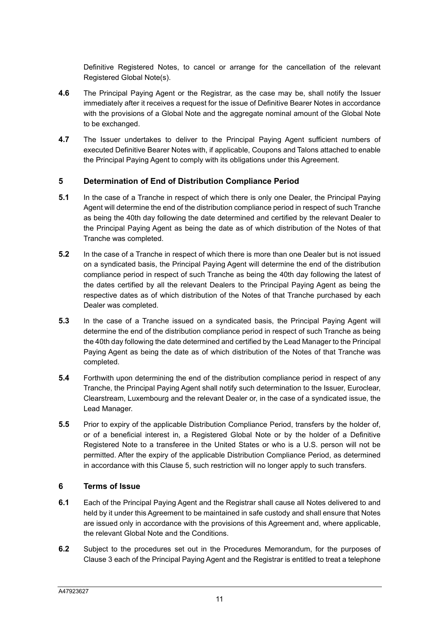Definitive Registered Notes, to cancel or arrange for the cancellation of the relevant Registered Global Note(s).

- **4.6** The Principal Paying Agent or the Registrar, as the case may be, shall notify the Issuer immediately after it receives a request for the issue of Definitive Bearer Notes in accordance with the provisions of a Global Note and the aggregate nominal amount of the Global Note to be exchanged.
- **4.7** The Issuer undertakes to deliver to the Principal Paying Agent sufficient numbers of executed Definitive Bearer Notes with, if applicable, Coupons and Talons attached to enable the Principal Paying Agent to comply with its obligations under this Agreement.

## **5 Determination of End of Distribution Compliance Period**

- **5.1** In the case of a Tranche in respect of which there is only one Dealer, the Principal Paying Agent will determine the end of the distribution compliance period in respect of such Tranche as being the 40th day following the date determined and certified by the relevant Dealer to the Principal Paying Agent as being the date as of which distribution of the Notes of that Tranche was completed.
- **5.2** In the case of a Tranche in respect of which there is more than one Dealer but is not issued on a syndicated basis, the Principal Paying Agent will determine the end of the distribution compliance period in respect of such Tranche as being the 40th day following the latest of the dates certified by all the relevant Dealers to the Principal Paying Agent as being the respective dates as of which distribution of the Notes of that Tranche purchased by each Dealer was completed.
- **5.3** In the case of a Tranche issued on a syndicated basis, the Principal Paying Agent will determine the end of the distribution compliance period in respect of such Tranche as being the 40th day following the date determined and certified by the Lead Manager to the Principal Paying Agent as being the date as of which distribution of the Notes of that Tranche was completed.
- **5.4** Forthwith upon determining the end of the distribution compliance period in respect of any Tranche, the Principal Paying Agent shall notify such determination to the Issuer, Euroclear, Clearstream, Luxembourg and the relevant Dealer or, in the case of a syndicated issue, the Lead Manager.
- **5.5** Prior to expiry of the applicable Distribution Compliance Period, transfers by the holder of, or of a beneficial interest in, a Registered Global Note or by the holder of a Definitive Registered Note to a transferee in the United States or who is a U.S. person will not be permitted. After the expiry of the applicable Distribution Compliance Period, as determined in accordance with this Clause 5, such restriction will no longer apply to such transfers.

#### **6 Terms of Issue**

- **6.1** Each of the Principal Paying Agent and the Registrar shall cause all Notes delivered to and held by it under this Agreement to be maintained in safe custody and shall ensure that Notes are issued only in accordance with the provisions of this Agreement and, where applicable, the relevant Global Note and the Conditions.
- **6.2** Subject to the procedures set out in the Procedures Memorandum, for the purposes of Clause 3 each of the Principal Paying Agent and the Registrar is entitled to treat a telephone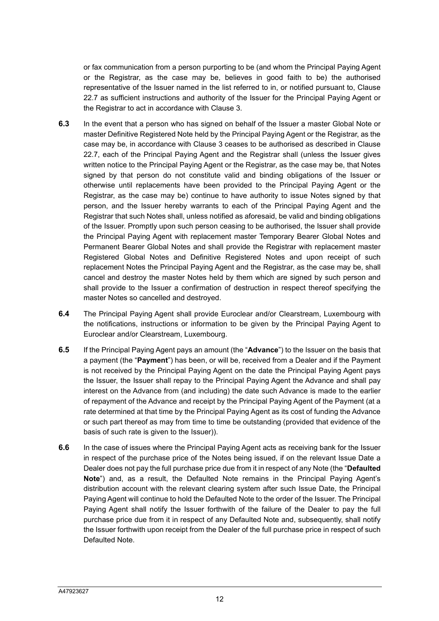or fax communication from a person purporting to be (and whom the Principal Paying Agent or the Registrar, as the case may be, believes in good faith to be) the authorised representative of the Issuer named in the list referred to in, or notified pursuant to, Clause 22.7 as sufficient instructions and authority of the Issuer for the Principal Paying Agent or the Registrar to act in accordance with Clause 3.

- **6.3** In the event that a person who has signed on behalf of the Issuer a master Global Note or master Definitive Registered Note held by the Principal Paying Agent or the Registrar, as the case may be, in accordance with Clause 3 ceases to be authorised as described in Clause 22.7, each of the Principal Paying Agent and the Registrar shall (unless the Issuer gives written notice to the Principal Paying Agent or the Registrar, as the case may be, that Notes signed by that person do not constitute valid and binding obligations of the Issuer or otherwise until replacements have been provided to the Principal Paying Agent or the Registrar, as the case may be) continue to have authority to issue Notes signed by that person, and the Issuer hereby warrants to each of the Principal Paying Agent and the Registrar that such Notes shall, unless notified as aforesaid, be valid and binding obligations of the Issuer. Promptly upon such person ceasing to be authorised, the Issuer shall provide the Principal Paying Agent with replacement master Temporary Bearer Global Notes and Permanent Bearer Global Notes and shall provide the Registrar with replacement master Registered Global Notes and Definitive Registered Notes and upon receipt of such replacement Notes the Principal Paying Agent and the Registrar, as the case may be, shall cancel and destroy the master Notes held by them which are signed by such person and shall provide to the Issuer a confirmation of destruction in respect thereof specifying the master Notes so cancelled and destroyed.
- **6.4** The Principal Paying Agent shall provide Euroclear and/or Clearstream, Luxembourg with the notifications, instructions or information to be given by the Principal Paying Agent to Euroclear and/or Clearstream, Luxembourg.
- **6.5** If the Principal Paying Agent pays an amount (the "**Advance**") to the Issuer on the basis that a payment (the "**Payment**") has been, or will be, received from a Dealer and if the Payment is not received by the Principal Paying Agent on the date the Principal Paying Agent pays the Issuer, the Issuer shall repay to the Principal Paying Agent the Advance and shall pay interest on the Advance from (and including) the date such Advance is made to the earlier of repayment of the Advance and receipt by the Principal Paying Agent of the Payment (at a rate determined at that time by the Principal Paying Agent as its cost of funding the Advance or such part thereof as may from time to time be outstanding (provided that evidence of the basis of such rate is given to the Issuer)).
- **6.6** In the case of issues where the Principal Paying Agent acts as receiving bank for the Issuer in respect of the purchase price of the Notes being issued, if on the relevant Issue Date a Dealer does not pay the full purchase price due from it in respect of any Note (the "**Defaulted Note**") and, as a result, the Defaulted Note remains in the Principal Paying Agent's distribution account with the relevant clearing system after such Issue Date, the Principal Paying Agent will continue to hold the Defaulted Note to the order of the Issuer. The Principal Paying Agent shall notify the Issuer forthwith of the failure of the Dealer to pay the full purchase price due from it in respect of any Defaulted Note and, subsequently, shall notify the Issuer forthwith upon receipt from the Dealer of the full purchase price in respect of such Defaulted Note.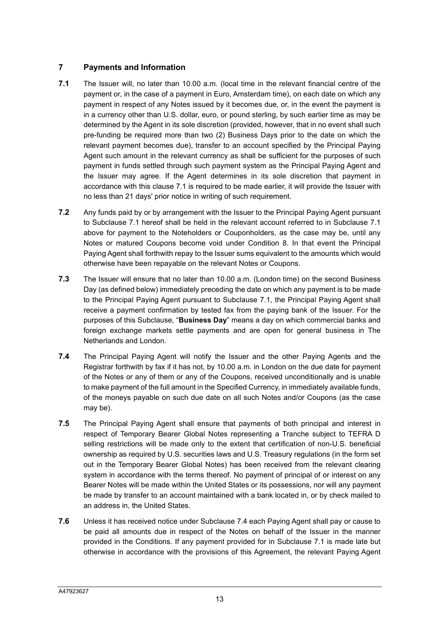# **7 Payments and Information**

- **7.1** The Issuer will, no later than 10.00 a.m. (local time in the relevant financial centre of the payment or, in the case of a payment in Euro, Amsterdam time), on each date on which any payment in respect of any Notes issued by it becomes due, or, in the event the payment is in a currency other than U.S. dollar, euro, or pound sterling, by such earlier time as may be determined by the Agent in its sole discretion (provided, however, that in no event shall such pre-funding be required more than two (2) Business Days prior to the date on which the relevant payment becomes due), transfer to an account specified by the Principal Paying Agent such amount in the relevant currency as shall be sufficient for the purposes of such payment in funds settled through such payment system as the Principal Paying Agent and the Issuer may agree. If the Agent determines in its sole discretion that payment in accordance with this clause 7.1 is required to be made earlier, it will provide the Issuer with no less than 21 days' prior notice in writing of such requirement.
- **7.2** Any funds paid by or by arrangement with the Issuer to the Principal Paying Agent pursuant to Subclause 7.1 hereof shall be held in the relevant account referred to in Subclause 7.1 above for payment to the Noteholders or Couponholders, as the case may be, until any Notes or matured Coupons become void under Condition 8. In that event the Principal Paying Agent shall forthwith repay to the Issuer sums equivalent to the amounts which would otherwise have been repayable on the relevant Notes or Coupons.
- **7.3** The Issuer will ensure that no later than 10.00 a.m. (London time) on the second Business Day (as defined below) immediately preceding the date on which any payment is to be made to the Principal Paying Agent pursuant to Subclause 7.1, the Principal Paying Agent shall receive a payment confirmation by tested fax from the paying bank of the Issuer. For the purposes of this Subclause, "**Business Day**" means a day on which commercial banks and foreign exchange markets settle payments and are open for general business in The Netherlands and London.
- **7.4** The Principal Paying Agent will notify the Issuer and the other Paying Agents and the Registrar forthwith by fax if it has not, by 10.00 a.m. in London on the due date for payment of the Notes or any of them or any of the Coupons, received unconditionally and is unable to make payment of the full amount in the Specified Currency, in immediately available funds, of the moneys payable on such due date on all such Notes and/or Coupons (as the case may be).
- **7.5** The Principal Paying Agent shall ensure that payments of both principal and interest in respect of Temporary Bearer Global Notes representing a Tranche subject to TEFRA D selling restrictions will be made only to the extent that certification of non-U.S. beneficial ownership as required by U.S. securities laws and U.S. Treasury regulations (in the form set out in the Temporary Bearer Global Notes) has been received from the relevant clearing system in accordance with the terms thereof. No payment of principal of or interest on any Bearer Notes will be made within the United States or its possessions, nor will any payment be made by transfer to an account maintained with a bank located in, or by check mailed to an address in, the United States.
- **7.6** Unless it has received notice under Subclause 7.4 each Paying Agent shall pay or cause to be paid all amounts due in respect of the Notes on behalf of the Issuer in the manner provided in the Conditions. If any payment provided for in Subclause 7.1 is made late but otherwise in accordance with the provisions of this Agreement, the relevant Paying Agent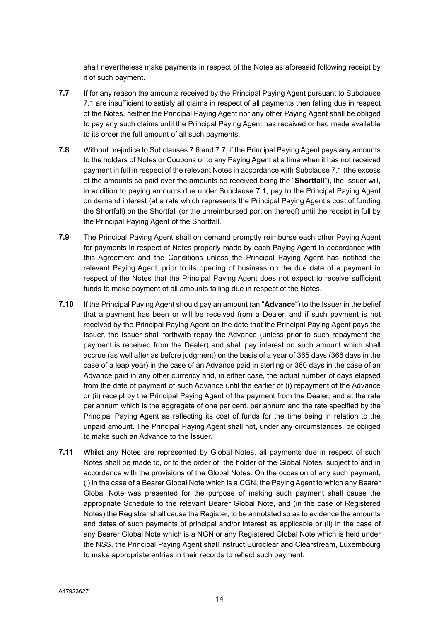shall nevertheless make payments in respect of the Notes as aforesaid following receipt by it of such payment.

- **7.7** If for any reason the amounts received by the Principal Paying Agent pursuant to Subclause 7.1 are insufficient to satisfy all claims in respect of all payments then falling due in respect of the Notes, neither the Principal Paying Agent nor any other Paying Agent shall be obliged to pay any such claims until the Principal Paying Agent has received or had made available to its order the full amount of all such payments.
- **7.8** Without prejudice to Subclauses 7.6 and 7.7, if the Principal Paying Agent pays any amounts to the holders of Notes or Coupons or to any Paying Agent at a time when it has not received payment in full in respect of the relevant Notes in accordance with Subclause 7.1 (the excess of the amounts so paid over the amounts so received being the "**Shortfall**"), the Issuer will, in addition to paying amounts due under Subclause 7.1, pay to the Principal Paying Agent on demand interest (at a rate which represents the Principal Paying Agent's cost of funding the Shortfall) on the Shortfall (or the unreimbursed portion thereof) until the receipt in full by the Principal Paying Agent of the Shortfall.
- **7.9** The Principal Paying Agent shall on demand promptly reimburse each other Paying Agent for payments in respect of Notes properly made by each Paying Agent in accordance with this Agreement and the Conditions unless the Principal Paying Agent has notified the relevant Paying Agent, prior to its opening of business on the due date of a payment in respect of the Notes that the Principal Paying Agent does not expect to receive sufficient funds to make payment of all amounts falling due in respect of the Notes.
- **7.10** If the Principal Paying Agent should pay an amount (an "**Advance**") to the Issuer in the belief that a payment has been or will be received from a Dealer, and if such payment is not received by the Principal Paying Agent on the date that the Principal Paying Agent pays the Issuer, the Issuer shall forthwith repay the Advance (unless prior to such repayment the payment is received from the Dealer) and shall pay interest on such amount which shall accrue (as well after as before judgment) on the basis of a year of 365 days (366 days in the case of a leap year) in the case of an Advance paid in sterling or 360 days in the case of an Advance paid in any other currency and, in either case, the actual number of days elapsed from the date of payment of such Advance until the earlier of (i) repayment of the Advance or (ii) receipt by the Principal Paying Agent of the payment from the Dealer, and at the rate per annum which is the aggregate of one per cent. per annum and the rate specified by the Principal Paying Agent as reflecting its cost of funds for the time being in relation to the unpaid amount. The Principal Paying Agent shall not, under any circumstances, be obliged to make such an Advance to the Issuer.
- **7.11** Whilst any Notes are represented by Global Notes, all payments due in respect of such Notes shall be made to, or to the order of, the holder of the Global Notes, subject to and in accordance with the provisions of the Global Notes. On the occasion of any such payment, (i) in the case of a Bearer Global Note which is a CGN, the Paying Agent to which any Bearer Global Note was presented for the purpose of making such payment shall cause the appropriate Schedule to the relevant Bearer Global Note, and (in the case of Registered Notes) the Registrar shall cause the Register, to be annotated so as to evidence the amounts and dates of such payments of principal and/or interest as applicable or (ii) in the case of any Bearer Global Note which is a NGN or any Registered Global Note which is held under the NSS, the Principal Paying Agent shall instruct Euroclear and Clearstream, Luxembourg to make appropriate entries in their records to reflect such payment.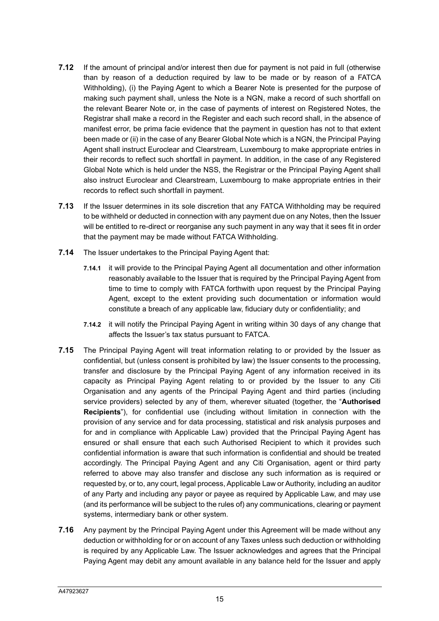- **7.12** If the amount of principal and/or interest then due for payment is not paid in full (otherwise than by reason of a deduction required by law to be made or by reason of a FATCA Withholding), (i) the Paying Agent to which a Bearer Note is presented for the purpose of making such payment shall, unless the Note is a NGN, make a record of such shortfall on the relevant Bearer Note or, in the case of payments of interest on Registered Notes, the Registrar shall make a record in the Register and each such record shall, in the absence of manifest error, be prima facie evidence that the payment in question has not to that extent been made or (ii) in the case of any Bearer Global Note which is a NGN, the Principal Paying Agent shall instruct Euroclear and Clearstream, Luxembourg to make appropriate entries in their records to reflect such shortfall in payment. In addition, in the case of any Registered Global Note which is held under the NSS, the Registrar or the Principal Paying Agent shall also instruct Euroclear and Clearstream, Luxembourg to make appropriate entries in their records to reflect such shortfall in payment.
- **7.13** If the Issuer determines in its sole discretion that any FATCA Withholding may be required to be withheld or deducted in connection with any payment due on any Notes, then the Issuer will be entitled to re-direct or reorganise any such payment in any way that it sees fit in order that the payment may be made without FATCA Withholding.
- **7.14** The Issuer undertakes to the Principal Paying Agent that:
	- **7.14.1** it will provide to the Principal Paying Agent all documentation and other information reasonably available to the Issuer that is required by the Principal Paying Agent from time to time to comply with FATCA forthwith upon request by the Principal Paying Agent, except to the extent providing such documentation or information would constitute a breach of any applicable law, fiduciary duty or confidentiality; and
	- **7.14.2** it will notify the Principal Paying Agent in writing within 30 days of any change that affects the Issuer's tax status pursuant to FATCA.
- **7.15** The Principal Paying Agent will treat information relating to or provided by the Issuer as confidential, but (unless consent is prohibited by law) the Issuer consents to the processing, transfer and disclosure by the Principal Paying Agent of any information received in its capacity as Principal Paying Agent relating to or provided by the Issuer to any Citi Organisation and any agents of the Principal Paying Agent and third parties (including service providers) selected by any of them, wherever situated (together, the "**Authorised Recipients**"), for confidential use (including without limitation in connection with the provision of any service and for data processing, statistical and risk analysis purposes and for and in compliance with Applicable Law) provided that the Principal Paying Agent has ensured or shall ensure that each such Authorised Recipient to which it provides such confidential information is aware that such information is confidential and should be treated accordingly. The Principal Paying Agent and any Citi Organisation, agent or third party referred to above may also transfer and disclose any such information as is required or requested by, or to, any court, legal process, Applicable Law or Authority, including an auditor of any Party and including any payor or payee as required by Applicable Law, and may use (and its performance will be subject to the rules of) any communications, clearing or payment systems, intermediary bank or other system.
- **7.16** Any payment by the Principal Paying Agent under this Agreement will be made without any deduction or withholding for or on account of any Taxes unless such deduction or withholding is required by any Applicable Law. The Issuer acknowledges and agrees that the Principal Paying Agent may debit any amount available in any balance held for the Issuer and apply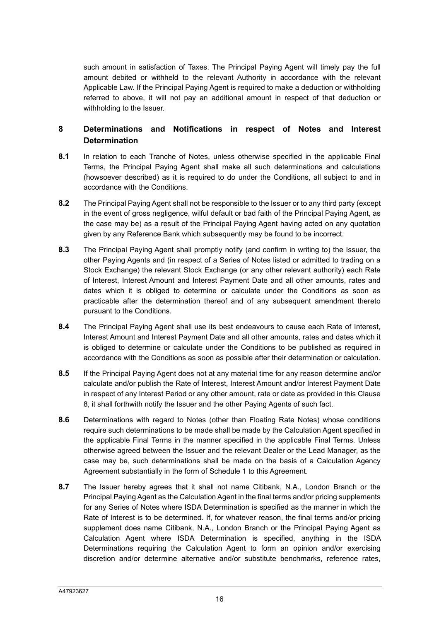such amount in satisfaction of Taxes. The Principal Paying Agent will timely pay the full amount debited or withheld to the relevant Authority in accordance with the relevant Applicable Law. If the Principal Paying Agent is required to make a deduction or withholding referred to above, it will not pay an additional amount in respect of that deduction or withholding to the Issuer.

# **8 Determinations and Notifications in respect of Notes and Interest Determination**

- **8.1** In relation to each Tranche of Notes, unless otherwise specified in the applicable Final Terms, the Principal Paying Agent shall make all such determinations and calculations (howsoever described) as it is required to do under the Conditions, all subject to and in accordance with the Conditions.
- **8.2** The Principal Paying Agent shall not be responsible to the Issuer or to any third party (except in the event of gross negligence, wilful default or bad faith of the Principal Paying Agent, as the case may be) as a result of the Principal Paying Agent having acted on any quotation given by any Reference Bank which subsequently may be found to be incorrect.
- **8.3** The Principal Paying Agent shall promptly notify (and confirm in writing to) the Issuer, the other Paying Agents and (in respect of a Series of Notes listed or admitted to trading on a Stock Exchange) the relevant Stock Exchange (or any other relevant authority) each Rate of Interest, Interest Amount and Interest Payment Date and all other amounts, rates and dates which it is obliged to determine or calculate under the Conditions as soon as practicable after the determination thereof and of any subsequent amendment thereto pursuant to the Conditions.
- **8.4** The Principal Paying Agent shall use its best endeavours to cause each Rate of Interest, Interest Amount and Interest Payment Date and all other amounts, rates and dates which it is obliged to determine or calculate under the Conditions to be published as required in accordance with the Conditions as soon as possible after their determination or calculation.
- **8.5** If the Principal Paying Agent does not at any material time for any reason determine and/or calculate and/or publish the Rate of Interest, Interest Amount and/or Interest Payment Date in respect of any Interest Period or any other amount, rate or date as provided in this Clause 8, it shall forthwith notify the Issuer and the other Paying Agents of such fact.
- **8.6** Determinations with regard to Notes (other than Floating Rate Notes) whose conditions require such determinations to be made shall be made by the Calculation Agent specified in the applicable Final Terms in the manner specified in the applicable Final Terms. Unless otherwise agreed between the Issuer and the relevant Dealer or the Lead Manager, as the case may be, such determinations shall be made on the basis of a Calculation Agency Agreement substantially in the form of Schedule 1 to this Agreement.
- **8.7** The Issuer hereby agrees that it shall not name Citibank, N.A., London Branch or the Principal Paying Agent as the Calculation Agent in the final terms and/or pricing supplements for any Series of Notes where ISDA Determination is specified as the manner in which the Rate of Interest is to be determined. If, for whatever reason, the final terms and/or pricing supplement does name Citibank, N.A., London Branch or the Principal Paying Agent as Calculation Agent where ISDA Determination is specified, anything in the ISDA Determinations requiring the Calculation Agent to form an opinion and/or exercising discretion and/or determine alternative and/or substitute benchmarks, reference rates,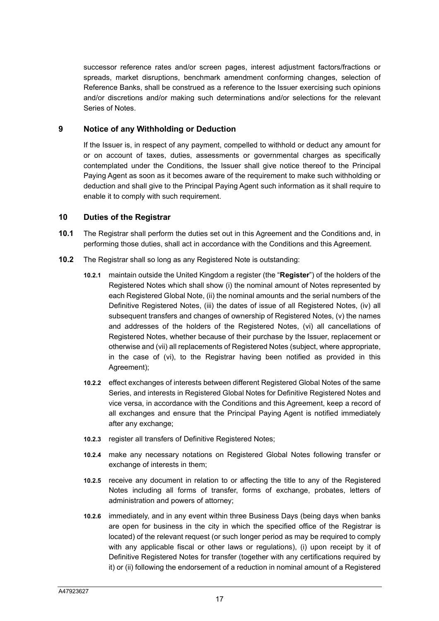successor reference rates and/or screen pages, interest adjustment factors/fractions or spreads, market disruptions, benchmark amendment conforming changes, selection of Reference Banks, shall be construed as a reference to the Issuer exercising such opinions and/or discretions and/or making such determinations and/or selections for the relevant Series of Notes.

#### **9 Notice of any Withholding or Deduction**

If the Issuer is, in respect of any payment, compelled to withhold or deduct any amount for or on account of taxes, duties, assessments or governmental charges as specifically contemplated under the Conditions, the Issuer shall give notice thereof to the Principal Paying Agent as soon as it becomes aware of the requirement to make such withholding or deduction and shall give to the Principal Paying Agent such information as it shall require to enable it to comply with such requirement.

#### **10 Duties of the Registrar**

- **10.1** The Registrar shall perform the duties set out in this Agreement and the Conditions and, in performing those duties, shall act in accordance with the Conditions and this Agreement.
- **10.2** The Registrar shall so long as any Registered Note is outstanding:
	- **10.2.1** maintain outside the United Kingdom a register (the "**Register**") of the holders of the Registered Notes which shall show (i) the nominal amount of Notes represented by each Registered Global Note, (ii) the nominal amounts and the serial numbers of the Definitive Registered Notes, (iii) the dates of issue of all Registered Notes, (iv) all subsequent transfers and changes of ownership of Registered Notes, (v) the names and addresses of the holders of the Registered Notes, (vi) all cancellations of Registered Notes, whether because of their purchase by the Issuer, replacement or otherwise and (vii) all replacements of Registered Notes (subject, where appropriate, in the case of (vi), to the Registrar having been notified as provided in this Agreement);
	- **10.2.2** effect exchanges of interests between different Registered Global Notes of the same Series, and interests in Registered Global Notes for Definitive Registered Notes and vice versa, in accordance with the Conditions and this Agreement, keep a record of all exchanges and ensure that the Principal Paying Agent is notified immediately after any exchange;
	- **10.2.3** register all transfers of Definitive Registered Notes;
	- **10.2.4** make any necessary notations on Registered Global Notes following transfer or exchange of interests in them;
	- **10.2.5** receive any document in relation to or affecting the title to any of the Registered Notes including all forms of transfer, forms of exchange, probates, letters of administration and powers of attorney;
	- **10.2.6** immediately, and in any event within three Business Days (being days when banks are open for business in the city in which the specified office of the Registrar is located) of the relevant request (or such longer period as may be required to comply with any applicable fiscal or other laws or regulations), (i) upon receipt by it of Definitive Registered Notes for transfer (together with any certifications required by it) or (ii) following the endorsement of a reduction in nominal amount of a Registered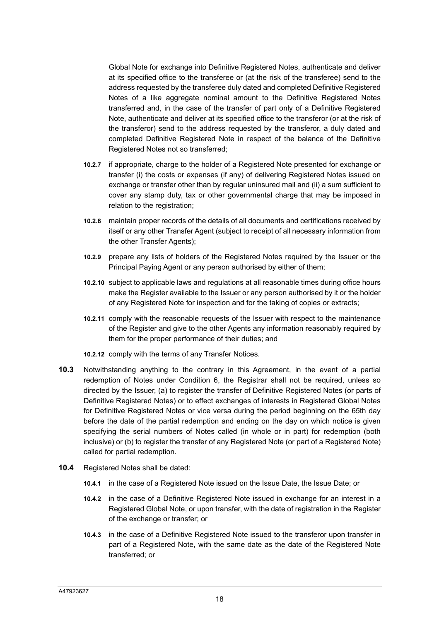Global Note for exchange into Definitive Registered Notes, authenticate and deliver at its specified office to the transferee or (at the risk of the transferee) send to the address requested by the transferee duly dated and completed Definitive Registered Notes of a like aggregate nominal amount to the Definitive Registered Notes transferred and, in the case of the transfer of part only of a Definitive Registered Note, authenticate and deliver at its specified office to the transferor (or at the risk of the transferor) send to the address requested by the transferor, a duly dated and completed Definitive Registered Note in respect of the balance of the Definitive Registered Notes not so transferred;

- **10.2.7** if appropriate, charge to the holder of a Registered Note presented for exchange or transfer (i) the costs or expenses (if any) of delivering Registered Notes issued on exchange or transfer other than by regular uninsured mail and (ii) a sum sufficient to cover any stamp duty, tax or other governmental charge that may be imposed in relation to the registration;
- **10.2.8** maintain proper records of the details of all documents and certifications received by itself or any other Transfer Agent (subject to receipt of all necessary information from the other Transfer Agents);
- **10.2.9** prepare any lists of holders of the Registered Notes required by the Issuer or the Principal Paying Agent or any person authorised by either of them;
- **10.2.10** subject to applicable laws and regulations at all reasonable times during office hours make the Register available to the Issuer or any person authorised by it or the holder of any Registered Note for inspection and for the taking of copies or extracts;
- **10.2.11** comply with the reasonable requests of the Issuer with respect to the maintenance of the Register and give to the other Agents any information reasonably required by them for the proper performance of their duties; and
- **10.2.12** comply with the terms of any Transfer Notices.
- **10.3** Notwithstanding anything to the contrary in this Agreement, in the event of a partial redemption of Notes under Condition 6, the Registrar shall not be required, unless so directed by the Issuer, (a) to register the transfer of Definitive Registered Notes (or parts of Definitive Registered Notes) or to effect exchanges of interests in Registered Global Notes for Definitive Registered Notes or vice versa during the period beginning on the 65th day before the date of the partial redemption and ending on the day on which notice is given specifying the serial numbers of Notes called (in whole or in part) for redemption (both inclusive) or (b) to register the transfer of any Registered Note (or part of a Registered Note) called for partial redemption.
- **10.4** Registered Notes shall be dated:
	- **10.4.1** in the case of a Registered Note issued on the Issue Date, the Issue Date; or
	- **10.4.2** in the case of a Definitive Registered Note issued in exchange for an interest in a Registered Global Note, or upon transfer, with the date of registration in the Register of the exchange or transfer; or
	- **10.4.3** in the case of a Definitive Registered Note issued to the transferor upon transfer in part of a Registered Note, with the same date as the date of the Registered Note transferred; or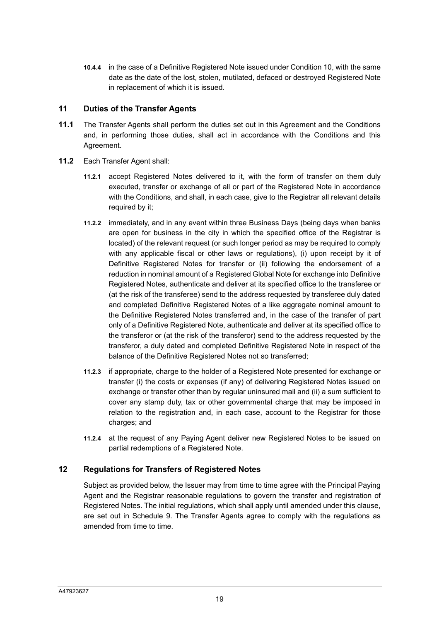**10.4.4** in the case of a Definitive Registered Note issued under Condition 10, with the same date as the date of the lost, stolen, mutilated, defaced or destroyed Registered Note in replacement of which it is issued.

#### **11 Duties of the Transfer Agents**

- **11.1** The Transfer Agents shall perform the duties set out in this Agreement and the Conditions and, in performing those duties, shall act in accordance with the Conditions and this Agreement.
- **11.2** Each Transfer Agent shall:
	- **11.2.1** accept Registered Notes delivered to it, with the form of transfer on them duly executed, transfer or exchange of all or part of the Registered Note in accordance with the Conditions, and shall, in each case, give to the Registrar all relevant details required by it:
	- **11.2.2** immediately, and in any event within three Business Days (being days when banks are open for business in the city in which the specified office of the Registrar is located) of the relevant request (or such longer period as may be required to comply with any applicable fiscal or other laws or regulations), (i) upon receipt by it of Definitive Registered Notes for transfer or (ii) following the endorsement of a reduction in nominal amount of a Registered Global Note for exchange into Definitive Registered Notes, authenticate and deliver at its specified office to the transferee or (at the risk of the transferee) send to the address requested by transferee duly dated and completed Definitive Registered Notes of a like aggregate nominal amount to the Definitive Registered Notes transferred and, in the case of the transfer of part only of a Definitive Registered Note, authenticate and deliver at its specified office to the transferor or (at the risk of the transferor) send to the address requested by the transferor, a duly dated and completed Definitive Registered Note in respect of the balance of the Definitive Registered Notes not so transferred;
	- **11.2.3** if appropriate, charge to the holder of a Registered Note presented for exchange or transfer (i) the costs or expenses (if any) of delivering Registered Notes issued on exchange or transfer other than by regular uninsured mail and (ii) a sum sufficient to cover any stamp duty, tax or other governmental charge that may be imposed in relation to the registration and, in each case, account to the Registrar for those charges; and
	- **11.2.4** at the request of any Paying Agent deliver new Registered Notes to be issued on partial redemptions of a Registered Note.

# **12 Regulations for Transfers of Registered Notes**

Subject as provided below, the Issuer may from time to time agree with the Principal Paying Agent and the Registrar reasonable regulations to govern the transfer and registration of Registered Notes. The initial regulations, which shall apply until amended under this clause, are set out in Schedule 9. The Transfer Agents agree to comply with the regulations as amended from time to time.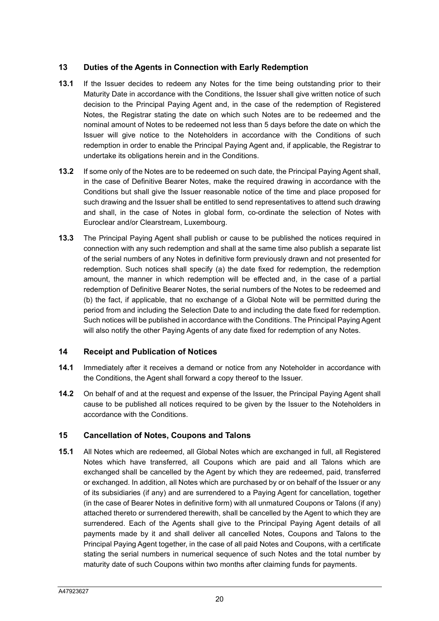# **13 Duties of the Agents in Connection with Early Redemption**

- **13.1** If the Issuer decides to redeem any Notes for the time being outstanding prior to their Maturity Date in accordance with the Conditions, the Issuer shall give written notice of such decision to the Principal Paying Agent and, in the case of the redemption of Registered Notes, the Registrar stating the date on which such Notes are to be redeemed and the nominal amount of Notes to be redeemed not less than 5 days before the date on which the Issuer will give notice to the Noteholders in accordance with the Conditions of such redemption in order to enable the Principal Paying Agent and, if applicable, the Registrar to undertake its obligations herein and in the Conditions.
- **13.2** If some only of the Notes are to be redeemed on such date, the Principal Paying Agent shall, in the case of Definitive Bearer Notes, make the required drawing in accordance with the Conditions but shall give the Issuer reasonable notice of the time and place proposed for such drawing and the Issuer shall be entitled to send representatives to attend such drawing and shall, in the case of Notes in global form, co-ordinate the selection of Notes with Euroclear and/or Clearstream, Luxembourg.
- **13.3** The Principal Paying Agent shall publish or cause to be published the notices required in connection with any such redemption and shall at the same time also publish a separate list of the serial numbers of any Notes in definitive form previously drawn and not presented for redemption. Such notices shall specify (a) the date fixed for redemption, the redemption amount, the manner in which redemption will be effected and, in the case of a partial redemption of Definitive Bearer Notes, the serial numbers of the Notes to be redeemed and (b) the fact, if applicable, that no exchange of a Global Note will be permitted during the period from and including the Selection Date to and including the date fixed for redemption. Such notices will be published in accordance with the Conditions. The Principal Paying Agent will also notify the other Paying Agents of any date fixed for redemption of any Notes.

#### **14 Receipt and Publication of Notices**

- **14.1** Immediately after it receives a demand or notice from any Noteholder in accordance with the Conditions, the Agent shall forward a copy thereof to the Issuer.
- **14.2** On behalf of and at the request and expense of the Issuer, the Principal Paying Agent shall cause to be published all notices required to be given by the Issuer to the Noteholders in accordance with the Conditions.

#### **15 Cancellation of Notes, Coupons and Talons**

**15.1** All Notes which are redeemed, all Global Notes which are exchanged in full, all Registered Notes which have transferred, all Coupons which are paid and all Talons which are exchanged shall be cancelled by the Agent by which they are redeemed, paid, transferred or exchanged. In addition, all Notes which are purchased by or on behalf of the Issuer or any of its subsidiaries (if any) and are surrendered to a Paying Agent for cancellation, together (in the case of Bearer Notes in definitive form) with all unmatured Coupons or Talons (if any) attached thereto or surrendered therewith, shall be cancelled by the Agent to which they are surrendered. Each of the Agents shall give to the Principal Paying Agent details of all payments made by it and shall deliver all cancelled Notes, Coupons and Talons to the Principal Paying Agent together, in the case of all paid Notes and Coupons, with a certificate stating the serial numbers in numerical sequence of such Notes and the total number by maturity date of such Coupons within two months after claiming funds for payments.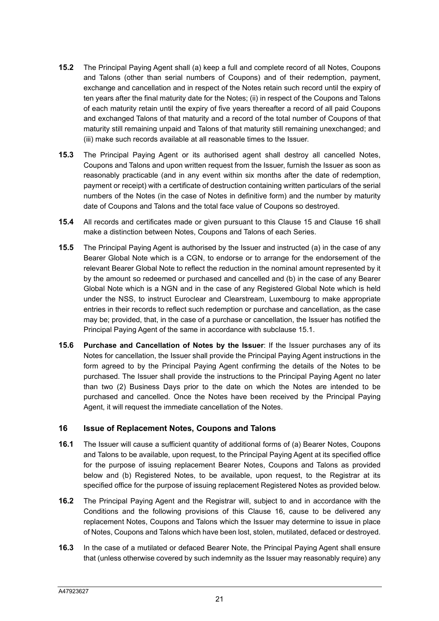- **15.2** The Principal Paying Agent shall (a) keep a full and complete record of all Notes, Coupons and Talons (other than serial numbers of Coupons) and of their redemption, payment, exchange and cancellation and in respect of the Notes retain such record until the expiry of ten years after the final maturity date for the Notes; (ii) in respect of the Coupons and Talons of each maturity retain until the expiry of five years thereafter a record of all paid Coupons and exchanged Talons of that maturity and a record of the total number of Coupons of that maturity still remaining unpaid and Talons of that maturity still remaining unexchanged; and (iii) make such records available at all reasonable times to the Issuer.
- **15.3** The Principal Paying Agent or its authorised agent shall destroy all cancelled Notes, Coupons and Talons and upon written request from the Issuer, furnish the Issuer as soon as reasonably practicable (and in any event within six months after the date of redemption, payment or receipt) with a certificate of destruction containing written particulars of the serial numbers of the Notes (in the case of Notes in definitive form) and the number by maturity date of Coupons and Talons and the total face value of Coupons so destroyed.
- **15.4** All records and certificates made or given pursuant to this Clause 15 and Clause 16 shall make a distinction between Notes, Coupons and Talons of each Series.
- **15.5** The Principal Paying Agent is authorised by the Issuer and instructed (a) in the case of any Bearer Global Note which is a CGN, to endorse or to arrange for the endorsement of the relevant Bearer Global Note to reflect the reduction in the nominal amount represented by it by the amount so redeemed or purchased and cancelled and (b) in the case of any Bearer Global Note which is a NGN and in the case of any Registered Global Note which is held under the NSS, to instruct Euroclear and Clearstream, Luxembourg to make appropriate entries in their records to reflect such redemption or purchase and cancellation, as the case may be; provided, that, in the case of a purchase or cancellation, the Issuer has notified the Principal Paying Agent of the same in accordance with subclause 15.1.
- **15.6 Purchase and Cancellation of Notes by the Issuer**: If the Issuer purchases any of its Notes for cancellation, the Issuer shall provide the Principal Paying Agent instructions in the form agreed to by the Principal Paying Agent confirming the details of the Notes to be purchased. The Issuer shall provide the instructions to the Principal Paying Agent no later than two (2) Business Days prior to the date on which the Notes are intended to be purchased and cancelled. Once the Notes have been received by the Principal Paying Agent, it will request the immediate cancellation of the Notes.

#### **16 Issue of Replacement Notes, Coupons and Talons**

- **16.1** The Issuer will cause a sufficient quantity of additional forms of (a) Bearer Notes, Coupons and Talons to be available, upon request, to the Principal Paying Agent at its specified office for the purpose of issuing replacement Bearer Notes, Coupons and Talons as provided below and (b) Registered Notes, to be available, upon request, to the Registrar at its specified office for the purpose of issuing replacement Registered Notes as provided below.
- **16.2** The Principal Paying Agent and the Registrar will, subject to and in accordance with the Conditions and the following provisions of this Clause 16, cause to be delivered any replacement Notes, Coupons and Talons which the Issuer may determine to issue in place of Notes, Coupons and Talons which have been lost, stolen, mutilated, defaced or destroyed.
- **16.3** In the case of a mutilated or defaced Bearer Note, the Principal Paying Agent shall ensure that (unless otherwise covered by such indemnity as the Issuer may reasonably require) any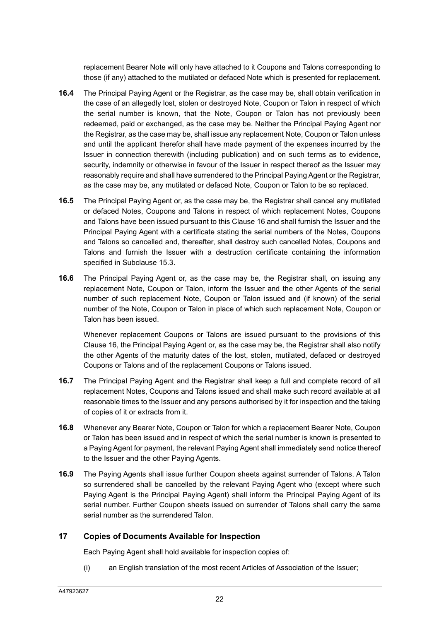replacement Bearer Note will only have attached to it Coupons and Talons corresponding to those (if any) attached to the mutilated or defaced Note which is presented for replacement.

- **16.4** The Principal Paying Agent or the Registrar, as the case may be, shall obtain verification in the case of an allegedly lost, stolen or destroyed Note, Coupon or Talon in respect of which the serial number is known, that the Note, Coupon or Talon has not previously been redeemed, paid or exchanged, as the case may be. Neither the Principal Paying Agent nor the Registrar, as the case may be, shall issue any replacement Note, Coupon or Talon unless and until the applicant therefor shall have made payment of the expenses incurred by the Issuer in connection therewith (including publication) and on such terms as to evidence, security, indemnity or otherwise in favour of the Issuer in respect thereof as the Issuer may reasonably require and shall have surrendered to the Principal Paying Agent or the Registrar, as the case may be, any mutilated or defaced Note, Coupon or Talon to be so replaced.
- **16.5** The Principal Paying Agent or, as the case may be, the Registrar shall cancel any mutilated or defaced Notes, Coupons and Talons in respect of which replacement Notes, Coupons and Talons have been issued pursuant to this Clause 16 and shall furnish the Issuer and the Principal Paying Agent with a certificate stating the serial numbers of the Notes, Coupons and Talons so cancelled and, thereafter, shall destroy such cancelled Notes, Coupons and Talons and furnish the Issuer with a destruction certificate containing the information specified in Subclause 15.3.
- **16.6** The Principal Paying Agent or, as the case may be, the Registrar shall, on issuing any replacement Note, Coupon or Talon, inform the Issuer and the other Agents of the serial number of such replacement Note, Coupon or Talon issued and (if known) of the serial number of the Note, Coupon or Talon in place of which such replacement Note, Coupon or Talon has been issued.

Whenever replacement Coupons or Talons are issued pursuant to the provisions of this Clause 16, the Principal Paying Agent or, as the case may be, the Registrar shall also notify the other Agents of the maturity dates of the lost, stolen, mutilated, defaced or destroyed Coupons or Talons and of the replacement Coupons or Talons issued.

- **16.7** The Principal Paying Agent and the Registrar shall keep a full and complete record of all replacement Notes, Coupons and Talons issued and shall make such record available at all reasonable times to the Issuer and any persons authorised by it for inspection and the taking of copies of it or extracts from it.
- **16.8** Whenever any Bearer Note, Coupon or Talon for which a replacement Bearer Note, Coupon or Talon has been issued and in respect of which the serial number is known is presented to a Paying Agent for payment, the relevant Paying Agent shall immediately send notice thereof to the Issuer and the other Paying Agents.
- **16.9** The Paying Agents shall issue further Coupon sheets against surrender of Talons. A Talon so surrendered shall be cancelled by the relevant Paying Agent who (except where such Paying Agent is the Principal Paying Agent) shall inform the Principal Paying Agent of its serial number. Further Coupon sheets issued on surrender of Talons shall carry the same serial number as the surrendered Talon.

#### **17 Copies of Documents Available for Inspection**

Each Paying Agent shall hold available for inspection copies of:

(i) an English translation of the most recent Articles of Association of the Issuer;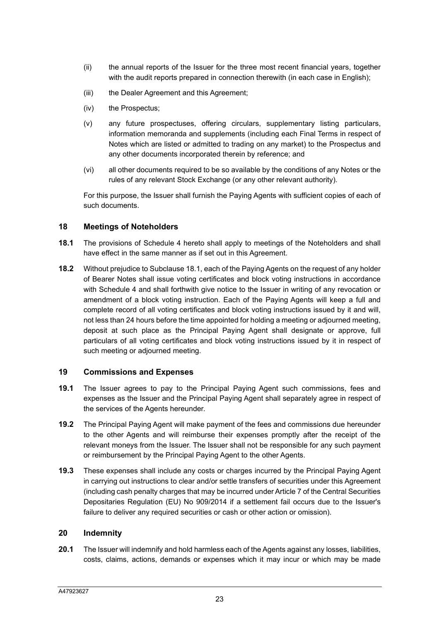- (ii) the annual reports of the Issuer for the three most recent financial years, together with the audit reports prepared in connection therewith (in each case in English);
- (iii) the Dealer Agreement and this Agreement;
- (iv) the Prospectus;
- (v) any future prospectuses, offering circulars, supplementary listing particulars, information memoranda and supplements (including each Final Terms in respect of Notes which are listed or admitted to trading on any market) to the Prospectus and any other documents incorporated therein by reference; and
- (vi) all other documents required to be so available by the conditions of any Notes or the rules of any relevant Stock Exchange (or any other relevant authority).

For this purpose, the Issuer shall furnish the Paying Agents with sufficient copies of each of such documents.

#### **18 Meetings of Noteholders**

- **18.1** The provisions of Schedule 4 hereto shall apply to meetings of the Noteholders and shall have effect in the same manner as if set out in this Agreement.
- **18.2** Without prejudice to Subclause 18.1, each of the Paying Agents on the request of any holder of Bearer Notes shall issue voting certificates and block voting instructions in accordance with Schedule 4 and shall forthwith give notice to the Issuer in writing of any revocation or amendment of a block voting instruction. Each of the Paying Agents will keep a full and complete record of all voting certificates and block voting instructions issued by it and will, not less than 24 hours before the time appointed for holding a meeting or adjourned meeting, deposit at such place as the Principal Paying Agent shall designate or approve, full particulars of all voting certificates and block voting instructions issued by it in respect of such meeting or adjourned meeting.

#### **19 Commissions and Expenses**

- **19.1** The Issuer agrees to pay to the Principal Paying Agent such commissions, fees and expenses as the Issuer and the Principal Paying Agent shall separately agree in respect of the services of the Agents hereunder.
- **19.2** The Principal Paying Agent will make payment of the fees and commissions due hereunder to the other Agents and will reimburse their expenses promptly after the receipt of the relevant moneys from the Issuer. The Issuer shall not be responsible for any such payment or reimbursement by the Principal Paying Agent to the other Agents.
- **19.3** These expenses shall include any costs or charges incurred by the Principal Paying Agent in carrying out instructions to clear and/or settle transfers of securities under this Agreement (including cash penalty charges that may be incurred under Article 7 of the Central Securities Depositaries Regulation (EU) No 909/2014 if a settlement fail occurs due to the Issuer's failure to deliver any required securities or cash or other action or omission).

#### **20 Indemnity**

**20.1** The Issuer will indemnify and hold harmless each of the Agents against any losses, liabilities, costs, claims, actions, demands or expenses which it may incur or which may be made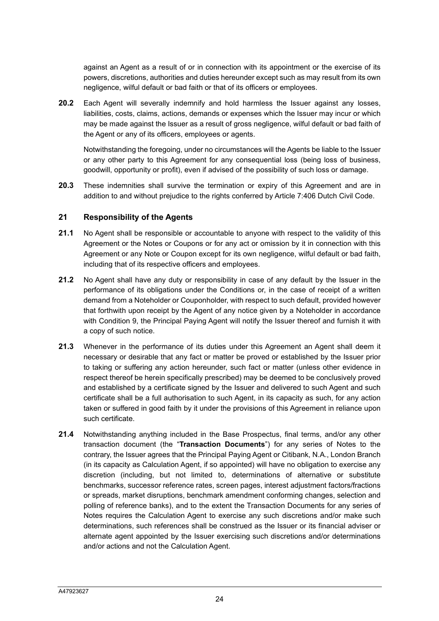against an Agent as a result of or in connection with its appointment or the exercise of its powers, discretions, authorities and duties hereunder except such as may result from its own negligence, wilful default or bad faith or that of its officers or employees.

**20.2** Each Agent will severally indemnify and hold harmless the Issuer against any losses, liabilities, costs, claims, actions, demands or expenses which the Issuer may incur or which may be made against the Issuer as a result of gross negligence, wilful default or bad faith of the Agent or any of its officers, employees or agents.

Notwithstanding the foregoing, under no circumstances will the Agents be liable to the Issuer or any other party to this Agreement for any consequential loss (being loss of business, goodwill, opportunity or profit), even if advised of the possibility of such loss or damage.

**20.3** These indemnities shall survive the termination or expiry of this Agreement and are in addition to and without prejudice to the rights conferred by Article 7:406 Dutch Civil Code.

#### **21 Responsibility of the Agents**

- **21.1** No Agent shall be responsible or accountable to anyone with respect to the validity of this Agreement or the Notes or Coupons or for any act or omission by it in connection with this Agreement or any Note or Coupon except for its own negligence, wilful default or bad faith, including that of its respective officers and employees.
- **21.2** No Agent shall have any duty or responsibility in case of any default by the Issuer in the performance of its obligations under the Conditions or, in the case of receipt of a written demand from a Noteholder or Couponholder, with respect to such default, provided however that forthwith upon receipt by the Agent of any notice given by a Noteholder in accordance with Condition 9, the Principal Paying Agent will notify the Issuer thereof and furnish it with a copy of such notice.
- **21.3** Whenever in the performance of its duties under this Agreement an Agent shall deem it necessary or desirable that any fact or matter be proved or established by the Issuer prior to taking or suffering any action hereunder, such fact or matter (unless other evidence in respect thereof be herein specifically prescribed) may be deemed to be conclusively proved and established by a certificate signed by the Issuer and delivered to such Agent and such certificate shall be a full authorisation to such Agent, in its capacity as such, for any action taken or suffered in good faith by it under the provisions of this Agreement in reliance upon such certificate.
- **21.4** Notwithstanding anything included in the Base Prospectus, final terms, and/or any other transaction document (the "**Transaction Documents**") for any series of Notes to the contrary, the Issuer agrees that the Principal Paying Agent or Citibank, N.A., London Branch (in its capacity as Calculation Agent, if so appointed) will have no obligation to exercise any discretion (including, but not limited to, determinations of alternative or substitute benchmarks, successor reference rates, screen pages, interest adjustment factors/fractions or spreads, market disruptions, benchmark amendment conforming changes, selection and polling of reference banks), and to the extent the Transaction Documents for any series of Notes requires the Calculation Agent to exercise any such discretions and/or make such determinations, such references shall be construed as the Issuer or its financial adviser or alternate agent appointed by the Issuer exercising such discretions and/or determinations and/or actions and not the Calculation Agent.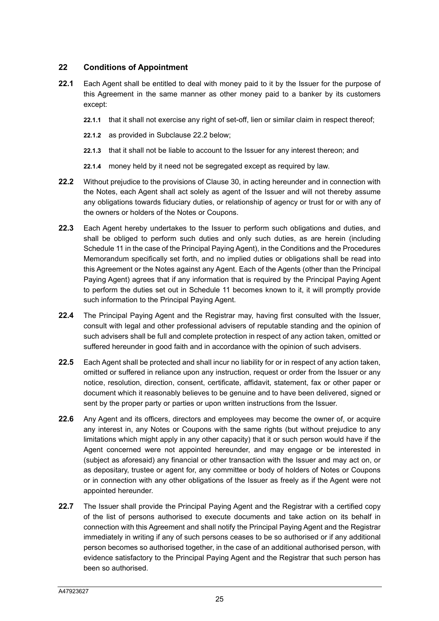## **22 Conditions of Appointment**

- **22.1** Each Agent shall be entitled to deal with money paid to it by the Issuer for the purpose of this Agreement in the same manner as other money paid to a banker by its customers except:
	- **22.1.1** that it shall not exercise any right of set-off, lien or similar claim in respect thereof;
	- **22.1.2** as provided in Subclause 22.2 below;
	- **22.1.3** that it shall not be liable to account to the Issuer for any interest thereon; and
	- **22.1.4** money held by it need not be segregated except as required by law.
- **22.2** Without prejudice to the provisions of Clause 30, in acting hereunder and in connection with the Notes, each Agent shall act solely as agent of the Issuer and will not thereby assume any obligations towards fiduciary duties, or relationship of agency or trust for or with any of the owners or holders of the Notes or Coupons.
- **22.3** Each Agent hereby undertakes to the Issuer to perform such obligations and duties, and shall be obliged to perform such duties and only such duties, as are herein (including Schedule 11 in the case of the Principal Paying Agent), in the Conditions and the Procedures Memorandum specifically set forth, and no implied duties or obligations shall be read into this Agreement or the Notes against any Agent. Each of the Agents (other than the Principal Paying Agent) agrees that if any information that is required by the Principal Paying Agent to perform the duties set out in Schedule 11 becomes known to it, it will promptly provide such information to the Principal Paying Agent.
- **22.4** The Principal Paying Agent and the Registrar may, having first consulted with the Issuer, consult with legal and other professional advisers of reputable standing and the opinion of such advisers shall be full and complete protection in respect of any action taken, omitted or suffered hereunder in good faith and in accordance with the opinion of such advisers.
- **22.5** Each Agent shall be protected and shall incur no liability for or in respect of any action taken, omitted or suffered in reliance upon any instruction, request or order from the Issuer or any notice, resolution, direction, consent, certificate, affidavit, statement, fax or other paper or document which it reasonably believes to be genuine and to have been delivered, signed or sent by the proper party or parties or upon written instructions from the Issuer.
- **22.6** Any Agent and its officers, directors and employees may become the owner of, or acquire any interest in, any Notes or Coupons with the same rights (but without prejudice to any limitations which might apply in any other capacity) that it or such person would have if the Agent concerned were not appointed hereunder, and may engage or be interested in (subject as aforesaid) any financial or other transaction with the Issuer and may act on, or as depositary, trustee or agent for, any committee or body of holders of Notes or Coupons or in connection with any other obligations of the Issuer as freely as if the Agent were not appointed hereunder.
- **22.7** The Issuer shall provide the Principal Paying Agent and the Registrar with a certified copy of the list of persons authorised to execute documents and take action on its behalf in connection with this Agreement and shall notify the Principal Paying Agent and the Registrar immediately in writing if any of such persons ceases to be so authorised or if any additional person becomes so authorised together, in the case of an additional authorised person, with evidence satisfactory to the Principal Paying Agent and the Registrar that such person has been so authorised.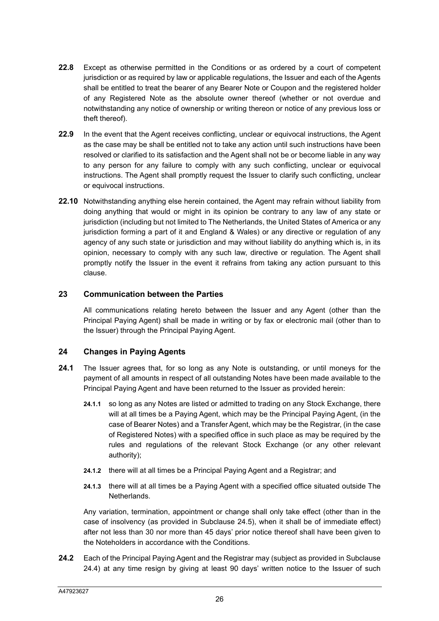- **22.8** Except as otherwise permitted in the Conditions or as ordered by a court of competent jurisdiction or as required by law or applicable regulations, the Issuer and each of the Agents shall be entitled to treat the bearer of any Bearer Note or Coupon and the registered holder of any Registered Note as the absolute owner thereof (whether or not overdue and notwithstanding any notice of ownership or writing thereon or notice of any previous loss or theft thereof).
- **22.9** In the event that the Agent receives conflicting, unclear or equivocal instructions, the Agent as the case may be shall be entitled not to take any action until such instructions have been resolved or clarified to its satisfaction and the Agent shall not be or become liable in any way to any person for any failure to comply with any such conflicting, unclear or equivocal instructions. The Agent shall promptly request the Issuer to clarify such conflicting, unclear or equivocal instructions.
- **22.10** Notwithstanding anything else herein contained, the Agent may refrain without liability from doing anything that would or might in its opinion be contrary to any law of any state or jurisdiction (including but not limited to The Netherlands, the United States of America or any jurisdiction forming a part of it and England & Wales) or any directive or regulation of any agency of any such state or jurisdiction and may without liability do anything which is, in its opinion, necessary to comply with any such law, directive or regulation. The Agent shall promptly notify the Issuer in the event it refrains from taking any action pursuant to this clause.

#### **23 Communication between the Parties**

All communications relating hereto between the Issuer and any Agent (other than the Principal Paying Agent) shall be made in writing or by fax or electronic mail (other than to the Issuer) through the Principal Paying Agent.

# **24 Changes in Paying Agents**

- **24.1** The Issuer agrees that, for so long as any Note is outstanding, or until moneys for the payment of all amounts in respect of all outstanding Notes have been made available to the Principal Paying Agent and have been returned to the Issuer as provided herein:
	- **24.1.1** so long as any Notes are listed or admitted to trading on any Stock Exchange, there will at all times be a Paying Agent, which may be the Principal Paying Agent, (in the case of Bearer Notes) and a Transfer Agent, which may be the Registrar, (in the case of Registered Notes) with a specified office in such place as may be required by the rules and regulations of the relevant Stock Exchange (or any other relevant authority);
	- **24.1.2** there will at all times be a Principal Paying Agent and a Registrar; and
	- **24.1.3** there will at all times be a Paying Agent with a specified office situated outside The Netherlands.

Any variation, termination, appointment or change shall only take effect (other than in the case of insolvency (as provided in Subclause 24.5), when it shall be of immediate effect) after not less than 30 nor more than 45 days' prior notice thereof shall have been given to the Noteholders in accordance with the Conditions.

**24.2** Each of the Principal Paying Agent and the Registrar may (subject as provided in Subclause 24.4) at any time resign by giving at least 90 days' written notice to the Issuer of such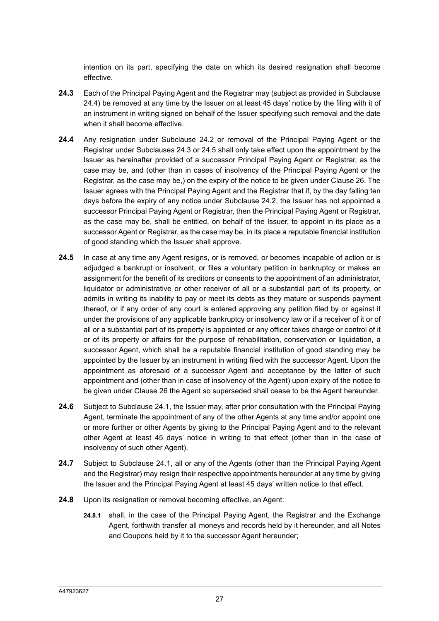intention on its part, specifying the date on which its desired resignation shall become effective.

- **24.3** Each of the Principal Paying Agent and the Registrar may (subject as provided in Subclause 24.4) be removed at any time by the Issuer on at least 45 days' notice by the filing with it of an instrument in writing signed on behalf of the Issuer specifying such removal and the date when it shall become effective.
- **24.4** Any resignation under Subclause 24.2 or removal of the Principal Paying Agent or the Registrar under Subclauses 24.3 or 24.5 shall only take effect upon the appointment by the Issuer as hereinafter provided of a successor Principal Paying Agent or Registrar, as the case may be, and (other than in cases of insolvency of the Principal Paying Agent or the Registrar, as the case may be,) on the expiry of the notice to be given under Clause 26. The Issuer agrees with the Principal Paying Agent and the Registrar that if, by the day falling ten days before the expiry of any notice under Subclause 24.2, the Issuer has not appointed a successor Principal Paying Agent or Registrar, then the Principal Paying Agent or Registrar, as the case may be, shall be entitled, on behalf of the Issuer, to appoint in its place as a successor Agent or Registrar, as the case may be, in its place a reputable financial institution of good standing which the Issuer shall approve.
- **24.5** In case at any time any Agent resigns, or is removed, or becomes incapable of action or is adjudged a bankrupt or insolvent, or files a voluntary petition in bankruptcy or makes an assignment for the benefit of its creditors or consents to the appointment of an administrator, liquidator or administrative or other receiver of all or a substantial part of its property, or admits in writing its inability to pay or meet its debts as they mature or suspends payment thereof, or if any order of any court is entered approving any petition filed by or against it under the provisions of any applicable bankruptcy or insolvency law or if a receiver of it or of all or a substantial part of its property is appointed or any officer takes charge or control of it or of its property or affairs for the purpose of rehabilitation, conservation or liquidation, a successor Agent, which shall be a reputable financial institution of good standing may be appointed by the Issuer by an instrument in writing filed with the successor Agent. Upon the appointment as aforesaid of a successor Agent and acceptance by the latter of such appointment and (other than in case of insolvency of the Agent) upon expiry of the notice to be given under Clause 26 the Agent so superseded shall cease to be the Agent hereunder.
- **24.6** Subject to Subclause 24.1, the Issuer may, after prior consultation with the Principal Paying Agent, terminate the appointment of any of the other Agents at any time and/or appoint one or more further or other Agents by giving to the Principal Paying Agent and to the relevant other Agent at least 45 days' notice in writing to that effect (other than in the case of insolvency of such other Agent).
- **24.7** Subject to Subclause 24.1, all or any of the Agents (other than the Principal Paying Agent and the Registrar) may resign their respective appointments hereunder at any time by giving the Issuer and the Principal Paying Agent at least 45 days' written notice to that effect.
- **24.8** Upon its resignation or removal becoming effective, an Agent:
	- **24.8.1** shall, in the case of the Principal Paying Agent, the Registrar and the Exchange Agent, forthwith transfer all moneys and records held by it hereunder, and all Notes and Coupons held by it to the successor Agent hereunder;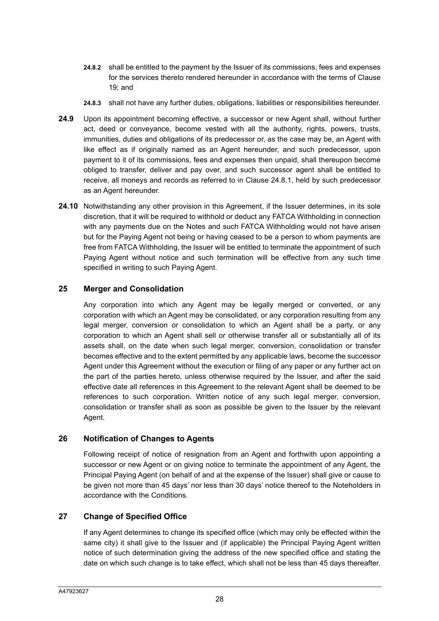- **24.8.2** shall be entitled to the payment by the Issuer of its commissions, fees and expenses for the services thereto rendered hereunder in accordance with the terms of Clause  $19:$  and
- **24.8.3** shall not have any further duties, obligations, liabilities or responsibilities hereunder.
- **24.9** Upon its appointment becoming effective, a successor or new Agent shall, without further act, deed or conveyance, become vested with all the authority, rights, powers, trusts, immunities, duties and obligations of its predecessor or, as the case may be, an Agent with like effect as if originally named as an Agent hereunder, and such predecessor, upon payment to it of its commissions, fees and expenses then unpaid, shall thereupon become obliged to transfer, deliver and pay over, and such successor agent shall be entitled to receive, all moneys and records as referred to in Clause 24.8.1, held by such predecessor as an Agent hereunder.
- **24.10** Notwithstanding any other provision in this Agreement, if the Issuer determines, in its sole discretion, that it will be required to withhold or deduct any FATCA Withholding in connection with any payments due on the Notes and such FATCA Withholding would not have arisen but for the Paying Agent not being or having ceased to be a person to whom payments are free from FATCA Withholding, the Issuer will be entitled to terminate the appointment of such Paying Agent without notice and such termination will be effective from any such time specified in writing to such Paying Agent.

#### **25 Merger and Consolidation**

Any corporation into which any Agent may be legally merged or converted, or any corporation with which an Agent may be consolidated, or any corporation resulting from any legal merger, conversion or consolidation to which an Agent shall be a party, or any corporation to which an Agent shall sell or otherwise transfer all or substantially all of its assets shall, on the date when such legal merger, conversion, consolidation or transfer becomes effective and to the extent permitted by any applicable laws, become the successor Agent under this Agreement without the execution or filing of any paper or any further act on the part of the parties hereto, unless otherwise required by the Issuer, and after the said effective date all references in this Agreement to the relevant Agent shall be deemed to be references to such corporation. Written notice of any such legal merger, conversion, consolidation or transfer shall as soon as possible be given to the Issuer by the relevant Agent.

# **26 Notification of Changes to Agents**

Following receipt of notice of resignation from an Agent and forthwith upon appointing a successor or new Agent or on giving notice to terminate the appointment of any Agent, the Principal Paying Agent (on behalf of and at the expense of the Issuer) shall give or cause to be given not more than 45 days' nor less than 30 days' notice thereof to the Noteholders in accordance with the Conditions.

#### **27 Change of Specified Office**

If any Agent determines to change its specified office (which may only be effected within the same city) it shall give to the Issuer and (if applicable) the Principal Paying Agent written notice of such determination giving the address of the new specified office and stating the date on which such change is to take effect, which shall not be less than 45 days thereafter.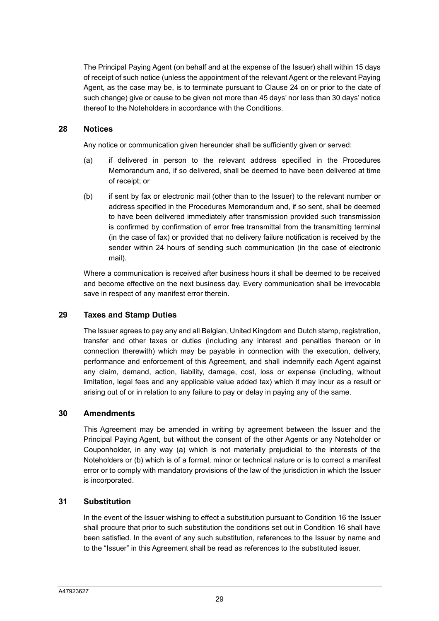The Principal Paying Agent (on behalf and at the expense of the Issuer) shall within 15 days of receipt of such notice (unless the appointment of the relevant Agent or the relevant Paying Agent, as the case may be, is to terminate pursuant to Clause 24 on or prior to the date of such change) give or cause to be given not more than 45 days' nor less than 30 days' notice thereof to the Noteholders in accordance with the Conditions.

#### **28 Notices**

Any notice or communication given hereunder shall be sufficiently given or served:

- (a) if delivered in person to the relevant address specified in the Procedures Memorandum and, if so delivered, shall be deemed to have been delivered at time of receipt; or
- (b) if sent by fax or electronic mail (other than to the Issuer) to the relevant number or address specified in the Procedures Memorandum and, if so sent, shall be deemed to have been delivered immediately after transmission provided such transmission is confirmed by confirmation of error free transmittal from the transmitting terminal (in the case of fax) or provided that no delivery failure notification is received by the sender within 24 hours of sending such communication (in the case of electronic mail).

Where a communication is received after business hours it shall be deemed to be received and become effective on the next business day. Every communication shall be irrevocable save in respect of any manifest error therein.

#### **29 Taxes and Stamp Duties**

The Issuer agrees to pay any and all Belgian, United Kingdom and Dutch stamp, registration, transfer and other taxes or duties (including any interest and penalties thereon or in connection therewith) which may be payable in connection with the execution, delivery, performance and enforcement of this Agreement, and shall indemnify each Agent against any claim, demand, action, liability, damage, cost, loss or expense (including, without limitation, legal fees and any applicable value added tax) which it may incur as a result or arising out of or in relation to any failure to pay or delay in paying any of the same.

#### **30 Amendments**

This Agreement may be amended in writing by agreement between the Issuer and the Principal Paying Agent, but without the consent of the other Agents or any Noteholder or Couponholder, in any way (a) which is not materially prejudicial to the interests of the Noteholders or (b) which is of a formal, minor or technical nature or is to correct a manifest error or to comply with mandatory provisions of the law of the jurisdiction in which the Issuer is incorporated.

#### **31 Substitution**

In the event of the Issuer wishing to effect a substitution pursuant to Condition 16 the Issuer shall procure that prior to such substitution the conditions set out in Condition 16 shall have been satisfied. In the event of any such substitution, references to the Issuer by name and to the "Issuer" in this Agreement shall be read as references to the substituted issuer.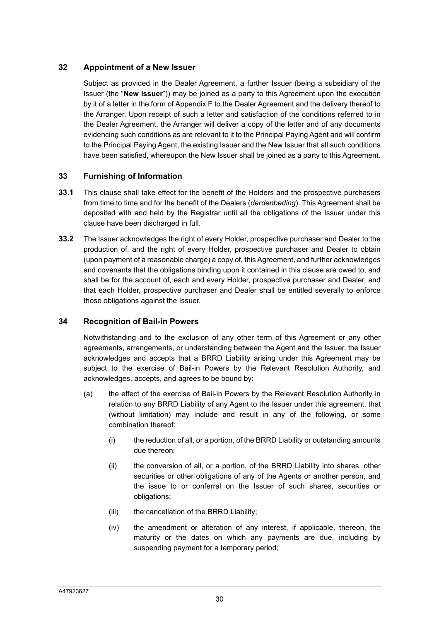## **32 Appointment of a New Issuer**

Subject as provided in the Dealer Agreement, a further Issuer (being a subsidiary of the Issuer (the "**New Issuer**")) may be joined as a party to this Agreement upon the execution by it of a letter in the form of Appendix F to the Dealer Agreement and the delivery thereof to the Arranger. Upon receipt of such a letter and satisfaction of the conditions referred to in the Dealer Agreement, the Arranger will deliver a copy of the letter and of any documents evidencing such conditions as are relevant to it to the Principal Paying Agent and will confirm to the Principal Paying Agent, the existing Issuer and the New Issuer that all such conditions have been satisfied, whereupon the New Issuer shall be joined as a party to this Agreement.

## **33 Furnishing of Information**

- **33.1** This clause shall take effect for the benefit of the Holders and the prospective purchasers from time to time and for the benefit of the Dealers (*derdenbeding*). This Agreement shall be deposited with and held by the Registrar until all the obligations of the Issuer under this clause have been discharged in full.
- **33.2** The Issuer acknowledges the right of every Holder, prospective purchaser and Dealer to the production of, and the right of every Holder, prospective purchaser and Dealer to obtain (upon payment of a reasonable charge) a copy of, this Agreement, and further acknowledges and covenants that the obligations binding upon it contained in this clause are owed to, and shall be for the account of, each and every Holder, prospective purchaser and Dealer, and that each Holder, prospective purchaser and Dealer shall be entitled severally to enforce those obligations against the Issuer.

#### **34 Recognition of Bail-in Powers**

Notwithstanding and to the exclusion of any other term of this Agreement or any other agreements, arrangements, or understanding between the Agent and the Issuer, the Issuer acknowledges and accepts that a BRRD Liability arising under this Agreement may be subject to the exercise of Bail-in Powers by the Relevant Resolution Authority, and acknowledges, accepts, and agrees to be bound by:

- (a) the effect of the exercise of Bail-in Powers by the Relevant Resolution Authority in relation to any BRRD Liability of any Agent to the Issuer under this agreement, that (without limitation) may include and result in any of the following, or some combination thereof:
	- (i) the reduction of all, or a portion, of the BRRD Liability or outstanding amounts due thereon;
	- (ii) the conversion of all, or a portion, of the BRRD Liability into shares, other securities or other obligations of any of the Agents or another person, and the issue to or conferral on the Issuer of such shares, securities or obligations;
	- (iii) the cancellation of the BRRD Liability;
	- (iv) the amendment or alteration of any interest, if applicable, thereon, the maturity or the dates on which any payments are due, including by suspending payment for a temporary period;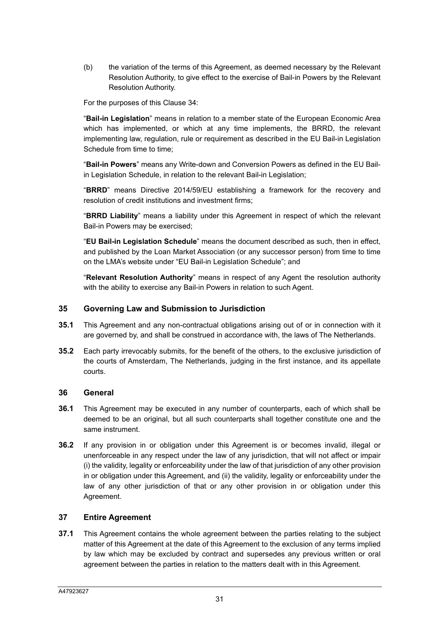(b) the variation of the terms of this Agreement, as deemed necessary by the Relevant Resolution Authority, to give effect to the exercise of Bail-in Powers by the Relevant Resolution Authority.

For the purposes of this Clause 34:

"**Bail-in Legislation**" means in relation to a member state of the European Economic Area which has implemented, or which at any time implements, the BRRD, the relevant implementing law, regulation, rule or requirement as described in the EU Bail-in Legislation Schedule from time to time:

"**Bail-in Powers**" means any Write-down and Conversion Powers as defined in the EU Bailin Legislation Schedule, in relation to the relevant Bail-in Legislation;

"**BRRD**" means Directive 2014/59/EU establishing a framework for the recovery and resolution of credit institutions and investment firms;

"**BRRD Liability**" means a liability under this Agreement in respect of which the relevant Bail-in Powers may be exercised;

"**EU Bail-in Legislation Schedule**" means the document described as such, then in effect, and published by the Loan Market Association (or any successor person) from time to time on the LMA's website under "EU Bail-in Legislation Schedule"; and

"**Relevant Resolution Authority**" means in respect of any Agent the resolution authority with the ability to exercise any Bail-in Powers in relation to such Agent.

#### **35 Governing Law and Submission to Jurisdiction**

- **35.1** This Agreement and any non-contractual obligations arising out of or in connection with it are governed by, and shall be construed in accordance with, the laws of The Netherlands.
- **35.2** Each party irrevocably submits, for the benefit of the others, to the exclusive jurisdiction of the courts of Amsterdam, The Netherlands, judging in the first instance, and its appellate courts.

#### **36 General**

- **36.1** This Agreement may be executed in any number of counterparts, each of which shall be deemed to be an original, but all such counterparts shall together constitute one and the same instrument.
- **36.2** If any provision in or obligation under this Agreement is or becomes invalid, illegal or unenforceable in any respect under the law of any jurisdiction, that will not affect or impair (i) the validity, legality or enforceability under the law of that jurisdiction of any other provision in or obligation under this Agreement, and (ii) the validity, legality or enforceability under the law of any other jurisdiction of that or any other provision in or obligation under this Agreement.

#### **37 Entire Agreement**

**37.1** This Agreement contains the whole agreement between the parties relating to the subject matter of this Agreement at the date of this Agreement to the exclusion of any terms implied by law which may be excluded by contract and supersedes any previous written or oral agreement between the parties in relation to the matters dealt with in this Agreement.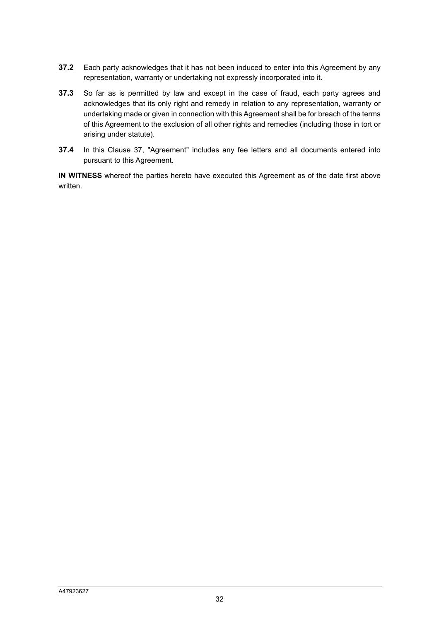- **37.2** Each party acknowledges that it has not been induced to enter into this Agreement by any representation, warranty or undertaking not expressly incorporated into it.
- **37.3** So far as is permitted by law and except in the case of fraud, each party agrees and acknowledges that its only right and remedy in relation to any representation, warranty or undertaking made or given in connection with this Agreement shall be for breach of the terms of this Agreement to the exclusion of all other rights and remedies (including those in tort or arising under statute).
- **37.4** In this Clause 37, "Agreement" includes any fee letters and all documents entered into pursuant to this Agreement.

**IN WITNESS** whereof the parties hereto have executed this Agreement as of the date first above written.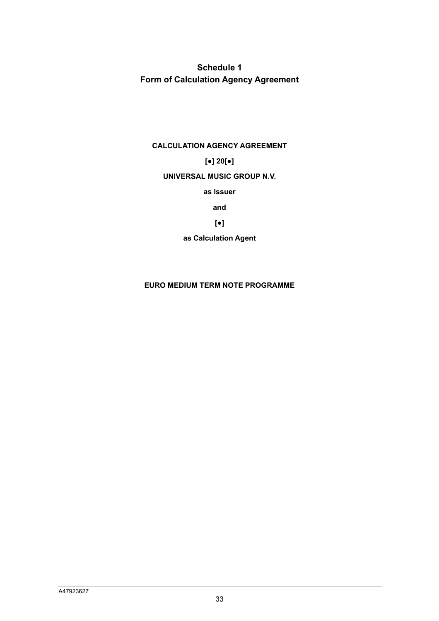**Schedule 1 Form of Calculation Agency Agreement** 

#### **CALCULATION AGENCY AGREEMENT**

# **[●] 20[●]**

#### **UNIVERSAL MUSIC GROUP N.V.**

**as Issuer** 

**and** 

# **[●]**

**as Calculation Agent** 

#### **EURO MEDIUM TERM NOTE PROGRAMME**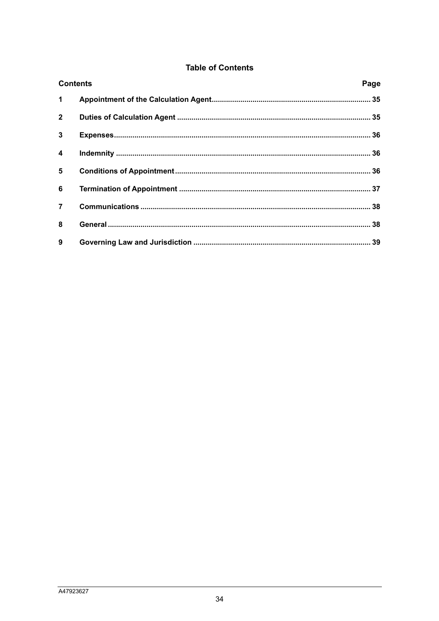# **Table of Contents**

| <b>Contents</b>         |  | Page |
|-------------------------|--|------|
| $\mathbf 1$             |  |      |
| $\overline{2}$          |  |      |
| $\mathbf{3}$            |  |      |
| $\overline{\mathbf{4}}$ |  |      |
| 5                       |  |      |
| 6                       |  |      |
| $\overline{7}$          |  |      |
| 8                       |  |      |
| 9                       |  |      |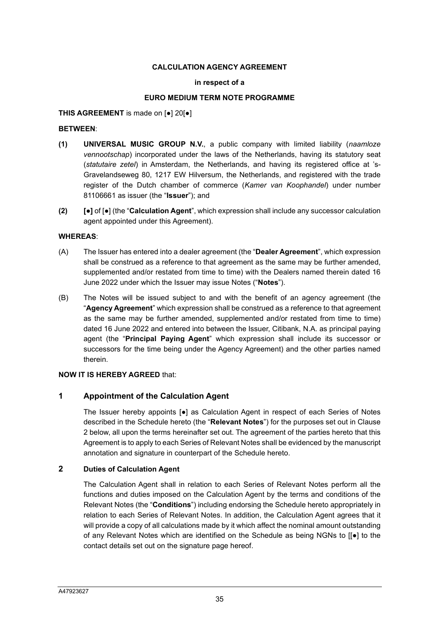### **CALCULATION AGENCY AGREEMENT**

### **in respect of a**

### **EURO MEDIUM TERM NOTE PROGRAMME**

### **THIS AGREEMENT** is made on [●] 20[●]

### **BETWEEN**:

- **(1) UNIVERSAL MUSIC GROUP N.V.**, a public company with limited liability (*naamloze vennootschap*) incorporated under the laws of the Netherlands, having its statutory seat (*statutaire zetel*) in Amsterdam, the Netherlands, and having its registered office at 's-Gravelandseweg 80, 1217 EW Hilversum, the Netherlands, and registered with the trade register of the Dutch chamber of commerce (*Kamer van Koophandel*) under number 81106661 as issuer (the "**Issuer**"); and
- **(2) [●]** of [●] (the "**Calculation Agent**", which expression shall include any successor calculation agent appointed under this Agreement).

### **WHEREAS**:

- (A) The Issuer has entered into a dealer agreement (the "**Dealer Agreement**", which expression shall be construed as a reference to that agreement as the same may be further amended, supplemented and/or restated from time to time) with the Dealers named therein dated 16 June 2022 under which the Issuer may issue Notes ("**Notes**").
- (B) The Notes will be issued subject to and with the benefit of an agency agreement (the "**Agency Agreement**" which expression shall be construed as a reference to that agreement as the same may be further amended, supplemented and/or restated from time to time) dated 16 June 2022 and entered into between the Issuer, Citibank, N.A. as principal paying agent (the "**Principal Paying Agent**" which expression shall include its successor or successors for the time being under the Agency Agreement) and the other parties named therein.

### **NOW IT IS HEREBY AGREED** that:

### **1 Appointment of the Calculation Agent**

The Issuer hereby appoints [●] as Calculation Agent in respect of each Series of Notes described in the Schedule hereto (the "**Relevant Notes**") for the purposes set out in Clause 2 below, all upon the terms hereinafter set out. The agreement of the parties hereto that this Agreement is to apply to each Series of Relevant Notes shall be evidenced by the manuscript annotation and signature in counterpart of the Schedule hereto.

### **2 Duties of Calculation Agent**

The Calculation Agent shall in relation to each Series of Relevant Notes perform all the functions and duties imposed on the Calculation Agent by the terms and conditions of the Relevant Notes (the "**Conditions**") including endorsing the Schedule hereto appropriately in relation to each Series of Relevant Notes. In addition, the Calculation Agent agrees that it will provide a copy of all calculations made by it which affect the nominal amount outstanding of any Relevant Notes which are identified on the Schedule as being NGNs to [[●] to the contact details set out on the signature page hereof.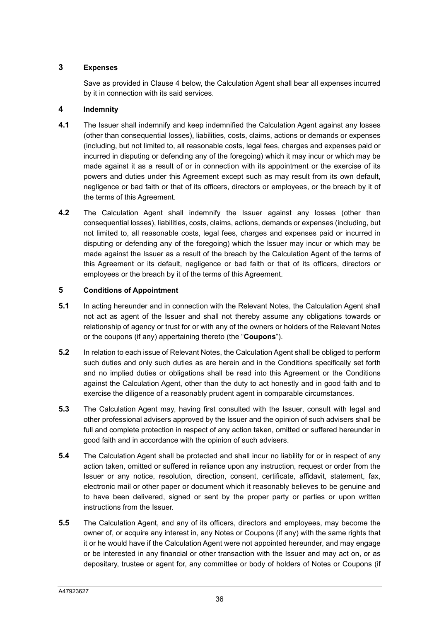# **3 Expenses**

Save as provided in Clause 4 below, the Calculation Agent shall bear all expenses incurred by it in connection with its said services.

# **4 Indemnity**

- **4.1** The Issuer shall indemnify and keep indemnified the Calculation Agent against any losses (other than consequential losses), liabilities, costs, claims, actions or demands or expenses (including, but not limited to, all reasonable costs, legal fees, charges and expenses paid or incurred in disputing or defending any of the foregoing) which it may incur or which may be made against it as a result of or in connection with its appointment or the exercise of its powers and duties under this Agreement except such as may result from its own default, negligence or bad faith or that of its officers, directors or employees, or the breach by it of the terms of this Agreement.
- **4.2** The Calculation Agent shall indemnify the Issuer against any losses (other than consequential losses), liabilities, costs, claims, actions, demands or expenses (including, but not limited to, all reasonable costs, legal fees, charges and expenses paid or incurred in disputing or defending any of the foregoing) which the Issuer may incur or which may be made against the Issuer as a result of the breach by the Calculation Agent of the terms of this Agreement or its default, negligence or bad faith or that of its officers, directors or employees or the breach by it of the terms of this Agreement.

# **5 Conditions of Appointment**

- **5.1** In acting hereunder and in connection with the Relevant Notes, the Calculation Agent shall not act as agent of the Issuer and shall not thereby assume any obligations towards or relationship of agency or trust for or with any of the owners or holders of the Relevant Notes or the coupons (if any) appertaining thereto (the "**Coupons**").
- **5.2** In relation to each issue of Relevant Notes, the Calculation Agent shall be obliged to perform such duties and only such duties as are herein and in the Conditions specifically set forth and no implied duties or obligations shall be read into this Agreement or the Conditions against the Calculation Agent, other than the duty to act honestly and in good faith and to exercise the diligence of a reasonably prudent agent in comparable circumstances.
- **5.3** The Calculation Agent may, having first consulted with the Issuer, consult with legal and other professional advisers approved by the Issuer and the opinion of such advisers shall be full and complete protection in respect of any action taken, omitted or suffered hereunder in good faith and in accordance with the opinion of such advisers.
- **5.4** The Calculation Agent shall be protected and shall incur no liability for or in respect of any action taken, omitted or suffered in reliance upon any instruction, request or order from the Issuer or any notice, resolution, direction, consent, certificate, affidavit, statement, fax, electronic mail or other paper or document which it reasonably believes to be genuine and to have been delivered, signed or sent by the proper party or parties or upon written instructions from the Issuer.
- **5.5** The Calculation Agent, and any of its officers, directors and employees, may become the owner of, or acquire any interest in, any Notes or Coupons (if any) with the same rights that it or he would have if the Calculation Agent were not appointed hereunder, and may engage or be interested in any financial or other transaction with the Issuer and may act on, or as depositary, trustee or agent for, any committee or body of holders of Notes or Coupons (if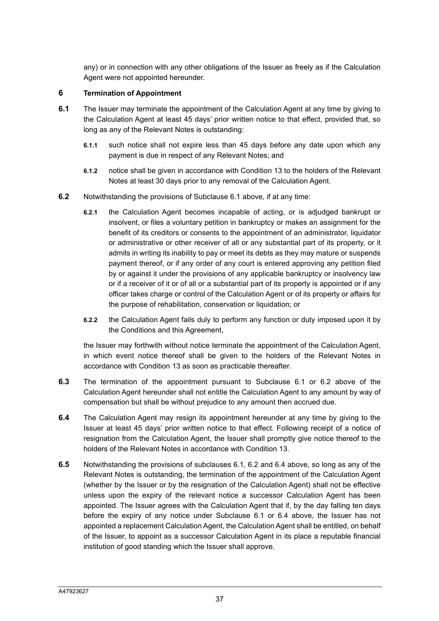any) or in connection with any other obligations of the Issuer as freely as if the Calculation Agent were not appointed hereunder.

### **6 Termination of Appointment**

- **6.1** The Issuer may terminate the appointment of the Calculation Agent at any time by giving to the Calculation Agent at least 45 days' prior written notice to that effect, provided that, so long as any of the Relevant Notes is outstanding:
	- **6.1.1** such notice shall not expire less than 45 days before any date upon which any payment is due in respect of any Relevant Notes; and
	- **6.1.2** notice shall be given in accordance with Condition 13 to the holders of the Relevant Notes at least 30 days prior to any removal of the Calculation Agent.
- **6.2** Notwithstanding the provisions of Subclause 6.1 above, if at any time:
	- **6.2.1** the Calculation Agent becomes incapable of acting, or is adjudged bankrupt or insolvent, or files a voluntary petition in bankruptcy or makes an assignment for the benefit of its creditors or consents to the appointment of an administrator, liquidator or administrative or other receiver of all or any substantial part of its property, or it admits in writing its inability to pay or meet its debts as they may mature or suspends payment thereof, or if any order of any court is entered approving any petition filed by or against it under the provisions of any applicable bankruptcy or insolvency law or if a receiver of it or of all or a substantial part of its property is appointed or if any officer takes charge or control of the Calculation Agent or of its property or affairs for the purpose of rehabilitation, conservation or liquidation; or
	- **6.2.2** the Calculation Agent fails duly to perform any function or duty imposed upon it by the Conditions and this Agreement,

the Issuer may forthwith without notice terminate the appointment of the Calculation Agent, in which event notice thereof shall be given to the holders of the Relevant Notes in accordance with Condition 13 as soon as practicable thereafter.

- **6.3** The termination of the appointment pursuant to Subclause 6.1 or 6.2 above of the Calculation Agent hereunder shall not entitle the Calculation Agent to any amount by way of compensation but shall be without prejudice to any amount then accrued due.
- **6.4** The Calculation Agent may resign its appointment hereunder at any time by giving to the Issuer at least 45 days' prior written notice to that effect. Following receipt of a notice of resignation from the Calculation Agent, the Issuer shall promptly give notice thereof to the holders of the Relevant Notes in accordance with Condition 13.
- **6.5** Notwithstanding the provisions of subclauses 6.1, 6.2 and 6.4 above, so long as any of the Relevant Notes is outstanding, the termination of the appointment of the Calculation Agent (whether by the Issuer or by the resignation of the Calculation Agent) shall not be effective unless upon the expiry of the relevant notice a successor Calculation Agent has been appointed. The Issuer agrees with the Calculation Agent that if, by the day falling ten days before the expiry of any notice under Subclause 6.1 or 6.4 above, the Issuer has not appointed a replacement Calculation Agent, the Calculation Agent shall be entitled, on behalf of the Issuer, to appoint as a successor Calculation Agent in its place a reputable financial institution of good standing which the Issuer shall approve.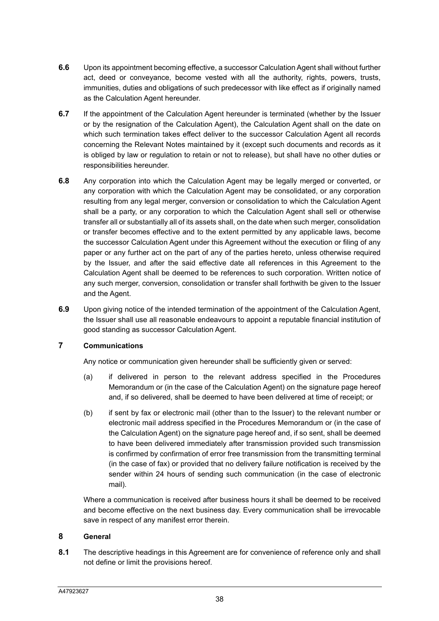- **6.6** Upon its appointment becoming effective, a successor Calculation Agent shall without further act, deed or conveyance, become vested with all the authority, rights, powers, trusts, immunities, duties and obligations of such predecessor with like effect as if originally named as the Calculation Agent hereunder.
- **6.7** If the appointment of the Calculation Agent hereunder is terminated (whether by the Issuer or by the resignation of the Calculation Agent), the Calculation Agent shall on the date on which such termination takes effect deliver to the successor Calculation Agent all records concerning the Relevant Notes maintained by it (except such documents and records as it is obliged by law or regulation to retain or not to release), but shall have no other duties or responsibilities hereunder.
- **6.8** Any corporation into which the Calculation Agent may be legally merged or converted, or any corporation with which the Calculation Agent may be consolidated, or any corporation resulting from any legal merger, conversion or consolidation to which the Calculation Agent shall be a party, or any corporation to which the Calculation Agent shall sell or otherwise transfer all or substantially all of its assets shall, on the date when such merger, consolidation or transfer becomes effective and to the extent permitted by any applicable laws, become the successor Calculation Agent under this Agreement without the execution or filing of any paper or any further act on the part of any of the parties hereto, unless otherwise required by the Issuer, and after the said effective date all references in this Agreement to the Calculation Agent shall be deemed to be references to such corporation. Written notice of any such merger, conversion, consolidation or transfer shall forthwith be given to the Issuer and the Agent.
- **6.9** Upon giving notice of the intended termination of the appointment of the Calculation Agent, the Issuer shall use all reasonable endeavours to appoint a reputable financial institution of good standing as successor Calculation Agent.

# **7 Communications**

Any notice or communication given hereunder shall be sufficiently given or served:

- (a) if delivered in person to the relevant address specified in the Procedures Memorandum or (in the case of the Calculation Agent) on the signature page hereof and, if so delivered, shall be deemed to have been delivered at time of receipt; or
- (b) if sent by fax or electronic mail (other than to the Issuer) to the relevant number or electronic mail address specified in the Procedures Memorandum or (in the case of the Calculation Agent) on the signature page hereof and, if so sent, shall be deemed to have been delivered immediately after transmission provided such transmission is confirmed by confirmation of error free transmission from the transmitting terminal (in the case of fax) or provided that no delivery failure notification is received by the sender within 24 hours of sending such communication (in the case of electronic mail).

Where a communication is received after business hours it shall be deemed to be received and become effective on the next business day. Every communication shall be irrevocable save in respect of any manifest error therein.

### **8 General**

**8.1** The descriptive headings in this Agreement are for convenience of reference only and shall not define or limit the provisions hereof.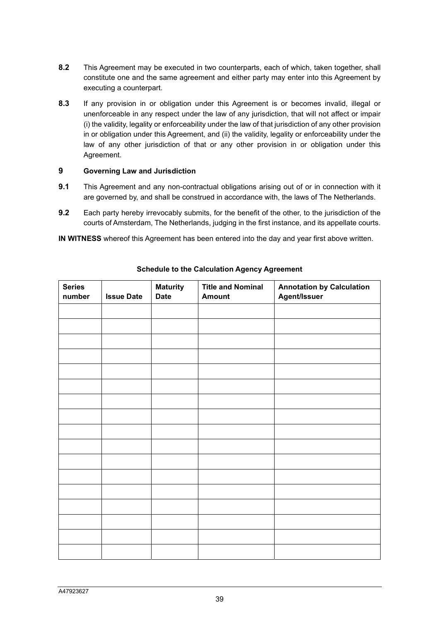- **8.2** This Agreement may be executed in two counterparts, each of which, taken together, shall constitute one and the same agreement and either party may enter into this Agreement by executing a counterpart.
- **8.3** If any provision in or obligation under this Agreement is or becomes invalid, illegal or unenforceable in any respect under the law of any jurisdiction, that will not affect or impair (i) the validity, legality or enforceability under the law of that jurisdiction of any other provision in or obligation under this Agreement, and (ii) the validity, legality or enforceability under the law of any other jurisdiction of that or any other provision in or obligation under this Agreement.

### **9 Governing Law and Jurisdiction**

- **9.1** This Agreement and any non-contractual obligations arising out of or in connection with it are governed by, and shall be construed in accordance with, the laws of The Netherlands.
- **9.2** Each party hereby irrevocably submits, for the benefit of the other, to the jurisdiction of the courts of Amsterdam, The Netherlands, judging in the first instance, and its appellate courts.

**IN WITNESS** whereof this Agreement has been entered into the day and year first above written.

| <b>Series</b><br>number | <b>Issue Date</b> | <b>Maturity</b><br><b>Date</b> | <b>Title and Nominal</b><br><b>Amount</b> | <b>Annotation by Calculation</b><br>Agent/Issuer |
|-------------------------|-------------------|--------------------------------|-------------------------------------------|--------------------------------------------------|
|                         |                   |                                |                                           |                                                  |
|                         |                   |                                |                                           |                                                  |
|                         |                   |                                |                                           |                                                  |
|                         |                   |                                |                                           |                                                  |
|                         |                   |                                |                                           |                                                  |
|                         |                   |                                |                                           |                                                  |
|                         |                   |                                |                                           |                                                  |
|                         |                   |                                |                                           |                                                  |
|                         |                   |                                |                                           |                                                  |
|                         |                   |                                |                                           |                                                  |
|                         |                   |                                |                                           |                                                  |
|                         |                   |                                |                                           |                                                  |
|                         |                   |                                |                                           |                                                  |
|                         |                   |                                |                                           |                                                  |
|                         |                   |                                |                                           |                                                  |
|                         |                   |                                |                                           |                                                  |
|                         |                   |                                |                                           |                                                  |

**Schedule to the Calculation Agency Agreement**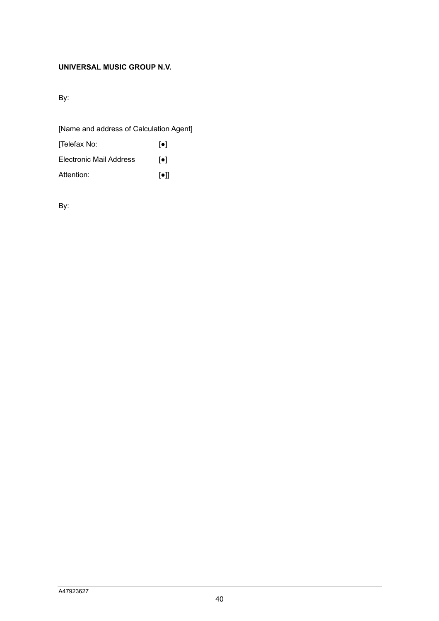# **UNIVERSAL MUSIC GROUP N.V.**

By:

| [Name and address of Calculation Agent] |                         |  |  |  |
|-----------------------------------------|-------------------------|--|--|--|
| [Telefax No:                            | $  \bullet  $           |  |  |  |
| Electronic Mail Address                 | $\lceil \bullet \rceil$ |  |  |  |
| Attention:                              | $\lceil \bullet \rceil$ |  |  |  |

By: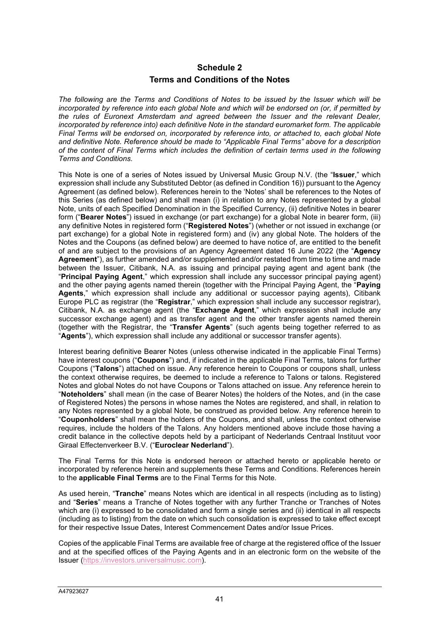# **Schedule 2 Terms and Conditions of the Notes**

*The following are the Terms and Conditions of Notes to be issued by the Issuer which will be incorporated by reference into each global Note and which will be endorsed on (or, if permitted by the rules of Euronext Amsterdam and agreed between the Issuer and the relevant Dealer, incorporated by reference into) each definitive Note in the standard euromarket form. The applicable Final Terms will be endorsed on, incorporated by reference into, or attached to, each global Note and definitive Note. Reference should be made to "Applicable Final Terms" above for a description of the content of Final Terms which includes the definition of certain terms used in the following Terms and Conditions.* 

This Note is one of a series of Notes issued by Universal Music Group N.V. (the "**Issuer**," which expression shall include any Substituted Debtor (as defined in Condition 16)) pursuant to the Agency Agreement (as defined below). References herein to the 'Notes' shall be references to the Notes of this Series (as defined below) and shall mean (i) in relation to any Notes represented by a global Note, units of each Specified Denomination in the Specified Currency, (ii) definitive Notes in bearer form ("**Bearer Notes**") issued in exchange (or part exchange) for a global Note in bearer form, (iii) any definitive Notes in registered form ("**Registered Notes**") (whether or not issued in exchange (or part exchange) for a global Note in registered form) and (iv) any global Note. The holders of the Notes and the Coupons (as defined below) are deemed to have notice of, are entitled to the benefit of and are subject to the provisions of an Agency Agreement dated 16 June 2022 (the "**Agency Agreement**"), as further amended and/or supplemented and/or restated from time to time and made between the Issuer, Citibank, N.A. as issuing and principal paying agent and agent bank (the "**Principal Paying Agent**," which expression shall include any successor principal paying agent) and the other paying agents named therein (together with the Principal Paying Agent, the "**Paying Agents**," which expression shall include any additional or successor paying agents), Citibank Europe PLC as registrar (the "**Registrar**," which expression shall include any successor registrar), Citibank, N.A. as exchange agent (the "**Exchange Agent**," which expression shall include any successor exchange agent) and as transfer agent and the other transfer agents named therein (together with the Registrar, the "**Transfer Agents**" (such agents being together referred to as "**Agents**"), which expression shall include any additional or successor transfer agents).

Interest bearing definitive Bearer Notes (unless otherwise indicated in the applicable Final Terms) have interest coupons ("**Coupons**") and, if indicated in the applicable Final Terms, talons for further Coupons ("**Talons**") attached on issue. Any reference herein to Coupons or coupons shall, unless the context otherwise requires, be deemed to include a reference to Talons or talons. Registered Notes and global Notes do not have Coupons or Talons attached on issue. Any reference herein to "**Noteholders**" shall mean (in the case of Bearer Notes) the holders of the Notes, and (in the case of Registered Notes) the persons in whose names the Notes are registered, and shall, in relation to any Notes represented by a global Note, be construed as provided below. Any reference herein to "**Couponholders**" shall mean the holders of the Coupons, and shall, unless the context otherwise requires, include the holders of the Talons. Any holders mentioned above include those having a credit balance in the collective depots held by a participant of Nederlands Centraal Instituut voor Giraal Effectenverkeer B.V. ("**Euroclear Nederland**").

The Final Terms for this Note is endorsed hereon or attached hereto or applicable hereto or incorporated by reference herein and supplements these Terms and Conditions. References herein to the **applicable Final Terms** are to the Final Terms for this Note.

As used herein, "**Tranche**" means Notes which are identical in all respects (including as to listing) and "**Series**" means a Tranche of Notes together with any further Tranche or Tranches of Notes which are (i) expressed to be consolidated and form a single series and (ii) identical in all respects (including as to listing) from the date on which such consolidation is expressed to take effect except for their respective Issue Dates, Interest Commencement Dates and/or Issue Prices.

Copies of the applicable Final Terms are available free of charge at the registered office of the Issuer and at the specified offices of the Paying Agents and in an electronic form on the website of the Issuer (https://investors.universalmusic.com).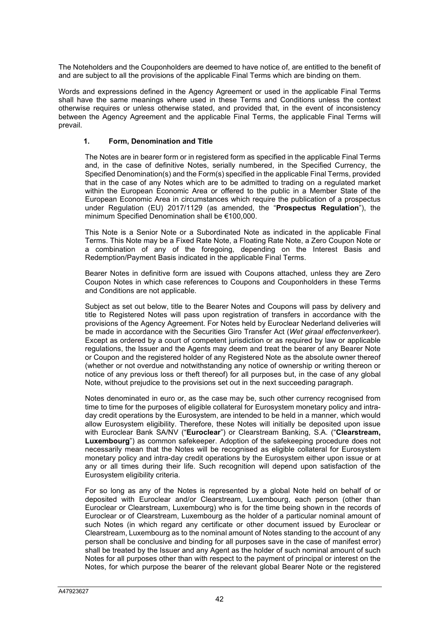The Noteholders and the Couponholders are deemed to have notice of, are entitled to the benefit of and are subject to all the provisions of the applicable Final Terms which are binding on them.

Words and expressions defined in the Agency Agreement or used in the applicable Final Terms shall have the same meanings where used in these Terms and Conditions unless the context otherwise requires or unless otherwise stated, and provided that, in the event of inconsistency between the Agency Agreement and the applicable Final Terms, the applicable Final Terms will prevail.

### **1. Form, Denomination and Title**

The Notes are in bearer form or in registered form as specified in the applicable Final Terms and, in the case of definitive Notes, serially numbered, in the Specified Currency, the Specified Denomination(s) and the Form(s) specified in the applicable Final Terms, provided that in the case of any Notes which are to be admitted to trading on a regulated market within the European Economic Area or offered to the public in a Member State of the European Economic Area in circumstances which require the publication of a prospectus under Regulation (EU) 2017/1129 (as amended, the "**Prospectus Regulation**"), the minimum Specified Denomination shall be €100,000.

This Note is a Senior Note or a Subordinated Note as indicated in the applicable Final Terms. This Note may be a Fixed Rate Note, a Floating Rate Note, a Zero Coupon Note or a combination of any of the foregoing, depending on the Interest Basis and Redemption/Payment Basis indicated in the applicable Final Terms.

Bearer Notes in definitive form are issued with Coupons attached, unless they are Zero Coupon Notes in which case references to Coupons and Couponholders in these Terms and Conditions are not applicable.

Subject as set out below, title to the Bearer Notes and Coupons will pass by delivery and title to Registered Notes will pass upon registration of transfers in accordance with the provisions of the Agency Agreement. For Notes held by Euroclear Nederland deliveries will be made in accordance with the Securities Giro Transfer Act (*Wet giraal effectenverkeer*). Except as ordered by a court of competent jurisdiction or as required by law or applicable regulations, the Issuer and the Agents may deem and treat the bearer of any Bearer Note or Coupon and the registered holder of any Registered Note as the absolute owner thereof (whether or not overdue and notwithstanding any notice of ownership or writing thereon or notice of any previous loss or theft thereof) for all purposes but, in the case of any global Note, without prejudice to the provisions set out in the next succeeding paragraph.

Notes denominated in euro or, as the case may be, such other currency recognised from time to time for the purposes of eligible collateral for Eurosystem monetary policy and intraday credit operations by the Eurosystem, are intended to be held in a manner, which would allow Eurosystem eligibility. Therefore, these Notes will initially be deposited upon issue with Euroclear Bank SA/NV ("**Euroclear**") or Clearstream Banking, S.A. ("**Clearstream, Luxembourg**") as common safekeeper. Adoption of the safekeeping procedure does not necessarily mean that the Notes will be recognised as eligible collateral for Eurosystem monetary policy and intra-day credit operations by the Eurosystem either upon issue or at any or all times during their life. Such recognition will depend upon satisfaction of the Eurosystem eligibility criteria.

For so long as any of the Notes is represented by a global Note held on behalf of or deposited with Euroclear and/or Clearstream, Luxembourg, each person (other than Euroclear or Clearstream, Luxembourg) who is for the time being shown in the records of Euroclear or of Clearstream, Luxembourg as the holder of a particular nominal amount of such Notes (in which regard any certificate or other document issued by Euroclear or Clearstream, Luxembourg as to the nominal amount of Notes standing to the account of any person shall be conclusive and binding for all purposes save in the case of manifest error) shall be treated by the Issuer and any Agent as the holder of such nominal amount of such Notes for all purposes other than with respect to the payment of principal or interest on the Notes, for which purpose the bearer of the relevant global Bearer Note or the registered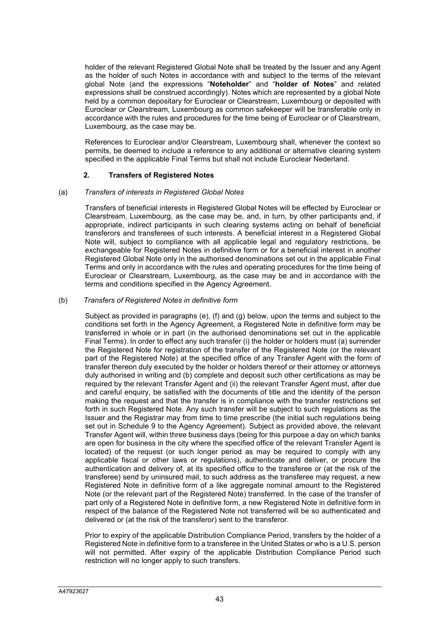holder of the relevant Registered Global Note shall be treated by the Issuer and any Agent as the holder of such Notes in accordance with and subject to the terms of the relevant global Note (and the expressions "**Noteholder**" and "**holder of Notes**" and related expressions shall be construed accordingly). Notes which are represented by a global Note held by a common depositary for Euroclear or Clearstream, Luxembourg or deposited with Euroclear or Clearstream, Luxembourg as common safekeeper will be transferable only in accordance with the rules and procedures for the time being of Euroclear or of Clearstream, Luxembourg, as the case may be.

References to Euroclear and/or Clearstream, Luxembourg shall, whenever the context so permits, be deemed to include a reference to any additional or alternative clearing system specified in the applicable Final Terms but shall not include Euroclear Nederland.

### **2. Transfers of Registered Notes**

### (a) *Transfers of interests in Registered Global Notes*

Transfers of beneficial interests in Registered Global Notes will be effected by Euroclear or Clearstream, Luxembourg, as the case may be, and, in turn, by other participants and, if appropriate, indirect participants in such clearing systems acting on behalf of beneficial transferors and transferees of such interests. A beneficial interest in a Registered Global Note will, subject to compliance with all applicable legal and regulatory restrictions, be exchangeable for Registered Notes in definitive form or for a beneficial interest in another Registered Global Note only in the authorised denominations set out in the applicable Final Terms and only in accordance with the rules and operating procedures for the time being of Euroclear or Clearstream, Luxembourg, as the case may be and in accordance with the terms and conditions specified in the Agency Agreement.

### (b) *Transfers of Registered Notes in definitive form*

Subject as provided in paragraphs (e), (f) and (g) below, upon the terms and subject to the conditions set forth in the Agency Agreement, a Registered Note in definitive form may be transferred in whole or in part (in the authorised denominations set out in the applicable Final Terms). In order to effect any such transfer (i) the holder or holders must (a) surrender the Registered Note for registration of the transfer of the Registered Note (or the relevant part of the Registered Note) at the specified office of any Transfer Agent with the form of transfer thereon duly executed by the holder or holders thereof or their attorney or attorneys duly authorised in writing and (b) complete and deposit such other certifications as may be required by the relevant Transfer Agent and (ii) the relevant Transfer Agent must, after due and careful enquiry, be satisfied with the documents of title and the identity of the person making the request and that the transfer is in compliance with the transfer restrictions set forth in such Registered Note. Any such transfer will be subject to such regulations as the Issuer and the Registrar may from time to time prescribe (the initial such regulations being set out in Schedule 9 to the Agency Agreement). Subject as provided above, the relevant Transfer Agent will, within three business days (being for this purpose a day on which banks are open for business in the city where the specified office of the relevant Transfer Agent is located) of the request (or such longer period as may be required to comply with any applicable fiscal or other laws or regulations), authenticate and deliver, or procure the authentication and delivery of, at its specified office to the transferee or (at the risk of the transferee) send by uninsured mail, to such address as the transferee may request, a new Registered Note in definitive form of a like aggregate nominal amount to the Registered Note (or the relevant part of the Registered Note) transferred. In the case of the transfer of part only of a Registered Note in definitive form, a new Registered Note in definitive form in respect of the balance of the Registered Note not transferred will be so authenticated and delivered or (at the risk of the transferor) sent to the transferor.

Prior to expiry of the applicable Distribution Compliance Period, transfers by the holder of a Registered Note in definitive form to a transferee in the United States or who is a U.S. person will not permitted. After expiry of the applicable Distribution Compliance Period such restriction will no longer apply to such transfers.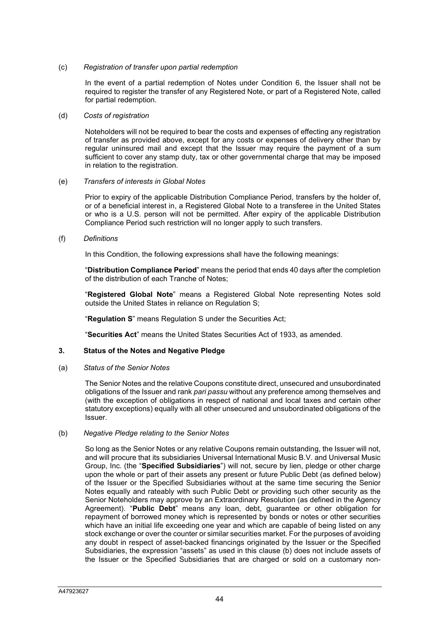### (c) *Registration of transfer upon partial redemption*

In the event of a partial redemption of Notes under Condition 6, the Issuer shall not be required to register the transfer of any Registered Note, or part of a Registered Note, called for partial redemption.

#### (d) *Costs of registration*

Noteholders will not be required to bear the costs and expenses of effecting any registration of transfer as provided above, except for any costs or expenses of delivery other than by regular uninsured mail and except that the Issuer may require the payment of a sum sufficient to cover any stamp duty, tax or other governmental charge that may be imposed in relation to the registration.

### (e) *Transfers of interests in Global Notes*

Prior to expiry of the applicable Distribution Compliance Period, transfers by the holder of, or of a beneficial interest in, a Registered Global Note to a transferee in the United States or who is a U.S. person will not be permitted. After expiry of the applicable Distribution Compliance Period such restriction will no longer apply to such transfers.

### (f) *Definitions*

In this Condition, the following expressions shall have the following meanings:

"**Distribution Compliance Period**" means the period that ends 40 days after the completion of the distribution of each Tranche of Notes;

"**Registered Global Note**" means a Registered Global Note representing Notes sold outside the United States in reliance on Regulation S;

"**Regulation S**" means Regulation S under the Securities Act;

"**Securities Act**" means the United States Securities Act of 1933, as amended.

### **3. Status of the Notes and Negative Pledge**

(a) *Status of the Senior Notes* 

The Senior Notes and the relative Coupons constitute direct, unsecured and unsubordinated obligations of the Issuer and rank *pari passu* without any preference among themselves and (with the exception of obligations in respect of national and local taxes and certain other statutory exceptions) equally with all other unsecured and unsubordinated obligations of the Issuer.

### (b) *Negative Pledge relating to the Senior Notes*

So long as the Senior Notes or any relative Coupons remain outstanding, the Issuer will not, and will procure that its subsidiaries Universal International Music B.V. and Universal Music Group, Inc. (the "**Specified Subsidiaries**") will not, secure by lien, pledge or other charge upon the whole or part of their assets any present or future Public Debt (as defined below) of the Issuer or the Specified Subsidiaries without at the same time securing the Senior Notes equally and rateably with such Public Debt or providing such other security as the Senior Noteholders may approve by an Extraordinary Resolution (as defined in the Agency Agreement). "**Public Debt**" means any loan, debt, guarantee or other obligation for repayment of borrowed money which is represented by bonds or notes or other securities which have an initial life exceeding one year and which are capable of being listed on any stock exchange or over the counter or similar securities market. For the purposes of avoiding any doubt in respect of asset-backed financings originated by the Issuer or the Specified Subsidiaries, the expression "assets" as used in this clause (b) does not include assets of the Issuer or the Specified Subsidiaries that are charged or sold on a customary non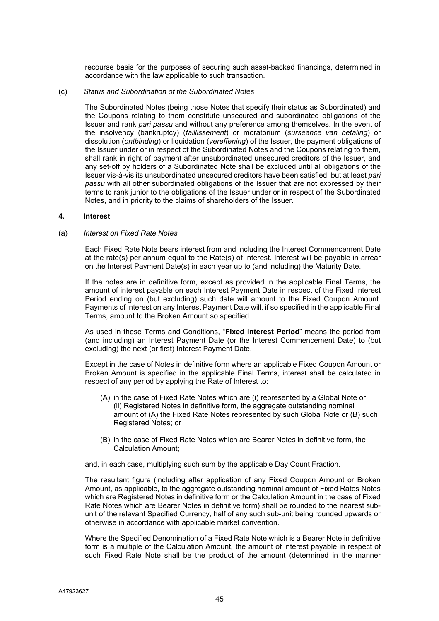recourse basis for the purposes of securing such asset-backed financings, determined in accordance with the law applicable to such transaction.

#### (c) *Status and Subordination of the Subordinated Notes*

The Subordinated Notes (being those Notes that specify their status as Subordinated) and the Coupons relating to them constitute unsecured and subordinated obligations of the Issuer and rank *pari passu* and without any preference among themselves. In the event of the insolvency (bankruptcy) (*faillissement*) or moratorium (*surseance van betaling*) or dissolution (*ontbinding*) or liquidation (*vereffening*) of the Issuer, the payment obligations of the Issuer under or in respect of the Subordinated Notes and the Coupons relating to them, shall rank in right of payment after unsubordinated unsecured creditors of the Issuer, and any set-off by holders of a Subordinated Note shall be excluded until all obligations of the Issuer vis-à-vis its unsubordinated unsecured creditors have been satisfied, but at least *pari passu* with all other subordinated obligations of the Issuer that are not expressed by their terms to rank junior to the obligations of the Issuer under or in respect of the Subordinated Notes, and in priority to the claims of shareholders of the Issuer.

#### **4. Interest**

#### (a) *Interest on Fixed Rate Notes*

Each Fixed Rate Note bears interest from and including the Interest Commencement Date at the rate(s) per annum equal to the Rate(s) of Interest. Interest will be payable in arrear on the Interest Payment Date(s) in each year up to (and including) the Maturity Date.

If the notes are in definitive form, except as provided in the applicable Final Terms, the amount of interest payable on each Interest Payment Date in respect of the Fixed Interest Period ending on (but excluding) such date will amount to the Fixed Coupon Amount. Payments of interest on any Interest Payment Date will, if so specified in the applicable Final Terms, amount to the Broken Amount so specified.

As used in these Terms and Conditions, "**Fixed Interest Period**" means the period from (and including) an Interest Payment Date (or the Interest Commencement Date) to (but excluding) the next (or first) Interest Payment Date.

Except in the case of Notes in definitive form where an applicable Fixed Coupon Amount or Broken Amount is specified in the applicable Final Terms, interest shall be calculated in respect of any period by applying the Rate of Interest to:

- (A) in the case of Fixed Rate Notes which are (i) represented by a Global Note or (ii) Registered Notes in definitive form, the aggregate outstanding nominal amount of (A) the Fixed Rate Notes represented by such Global Note or (B) such Registered Notes; or
- (B) in the case of Fixed Rate Notes which are Bearer Notes in definitive form, the Calculation Amount;

and, in each case, multiplying such sum by the applicable Day Count Fraction.

The resultant figure (including after application of any Fixed Coupon Amount or Broken Amount, as applicable, to the aggregate outstanding nominal amount of Fixed Rates Notes which are Registered Notes in definitive form or the Calculation Amount in the case of Fixed Rate Notes which are Bearer Notes in definitive form) shall be rounded to the nearest subunit of the relevant Specified Currency, half of any such sub-unit being rounded upwards or otherwise in accordance with applicable market convention.

Where the Specified Denomination of a Fixed Rate Note which is a Bearer Note in definitive form is a multiple of the Calculation Amount, the amount of interest payable in respect of such Fixed Rate Note shall be the product of the amount (determined in the manner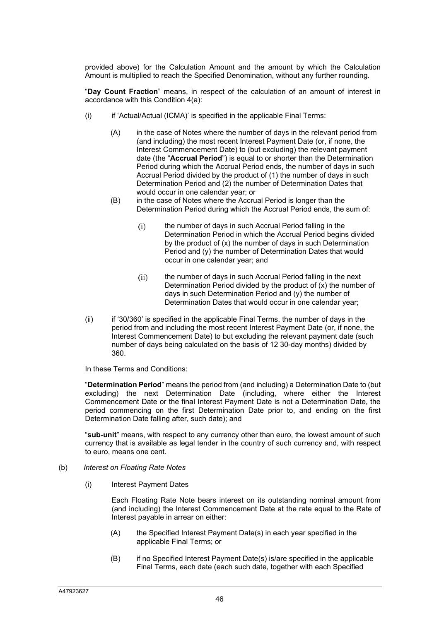provided above) for the Calculation Amount and the amount by which the Calculation Amount is multiplied to reach the Specified Denomination, without any further rounding.

"**Day Count Fraction**" means, in respect of the calculation of an amount of interest in accordance with this Condition 4(a):

- (i) if 'Actual/Actual (ICMA)' is specified in the applicable Final Terms:
	- (A) in the case of Notes where the number of days in the relevant period from (and including) the most recent Interest Payment Date (or, if none, the Interest Commencement Date) to (but excluding) the relevant payment date (the "**Accrual Period**") is equal to or shorter than the Determination Period during which the Accrual Period ends, the number of days in such Accrual Period divided by the product of (1) the number of days in such Determination Period and (2) the number of Determination Dates that would occur in one calendar year; or
	- (B) in the case of Notes where the Accrual Period is longer than the Determination Period during which the Accrual Period ends, the sum of:
		- (i) the number of days in such Accrual Period falling in the Determination Period in which the Accrual Period begins divided by the product of (x) the number of days in such Determination Period and (y) the number of Determination Dates that would occur in one calendar year; and
		- (ii) the number of days in such Accrual Period falling in the next Determination Period divided by the product of (x) the number of days in such Determination Period and (y) the number of Determination Dates that would occur in one calendar year;
- (ii) if '30/360' is specified in the applicable Final Terms, the number of days in the period from and including the most recent Interest Payment Date (or, if none, the Interest Commencement Date) to but excluding the relevant payment date (such number of days being calculated on the basis of 12 30-day months) divided by 360.

In these Terms and Conditions:

"**Determination Period**" means the period from (and including) a Determination Date to (but excluding) the next Determination Date (including, where either the Interest Commencement Date or the final Interest Payment Date is not a Determination Date, the period commencing on the first Determination Date prior to, and ending on the first Determination Date falling after, such date); and

"**sub-unit**" means, with respect to any currency other than euro, the lowest amount of such currency that is available as legal tender in the country of such currency and, with respect to euro, means one cent.

#### (b) *Interest on Floating Rate Notes*

(i) Interest Payment Dates

Each Floating Rate Note bears interest on its outstanding nominal amount from (and including) the Interest Commencement Date at the rate equal to the Rate of Interest payable in arrear on either:

- (A) the Specified Interest Payment Date(s) in each year specified in the applicable Final Terms; or
- (B) if no Specified Interest Payment Date(s) is/are specified in the applicable Final Terms, each date (each such date, together with each Specified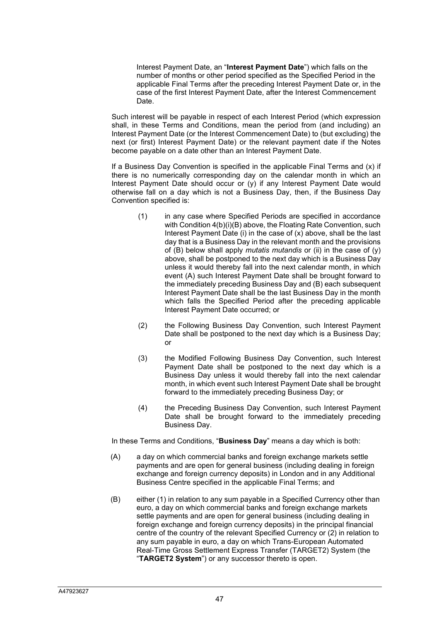Interest Payment Date, an "**Interest Payment Date**") which falls on the number of months or other period specified as the Specified Period in the applicable Final Terms after the preceding Interest Payment Date or, in the case of the first Interest Payment Date, after the Interest Commencement Date.

Such interest will be payable in respect of each Interest Period (which expression shall, in these Terms and Conditions, mean the period from (and including) an Interest Payment Date (or the Interest Commencement Date) to (but excluding) the next (or first) Interest Payment Date) or the relevant payment date if the Notes become payable on a date other than an Interest Payment Date.

If a Business Day Convention is specified in the applicable Final Terms and  $(x)$  if there is no numerically corresponding day on the calendar month in which an Interest Payment Date should occur or (y) if any Interest Payment Date would otherwise fall on a day which is not a Business Day, then, if the Business Day Convention specified is:

- (1) in any case where Specified Periods are specified in accordance with Condition  $4(b)(i)(B)$  above, the Floating Rate Convention, such Interest Payment Date (i) in the case of (x) above, shall be the last day that is a Business Day in the relevant month and the provisions of (B) below shall apply *mutatis mutandis* or (ii) in the case of (y) above, shall be postponed to the next day which is a Business Day unless it would thereby fall into the next calendar month, in which event (A) such Interest Payment Date shall be brought forward to the immediately preceding Business Day and (B) each subsequent Interest Payment Date shall be the last Business Day in the month which falls the Specified Period after the preceding applicable Interest Payment Date occurred; or
- (2) the Following Business Day Convention, such Interest Payment Date shall be postponed to the next day which is a Business Day; or
- (3) the Modified Following Business Day Convention, such Interest Payment Date shall be postponed to the next day which is a Business Day unless it would thereby fall into the next calendar month, in which event such Interest Payment Date shall be brought forward to the immediately preceding Business Day; or
- (4) the Preceding Business Day Convention, such Interest Payment Date shall be brought forward to the immediately preceding Business Day.

In these Terms and Conditions, "**Business Day**" means a day which is both:

- (A) a day on which commercial banks and foreign exchange markets settle payments and are open for general business (including dealing in foreign exchange and foreign currency deposits) in London and in any Additional Business Centre specified in the applicable Final Terms; and
- (B) either (1) in relation to any sum payable in a Specified Currency other than euro, a day on which commercial banks and foreign exchange markets settle payments and are open for general business (including dealing in foreign exchange and foreign currency deposits) in the principal financial centre of the country of the relevant Specified Currency or (2) in relation to any sum payable in euro, a day on which Trans-European Automated Real-Time Gross Settlement Express Transfer (TARGET2) System (the "**TARGET2 System**") or any successor thereto is open.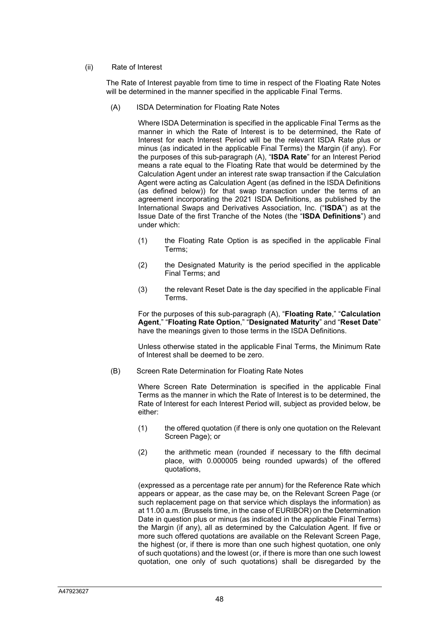### (ii) Rate of Interest

The Rate of Interest payable from time to time in respect of the Floating Rate Notes will be determined in the manner specified in the applicable Final Terms.

(A) ISDA Determination for Floating Rate Notes

Where ISDA Determination is specified in the applicable Final Terms as the manner in which the Rate of Interest is to be determined, the Rate of Interest for each Interest Period will be the relevant ISDA Rate plus or minus (as indicated in the applicable Final Terms) the Margin (if any). For the purposes of this sub-paragraph (A), "**ISDA Rate**" for an Interest Period means a rate equal to the Floating Rate that would be determined by the Calculation Agent under an interest rate swap transaction if the Calculation Agent were acting as Calculation Agent (as defined in the ISDA Definitions (as defined below)) for that swap transaction under the terms of an agreement incorporating the 2021 ISDA Definitions, as published by the International Swaps and Derivatives Association, Inc. ("**ISDA**") as at the Issue Date of the first Tranche of the Notes (the "**ISDA Definitions**") and under which:

- (1) the Floating Rate Option is as specified in the applicable Final Terms;
- (2) the Designated Maturity is the period specified in the applicable Final Terms; and
- (3) the relevant Reset Date is the day specified in the applicable Final Terms.

For the purposes of this sub-paragraph (A), "**Floating Rate**," "**Calculation Agent**," "**Floating Rate Option**," "**Designated Maturity**" and "**Reset Date**" have the meanings given to those terms in the ISDA Definitions.

Unless otherwise stated in the applicable Final Terms, the Minimum Rate of Interest shall be deemed to be zero.

(B) Screen Rate Determination for Floating Rate Notes

Where Screen Rate Determination is specified in the applicable Final Terms as the manner in which the Rate of Interest is to be determined, the Rate of Interest for each Interest Period will, subject as provided below, be either:

- (1) the offered quotation (if there is only one quotation on the Relevant Screen Page); or
- (2) the arithmetic mean (rounded if necessary to the fifth decimal place, with 0.000005 being rounded upwards) of the offered quotations,

(expressed as a percentage rate per annum) for the Reference Rate which appears or appear, as the case may be, on the Relevant Screen Page (or such replacement page on that service which displays the information) as at 11.00 a.m. (Brussels time, in the case of EURIBOR) on the Determination Date in question plus or minus (as indicated in the applicable Final Terms) the Margin (if any), all as determined by the Calculation Agent. If five or more such offered quotations are available on the Relevant Screen Page, the highest (or, if there is more than one such highest quotation, one only of such quotations) and the lowest (or, if there is more than one such lowest quotation, one only of such quotations) shall be disregarded by the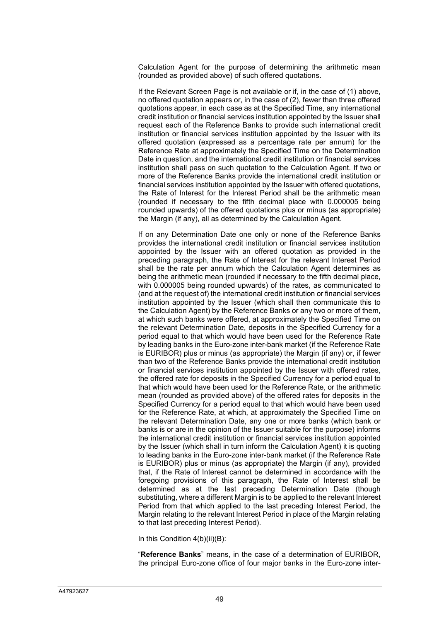Calculation Agent for the purpose of determining the arithmetic mean (rounded as provided above) of such offered quotations.

If the Relevant Screen Page is not available or if, in the case of (1) above, no offered quotation appears or, in the case of (2), fewer than three offered quotations appear, in each case as at the Specified Time, any international credit institution or financial services institution appointed by the Issuer shall request each of the Reference Banks to provide such international credit institution or financial services institution appointed by the Issuer with its offered quotation (expressed as a percentage rate per annum) for the Reference Rate at approximately the Specified Time on the Determination Date in question, and the international credit institution or financial services institution shall pass on such quotation to the Calculation Agent. If two or more of the Reference Banks provide the international credit institution or financial services institution appointed by the Issuer with offered quotations, the Rate of Interest for the Interest Period shall be the arithmetic mean (rounded if necessary to the fifth decimal place with 0.000005 being rounded upwards) of the offered quotations plus or minus (as appropriate) the Margin (if any), all as determined by the Calculation Agent.

If on any Determination Date one only or none of the Reference Banks provides the international credit institution or financial services institution appointed by the Issuer with an offered quotation as provided in the preceding paragraph, the Rate of Interest for the relevant Interest Period shall be the rate per annum which the Calculation Agent determines as being the arithmetic mean (rounded if necessary to the fifth decimal place, with 0.000005 being rounded upwards) of the rates, as communicated to (and at the request of) the international credit institution or financial services institution appointed by the Issuer (which shall then communicate this to the Calculation Agent) by the Reference Banks or any two or more of them, at which such banks were offered, at approximately the Specified Time on the relevant Determination Date, deposits in the Specified Currency for a period equal to that which would have been used for the Reference Rate by leading banks in the Euro-zone inter-bank market (if the Reference Rate is EURIBOR) plus or minus (as appropriate) the Margin (if any) or, if fewer than two of the Reference Banks provide the international credit institution or financial services institution appointed by the Issuer with offered rates, the offered rate for deposits in the Specified Currency for a period equal to that which would have been used for the Reference Rate, or the arithmetic mean (rounded as provided above) of the offered rates for deposits in the Specified Currency for a period equal to that which would have been used for the Reference Rate, at which, at approximately the Specified Time on the relevant Determination Date, any one or more banks (which bank or banks is or are in the opinion of the Issuer suitable for the purpose) informs the international credit institution or financial services institution appointed by the Issuer (which shall in turn inform the Calculation Agent) it is quoting to leading banks in the Euro-zone inter-bank market (if the Reference Rate is EURIBOR) plus or minus (as appropriate) the Margin (if any), provided that, if the Rate of Interest cannot be determined in accordance with the foregoing provisions of this paragraph, the Rate of Interest shall be determined as at the last preceding Determination Date (though substituting, where a different Margin is to be applied to the relevant Interest Period from that which applied to the last preceding Interest Period, the Margin relating to the relevant Interest Period in place of the Margin relating to that last preceding Interest Period).

In this Condition 4(b)(ii)(B):

"**Reference Banks**" means, in the case of a determination of EURIBOR, the principal Euro-zone office of four major banks in the Euro-zone inter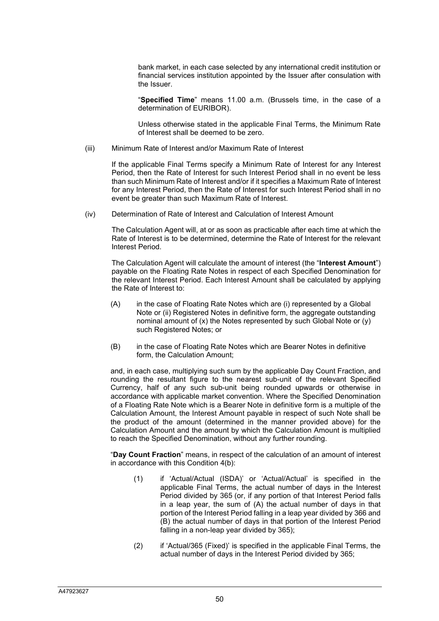bank market, in each case selected by any international credit institution or financial services institution appointed by the Issuer after consulation with the Issuer.

"**Specified Time**" means 11.00 a.m. (Brussels time, in the case of a determination of EURIBOR).

Unless otherwise stated in the applicable Final Terms, the Minimum Rate of Interest shall be deemed to be zero.

(iii) Minimum Rate of Interest and/or Maximum Rate of Interest

If the applicable Final Terms specify a Minimum Rate of Interest for any Interest Period, then the Rate of Interest for such Interest Period shall in no event be less than such Minimum Rate of Interest and/or if it specifies a Maximum Rate of Interest for any Interest Period, then the Rate of Interest for such Interest Period shall in no event be greater than such Maximum Rate of Interest.

(iv) Determination of Rate of Interest and Calculation of Interest Amount

The Calculation Agent will, at or as soon as practicable after each time at which the Rate of Interest is to be determined, determine the Rate of Interest for the relevant Interest Period.

The Calculation Agent will calculate the amount of interest (the "**Interest Amount**") payable on the Floating Rate Notes in respect of each Specified Denomination for the relevant Interest Period. Each Interest Amount shall be calculated by applying the Rate of Interest to:

- (A) in the case of Floating Rate Notes which are (i) represented by a Global Note or (ii) Registered Notes in definitive form, the aggregate outstanding nominal amount of (x) the Notes represented by such Global Note or (y) such Registered Notes; or
- (B) in the case of Floating Rate Notes which are Bearer Notes in definitive form, the Calculation Amount;

and, in each case, multiplying such sum by the applicable Day Count Fraction, and rounding the resultant figure to the nearest sub-unit of the relevant Specified Currency, half of any such sub-unit being rounded upwards or otherwise in accordance with applicable market convention. Where the Specified Denomination of a Floating Rate Note which is a Bearer Note in definitive form is a multiple of the Calculation Amount, the Interest Amount payable in respect of such Note shall be the product of the amount (determined in the manner provided above) for the Calculation Amount and the amount by which the Calculation Amount is multiplied to reach the Specified Denomination, without any further rounding.

"**Day Count Fraction**" means, in respect of the calculation of an amount of interest in accordance with this Condition 4(b):

- (1) if 'Actual/Actual (ISDA)' or 'Actual/Actual' is specified in the applicable Final Terms, the actual number of days in the Interest Period divided by 365 (or, if any portion of that Interest Period falls in a leap year, the sum of (A) the actual number of days in that portion of the Interest Period falling in a leap year divided by 366 and (B) the actual number of days in that portion of the Interest Period falling in a non-leap year divided by 365);
- (2) if 'Actual/365 (Fixed)' is specified in the applicable Final Terms, the actual number of days in the Interest Period divided by 365;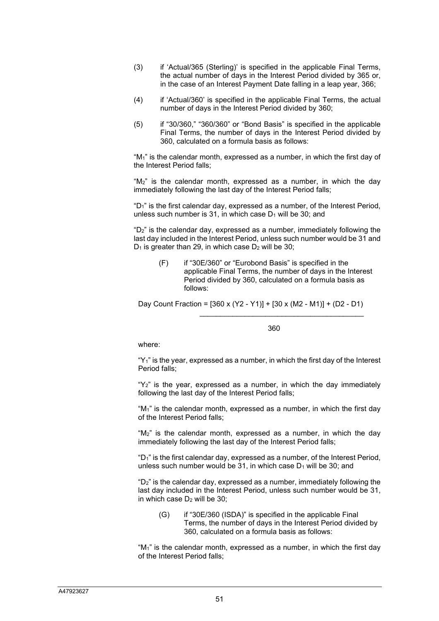- (3) if 'Actual/365 (Sterling)' is specified in the applicable Final Terms, the actual number of days in the Interest Period divided by 365 or, in the case of an Interest Payment Date falling in a leap year, 366;
- (4) if 'Actual/360' is specified in the applicable Final Terms, the actual number of days in the Interest Period divided by 360;
- (5) if "30/360," "360/360" or "Bond Basis" is specified in the applicable Final Terms, the number of days in the Interest Period divided by 360, calculated on a formula basis as follows:

"M1" is the calendar month, expressed as a number, in which the first day of the Interest Period falls;

"M2" is the calendar month, expressed as a number, in which the day immediately following the last day of the Interest Period falls;

"D1" is the first calendar day, expressed as a number, of the Interest Period, unless such number is 31, in which case  $D_1$  will be 30; and

"D2" is the calendar day, expressed as a number, immediately following the last day included in the Interest Period, unless such number would be 31 and  $D_1$  is greater than 29, in which case  $D_2$  will be 30;

(F) if "30E/360" or "Eurobond Basis" is specified in the applicable Final Terms, the number of days in the Interest Period divided by 360, calculated on a formula basis as follows:

Day Count Fraction = [360 x (Y2 - Y1)] + [30 x (M2 - M1)] + (D2 - D1)  $\mathcal{L}_\mathcal{L}$  , and the contract of the contract of the contract of the contract of the contract of the contract of the contract of the contract of the contract of the contract of the contract of the contract of the cont

<u>360 and the state of the state of the state of the state of the state of the state of the state of the state o</u>

where:

" $Y_1$ " is the year, expressed as a number, in which the first day of the Interest Period falls;

" $Y_2$ " is the year, expressed as a number, in which the day immediately following the last day of the Interest Period falls;

"M1" is the calendar month, expressed as a number, in which the first day of the Interest Period falls;

"M2" is the calendar month, expressed as a number, in which the day immediately following the last day of the Interest Period falls;

"D1" is the first calendar day, expressed as a number, of the Interest Period, unless such number would be  $31$ , in which case  $D_1$  will be  $30$ ; and

"D2" is the calendar day, expressed as a number, immediately following the last day included in the Interest Period, unless such number would be 31, in which case  $D_2$  will be  $30$ :

(G) if "30E/360 (ISDA)" is specified in the applicable Final Terms, the number of days in the Interest Period divided by 360, calculated on a formula basis as follows:

" $M_1$ " is the calendar month, expressed as a number, in which the first day of the Interest Period falls;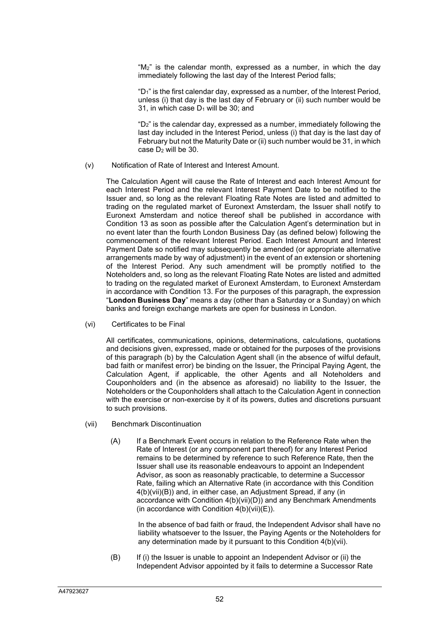"M2" is the calendar month, expressed as a number, in which the day immediately following the last day of the Interest Period falls;

"D1" is the first calendar day, expressed as a number, of the Interest Period, unless (i) that day is the last day of February or (ii) such number would be 31, in which case  $D_1$  will be 30; and

" $D_2$ " is the calendar day, expressed as a number, immediately following the last day included in the Interest Period, unless (i) that day is the last day of February but not the Maturity Date or (ii) such number would be 31, in which case  $D_2$  will be 30.

(v) Notification of Rate of Interest and Interest Amount.

The Calculation Agent will cause the Rate of Interest and each Interest Amount for each Interest Period and the relevant Interest Payment Date to be notified to the Issuer and, so long as the relevant Floating Rate Notes are listed and admitted to trading on the regulated market of Euronext Amsterdam, the Issuer shall notify to Euronext Amsterdam and notice thereof shall be published in accordance with Condition 13 as soon as possible after the Calculation Agent's determination but in no event later than the fourth London Business Day (as defined below) following the commencement of the relevant Interest Period. Each Interest Amount and Interest Payment Date so notified may subsequently be amended (or appropriate alternative arrangements made by way of adjustment) in the event of an extension or shortening of the Interest Period. Any such amendment will be promptly notified to the Noteholders and, so long as the relevant Floating Rate Notes are listed and admitted to trading on the regulated market of Euronext Amsterdam, to Euronext Amsterdam in accordance with Condition 13. For the purposes of this paragraph, the expression "**London Business Day**" means a day (other than a Saturday or a Sunday) on which banks and foreign exchange markets are open for business in London.

(vi) Certificates to be Final

All certificates, communications, opinions, determinations, calculations, quotations and decisions given, expressed, made or obtained for the purposes of the provisions of this paragraph (b) by the Calculation Agent shall (in the absence of wilful default, bad faith or manifest error) be binding on the Issuer, the Principal Paying Agent, the Calculation Agent, if applicable, the other Agents and all Noteholders and Couponholders and (in the absence as aforesaid) no liability to the Issuer, the Noteholders or the Couponholders shall attach to the Calculation Agent in connection with the exercise or non-exercise by it of its powers, duties and discretions pursuant to such provisions.

- (vii) Benchmark Discontinuation
	- (A) If a Benchmark Event occurs in relation to the Reference Rate when the Rate of Interest (or any component part thereof) for any Interest Period remains to be determined by reference to such Reference Rate, then the Issuer shall use its reasonable endeavours to appoint an Independent Advisor, as soon as reasonably practicable, to determine a Successor Rate, failing which an Alternative Rate (in accordance with this Condition 4(b)(vii)(B)) and, in either case, an Adjustment Spread, if any (in accordance with Condition 4(b)(vii)(D)) and any Benchmark Amendments (in accordance with Condition  $4(b)(vii)(E)$ ).

In the absence of bad faith or fraud, the Independent Advisor shall have no liability whatsoever to the Issuer, the Paying Agents or the Noteholders for any determination made by it pursuant to this Condition 4(b)(vii).

(B) If (i) the Issuer is unable to appoint an Independent Advisor or (ii) the Independent Advisor appointed by it fails to determine a Successor Rate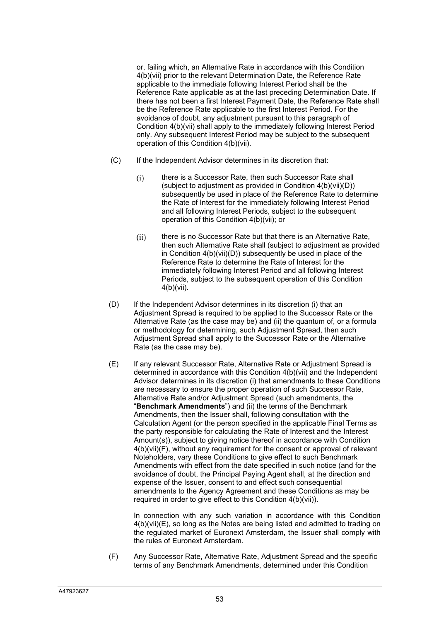or, failing which, an Alternative Rate in accordance with this Condition 4(b)(vii) prior to the relevant Determination Date, the Reference Rate applicable to the immediate following Interest Period shall be the Reference Rate applicable as at the last preceding Determination Date. If there has not been a first Interest Payment Date, the Reference Rate shall be the Reference Rate applicable to the first Interest Period. For the avoidance of doubt, any adjustment pursuant to this paragraph of Condition 4(b)(vii) shall apply to the immediately following Interest Period only. Any subsequent Interest Period may be subject to the subsequent operation of this Condition 4(b)(vii).

- (C) If the Independent Advisor determines in its discretion that:
	- (i) there is a Successor Rate, then such Successor Rate shall (subject to adjustment as provided in Condition 4(b)(vii)(D)) subsequently be used in place of the Reference Rate to determine the Rate of Interest for the immediately following Interest Period and all following Interest Periods, subject to the subsequent operation of this Condition 4(b)(vii); or
	- (ii) there is no Successor Rate but that there is an Alternative Rate, then such Alternative Rate shall (subject to adjustment as provided in Condition 4(b)(vii)(D)) subsequently be used in place of the Reference Rate to determine the Rate of Interest for the immediately following Interest Period and all following Interest Periods, subject to the subsequent operation of this Condition 4(b)(vii).
- (D) If the Independent Advisor determines in its discretion (i) that an Adjustment Spread is required to be applied to the Successor Rate or the Alternative Rate (as the case may be) and (ii) the quantum of, or a formula or methodology for determining, such Adjustment Spread, then such Adjustment Spread shall apply to the Successor Rate or the Alternative Rate (as the case may be).
- (E) If any relevant Successor Rate, Alternative Rate or Adjustment Spread is determined in accordance with this Condition 4(b)(vii) and the Independent Advisor determines in its discretion (i) that amendments to these Conditions are necessary to ensure the proper operation of such Successor Rate, Alternative Rate and/or Adjustment Spread (such amendments, the "**Benchmark Amendments**") and (ii) the terms of the Benchmark Amendments, then the Issuer shall, following consultation with the Calculation Agent (or the person specified in the applicable Final Terms as the party responsible for calculating the Rate of Interest and the Interest Amount(s)), subject to giving notice thereof in accordance with Condition 4(b)(vii)(F), without any requirement for the consent or approval of relevant Noteholders, vary these Conditions to give effect to such Benchmark Amendments with effect from the date specified in such notice (and for the avoidance of doubt, the Principal Paying Agent shall, at the direction and expense of the Issuer, consent to and effect such consequential amendments to the Agency Agreement and these Conditions as may be required in order to give effect to this Condition 4(b)(vii)).

In connection with any such variation in accordance with this Condition 4(b)(vii)(E), so long as the Notes are being listed and admitted to trading on the regulated market of Euronext Amsterdam, the Issuer shall comply with the rules of Euronext Amsterdam.

(F) Any Successor Rate, Alternative Rate, Adjustment Spread and the specific terms of any Benchmark Amendments, determined under this Condition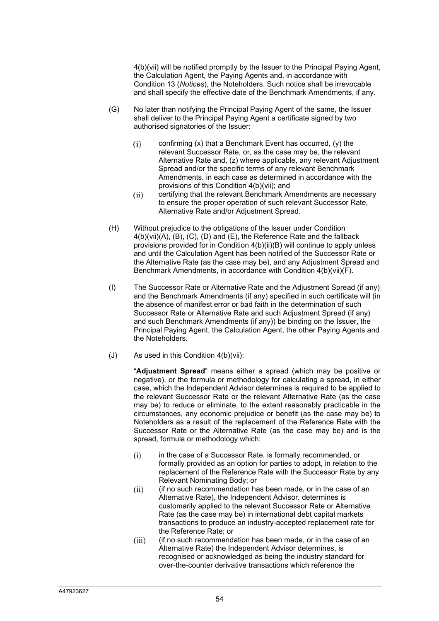4(b)(vii) will be notified promptly by the Issuer to the Principal Paying Agent, the Calculation Agent, the Paying Agents and, in accordance with Condition 13 (*Notices*), the Noteholders. Such notice shall be irrevocable and shall specify the effective date of the Benchmark Amendments, if any.

- (G) No later than notifying the Principal Paying Agent of the same, the Issuer shall deliver to the Principal Paying Agent a certificate signed by two authorised signatories of the Issuer:
	- confirming (x) that a Benchmark Event has occurred, (y) the relevant Successor Rate, or, as the case may be, the relevant Alternative Rate and, (z) where applicable, any relevant Adjustment Spread and/or the specific terms of any relevant Benchmark Amendments, in each case as determined in accordance with the provisions of this Condition 4(b)(vii); and
	- certifying that the relevant Benchmark Amendments are necessary to ensure the proper operation of such relevant Successor Rate, Alternative Rate and/or Adjustment Spread.
- (H) Without prejudice to the obligations of the Issuer under Condition 4(b)(vii)(A), (B), (C), (D) and (E), the Reference Rate and the fallback provisions provided for in Condition 4(b)(ii)(B) will continue to apply unless and until the Calculation Agent has been notified of the Successor Rate or the Alternative Rate (as the case may be), and any Adjustment Spread and Benchmark Amendments, in accordance with Condition 4(b)(vii)(F).
- (I) The Successor Rate or Alternative Rate and the Adjustment Spread (if any) and the Benchmark Amendments (if any) specified in such certificate will (in the absence of manifest error or bad faith in the determination of such Successor Rate or Alternative Rate and such Adjustment Spread (if any) and such Benchmark Amendments (if any)) be binding on the Issuer, the Principal Paying Agent, the Calculation Agent, the other Paying Agents and the Noteholders.
- (J) As used in this Condition 4(b)(vii):

"**Adjustment Spread**" means either a spread (which may be positive or negative), or the formula or methodology for calculating a spread, in either case, which the Independent Advisor determines is required to be applied to the relevant Successor Rate or the relevant Alternative Rate (as the case may be) to reduce or eliminate, to the extent reasonably practicable in the circumstances, any economic prejudice or benefit (as the case may be) to Noteholders as a result of the replacement of the Reference Rate with the Successor Rate or the Alternative Rate (as the case may be) and is the spread, formula or methodology which:

- in the case of a Successor Rate, is formally recommended, or formally provided as an option for parties to adopt, in relation to the replacement of the Reference Rate with the Successor Rate by any Relevant Nominating Body; or
- (if no such recommendation has been made, or in the case of an Alternative Rate), the Independent Advisor, determines is customarily applied to the relevant Successor Rate or Alternative Rate (as the case may be) in international debt capital markets transactions to produce an industry-accepted replacement rate for the Reference Rate; or
- (iii) (if no such recommendation has been made, or in the case of an Alternative Rate) the Independent Advisor determines, is recognised or acknowledged as being the industry standard for over-the-counter derivative transactions which reference the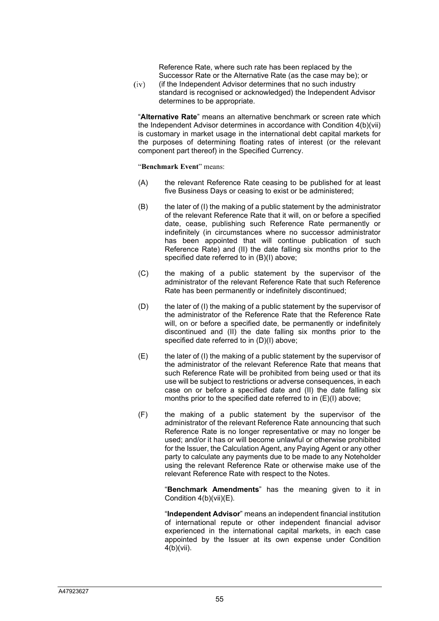Reference Rate, where such rate has been replaced by the Successor Rate or the Alternative Rate (as the case may be); or

 $(iv)$  (if the Independent Advisor determines that no such industry standard is recognised or acknowledged) the Independent Advisor determines to be appropriate.

"**Alternative Rate**" means an alternative benchmark or screen rate which the Independent Advisor determines in accordance with Condition 4(b)(vii) is customary in market usage in the international debt capital markets for the purposes of determining floating rates of interest (or the relevant component part thereof) in the Specified Currency.

"**Benchmark Event**" means:

- (A) the relevant Reference Rate ceasing to be published for at least five Business Days or ceasing to exist or be administered;
- (B) the later of (I) the making of a public statement by the administrator of the relevant Reference Rate that it will, on or before a specified date, cease, publishing such Reference Rate permanently or indefinitely (in circumstances where no successor administrator has been appointed that will continue publication of such Reference Rate) and (II) the date falling six months prior to the specified date referred to in (B)(I) above;
- (C) the making of a public statement by the supervisor of the administrator of the relevant Reference Rate that such Reference Rate has been permanently or indefinitely discontinued;
- (D) the later of (I) the making of a public statement by the supervisor of the administrator of the Reference Rate that the Reference Rate will, on or before a specified date, be permanently or indefinitely discontinued and (II) the date falling six months prior to the specified date referred to in (D)(I) above;
- $(E)$  the later of (I) the making of a public statement by the supervisor of the administrator of the relevant Reference Rate that means that such Reference Rate will be prohibited from being used or that its use will be subject to restrictions or adverse consequences, in each case on or before a specified date and (II) the date falling six months prior to the specified date referred to in (E)(I) above;
- (F) the making of a public statement by the supervisor of the administrator of the relevant Reference Rate announcing that such Reference Rate is no longer representative or may no longer be used; and/or it has or will become unlawful or otherwise prohibited for the Issuer, the Calculation Agent, any Paying Agent or any other party to calculate any payments due to be made to any Noteholder using the relevant Reference Rate or otherwise make use of the relevant Reference Rate with respect to the Notes.

"**Benchmark Amendments**" has the meaning given to it in Condition 4(b)(vii)(E).

"**Independent Advisor**" means an independent financial institution of international repute or other independent financial advisor experienced in the international capital markets, in each case appointed by the Issuer at its own expense under Condition  $4(b)(vii)$ .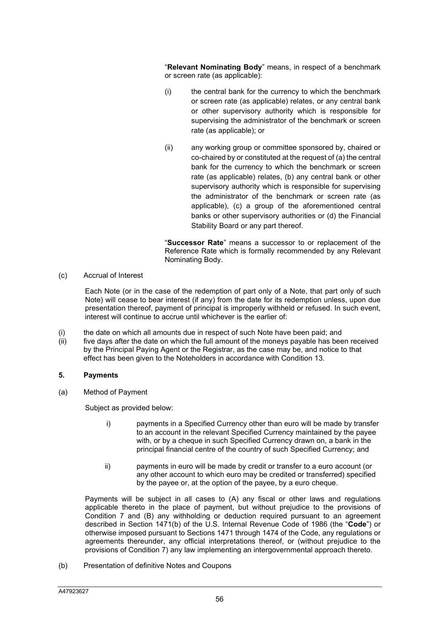"**Relevant Nominating Body**" means, in respect of a benchmark or screen rate (as applicable):

- (i) the central bank for the currency to which the benchmark or screen rate (as applicable) relates, or any central bank or other supervisory authority which is responsible for supervising the administrator of the benchmark or screen rate (as applicable); or
- (ii) any working group or committee sponsored by, chaired or co-chaired by or constituted at the request of (a) the central bank for the currency to which the benchmark or screen rate (as applicable) relates, (b) any central bank or other supervisory authority which is responsible for supervising the administrator of the benchmark or screen rate (as applicable), (c) a group of the aforementioned central banks or other supervisory authorities or (d) the Financial Stability Board or any part thereof.

"**Successor Rate**" means a successor to or replacement of the Reference Rate which is formally recommended by any Relevant Nominating Body.

(c) Accrual of Interest

Each Note (or in the case of the redemption of part only of a Note, that part only of such Note) will cease to bear interest (if any) from the date for its redemption unless, upon due presentation thereof, payment of principal is improperly withheld or refused. In such event, interest will continue to accrue until whichever is the earlier of:

- (i) the date on which all amounts due in respect of such Note have been paid; and
- $(iii)$  five days after the date on which the full amount of the moneys payable has been received by the Principal Paying Agent or the Registrar, as the case may be, and notice to that effect has been given to the Noteholders in accordance with Condition 13.

### **5. Payments**

(a) Method of Payment

Subject as provided below:

- i) payments in a Specified Currency other than euro will be made by transfer to an account in the relevant Specified Currency maintained by the payee with, or by a cheque in such Specified Currency drawn on, a bank in the principal financial centre of the country of such Specified Currency; and
- ii) payments in euro will be made by credit or transfer to a euro account (or any other account to which euro may be credited or transferred) specified by the payee or, at the option of the payee, by a euro cheque.

Payments will be subject in all cases to (A) any fiscal or other laws and regulations applicable thereto in the place of payment, but without prejudice to the provisions of Condition 7 and (B) any withholding or deduction required pursuant to an agreement described in Section 1471(b) of the U.S. Internal Revenue Code of 1986 (the "**Code**") or otherwise imposed pursuant to Sections 1471 through 1474 of the Code, any regulations or agreements thereunder, any official interpretations thereof, or (without prejudice to the provisions of Condition 7) any law implementing an intergovernmental approach thereto.

(b) Presentation of definitive Notes and Coupons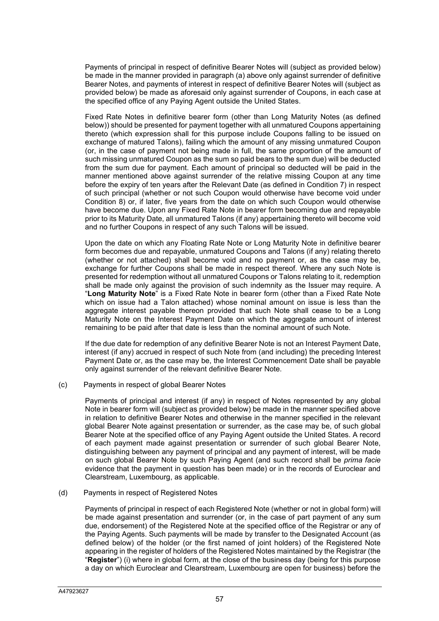Payments of principal in respect of definitive Bearer Notes will (subject as provided below) be made in the manner provided in paragraph (a) above only against surrender of definitive Bearer Notes, and payments of interest in respect of definitive Bearer Notes will (subject as provided below) be made as aforesaid only against surrender of Coupons, in each case at the specified office of any Paying Agent outside the United States.

Fixed Rate Notes in definitive bearer form (other than Long Maturity Notes (as defined below)) should be presented for payment together with all unmatured Coupons appertaining thereto (which expression shall for this purpose include Coupons falling to be issued on exchange of matured Talons), failing which the amount of any missing unmatured Coupon (or, in the case of payment not being made in full, the same proportion of the amount of such missing unmatured Coupon as the sum so paid bears to the sum due) will be deducted from the sum due for payment. Each amount of principal so deducted will be paid in the manner mentioned above against surrender of the relative missing Coupon at any time before the expiry of ten years after the Relevant Date (as defined in Condition 7) in respect of such principal (whether or not such Coupon would otherwise have become void under Condition 8) or, if later, five years from the date on which such Coupon would otherwise have become due. Upon any Fixed Rate Note in bearer form becoming due and repayable prior to its Maturity Date, all unmatured Talons (if any) appertaining thereto will become void and no further Coupons in respect of any such Talons will be issued.

Upon the date on which any Floating Rate Note or Long Maturity Note in definitive bearer form becomes due and repayable, unmatured Coupons and Talons (if any) relating thereto (whether or not attached) shall become void and no payment or, as the case may be, exchange for further Coupons shall be made in respect thereof. Where any such Note is presented for redemption without all unmatured Coupons or Talons relating to it, redemption shall be made only against the provision of such indemnity as the Issuer may require. A "**Long Maturity Note**" is a Fixed Rate Note in bearer form (other than a Fixed Rate Note which on issue had a Talon attached) whose nominal amount on issue is less than the aggregate interest payable thereon provided that such Note shall cease to be a Long Maturity Note on the Interest Payment Date on which the aggregate amount of interest remaining to be paid after that date is less than the nominal amount of such Note.

If the due date for redemption of any definitive Bearer Note is not an Interest Payment Date, interest (if any) accrued in respect of such Note from (and including) the preceding Interest Payment Date or, as the case may be, the Interest Commencement Date shall be payable only against surrender of the relevant definitive Bearer Note.

#### (c) Payments in respect of global Bearer Notes

Payments of principal and interest (if any) in respect of Notes represented by any global Note in bearer form will (subject as provided below) be made in the manner specified above in relation to definitive Bearer Notes and otherwise in the manner specified in the relevant global Bearer Note against presentation or surrender, as the case may be, of such global Bearer Note at the specified office of any Paying Agent outside the United States. A record of each payment made against presentation or surrender of such global Bearer Note, distinguishing between any payment of principal and any payment of interest, will be made on such global Bearer Note by such Paying Agent (and such record shall be *prima facie*  evidence that the payment in question has been made) or in the records of Euroclear and Clearstream, Luxembourg, as applicable.

#### (d) Payments in respect of Registered Notes

Payments of principal in respect of each Registered Note (whether or not in global form) will be made against presentation and surrender (or, in the case of part payment of any sum due, endorsement) of the Registered Note at the specified office of the Registrar or any of the Paying Agents. Such payments will be made by transfer to the Designated Account (as defined below) of the holder (or the first named of joint holders) of the Registered Note appearing in the register of holders of the Registered Notes maintained by the Registrar (the "**Register**") (i) where in global form, at the close of the business day (being for this purpose a day on which Euroclear and Clearstream, Luxembourg are open for business) before the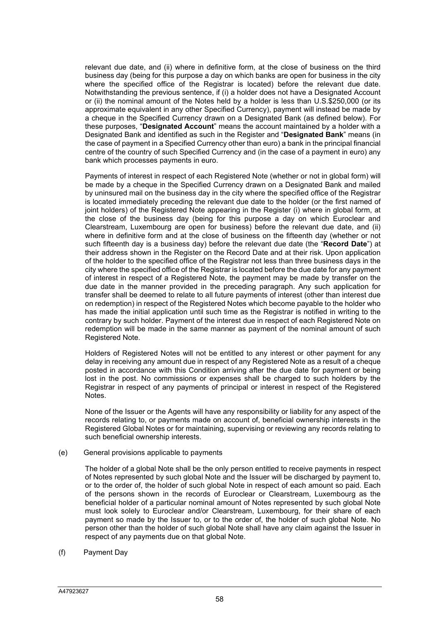relevant due date, and (ii) where in definitive form, at the close of business on the third business day (being for this purpose a day on which banks are open for business in the city where the specified office of the Registrar is located) before the relevant due date. Notwithstanding the previous sentence, if (i) a holder does not have a Designated Account or (ii) the nominal amount of the Notes held by a holder is less than U.S.\$250,000 (or its approximate equivalent in any other Specified Currency), payment will instead be made by a cheque in the Specified Currency drawn on a Designated Bank (as defined below). For these purposes, "**Designated Account**" means the account maintained by a holder with a Designated Bank and identified as such in the Register and "**Designated Bank**" means (in the case of payment in a Specified Currency other than euro) a bank in the principal financial centre of the country of such Specified Currency and (in the case of a payment in euro) any bank which processes payments in euro.

Payments of interest in respect of each Registered Note (whether or not in global form) will be made by a cheque in the Specified Currency drawn on a Designated Bank and mailed by uninsured mail on the business day in the city where the specified office of the Registrar is located immediately preceding the relevant due date to the holder (or the first named of joint holders) of the Registered Note appearing in the Register (i) where in global form, at the close of the business day (being for this purpose a day on which Euroclear and Clearstream, Luxembourg are open for business) before the relevant due date, and (ii) where in definitive form and at the close of business on the fifteenth day (whether or not such fifteenth day is a business day) before the relevant due date (the "**Record Date**") at their address shown in the Register on the Record Date and at their risk. Upon application of the holder to the specified office of the Registrar not less than three business days in the city where the specified office of the Registrar is located before the due date for any payment of interest in respect of a Registered Note, the payment may be made by transfer on the due date in the manner provided in the preceding paragraph. Any such application for transfer shall be deemed to relate to all future payments of interest (other than interest due on redemption) in respect of the Registered Notes which become payable to the holder who has made the initial application until such time as the Registrar is notified in writing to the contrary by such holder. Payment of the interest due in respect of each Registered Note on redemption will be made in the same manner as payment of the nominal amount of such Registered Note.

Holders of Registered Notes will not be entitled to any interest or other payment for any delay in receiving any amount due in respect of any Registered Note as a result of a cheque posted in accordance with this Condition arriving after the due date for payment or being lost in the post. No commissions or expenses shall be charged to such holders by the Registrar in respect of any payments of principal or interest in respect of the Registered Notes.

None of the Issuer or the Agents will have any responsibility or liability for any aspect of the records relating to, or payments made on account of, beneficial ownership interests in the Registered Global Notes or for maintaining, supervising or reviewing any records relating to such beneficial ownership interests.

(e) General provisions applicable to payments

The holder of a global Note shall be the only person entitled to receive payments in respect of Notes represented by such global Note and the Issuer will be discharged by payment to, or to the order of, the holder of such global Note in respect of each amount so paid. Each of the persons shown in the records of Euroclear or Clearstream, Luxembourg as the beneficial holder of a particular nominal amount of Notes represented by such global Note must look solely to Euroclear and/or Clearstream, Luxembourg, for their share of each payment so made by the Issuer to, or to the order of, the holder of such global Note. No person other than the holder of such global Note shall have any claim against the Issuer in respect of any payments due on that global Note.

(f) Payment Day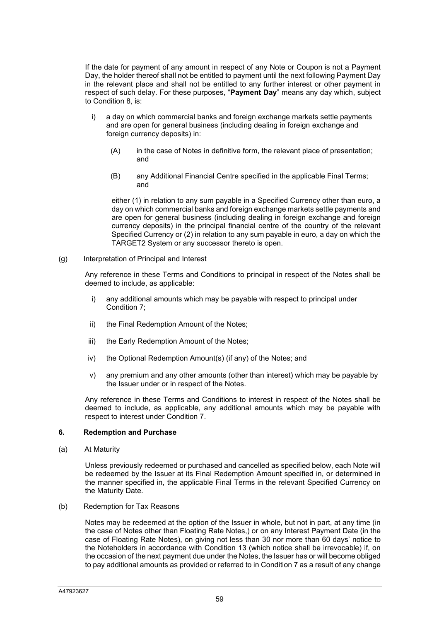If the date for payment of any amount in respect of any Note or Coupon is not a Payment Day, the holder thereof shall not be entitled to payment until the next following Payment Day in the relevant place and shall not be entitled to any further interest or other payment in respect of such delay. For these purposes, "**Payment Day**" means any day which, subject to Condition 8, is:

- i) a day on which commercial banks and foreign exchange markets settle payments and are open for general business (including dealing in foreign exchange and foreign currency deposits) in:
	- (A) in the case of Notes in definitive form, the relevant place of presentation; and
	- (B) any Additional Financial Centre specified in the applicable Final Terms; and

either (1) in relation to any sum payable in a Specified Currency other than euro, a day on which commercial banks and foreign exchange markets settle payments and are open for general business (including dealing in foreign exchange and foreign currency deposits) in the principal financial centre of the country of the relevant Specified Currency or (2) in relation to any sum payable in euro, a day on which the TARGET2 System or any successor thereto is open.

(g) Interpretation of Principal and Interest

Any reference in these Terms and Conditions to principal in respect of the Notes shall be deemed to include, as applicable:

- i) any additional amounts which may be payable with respect to principal under Condition 7;
- ii) the Final Redemption Amount of the Notes;
- iii) the Early Redemption Amount of the Notes;
- iv) the Optional Redemption Amount(s) (if any) of the Notes; and
- v) any premium and any other amounts (other than interest) which may be payable by the Issuer under or in respect of the Notes.

Any reference in these Terms and Conditions to interest in respect of the Notes shall be deemed to include, as applicable, any additional amounts which may be payable with respect to interest under Condition 7.

### **6. Redemption and Purchase**

(a) At Maturity

Unless previously redeemed or purchased and cancelled as specified below, each Note will be redeemed by the Issuer at its Final Redemption Amount specified in, or determined in the manner specified in, the applicable Final Terms in the relevant Specified Currency on the Maturity Date.

(b) Redemption for Tax Reasons

Notes may be redeemed at the option of the Issuer in whole, but not in part, at any time (in the case of Notes other than Floating Rate Notes,) or on any Interest Payment Date (in the case of Floating Rate Notes), on giving not less than 30 nor more than 60 days' notice to the Noteholders in accordance with Condition 13 (which notice shall be irrevocable) if, on the occasion of the next payment due under the Notes, the Issuer has or will become obliged to pay additional amounts as provided or referred to in Condition 7 as a result of any change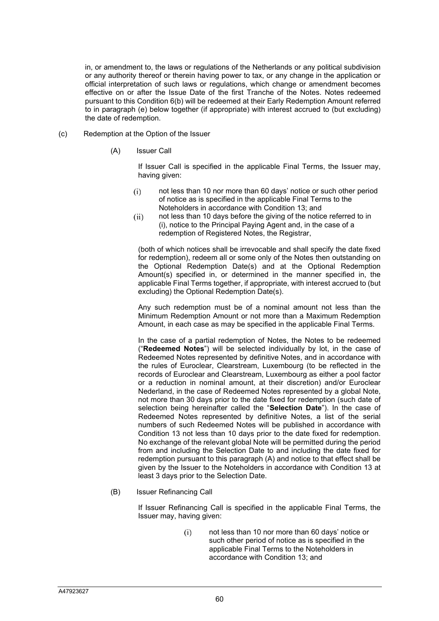in, or amendment to, the laws or regulations of the Netherlands or any political subdivision or any authority thereof or therein having power to tax, or any change in the application or official interpretation of such laws or regulations, which change or amendment becomes effective on or after the Issue Date of the first Tranche of the Notes. Notes redeemed pursuant to this Condition 6(b) will be redeemed at their Early Redemption Amount referred to in paragraph (e) below together (if appropriate) with interest accrued to (but excluding) the date of redemption.

- (c) Redemption at the Option of the Issuer
	- (A) Issuer Call

If Issuer Call is specified in the applicable Final Terms, the Issuer may, having given:

- not less than 10 nor more than 60 days' notice or such other period of notice as is specified in the applicable Final Terms to the Noteholders in accordance with Condition 13; and
- not less than 10 days before the giving of the notice referred to in (i), notice to the Principal Paying Agent and, in the case of a redemption of Registered Notes, the Registrar,

(both of which notices shall be irrevocable and shall specify the date fixed for redemption), redeem all or some only of the Notes then outstanding on the Optional Redemption Date(s) and at the Optional Redemption Amount(s) specified in, or determined in the manner specified in, the applicable Final Terms together, if appropriate, with interest accrued to (but excluding) the Optional Redemption Date(s).

Any such redemption must be of a nominal amount not less than the Minimum Redemption Amount or not more than a Maximum Redemption Amount, in each case as may be specified in the applicable Final Terms.

In the case of a partial redemption of Notes, the Notes to be redeemed ("**Redeemed Notes**") will be selected individually by lot, in the case of Redeemed Notes represented by definitive Notes, and in accordance with the rules of Euroclear, Clearstream, Luxembourg (to be reflected in the records of Euroclear and Clearstream, Luxembourg as either a pool factor or a reduction in nominal amount, at their discretion) and/or Euroclear Nederland, in the case of Redeemed Notes represented by a global Note, not more than 30 days prior to the date fixed for redemption (such date of selection being hereinafter called the "**Selection Date**"). In the case of Redeemed Notes represented by definitive Notes, a list of the serial numbers of such Redeemed Notes will be published in accordance with Condition 13 not less than 10 days prior to the date fixed for redemption. No exchange of the relevant global Note will be permitted during the period from and including the Selection Date to and including the date fixed for redemption pursuant to this paragraph (A) and notice to that effect shall be given by the Issuer to the Noteholders in accordance with Condition 13 at least 3 days prior to the Selection Date.

(B) Issuer Refinancing Call

If Issuer Refinancing Call is specified in the applicable Final Terms, the Issuer may, having given:

> not less than 10 nor more than 60 days' notice or such other period of notice as is specified in the applicable Final Terms to the Noteholders in accordance with Condition 13; and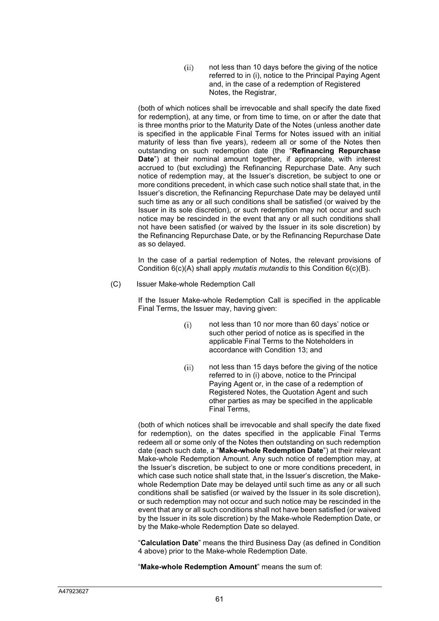not less than 10 days before the giving of the notice referred to in (i), notice to the Principal Paying Agent and, in the case of a redemption of Registered Notes, the Registrar,

(both of which notices shall be irrevocable and shall specify the date fixed for redemption), at any time, or from time to time, on or after the date that is three months prior to the Maturity Date of the Notes (unless another date is specified in the applicable Final Terms for Notes issued with an initial maturity of less than five years), redeem all or some of the Notes then outstanding on such redemption date (the "**Refinancing Repurchase Date**") at their nominal amount together, if appropriate, with interest accrued to (but excluding) the Refinancing Repurchase Date. Any such notice of redemption may, at the Issuer's discretion, be subject to one or more conditions precedent, in which case such notice shall state that, in the Issuer's discretion, the Refinancing Repurchase Date may be delayed until such time as any or all such conditions shall be satisfied (or waived by the Issuer in its sole discretion), or such redemption may not occur and such notice may be rescinded in the event that any or all such conditions shall not have been satisfied (or waived by the Issuer in its sole discretion) by the Refinancing Repurchase Date, or by the Refinancing Repurchase Date as so delayed.

In the case of a partial redemption of Notes, the relevant provisions of Condition 6(c)(A) shall apply *mutatis mutandis* to this Condition 6(c)(B).

(C) Issuer Make-whole Redemption Call

If the Issuer Make-whole Redemption Call is specified in the applicable Final Terms, the Issuer may, having given:

- not less than 10 nor more than 60 days' notice or such other period of notice as is specified in the applicable Final Terms to the Noteholders in accordance with Condition 13; and
- not less than 15 days before the giving of the notice referred to in (i) above, notice to the Principal Paying Agent or, in the case of a redemption of Registered Notes, the Quotation Agent and such other parties as may be specified in the applicable Final Terms,

(both of which notices shall be irrevocable and shall specify the date fixed for redemption), on the dates specified in the applicable Final Terms redeem all or some only of the Notes then outstanding on such redemption date (each such date, a "**Make-whole Redemption Date**") at their relevant Make-whole Redemption Amount. Any such notice of redemption may, at the Issuer's discretion, be subject to one or more conditions precedent, in which case such notice shall state that, in the Issuer's discretion, the Makewhole Redemption Date may be delayed until such time as any or all such conditions shall be satisfied (or waived by the Issuer in its sole discretion), or such redemption may not occur and such notice may be rescinded in the event that any or all such conditions shall not have been satisfied (or waived by the Issuer in its sole discretion) by the Make-whole Redemption Date, or by the Make-whole Redemption Date so delayed.

"**Calculation Date**" means the third Business Day (as defined in Condition 4 above) prior to the Make-whole Redemption Date.

"**Make-whole Redemption Amount**" means the sum of: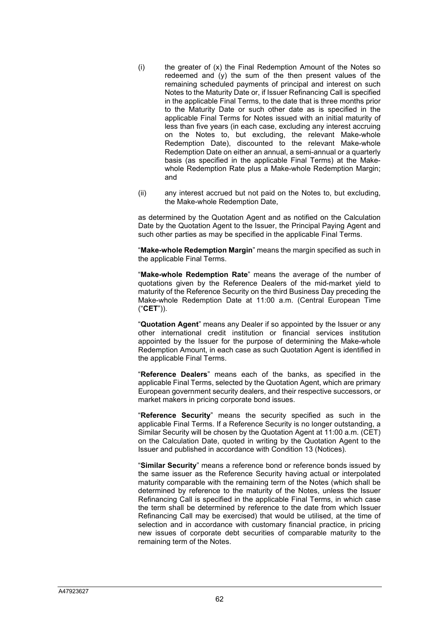- (i) the greater of (x) the Final Redemption Amount of the Notes so redeemed and (y) the sum of the then present values of the remaining scheduled payments of principal and interest on such Notes to the Maturity Date or, if Issuer Refinancing Call is specified in the applicable Final Terms, to the date that is three months prior to the Maturity Date or such other date as is specified in the applicable Final Terms for Notes issued with an initial maturity of less than five years (in each case, excluding any interest accruing on the Notes to, but excluding, the relevant Make-whole Redemption Date), discounted to the relevant Make-whole Redemption Date on either an annual, a semi-annual or a quarterly basis (as specified in the applicable Final Terms) at the Makewhole Redemption Rate plus a Make-whole Redemption Margin; and
- (ii) any interest accrued but not paid on the Notes to, but excluding, the Make-whole Redemption Date,

as determined by the Quotation Agent and as notified on the Calculation Date by the Quotation Agent to the Issuer, the Principal Paying Agent and such other parties as may be specified in the applicable Final Terms.

"**Make-whole Redemption Margin**" means the margin specified as such in the applicable Final Terms.

"**Make-whole Redemption Rate**" means the average of the number of quotations given by the Reference Dealers of the mid-market yield to maturity of the Reference Security on the third Business Day preceding the Make-whole Redemption Date at 11:00 a.m. (Central European Time ("**CET**")).

"**Quotation Agent**" means any Dealer if so appointed by the Issuer or any other international credit institution or financial services institution appointed by the Issuer for the purpose of determining the Make-whole Redemption Amount, in each case as such Quotation Agent is identified in the applicable Final Terms.

"**Reference Dealers**" means each of the banks, as specified in the applicable Final Terms, selected by the Quotation Agent, which are primary European government security dealers, and their respective successors, or market makers in pricing corporate bond issues.

"**Reference Security**" means the security specified as such in the applicable Final Terms. If a Reference Security is no longer outstanding, a Similar Security will be chosen by the Quotation Agent at 11:00 a.m. (CET) on the Calculation Date, quoted in writing by the Quotation Agent to the Issuer and published in accordance with Condition 13 (Notices).

"**Similar Security**" means a reference bond or reference bonds issued by the same issuer as the Reference Security having actual or interpolated maturity comparable with the remaining term of the Notes (which shall be determined by reference to the maturity of the Notes, unless the Issuer Refinancing Call is specified in the applicable Final Terms, in which case the term shall be determined by reference to the date from which Issuer Refinancing Call may be exercised) that would be utilised, at the time of selection and in accordance with customary financial practice, in pricing new issues of corporate debt securities of comparable maturity to the remaining term of the Notes.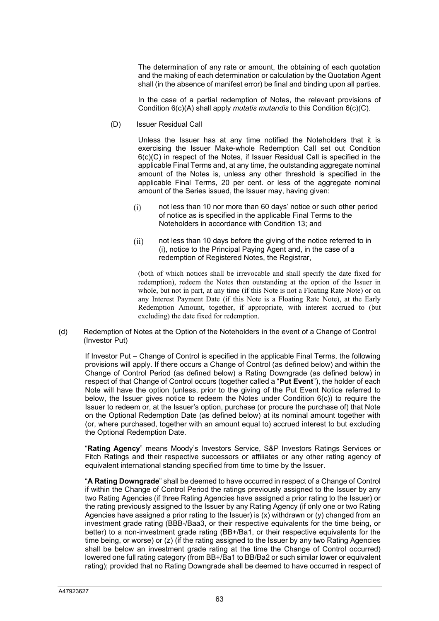The determination of any rate or amount, the obtaining of each quotation and the making of each determination or calculation by the Quotation Agent shall (in the absence of manifest error) be final and binding upon all parties.

In the case of a partial redemption of Notes, the relevant provisions of Condition 6(c)(A) shall apply *mutatis mutandis* to this Condition 6(c)(C).

(D) Issuer Residual Call

Unless the Issuer has at any time notified the Noteholders that it is exercising the Issuer Make-whole Redemption Call set out Condition 6(c)(C) in respect of the Notes, if Issuer Residual Call is specified in the applicable Final Terms and, at any time, the outstanding aggregate nominal amount of the Notes is, unless any other threshold is specified in the applicable Final Terms, 20 per cent. or less of the aggregate nominal amount of the Series issued, the Issuer may, having given:

- not less than 10 nor more than 60 days' notice or such other period of notice as is specified in the applicable Final Terms to the Noteholders in accordance with Condition 13; and
- not less than 10 days before the giving of the notice referred to in (i), notice to the Principal Paying Agent and, in the case of a redemption of Registered Notes, the Registrar,

(both of which notices shall be irrevocable and shall specify the date fixed for redemption), redeem the Notes then outstanding at the option of the Issuer in whole, but not in part, at any time (if this Note is not a Floating Rate Note) or on any Interest Payment Date (if this Note is a Floating Rate Note), at the Early Redemption Amount, together, if appropriate, with interest accrued to (but excluding) the date fixed for redemption.

#### (d) Redemption of Notes at the Option of the Noteholders in the event of a Change of Control (Investor Put)

If Investor Put – Change of Control is specified in the applicable Final Terms, the following provisions will apply. If there occurs a Change of Control (as defined below) and within the Change of Control Period (as defined below) a Rating Downgrade (as defined below) in respect of that Change of Control occurs (together called a "**Put Event**"), the holder of each Note will have the option (unless, prior to the giving of the Put Event Notice referred to below, the Issuer gives notice to redeem the Notes under Condition  $6(c)$ ) to require the Issuer to redeem or, at the Issuer's option, purchase (or procure the purchase of) that Note on the Optional Redemption Date (as defined below) at its nominal amount together with (or, where purchased, together with an amount equal to) accrued interest to but excluding the Optional Redemption Date.

"**Rating Agency**" means Moody's Investors Service, S&P Investors Ratings Services or Fitch Ratings and their respective successors or affiliates or any other rating agency of equivalent international standing specified from time to time by the Issuer.

"**A Rating Downgrade**" shall be deemed to have occurred in respect of a Change of Control if within the Change of Control Period the ratings previously assigned to the Issuer by any two Rating Agencies (if three Rating Agencies have assigned a prior rating to the Issuer) or the rating previously assigned to the Issuer by any Rating Agency (if only one or two Rating Agencies have assigned a prior rating to the Issuer) is  $(x)$  withdrawn or  $(y)$  changed from an investment grade rating (BBB-/Baa3, or their respective equivalents for the time being, or better) to a non-investment grade rating (BB+/Ba1, or their respective equivalents for the time being, or worse) or (z) (if the rating assigned to the Issuer by any two Rating Agencies shall be below an investment grade rating at the time the Change of Control occurred) lowered one full rating category (from BB+/Ba1 to BB/Ba2 or such similar lower or equivalent rating); provided that no Rating Downgrade shall be deemed to have occurred in respect of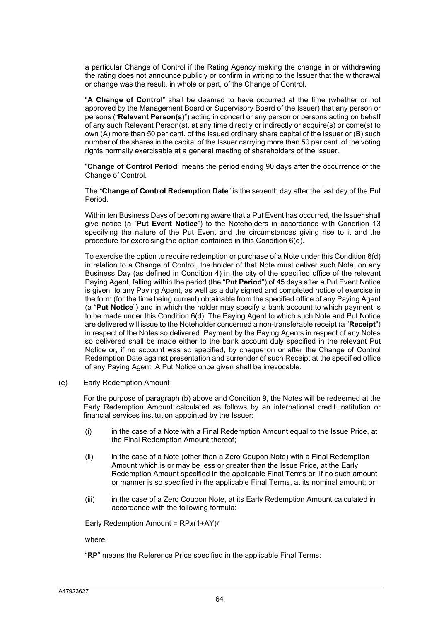a particular Change of Control if the Rating Agency making the change in or withdrawing the rating does not announce publicly or confirm in writing to the Issuer that the withdrawal or change was the result, in whole or part, of the Change of Control.

"**A Change of Control**" shall be deemed to have occurred at the time (whether or not approved by the Management Board or Supervisory Board of the Issuer) that any person or persons ("**Relevant Person(s)**") acting in concert or any person or persons acting on behalf of any such Relevant Person(s), at any time directly or indirectly or acquire(s) or come(s) to own (A) more than 50 per cent. of the issued ordinary share capital of the Issuer or (B) such number of the shares in the capital of the Issuer carrying more than 50 per cent. of the voting rights normally exercisable at a general meeting of shareholders of the Issuer.

"**Change of Control Period**" means the period ending 90 days after the occurrence of the Change of Control.

The "**Change of Control Redemption Date**" is the seventh day after the last day of the Put Period.

Within ten Business Days of becoming aware that a Put Event has occurred, the Issuer shall give notice (a "**Put Event Notice**") to the Noteholders in accordance with Condition 13 specifying the nature of the Put Event and the circumstances giving rise to it and the procedure for exercising the option contained in this Condition 6(d).

To exercise the option to require redemption or purchase of a Note under this Condition 6(d) in relation to a Change of Control, the holder of that Note must deliver such Note, on any Business Day (as defined in Condition 4) in the city of the specified office of the relevant Paying Agent, falling within the period (the "**Put Period**") of 45 days after a Put Event Notice is given, to any Paying Agent, as well as a duly signed and completed notice of exercise in the form (for the time being current) obtainable from the specified office of any Paying Agent (a "**Put Notice**") and in which the holder may specify a bank account to which payment is to be made under this Condition 6(d). The Paying Agent to which such Note and Put Notice are delivered will issue to the Noteholder concerned a non-transferable receipt (a "**Receipt**") in respect of the Notes so delivered. Payment by the Paying Agents in respect of any Notes so delivered shall be made either to the bank account duly specified in the relevant Put Notice or, if no account was so specified, by cheque on or after the Change of Control Redemption Date against presentation and surrender of such Receipt at the specified office of any Paying Agent. A Put Notice once given shall be irrevocable.

(e) Early Redemption Amount

For the purpose of paragraph (b) above and Condition 9, the Notes will be redeemed at the Early Redemption Amount calculated as follows by an international credit institution or financial services institution appointed by the Issuer:

- (i) in the case of a Note with a Final Redemption Amount equal to the Issue Price, at the Final Redemption Amount thereof;
- (ii) in the case of a Note (other than a Zero Coupon Note) with a Final Redemption Amount which is or may be less or greater than the Issue Price, at the Early Redemption Amount specified in the applicable Final Terms or, if no such amount or manner is so specified in the applicable Final Terms, at its nominal amount; or
- (iii) in the case of a Zero Coupon Note, at its Early Redemption Amount calculated in accordance with the following formula:

Early Redemption Amount = RP*x*(1+AY)y

where:

"**RP**" means the Reference Price specified in the applicable Final Terms;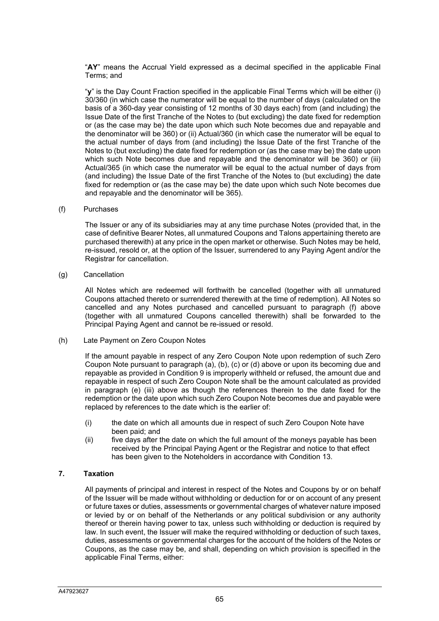"**AY**" means the Accrual Yield expressed as a decimal specified in the applicable Final Terms; and

"**y**" is the Day Count Fraction specified in the applicable Final Terms which will be either (i) 30/360 (in which case the numerator will be equal to the number of days (calculated on the basis of a 360-day year consisting of 12 months of 30 days each) from (and including) the Issue Date of the first Tranche of the Notes to (but excluding) the date fixed for redemption or (as the case may be) the date upon which such Note becomes due and repayable and the denominator will be 360) or (ii) Actual/360 (in which case the numerator will be equal to the actual number of days from (and including) the Issue Date of the first Tranche of the Notes to (but excluding) the date fixed for redemption or (as the case may be) the date upon which such Note becomes due and repayable and the denominator will be 360) or (iii) Actual/365 (in which case the numerator will be equal to the actual number of days from (and including) the Issue Date of the first Tranche of the Notes to (but excluding) the date fixed for redemption or (as the case may be) the date upon which such Note becomes due and repayable and the denominator will be 365).

#### (f) Purchases

The Issuer or any of its subsidiaries may at any time purchase Notes (provided that, in the case of definitive Bearer Notes, all unmatured Coupons and Talons appertaining thereto are purchased therewith) at any price in the open market or otherwise. Such Notes may be held, re-issued, resold or, at the option of the Issuer, surrendered to any Paying Agent and/or the Registrar for cancellation.

(g) Cancellation

All Notes which are redeemed will forthwith be cancelled (together with all unmatured Coupons attached thereto or surrendered therewith at the time of redemption). All Notes so cancelled and any Notes purchased and cancelled pursuant to paragraph (f) above (together with all unmatured Coupons cancelled therewith) shall be forwarded to the Principal Paying Agent and cannot be re-issued or resold.

#### (h) Late Payment on Zero Coupon Notes

If the amount payable in respect of any Zero Coupon Note upon redemption of such Zero Coupon Note pursuant to paragraph (a), (b), (c) or (d) above or upon its becoming due and repayable as provided in Condition 9 is improperly withheld or refused, the amount due and repayable in respect of such Zero Coupon Note shall be the amount calculated as provided in paragraph (e) (iii) above as though the references therein to the date fixed for the redemption or the date upon which such Zero Coupon Note becomes due and payable were replaced by references to the date which is the earlier of:

- (i) the date on which all amounts due in respect of such Zero Coupon Note have been paid; and
- (ii) five days after the date on which the full amount of the moneys payable has been received by the Principal Paying Agent or the Registrar and notice to that effect has been given to the Noteholders in accordance with Condition 13.

#### **7. Taxation**

All payments of principal and interest in respect of the Notes and Coupons by or on behalf of the Issuer will be made without withholding or deduction for or on account of any present or future taxes or duties, assessments or governmental charges of whatever nature imposed or levied by or on behalf of the Netherlands or any political subdivision or any authority thereof or therein having power to tax, unless such withholding or deduction is required by law. In such event, the Issuer will make the required withholding or deduction of such taxes, duties, assessments or governmental charges for the account of the holders of the Notes or Coupons, as the case may be, and shall, depending on which provision is specified in the applicable Final Terms, either: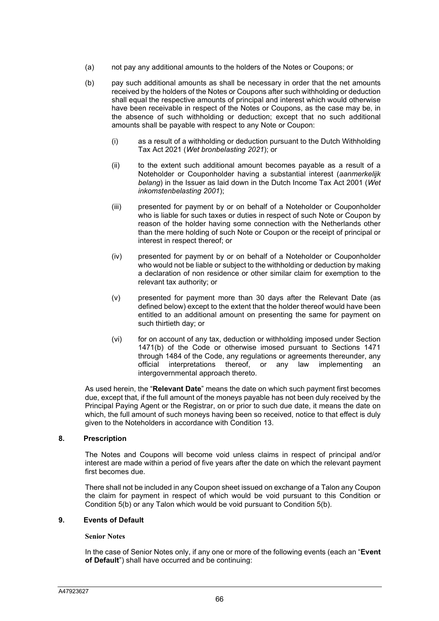- (a) not pay any additional amounts to the holders of the Notes or Coupons; or
- (b) pay such additional amounts as shall be necessary in order that the net amounts received by the holders of the Notes or Coupons after such withholding or deduction shall equal the respective amounts of principal and interest which would otherwise have been receivable in respect of the Notes or Coupons, as the case may be, in the absence of such withholding or deduction; except that no such additional amounts shall be payable with respect to any Note or Coupon:
	- (i) as a result of a withholding or deduction pursuant to the Dutch Withholding Tax Act 2021 (*Wet bronbelasting 2021*); or
	- (ii) to the extent such additional amount becomes payable as a result of a Noteholder or Couponholder having a substantial interest (*aanmerkelijk belang*) in the Issuer as laid down in the Dutch Income Tax Act 2001 (*Wet inkomstenbelasting 2001*);
	- (iii) presented for payment by or on behalf of a Noteholder or Couponholder who is liable for such taxes or duties in respect of such Note or Coupon by reason of the holder having some connection with the Netherlands other than the mere holding of such Note or Coupon or the receipt of principal or interest in respect thereof; or
	- (iv) presented for payment by or on behalf of a Noteholder or Couponholder who would not be liable or subject to the withholding or deduction by making a declaration of non residence or other similar claim for exemption to the relevant tax authority; or
	- (v) presented for payment more than 30 days after the Relevant Date (as defined below) except to the extent that the holder thereof would have been entitled to an additional amount on presenting the same for payment on such thirtieth day; or
	- (vi) for on account of any tax, deduction or withholding imposed under Section 1471(b) of the Code or otherwise imosed pursuant to Sections 1471 through 1484 of the Code, any regulations or agreements thereunder, any official interpretations thereof, or any law implementing an intergovernmental approach thereto.

As used herein, the "**Relevant Date**" means the date on which such payment first becomes due, except that, if the full amount of the moneys payable has not been duly received by the Principal Paying Agent or the Registrar, on or prior to such due date, it means the date on which, the full amount of such moneys having been so received, notice to that effect is duly given to the Noteholders in accordance with Condition 13.

### **8. Prescription**

The Notes and Coupons will become void unless claims in respect of principal and/or interest are made within a period of five years after the date on which the relevant payment first becomes due.

There shall not be included in any Coupon sheet issued on exchange of a Talon any Coupon the claim for payment in respect of which would be void pursuant to this Condition or Condition 5(b) or any Talon which would be void pursuant to Condition 5(b).

### **9. Events of Default**

#### **Senior Notes**

In the case of Senior Notes only, if any one or more of the following events (each an "**Event of Default**") shall have occurred and be continuing: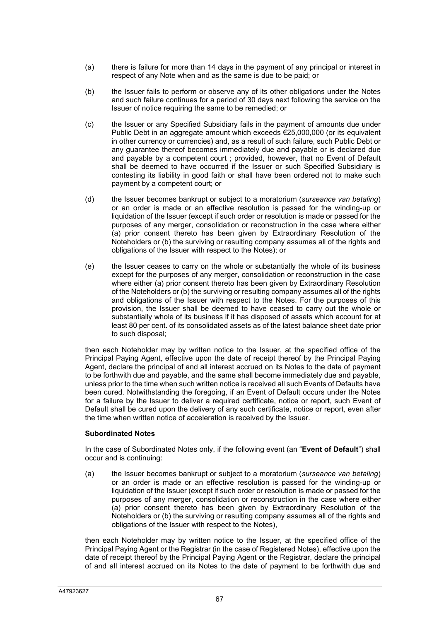- (a) there is failure for more than 14 days in the payment of any principal or interest in respect of any Note when and as the same is due to be paid; or
- (b) the Issuer fails to perform or observe any of its other obligations under the Notes and such failure continues for a period of 30 days next following the service on the Issuer of notice requiring the same to be remedied; or
- (c) the Issuer or any Specified Subsidiary fails in the payment of amounts due under Public Debt in an aggregate amount which exceeds €25,000,000 (or its equivalent in other currency or currencies) and, as a result of such failure, such Public Debt or any guarantee thereof becomes immediately due and payable or is declared due and payable by a competent court ; provided, however, that no Event of Default shall be deemed to have occurred if the Issuer or such Specified Subsidiary is contesting its liability in good faith or shall have been ordered not to make such payment by a competent court; or
- (d) the Issuer becomes bankrupt or subject to a moratorium (*surseance van betaling*) or an order is made or an effective resolution is passed for the winding-up or liquidation of the Issuer (except if such order or resolution is made or passed for the purposes of any merger, consolidation or reconstruction in the case where either (a) prior consent thereto has been given by Extraordinary Resolution of the Noteholders or (b) the surviving or resulting company assumes all of the rights and obligations of the Issuer with respect to the Notes); or
- (e) the Issuer ceases to carry on the whole or substantially the whole of its business except for the purposes of any merger, consolidation or reconstruction in the case where either (a) prior consent thereto has been given by Extraordinary Resolution of the Noteholders or (b) the surviving or resulting company assumes all of the rights and obligations of the Issuer with respect to the Notes. For the purposes of this provision, the Issuer shall be deemed to have ceased to carry out the whole or substantially whole of its business if it has disposed of assets which account for at least 80 per cent. of its consolidated assets as of the latest balance sheet date prior to such disposal;

then each Noteholder may by written notice to the Issuer, at the specified office of the Principal Paying Agent, effective upon the date of receipt thereof by the Principal Paying Agent, declare the principal of and all interest accrued on its Notes to the date of payment to be forthwith due and payable, and the same shall become immediately due and payable, unless prior to the time when such written notice is received all such Events of Defaults have been cured. Notwithstanding the foregoing, if an Event of Default occurs under the Notes for a failure by the Issuer to deliver a required certificate, notice or report, such Event of Default shall be cured upon the delivery of any such certificate, notice or report, even after the time when written notice of acceleration is received by the Issuer.

### **Subordinated Notes**

In the case of Subordinated Notes only, if the following event (an "**Event of Default**") shall occur and is continuing:

(a) the Issuer becomes bankrupt or subject to a moratorium (*surseance van betaling*) or an order is made or an effective resolution is passed for the winding-up or liquidation of the Issuer (except if such order or resolution is made or passed for the purposes of any merger, consolidation or reconstruction in the case where either (a) prior consent thereto has been given by Extraordinary Resolution of the Noteholders or (b) the surviving or resulting company assumes all of the rights and obligations of the Issuer with respect to the Notes),

then each Noteholder may by written notice to the Issuer, at the specified office of the Principal Paying Agent or the Registrar (in the case of Registered Notes), effective upon the date of receipt thereof by the Principal Paying Agent or the Registrar, declare the principal of and all interest accrued on its Notes to the date of payment to be forthwith due and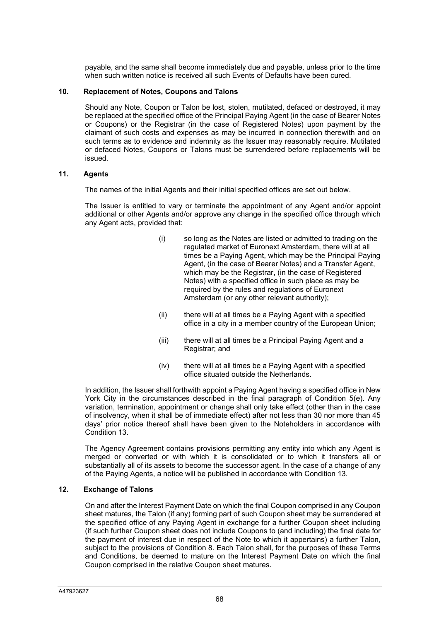payable, and the same shall become immediately due and payable, unless prior to the time when such written notice is received all such Events of Defaults have been cured.

#### **10. Replacement of Notes, Coupons and Talons**

Should any Note, Coupon or Talon be lost, stolen, mutilated, defaced or destroyed, it may be replaced at the specified office of the Principal Paying Agent (in the case of Bearer Notes or Coupons) or the Registrar (in the case of Registered Notes) upon payment by the claimant of such costs and expenses as may be incurred in connection therewith and on such terms as to evidence and indemnity as the Issuer may reasonably require. Mutilated or defaced Notes, Coupons or Talons must be surrendered before replacements will be issued.

### **11. Agents**

The names of the initial Agents and their initial specified offices are set out below.

The Issuer is entitled to vary or terminate the appointment of any Agent and/or appoint additional or other Agents and/or approve any change in the specified office through which any Agent acts, provided that:

- (i) so long as the Notes are listed or admitted to trading on the regulated market of Euronext Amsterdam, there will at all times be a Paying Agent, which may be the Principal Paying Agent, (in the case of Bearer Notes) and a Transfer Agent, which may be the Registrar, (in the case of Registered Notes) with a specified office in such place as may be required by the rules and regulations of Euronext Amsterdam (or any other relevant authority);
- (ii) there will at all times be a Paying Agent with a specified office in a city in a member country of the European Union;
- (iii) there will at all times be a Principal Paying Agent and a Registrar; and
- (iv) there will at all times be a Paying Agent with a specified office situated outside the Netherlands.

In addition, the Issuer shall forthwith appoint a Paying Agent having a specified office in New York City in the circumstances described in the final paragraph of Condition 5(e). Any variation, termination, appointment or change shall only take effect (other than in the case of insolvency, when it shall be of immediate effect) after not less than 30 nor more than 45 days' prior notice thereof shall have been given to the Noteholders in accordance with Condition 13.

The Agency Agreement contains provisions permitting any entity into which any Agent is merged or converted or with which it is consolidated or to which it transfers all or substantially all of its assets to become the successor agent. In the case of a change of any of the Paying Agents, a notice will be published in accordance with Condition 13.

## **12. Exchange of Talons**

On and after the Interest Payment Date on which the final Coupon comprised in any Coupon sheet matures, the Talon (if any) forming part of such Coupon sheet may be surrendered at the specified office of any Paying Agent in exchange for a further Coupon sheet including (if such further Coupon sheet does not include Coupons to (and including) the final date for the payment of interest due in respect of the Note to which it appertains) a further Talon, subject to the provisions of Condition 8. Each Talon shall, for the purposes of these Terms and Conditions, be deemed to mature on the Interest Payment Date on which the final Coupon comprised in the relative Coupon sheet matures.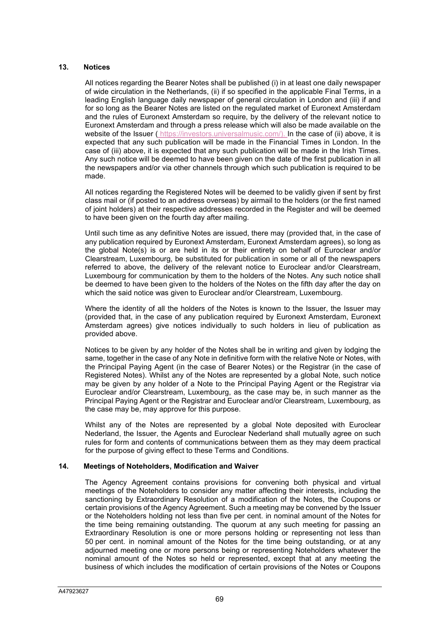### **13. Notices**

All notices regarding the Bearer Notes shall be published (i) in at least one daily newspaper of wide circulation in the Netherlands, (ii) if so specified in the applicable Final Terms, in a leading English language daily newspaper of general circulation in London and (iii) if and for so long as the Bearer Notes are listed on the regulated market of Euronext Amsterdam and the rules of Euronext Amsterdam so require, by the delivery of the relevant notice to Euronext Amsterdam and through a press release which will also be made available on the website of the Issuer ( https://investors.universalmusic.com/). In the case of (ii) above, it is expected that any such publication will be made in the Financial Times in London. In the case of (iii) above, it is expected that any such publication will be made in the Irish Times. Any such notice will be deemed to have been given on the date of the first publication in all the newspapers and/or via other channels through which such publication is required to be made.

All notices regarding the Registered Notes will be deemed to be validly given if sent by first class mail or (if posted to an address overseas) by airmail to the holders (or the first named of joint holders) at their respective addresses recorded in the Register and will be deemed to have been given on the fourth day after mailing.

Until such time as any definitive Notes are issued, there may (provided that, in the case of any publication required by Euronext Amsterdam, Euronext Amsterdam agrees), so long as the global Note(s) is or are held in its or their entirety on behalf of Euroclear and/or Clearstream, Luxembourg, be substituted for publication in some or all of the newspapers referred to above, the delivery of the relevant notice to Euroclear and/or Clearstream, Luxembourg for communication by them to the holders of the Notes. Any such notice shall be deemed to have been given to the holders of the Notes on the fifth day after the day on which the said notice was given to Euroclear and/or Clearstream, Luxembourg.

Where the identity of all the holders of the Notes is known to the Issuer, the Issuer may (provided that, in the case of any publication required by Euronext Amsterdam, Euronext Amsterdam agrees) give notices individually to such holders in lieu of publication as provided above.

Notices to be given by any holder of the Notes shall be in writing and given by lodging the same, together in the case of any Note in definitive form with the relative Note or Notes, with the Principal Paying Agent (in the case of Bearer Notes) or the Registrar (in the case of Registered Notes). Whilst any of the Notes are represented by a global Note, such notice may be given by any holder of a Note to the Principal Paying Agent or the Registrar via Euroclear and/or Clearstream, Luxembourg, as the case may be, in such manner as the Principal Paying Agent or the Registrar and Euroclear and/or Clearstream, Luxembourg, as the case may be, may approve for this purpose.

Whilst any of the Notes are represented by a global Note deposited with Euroclear Nederland, the Issuer, the Agents and Euroclear Nederland shall mutually agree on such rules for form and contents of communications between them as they may deem practical for the purpose of giving effect to these Terms and Conditions.

### **14. Meetings of Noteholders, Modification and Waiver**

The Agency Agreement contains provisions for convening both physical and virtual meetings of the Noteholders to consider any matter affecting their interests, including the sanctioning by Extraordinary Resolution of a modification of the Notes, the Coupons or certain provisions of the Agency Agreement. Such a meeting may be convened by the Issuer or the Noteholders holding not less than five per cent. in nominal amount of the Notes for the time being remaining outstanding. The quorum at any such meeting for passing an Extraordinary Resolution is one or more persons holding or representing not less than 50 per cent. in nominal amount of the Notes for the time being outstanding, or at any adjourned meeting one or more persons being or representing Noteholders whatever the nominal amount of the Notes so held or represented, except that at any meeting the business of which includes the modification of certain provisions of the Notes or Coupons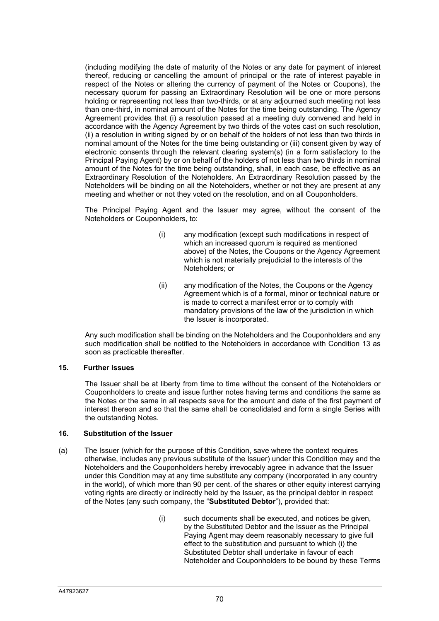(including modifying the date of maturity of the Notes or any date for payment of interest thereof, reducing or cancelling the amount of principal or the rate of interest payable in respect of the Notes or altering the currency of payment of the Notes or Coupons), the necessary quorum for passing an Extraordinary Resolution will be one or more persons holding or representing not less than two-thirds, or at any adjourned such meeting not less than one-third, in nominal amount of the Notes for the time being outstanding. The Agency Agreement provides that (i) a resolution passed at a meeting duly convened and held in accordance with the Agency Agreement by two thirds of the votes cast on such resolution, (ii) a resolution in writing signed by or on behalf of the holders of not less than two thirds in nominal amount of the Notes for the time being outstanding or (iii) consent given by way of electronic consents through the relevant clearing system(s) (in a form satisfactory to the Principal Paying Agent) by or on behalf of the holders of not less than two thirds in nominal amount of the Notes for the time being outstanding, shall, in each case, be effective as an Extraordinary Resolution of the Noteholders. An Extraordinary Resolution passed by the Noteholders will be binding on all the Noteholders, whether or not they are present at any meeting and whether or not they voted on the resolution, and on all Couponholders.

The Principal Paying Agent and the Issuer may agree, without the consent of the Noteholders or Couponholders, to:

- (i) any modification (except such modifications in respect of which an increased quorum is required as mentioned above) of the Notes, the Coupons or the Agency Agreement which is not materially prejudicial to the interests of the Noteholders; or
- (ii) any modification of the Notes, the Coupons or the Agency Agreement which is of a formal, minor or technical nature or is made to correct a manifest error or to comply with mandatory provisions of the law of the jurisdiction in which the Issuer is incorporated.

Any such modification shall be binding on the Noteholders and the Couponholders and any such modification shall be notified to the Noteholders in accordance with Condition 13 as soon as practicable thereafter.

#### **15. Further Issues**

The Issuer shall be at liberty from time to time without the consent of the Noteholders or Couponholders to create and issue further notes having terms and conditions the same as the Notes or the same in all respects save for the amount and date of the first payment of interest thereon and so that the same shall be consolidated and form a single Series with the outstanding Notes.

#### **16. Substitution of the Issuer**

- (a) The Issuer (which for the purpose of this Condition, save where the context requires otherwise, includes any previous substitute of the Issuer) under this Condition may and the Noteholders and the Couponholders hereby irrevocably agree in advance that the Issuer under this Condition may at any time substitute any company (incorporated in any country in the world), of which more than 90 per cent. of the shares or other equity interest carrying voting rights are directly or indirectly held by the Issuer, as the principal debtor in respect of the Notes (any such company, the "**Substituted Debtor**"), provided that:
	- (i) such documents shall be executed, and notices be given, by the Substituted Debtor and the Issuer as the Principal Paying Agent may deem reasonably necessary to give full effect to the substitution and pursuant to which (i) the Substituted Debtor shall undertake in favour of each Noteholder and Couponholders to be bound by these Terms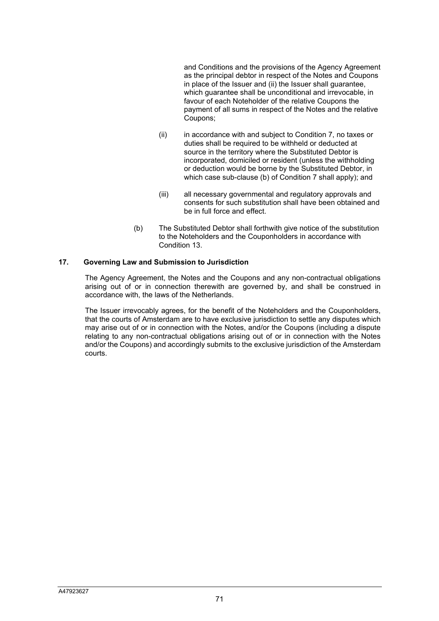and Conditions and the provisions of the Agency Agreement as the principal debtor in respect of the Notes and Coupons in place of the Issuer and (ii) the Issuer shall guarantee, which guarantee shall be unconditional and irrevocable, in favour of each Noteholder of the relative Coupons the payment of all sums in respect of the Notes and the relative Coupons;

- (ii) in accordance with and subject to Condition 7, no taxes or duties shall be required to be withheld or deducted at source in the territory where the Substituted Debtor is incorporated, domiciled or resident (unless the withholding or deduction would be borne by the Substituted Debtor, in which case sub-clause (b) of Condition 7 shall apply); and
- (iii) all necessary governmental and regulatory approvals and consents for such substitution shall have been obtained and be in full force and effect.
- (b) The Substituted Debtor shall forthwith give notice of the substitution to the Noteholders and the Couponholders in accordance with Condition 13.

#### **17. Governing Law and Submission to Jurisdiction**

The Agency Agreement, the Notes and the Coupons and any non-contractual obligations arising out of or in connection therewith are governed by, and shall be construed in accordance with, the laws of the Netherlands.

The Issuer irrevocably agrees, for the benefit of the Noteholders and the Couponholders, that the courts of Amsterdam are to have exclusive jurisdiction to settle any disputes which may arise out of or in connection with the Notes, and/or the Coupons (including a dispute relating to any non-contractual obligations arising out of or in connection with the Notes and/or the Coupons) and accordingly submits to the exclusive jurisdiction of the Amsterdam courts.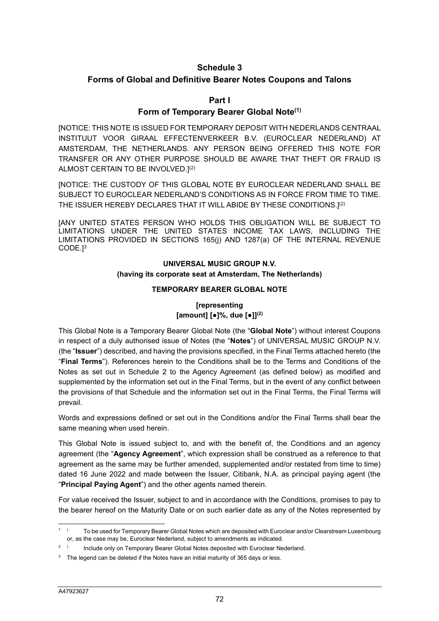## **Schedule 3**

## **Forms of Global and Definitive Bearer Notes Coupons and Talons**

### **Part I**

#### **Form of Temporary Bearer Global Note(1)**

[NOTICE: THIS NOTE IS ISSUED FOR TEMPORARY DEPOSIT WITH NEDERLANDS CENTRAAL INSTITUUT VOOR GIRAAL EFFECTENVERKEER B.V. (EUROCLEAR NEDERLAND) AT AMSTERDAM, THE NETHERLANDS. ANY PERSON BEING OFFERED THIS NOTE FOR TRANSFER OR ANY OTHER PURPOSE SHOULD BE AWARE THAT THEFT OR FRAUD IS ALMOST CERTAIN TO BE INVOLVED.](2)

[NOTICE: THE CUSTODY OF THIS GLOBAL NOTE BY EUROCLEAR NEDERLAND SHALL BE SUBJECT TO EUROCLEAR NEDERLAND'S CONDITIONS AS IN FORCE FROM TIME TO TIME. THE ISSUER HEREBY DECLARES THAT IT WILL ABIDE BY THESE CONDITIONS.](2)

[ANY UNITED STATES PERSON WHO HOLDS THIS OBLIGATION WILL BE SUBJECT TO LIMITATIONS UNDER THE UNITED STATES INCOME TAX LAWS, INCLUDING THE LIMITATIONS PROVIDED IN SECTIONS 165(j) AND 1287(a) OF THE INTERNAL REVENUE CODE.]3

## **UNIVERSAL MUSIC GROUP N.V. (having its corporate seat at Amsterdam, The Netherlands)**

#### **TEMPORARY BEARER GLOBAL NOTE**

### **[representing [amount] [●]%, due [●]](2)**

This Global Note is a Temporary Bearer Global Note (the "**Global Note**") without interest Coupons in respect of a duly authorised issue of Notes (the "**Notes**") of UNIVERSAL MUSIC GROUP N.V. (the "**Issuer**") described, and having the provisions specified, in the Final Terms attached hereto (the "**Final Terms**"). References herein to the Conditions shall be to the Terms and Conditions of the Notes as set out in Schedule 2 to the Agency Agreement (as defined below) as modified and supplemented by the information set out in the Final Terms, but in the event of any conflict between the provisions of that Schedule and the information set out in the Final Terms, the Final Terms will prevail.

Words and expressions defined or set out in the Conditions and/or the Final Terms shall bear the same meaning when used herein.

This Global Note is issued subject to, and with the benefit of, the Conditions and an agency agreement (the "**Agency Agreement**", which expression shall be construed as a reference to that agreement as the same may be further amended, supplemented and/or restated from time to time) dated 16 June 2022 and made between the Issuer, Citibank, N.A. as principal paying agent (the "**Principal Paying Agent**") and the other agents named therein.

For value received the Issuer, subject to and in accordance with the Conditions, promises to pay to the bearer hereof on the Maturity Date or on such earlier date as any of the Notes represented by

<sup>1</sup> ) To be used for Temporary Bearer Global Notes which are deposited with Euroclear and/or Clearstream Luxembourg or, as the case may be, Euroclear Nederland, subject to amendments as indicated.

<sup>2</sup> ) Include only on Temporary Bearer Global Notes deposited with Euroclear Nederland.

 $3$  The legend can be deleted if the Notes have an initial maturity of 365 days or less.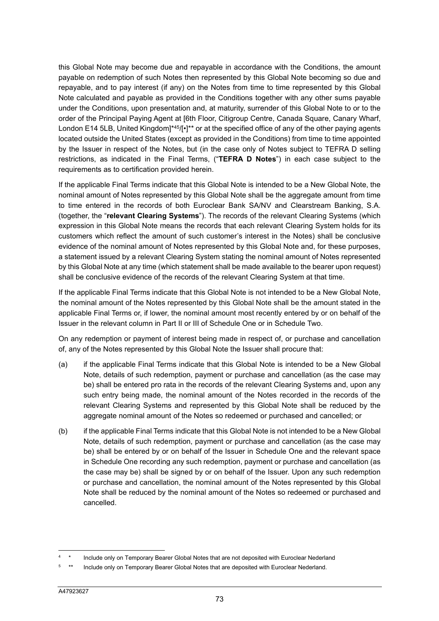this Global Note may become due and repayable in accordance with the Conditions, the amount payable on redemption of such Notes then represented by this Global Note becoming so due and repayable, and to pay interest (if any) on the Notes from time to time represented by this Global Note calculated and payable as provided in the Conditions together with any other sums payable under the Conditions, upon presentation and, at maturity, surrender of this Global Note to or to the order of the Principal Paying Agent at [6th Floor, Citigroup Centre, Canada Square, Canary Wharf, London E14 5LB, United Kingdom<sup>\*45</sup>/[•]<sup>\*\*</sup> or at the specified office of any of the other paying agents located outside the United States (except as provided in the Conditions) from time to time appointed by the Issuer in respect of the Notes, but (in the case only of Notes subject to TEFRA D selling restrictions, as indicated in the Final Terms, ("**TEFRA D Notes**") in each case subject to the requirements as to certification provided herein.

If the applicable Final Terms indicate that this Global Note is intended to be a New Global Note, the nominal amount of Notes represented by this Global Note shall be the aggregate amount from time to time entered in the records of both Euroclear Bank SA/NV and Clearstream Banking, S.A. (together, the "**relevant Clearing Systems**"). The records of the relevant Clearing Systems (which expression in this Global Note means the records that each relevant Clearing System holds for its customers which reflect the amount of such customer's interest in the Notes) shall be conclusive evidence of the nominal amount of Notes represented by this Global Note and, for these purposes, a statement issued by a relevant Clearing System stating the nominal amount of Notes represented by this Global Note at any time (which statement shall be made available to the bearer upon request) shall be conclusive evidence of the records of the relevant Clearing System at that time.

If the applicable Final Terms indicate that this Global Note is not intended to be a New Global Note, the nominal amount of the Notes represented by this Global Note shall be the amount stated in the applicable Final Terms or, if lower, the nominal amount most recently entered by or on behalf of the Issuer in the relevant column in Part II or III of Schedule One or in Schedule Two.

On any redemption or payment of interest being made in respect of, or purchase and cancellation of, any of the Notes represented by this Global Note the Issuer shall procure that:

- (a) if the applicable Final Terms indicate that this Global Note is intended to be a New Global Note, details of such redemption, payment or purchase and cancellation (as the case may be) shall be entered pro rata in the records of the relevant Clearing Systems and, upon any such entry being made, the nominal amount of the Notes recorded in the records of the relevant Clearing Systems and represented by this Global Note shall be reduced by the aggregate nominal amount of the Notes so redeemed or purchased and cancelled; or
- (b) if the applicable Final Terms indicate that this Global Note is not intended to be a New Global Note, details of such redemption, payment or purchase and cancellation (as the case may be) shall be entered by or on behalf of the Issuer in Schedule One and the relevant space in Schedule One recording any such redemption, payment or purchase and cancellation (as the case may be) shall be signed by or on behalf of the Issuer. Upon any such redemption or purchase and cancellation, the nominal amount of the Notes represented by this Global Note shall be reduced by the nominal amount of the Notes so redeemed or purchased and cancelled.

<sup>4</sup> Include only on Temporary Bearer Global Notes that are not deposited with Euroclear Nederland

<sup>5</sup> Include only on Temporary Bearer Global Notes that are deposited with Euroclear Nederland.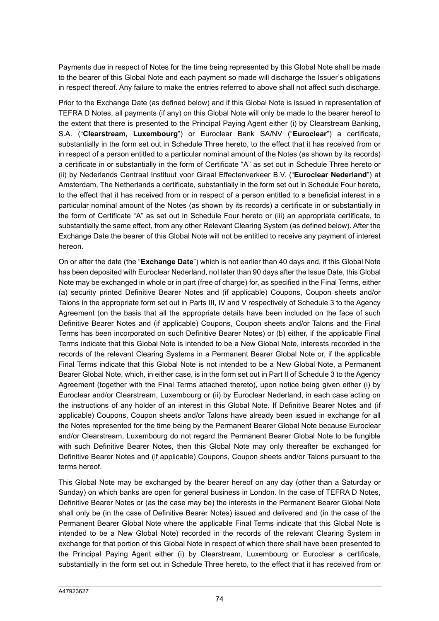Payments due in respect of Notes for the time being represented by this Global Note shall be made to the bearer of this Global Note and each payment so made will discharge the Issuer's obligations in respect thereof. Any failure to make the entries referred to above shall not affect such discharge.

Prior to the Exchange Date (as defined below) and if this Global Note is issued in representation of TEFRA D Notes, all payments (if any) on this Global Note will only be made to the bearer hereof to the extent that there is presented to the Principal Paying Agent either (i) by Clearstream Banking, S.A. ("**Clearstream, Luxembourg**") or Euroclear Bank SA/NV ("**Euroclear**") a certificate, substantially in the form set out in Schedule Three hereto, to the effect that it has received from or in respect of a person entitled to a particular nominal amount of the Notes (as shown by its records) a certificate in or substantially in the form of Certificate "A" as set out in Schedule Three hereto or (ii) by Nederlands Centraal Instituut voor Giraal Effectenverkeer B.V. ("**Euroclear Nederland**") at Amsterdam, The Netherlands a certificate, substantially in the form set out in Schedule Four hereto, to the effect that it has received from or in respect of a person entitled to a beneficial interest in a particular nominal amount of the Notes (as shown by its records) a certificate in or substantially in the form of Certificate "A" as set out in Schedule Four hereto or (iii) an appropriate certificate, to substantially the same effect, from any other Relevant Clearing System (as defined below). After the Exchange Date the bearer of this Global Note will not be entitled to receive any payment of interest hereon.

On or after the date (the "**Exchange Date**") which is not earlier than 40 days and, if this Global Note has been deposited with Euroclear Nederland, not later than 90 days after the Issue Date, this Global Note may be exchanged in whole or in part (free of charge) for, as specified in the Final Terms, either (a) security printed Definitive Bearer Notes and (if applicable) Coupons, Coupon sheets and/or Talons in the appropriate form set out in Parts III, IV and V respectively of Schedule 3 to the Agency Agreement (on the basis that all the appropriate details have been included on the face of such Definitive Bearer Notes and (if applicable) Coupons, Coupon sheets and/or Talons and the Final Terms has been incorporated on such Definitive Bearer Notes) or (b) either, if the applicable Final Terms indicate that this Global Note is intended to be a New Global Note, interests recorded in the records of the relevant Clearing Systems in a Permanent Bearer Global Note or, if the applicable Final Terms indicate that this Global Note is not intended to be a New Global Note, a Permanent Bearer Global Note, which, in either case, is in the form set out in Part II of Schedule 3 to the Agency Agreement (together with the Final Terms attached thereto), upon notice being given either (i) by Euroclear and/or Clearstream, Luxembourg or (ii) by Euroclear Nederland, in each case acting on the instructions of any holder of an interest in this Global Note. If Definitive Bearer Notes and (if applicable) Coupons, Coupon sheets and/or Talons have already been issued in exchange for all the Notes represented for the time being by the Permanent Bearer Global Note because Euroclear and/or Clearstream, Luxembourg do not regard the Permanent Bearer Global Note to be fungible with such Definitive Bearer Notes, then this Global Note may only thereafter be exchanged for Definitive Bearer Notes and (if applicable) Coupons, Coupon sheets and/or Talons pursuant to the terms hereof.

This Global Note may be exchanged by the bearer hereof on any day (other than a Saturday or Sunday) on which banks are open for general business in London. In the case of TEFRA D Notes, Definitive Bearer Notes or (as the case may be) the interests in the Permanent Bearer Global Note shall only be (in the case of Definitive Bearer Notes) issued and delivered and (in the case of the Permanent Bearer Global Note where the applicable Final Terms indicate that this Global Note is intended to be a New Global Note) recorded in the records of the relevant Clearing System in exchange for that portion of this Global Note in respect of which there shall have been presented to the Principal Paying Agent either (i) by Clearstream, Luxembourg or Euroclear a certificate, substantially in the form set out in Schedule Three hereto, to the effect that it has received from or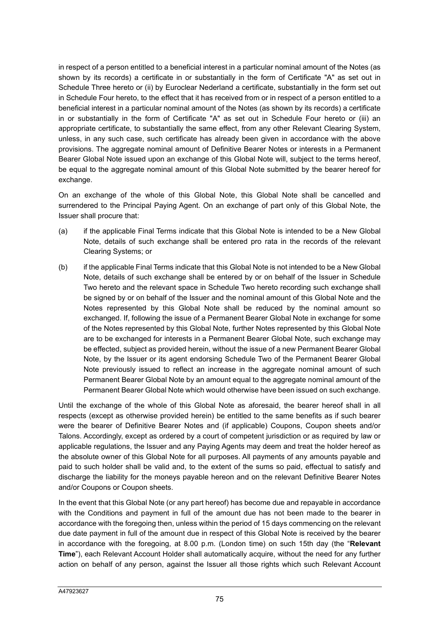in respect of a person entitled to a beneficial interest in a particular nominal amount of the Notes (as shown by its records) a certificate in or substantially in the form of Certificate "A" as set out in Schedule Three hereto or (ii) by Euroclear Nederland a certificate, substantially in the form set out in Schedule Four hereto, to the effect that it has received from or in respect of a person entitled to a beneficial interest in a particular nominal amount of the Notes (as shown by its records) a certificate in or substantially in the form of Certificate "A" as set out in Schedule Four hereto or (iii) an appropriate certificate, to substantially the same effect, from any other Relevant Clearing System, unless, in any such case, such certificate has already been given in accordance with the above provisions. The aggregate nominal amount of Definitive Bearer Notes or interests in a Permanent Bearer Global Note issued upon an exchange of this Global Note will, subject to the terms hereof, be equal to the aggregate nominal amount of this Global Note submitted by the bearer hereof for exchange.

On an exchange of the whole of this Global Note, this Global Note shall be cancelled and surrendered to the Principal Paying Agent. On an exchange of part only of this Global Note, the Issuer shall procure that:

- (a) if the applicable Final Terms indicate that this Global Note is intended to be a New Global Note, details of such exchange shall be entered pro rata in the records of the relevant Clearing Systems; or
- (b) if the applicable Final Terms indicate that this Global Note is not intended to be a New Global Note, details of such exchange shall be entered by or on behalf of the Issuer in Schedule Two hereto and the relevant space in Schedule Two hereto recording such exchange shall be signed by or on behalf of the Issuer and the nominal amount of this Global Note and the Notes represented by this Global Note shall be reduced by the nominal amount so exchanged. If, following the issue of a Permanent Bearer Global Note in exchange for some of the Notes represented by this Global Note, further Notes represented by this Global Note are to be exchanged for interests in a Permanent Bearer Global Note, such exchange may be effected, subject as provided herein, without the issue of a new Permanent Bearer Global Note, by the Issuer or its agent endorsing Schedule Two of the Permanent Bearer Global Note previously issued to reflect an increase in the aggregate nominal amount of such Permanent Bearer Global Note by an amount equal to the aggregate nominal amount of the Permanent Bearer Global Note which would otherwise have been issued on such exchange.

Until the exchange of the whole of this Global Note as aforesaid, the bearer hereof shall in all respects (except as otherwise provided herein) be entitled to the same benefits as if such bearer were the bearer of Definitive Bearer Notes and (if applicable) Coupons, Coupon sheets and/or Talons. Accordingly, except as ordered by a court of competent jurisdiction or as required by law or applicable regulations, the Issuer and any Paying Agents may deem and treat the holder hereof as the absolute owner of this Global Note for all purposes. All payments of any amounts payable and paid to such holder shall be valid and, to the extent of the sums so paid, effectual to satisfy and discharge the liability for the moneys payable hereon and on the relevant Definitive Bearer Notes and/or Coupons or Coupon sheets.

In the event that this Global Note (or any part hereof) has become due and repayable in accordance with the Conditions and payment in full of the amount due has not been made to the bearer in accordance with the foregoing then, unless within the period of 15 days commencing on the relevant due date payment in full of the amount due in respect of this Global Note is received by the bearer in accordance with the foregoing, at 8.00 p.m. (London time) on such 15th day (the "**Relevant Time**"), each Relevant Account Holder shall automatically acquire, without the need for any further action on behalf of any person, against the Issuer all those rights which such Relevant Account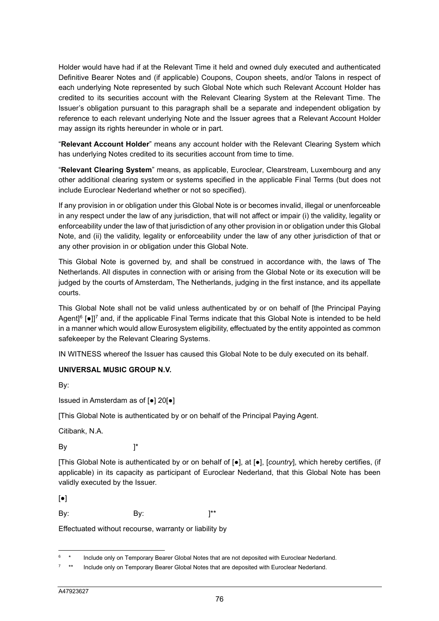Holder would have had if at the Relevant Time it held and owned duly executed and authenticated Definitive Bearer Notes and (if applicable) Coupons, Coupon sheets, and/or Talons in respect of each underlying Note represented by such Global Note which such Relevant Account Holder has credited to its securities account with the Relevant Clearing System at the Relevant Time. The Issuer's obligation pursuant to this paragraph shall be a separate and independent obligation by reference to each relevant underlying Note and the Issuer agrees that a Relevant Account Holder may assign its rights hereunder in whole or in part.

"**Relevant Account Holder**" means any account holder with the Relevant Clearing System which has underlying Notes credited to its securities account from time to time.

"**Relevant Clearing System**" means, as applicable, Euroclear, Clearstream, Luxembourg and any other additional clearing system or systems specified in the applicable Final Terms (but does not include Euroclear Nederland whether or not so specified).

If any provision in or obligation under this Global Note is or becomes invalid, illegal or unenforceable in any respect under the law of any jurisdiction, that will not affect or impair (i) the validity, legality or enforceability under the law of that jurisdiction of any other provision in or obligation under this Global Note, and (ii) the validity, legality or enforceability under the law of any other jurisdiction of that or any other provision in or obligation under this Global Note.

This Global Note is governed by, and shall be construed in accordance with, the laws of The Netherlands. All disputes in connection with or arising from the Global Note or its execution will be judged by the courts of Amsterdam, The Netherlands, judging in the first instance, and its appellate courts.

This Global Note shall not be valid unless authenticated by or on behalf of [the Principal Paying Agent<sup>[6</sup> [ $\bullet$ ]<sup>7</sup> and, if the applicable Final Terms indicate that this Global Note is intended to be held in a manner which would allow Eurosystem eligibility, effectuated by the entity appointed as common safekeeper by the Relevant Clearing Systems.

IN WITNESS whereof the Issuer has caused this Global Note to be duly executed on its behalf.

### **UNIVERSAL MUSIC GROUP N.V.**

By:

Issued in Amsterdam as of [●] 20[●]

[This Global Note is authenticated by or on behalf of the Principal Paying Agent.

Citibank, N.A.

By  $\qquad \qquad$  ]\*

[This Global Note is authenticated by or on behalf of [●], at [●], [*country*], which hereby certifies, (if applicable) in its capacity as participant of Euroclear Nederland, that this Global Note has been validly executed by the Issuer.

 $\lceil \bullet \rceil$ 

By:  $By:$   $]^{**}$ 

Effectuated without recourse, warranty or liability by

<sup>6</sup> \* Include only on Temporary Bearer Global Notes that are not deposited with Euroclear Nederland.

<sup>7</sup> Include only on Temporary Bearer Global Notes that are deposited with Euroclear Nederland.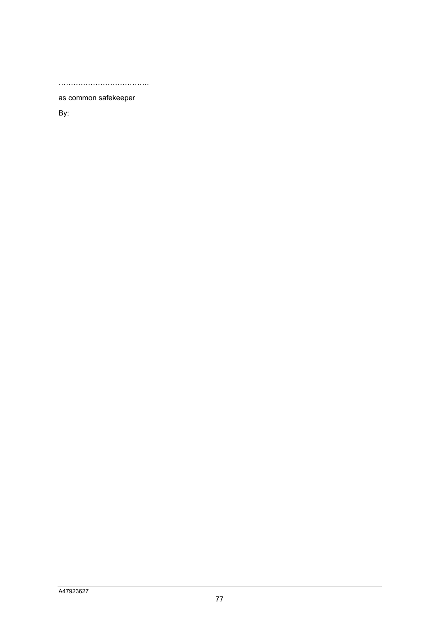……………………………….

as common safekeeper

By: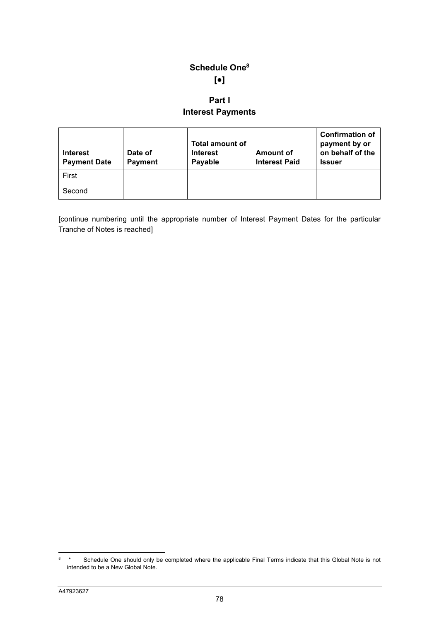# **Schedule One8 [●]**

# **Part I Interest Payments**

| <b>Interest</b><br><b>Payment Date</b> | Date of<br><b>Payment</b> | <b>Total amount of</b><br><b>Interest</b><br>Payable | <b>Amount of</b><br><b>Interest Paid</b> | <b>Confirmation of</b><br>payment by or<br>on behalf of the<br><b>Issuer</b> |
|----------------------------------------|---------------------------|------------------------------------------------------|------------------------------------------|------------------------------------------------------------------------------|
| First                                  |                           |                                                      |                                          |                                                                              |
| Second                                 |                           |                                                      |                                          |                                                                              |

[continue numbering until the appropriate number of Interest Payment Dates for the particular Tranche of Notes is reached]

<sup>8</sup> \* Schedule One should only be completed where the applicable Final Terms indicate that this Global Note is not intended to be a New Global Note.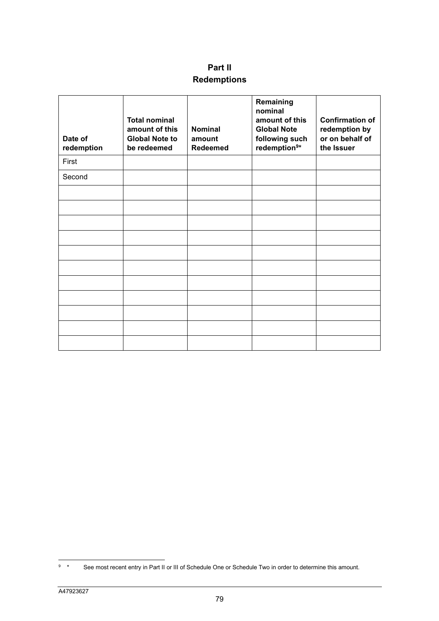# **Part II Redemptions**

| Date of<br>redemption | <b>Total nominal</b><br>amount of this<br><b>Global Note to</b><br>be redeemed | <b>Nominal</b><br>amount<br><b>Redeemed</b> | Remaining<br>nominal<br>amount of this<br><b>Global Note</b><br>following such<br>redemption <sup>9*</sup> | <b>Confirmation of</b><br>redemption by<br>or on behalf of<br>the Issuer |
|-----------------------|--------------------------------------------------------------------------------|---------------------------------------------|------------------------------------------------------------------------------------------------------------|--------------------------------------------------------------------------|
| First                 |                                                                                |                                             |                                                                                                            |                                                                          |
| Second                |                                                                                |                                             |                                                                                                            |                                                                          |
|                       |                                                                                |                                             |                                                                                                            |                                                                          |
|                       |                                                                                |                                             |                                                                                                            |                                                                          |
|                       |                                                                                |                                             |                                                                                                            |                                                                          |
|                       |                                                                                |                                             |                                                                                                            |                                                                          |
|                       |                                                                                |                                             |                                                                                                            |                                                                          |
|                       |                                                                                |                                             |                                                                                                            |                                                                          |
|                       |                                                                                |                                             |                                                                                                            |                                                                          |
|                       |                                                                                |                                             |                                                                                                            |                                                                          |
|                       |                                                                                |                                             |                                                                                                            |                                                                          |
|                       |                                                                                |                                             |                                                                                                            |                                                                          |
|                       |                                                                                |                                             |                                                                                                            |                                                                          |

<sup>9</sup> See most recent entry in Part II or III of Schedule One or Schedule Two in order to determine this amount.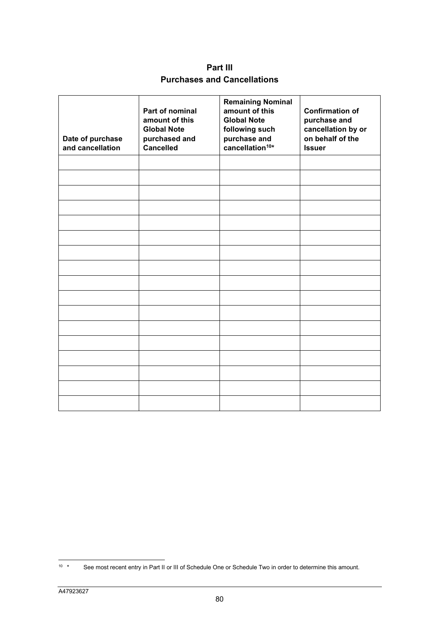**Part III Purchases and Cancellations** 

| Date of purchase<br>and cancellation | Part of nominal<br>amount of this<br><b>Global Note</b><br>purchased and<br><b>Cancelled</b> | <b>Remaining Nominal</b><br>amount of this<br><b>Global Note</b><br>following such<br>purchase and<br>cancellation <sup>10*</sup> | <b>Confirmation of</b><br>purchase and<br>cancellation by or<br>on behalf of the<br><b>Issuer</b> |
|--------------------------------------|----------------------------------------------------------------------------------------------|-----------------------------------------------------------------------------------------------------------------------------------|---------------------------------------------------------------------------------------------------|
|                                      |                                                                                              |                                                                                                                                   |                                                                                                   |
|                                      |                                                                                              |                                                                                                                                   |                                                                                                   |
|                                      |                                                                                              |                                                                                                                                   |                                                                                                   |
|                                      |                                                                                              |                                                                                                                                   |                                                                                                   |
|                                      |                                                                                              |                                                                                                                                   |                                                                                                   |
|                                      |                                                                                              |                                                                                                                                   |                                                                                                   |
|                                      |                                                                                              |                                                                                                                                   |                                                                                                   |
|                                      |                                                                                              |                                                                                                                                   |                                                                                                   |
|                                      |                                                                                              |                                                                                                                                   |                                                                                                   |
|                                      |                                                                                              |                                                                                                                                   |                                                                                                   |
|                                      |                                                                                              |                                                                                                                                   |                                                                                                   |
|                                      |                                                                                              |                                                                                                                                   |                                                                                                   |
|                                      |                                                                                              |                                                                                                                                   |                                                                                                   |
|                                      |                                                                                              |                                                                                                                                   |                                                                                                   |
|                                      |                                                                                              |                                                                                                                                   |                                                                                                   |
|                                      |                                                                                              |                                                                                                                                   |                                                                                                   |
|                                      |                                                                                              |                                                                                                                                   |                                                                                                   |

<sup>10 \*</sup> See most recent entry in Part II or III of Schedule One or Schedule Two in order to determine this amount.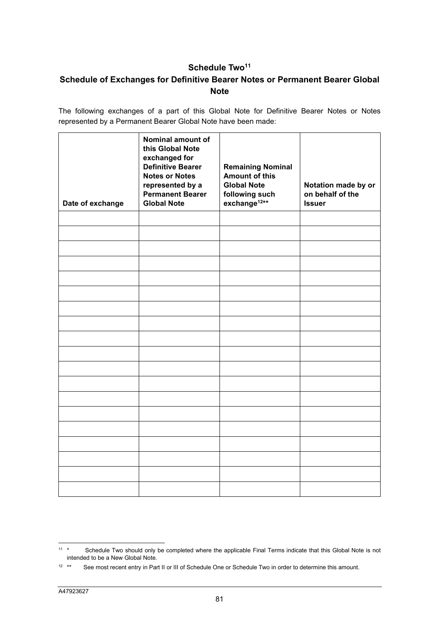## Schedule Two<sup>11</sup>

## **Schedule of Exchanges for Definitive Bearer Notes or Permanent Bearer Global Note**

The following exchanges of a part of this Global Note for Definitive Bearer Notes or Notes represented by a Permanent Bearer Global Note have been made:

| Date of exchange | Nominal amount of<br>this Global Note<br>exchanged for<br><b>Definitive Bearer</b><br><b>Notes or Notes</b><br>represented by a<br><b>Permanent Bearer</b><br><b>Global Note</b> | <b>Remaining Nominal</b><br><b>Amount of this</b><br><b>Global Note</b><br>following such<br>exchange <sup>12**</sup> | Notation made by or<br>on behalf of the<br><b>Issuer</b> |
|------------------|----------------------------------------------------------------------------------------------------------------------------------------------------------------------------------|-----------------------------------------------------------------------------------------------------------------------|----------------------------------------------------------|
|                  |                                                                                                                                                                                  |                                                                                                                       |                                                          |
|                  |                                                                                                                                                                                  |                                                                                                                       |                                                          |
|                  |                                                                                                                                                                                  |                                                                                                                       |                                                          |
|                  |                                                                                                                                                                                  |                                                                                                                       |                                                          |
|                  |                                                                                                                                                                                  |                                                                                                                       |                                                          |
|                  |                                                                                                                                                                                  |                                                                                                                       |                                                          |
|                  |                                                                                                                                                                                  |                                                                                                                       |                                                          |
|                  |                                                                                                                                                                                  |                                                                                                                       |                                                          |
|                  |                                                                                                                                                                                  |                                                                                                                       |                                                          |
|                  |                                                                                                                                                                                  |                                                                                                                       |                                                          |
|                  |                                                                                                                                                                                  |                                                                                                                       |                                                          |
|                  |                                                                                                                                                                                  |                                                                                                                       |                                                          |
|                  |                                                                                                                                                                                  |                                                                                                                       |                                                          |
|                  |                                                                                                                                                                                  |                                                                                                                       |                                                          |
|                  |                                                                                                                                                                                  |                                                                                                                       |                                                          |
|                  |                                                                                                                                                                                  |                                                                                                                       |                                                          |
|                  |                                                                                                                                                                                  |                                                                                                                       |                                                          |
|                  |                                                                                                                                                                                  |                                                                                                                       |                                                          |
|                  |                                                                                                                                                                                  |                                                                                                                       |                                                          |

<sup>&</sup>lt;sup>11 \*</sup> Schedule Two should only be completed where the applicable Final Terms indicate that this Global Note is not intended to be a New Global Note.

<sup>12 \*\*</sup> See most recent entry in Part II or III of Schedule One or Schedule Two in order to determine this amount.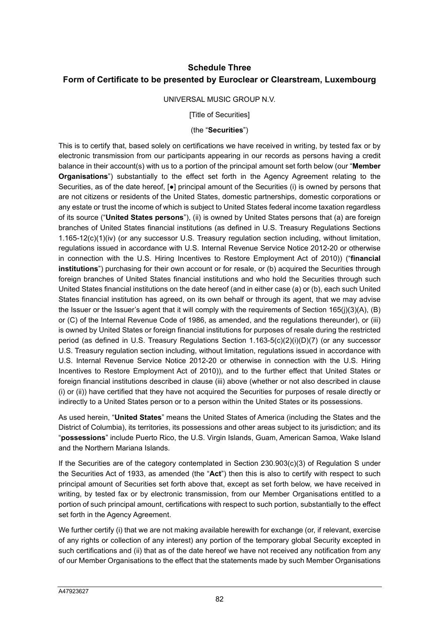## **Schedule Three Form of Certificate to be presented by Euroclear or Clearstream, Luxembourg**

#### UNIVERSAL MUSIC GROUP N.V.

[Title of Securities]

#### (the "**Securities**")

This is to certify that, based solely on certifications we have received in writing, by tested fax or by electronic transmission from our participants appearing in our records as persons having a credit balance in their account(s) with us to a portion of the principal amount set forth below (our "**Member Organisations**") substantially to the effect set forth in the Agency Agreement relating to the Securities, as of the date hereof, [●] principal amount of the Securities (i) is owned by persons that are not citizens or residents of the United States, domestic partnerships, domestic corporations or any estate or trust the income of which is subject to United States federal income taxation regardless of its source ("**United States persons**"), (ii) is owned by United States persons that (a) are foreign branches of United States financial institutions (as defined in U.S. Treasury Regulations Sections 1.165-12(c)(1)(iv) (or any successor U.S. Treasury regulation section including, without limitation, regulations issued in accordance with U.S. Internal Revenue Service Notice 2012-20 or otherwise in connection with the U.S. Hiring Incentives to Restore Employment Act of 2010)) ("**financial institutions**") purchasing for their own account or for resale, or (b) acquired the Securities through foreign branches of United States financial institutions and who hold the Securities through such United States financial institutions on the date hereof (and in either case (a) or (b), each such United States financial institution has agreed, on its own behalf or through its agent, that we may advise the Issuer or the Issuer's agent that it will comply with the requirements of Section 165(j)(3)(A), (B) or (C) of the Internal Revenue Code of 1986, as amended, and the regulations thereunder), or (iii) is owned by United States or foreign financial institutions for purposes of resale during the restricted period (as defined in U.S. Treasury Regulations Section 1.163-5(c)(2)(i)(D)(7) (or any successor U.S. Treasury regulation section including, without limitation, regulations issued in accordance with U.S. Internal Revenue Service Notice 2012-20 or otherwise in connection with the U.S. Hiring Incentives to Restore Employment Act of 2010)), and to the further effect that United States or foreign financial institutions described in clause (iii) above (whether or not also described in clause (i) or (ii)) have certified that they have not acquired the Securities for purposes of resale directly or indirectly to a United States person or to a person within the United States or its possessions.

As used herein, "**United States**" means the United States of America (including the States and the District of Columbia), its territories, its possessions and other areas subject to its jurisdiction; and its "**possessions**" include Puerto Rico, the U.S. Virgin Islands, Guam, American Samoa, Wake Island and the Northern Mariana Islands.

If the Securities are of the category contemplated in Section 230.903(c)(3) of Regulation S under the Securities Act of 1933, as amended (the "**Act**") then this is also to certify with respect to such principal amount of Securities set forth above that, except as set forth below, we have received in writing, by tested fax or by electronic transmission, from our Member Organisations entitled to a portion of such principal amount, certifications with respect to such portion, substantially to the effect set forth in the Agency Agreement.

We further certify (i) that we are not making available herewith for exchange (or, if relevant, exercise of any rights or collection of any interest) any portion of the temporary global Security excepted in such certifications and (ii) that as of the date hereof we have not received any notification from any of our Member Organisations to the effect that the statements made by such Member Organisations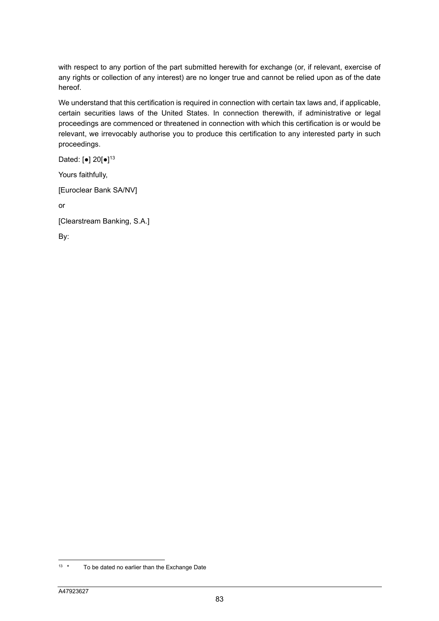with respect to any portion of the part submitted herewith for exchange (or, if relevant, exercise of any rights or collection of any interest) are no longer true and cannot be relied upon as of the date hereof.

We understand that this certification is required in connection with certain tax laws and, if applicable, certain securities laws of the United States. In connection therewith, if administrative or legal proceedings are commenced or threatened in connection with which this certification is or would be relevant, we irrevocably authorise you to produce this certification to any interested party in such proceedings.

Dated: [•] 20[•]<sup>13</sup>

Yours faithfully,

[Euroclear Bank SA/NV]

or

[Clearstream Banking, S.A.]

By:

 $13 *$  To be dated no earlier than the Exchange Date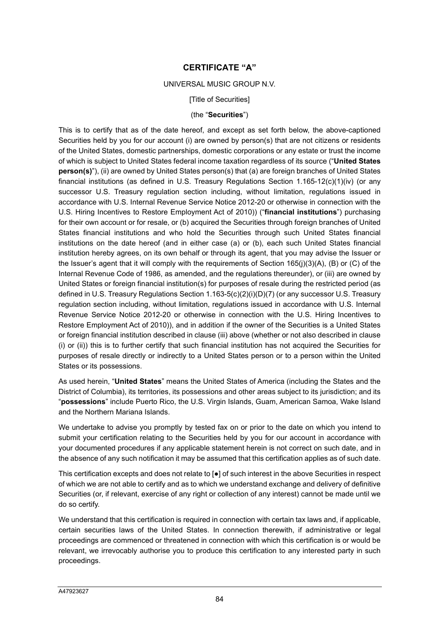## **CERTIFICATE "A"**

#### UNIVERSAL MUSIC GROUP N.V.

**[Title of Securities]** 

#### (the "**Securities**")

This is to certify that as of the date hereof, and except as set forth below, the above-captioned Securities held by you for our account (i) are owned by person(s) that are not citizens or residents of the United States, domestic partnerships, domestic corporations or any estate or trust the income of which is subject to United States federal income taxation regardless of its source ("**United States person(s)**"), (ii) are owned by United States person(s) that (a) are foreign branches of United States financial institutions (as defined in U.S. Treasury Regulations Section 1.165-12(c)(1)(iv) (or any successor U.S. Treasury regulation section including, without limitation, regulations issued in accordance with U.S. Internal Revenue Service Notice 2012-20 or otherwise in connection with the U.S. Hiring Incentives to Restore Employment Act of 2010)) ("**financial institutions**") purchasing for their own account or for resale, or (b) acquired the Securities through foreign branches of United States financial institutions and who hold the Securities through such United States financial institutions on the date hereof (and in either case (a) or (b), each such United States financial institution hereby agrees, on its own behalf or through its agent, that you may advise the Issuer or the Issuer's agent that it will comply with the requirements of Section 165(j)(3)(A), (B) or (C) of the Internal Revenue Code of 1986, as amended, and the regulations thereunder), or (iii) are owned by United States or foreign financial institution(s) for purposes of resale during the restricted period (as defined in U.S. Treasury Regulations Section 1.163-5(c)(2)(i)(D)(7) (or any successor U.S. Treasury regulation section including, without limitation, regulations issued in accordance with U.S. Internal Revenue Service Notice 2012-20 or otherwise in connection with the U.S. Hiring Incentives to Restore Employment Act of 2010)), and in addition if the owner of the Securities is a United States or foreign financial institution described in clause (iii) above (whether or not also described in clause (i) or (ii)) this is to further certify that such financial institution has not acquired the Securities for purposes of resale directly or indirectly to a United States person or to a person within the United States or its possessions.

As used herein, "**United States**" means the United States of America (including the States and the District of Columbia), its territories, its possessions and other areas subject to its jurisdiction; and its "**possessions**" include Puerto Rico, the U.S. Virgin Islands, Guam, American Samoa, Wake Island and the Northern Mariana Islands.

We undertake to advise you promptly by tested fax on or prior to the date on which you intend to submit your certification relating to the Securities held by you for our account in accordance with your documented procedures if any applicable statement herein is not correct on such date, and in the absence of any such notification it may be assumed that this certification applies as of such date.

This certification excepts and does not relate to [●] of such interest in the above Securities in respect of which we are not able to certify and as to which we understand exchange and delivery of definitive Securities (or, if relevant, exercise of any right or collection of any interest) cannot be made until we do so certify.

We understand that this certification is required in connection with certain tax laws and, if applicable, certain securities laws of the United States. In connection therewith, if administrative or legal proceedings are commenced or threatened in connection with which this certification is or would be relevant, we irrevocably authorise you to produce this certification to any interested party in such proceedings.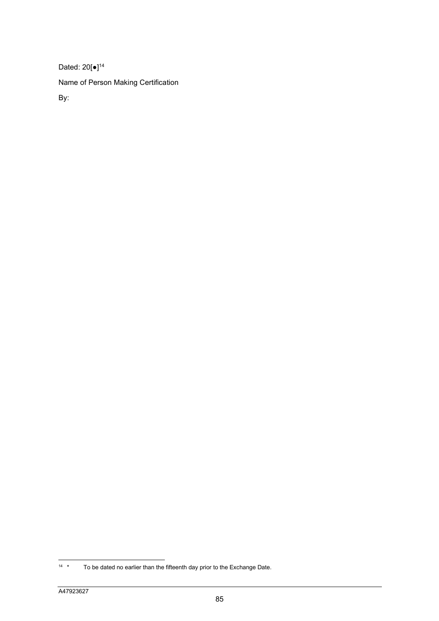Dated: 20[●]<sup>14</sup> Name of Person Making Certification By:

<sup>&</sup>lt;sup>14</sup> \* To be dated no earlier than the fifteenth day prior to the Exchange Date.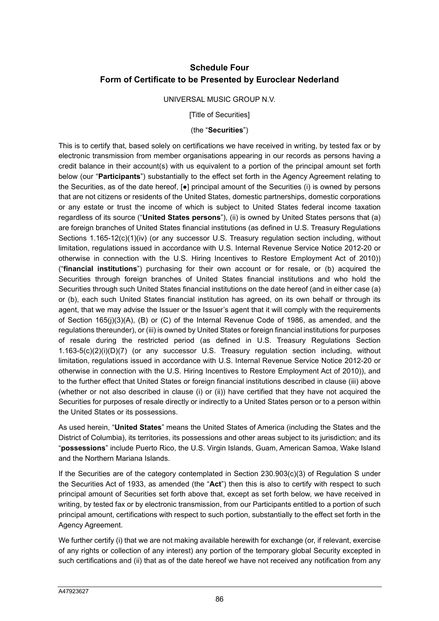## **Schedule Four Form of Certificate to be Presented by Euroclear Nederland**

#### UNIVERSAL MUSIC GROUP N.V.

[Title of Securities]

#### (the "**Securities**")

This is to certify that, based solely on certifications we have received in writing, by tested fax or by electronic transmission from member organisations appearing in our records as persons having a credit balance in their account(s) with us equivalent to a portion of the principal amount set forth below (our "**Participants**") substantially to the effect set forth in the Agency Agreement relating to the Securities, as of the date hereof, [●] principal amount of the Securities (i) is owned by persons that are not citizens or residents of the United States, domestic partnerships, domestic corporations or any estate or trust the income of which is subject to United States federal income taxation regardless of its source ("**United States persons**"), (ii) is owned by United States persons that (a) are foreign branches of United States financial institutions (as defined in U.S. Treasury Regulations Sections 1.165-12(c)(1)(iv) (or any successor U.S. Treasury regulation section including, without limitation, regulations issued in accordance with U.S. Internal Revenue Service Notice 2012-20 or otherwise in connection with the U.S. Hiring Incentives to Restore Employment Act of 2010)) ("**financial institutions**") purchasing for their own account or for resale, or (b) acquired the Securities through foreign branches of United States financial institutions and who hold the Securities through such United States financial institutions on the date hereof (and in either case (a) or (b), each such United States financial institution has agreed, on its own behalf or through its agent, that we may advise the Issuer or the Issuer's agent that it will comply with the requirements of Section 165(j)(3)(A), (B) or (C) of the Internal Revenue Code of 1986, as amended, and the regulations thereunder), or (iii) is owned by United States or foreign financial institutions for purposes of resale during the restricted period (as defined in U.S. Treasury Regulations Section 1.163-5(c)(2)(i)(D)(7) (or any successor U.S. Treasury regulation section including, without limitation, regulations issued in accordance with U.S. Internal Revenue Service Notice 2012-20 or otherwise in connection with the U.S. Hiring Incentives to Restore Employment Act of 2010)), and to the further effect that United States or foreign financial institutions described in clause (iii) above (whether or not also described in clause (i) or (ii)) have certified that they have not acquired the Securities for purposes of resale directly or indirectly to a United States person or to a person within the United States or its possessions.

As used herein, "**United States**" means the United States of America (including the States and the District of Columbia), its territories, its possessions and other areas subject to its jurisdiction; and its "**possessions**" include Puerto Rico, the U.S. Virgin Islands, Guam, American Samoa, Wake Island and the Northern Mariana Islands.

If the Securities are of the category contemplated in Section 230.903(c)(3) of Regulation S under the Securities Act of 1933, as amended (the "**Act**") then this is also to certify with respect to such principal amount of Securities set forth above that, except as set forth below, we have received in writing, by tested fax or by electronic transmission, from our Participants entitled to a portion of such principal amount, certifications with respect to such portion, substantially to the effect set forth in the Agency Agreement.

We further certify (i) that we are not making available herewith for exchange (or, if relevant, exercise of any rights or collection of any interest) any portion of the temporary global Security excepted in such certifications and (ii) that as of the date hereof we have not received any notification from any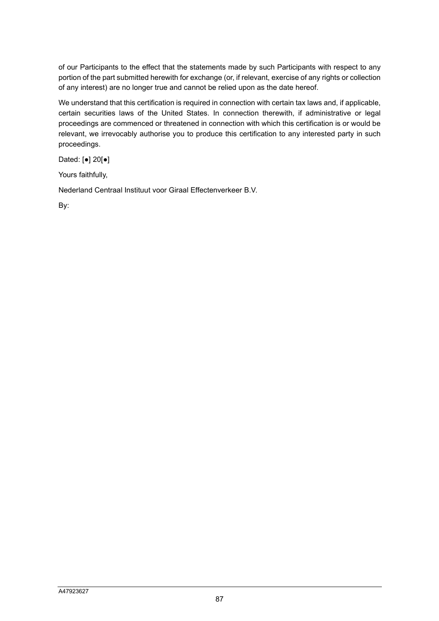of our Participants to the effect that the statements made by such Participants with respect to any portion of the part submitted herewith for exchange (or, if relevant, exercise of any rights or collection of any interest) are no longer true and cannot be relied upon as the date hereof.

We understand that this certification is required in connection with certain tax laws and, if applicable, certain securities laws of the United States. In connection therewith, if administrative or legal proceedings are commenced or threatened in connection with which this certification is or would be relevant, we irrevocably authorise you to produce this certification to any interested party in such proceedings.

Dated: [●] 20[●]

Yours faithfully,

Nederland Centraal Instituut voor Giraal Effectenverkeer B.V.

By: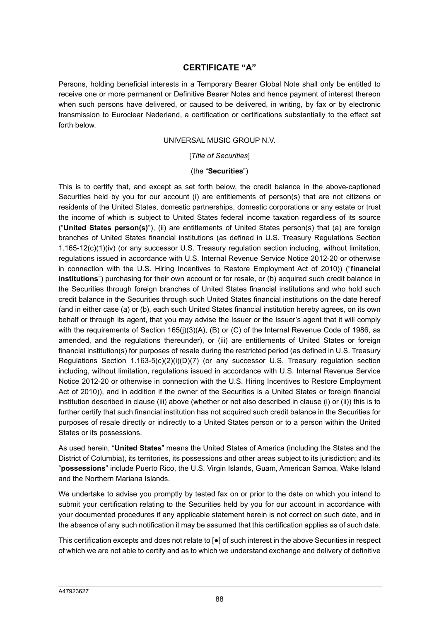## **CERTIFICATE "A"**

Persons, holding beneficial interests in a Temporary Bearer Global Note shall only be entitled to receive one or more permanent or Definitive Bearer Notes and hence payment of interest thereon when such persons have delivered, or caused to be delivered, in writing, by fax or by electronic transmission to Euroclear Nederland, a certification or certifications substantially to the effect set forth below.

#### UNIVERSAL MUSIC GROUP N.V.

[*Title of Securities*]

#### (the "**Securities**")

This is to certify that, and except as set forth below, the credit balance in the above-captioned Securities held by you for our account (i) are entitlements of person(s) that are not citizens or residents of the United States, domestic partnerships, domestic corporations or any estate or trust the income of which is subject to United States federal income taxation regardless of its source ("**United States person(s)**"), (ii) are entitlements of United States person(s) that (a) are foreign branches of United States financial institutions (as defined in U.S. Treasury Regulations Section 1.165-12(c)(1)(iv) (or any successor U.S. Treasury regulation section including, without limitation, regulations issued in accordance with U.S. Internal Revenue Service Notice 2012-20 or otherwise in connection with the U.S. Hiring Incentives to Restore Employment Act of 2010)) ("**financial institutions**") purchasing for their own account or for resale, or (b) acquired such credit balance in the Securities through foreign branches of United States financial institutions and who hold such credit balance in the Securities through such United States financial institutions on the date hereof (and in either case (a) or (b), each such United States financial institution hereby agrees, on its own behalf or through its agent, that you may advise the Issuer or the Issuer's agent that it will comply with the requirements of Section 165(j)(3)(A), (B) or (C) of the Internal Revenue Code of 1986, as amended, and the regulations thereunder), or (iii) are entitlements of United States or foreign financial institution(s) for purposes of resale during the restricted period (as defined in U.S. Treasury Regulations Section  $1.163-5(c)(2)(i)(D)(7)$  (or any successor U.S. Treasury regulation section including, without limitation, regulations issued in accordance with U.S. Internal Revenue Service Notice 2012-20 or otherwise in connection with the U.S. Hiring Incentives to Restore Employment Act of 2010)), and in addition if the owner of the Securities is a United States or foreign financial institution described in clause (iii) above (whether or not also described in clause (i) or (ii)) this is to further certify that such financial institution has not acquired such credit balance in the Securities for purposes of resale directly or indirectly to a United States person or to a person within the United States or its possessions.

As used herein, "**United States**" means the United States of America (including the States and the District of Columbia), its territories, its possessions and other areas subject to its jurisdiction; and its "**possessions**" include Puerto Rico, the U.S. Virgin Islands, Guam, American Samoa, Wake Island and the Northern Mariana Islands.

We undertake to advise you promptly by tested fax on or prior to the date on which you intend to submit your certification relating to the Securities held by you for our account in accordance with your documented procedures if any applicable statement herein is not correct on such date, and in the absence of any such notification it may be assumed that this certification applies as of such date.

This certification excepts and does not relate to [●] of such interest in the above Securities in respect of which we are not able to certify and as to which we understand exchange and delivery of definitive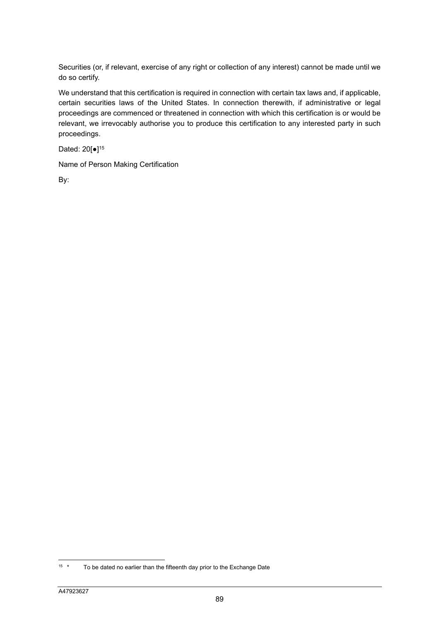Securities (or, if relevant, exercise of any right or collection of any interest) cannot be made until we do so certify.

We understand that this certification is required in connection with certain tax laws and, if applicable, certain securities laws of the United States. In connection therewith, if administrative or legal proceedings are commenced or threatened in connection with which this certification is or would be relevant, we irrevocably authorise you to produce this certification to any interested party in such proceedings.

Dated: 20[•]<sup>15</sup>

Name of Person Making Certification

By:

<sup>&</sup>lt;sup>15</sup> \* To be dated no earlier than the fifteenth day prior to the Exchange Date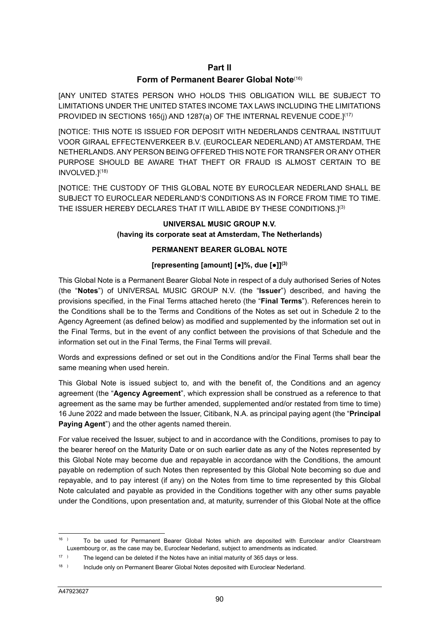### **Part II**

### **Form of Permanent Bearer Global Note**(16)

[ANY UNITED STATES PERSON WHO HOLDS THIS OBLIGATION WILL BE SUBJECT TO LIMITATIONS UNDER THE UNITED STATES INCOME TAX LAWS INCLUDING THE LIMITATIONS PROVIDED IN SECTIONS 165(j) AND 1287(a) OF THE INTERNAL REVENUE CODE.]<sup>(17)</sup>

[NOTICE: THIS NOTE IS ISSUED FOR DEPOSIT WITH NEDERLANDS CENTRAAL INSTITUUT VOOR GIRAAL EFFECTENVERKEER B.V. (EUROCLEAR NEDERLAND) AT AMSTERDAM, THE NETHERLANDS. ANY PERSON BEING OFFERED THIS NOTE FOR TRANSFER OR ANY OTHER PURPOSE SHOULD BE AWARE THAT THEFT OR FRAUD IS ALMOST CERTAIN TO BE INVOLVED.](18)

[NOTICE: THE CUSTODY OF THIS GLOBAL NOTE BY EUROCLEAR NEDERLAND SHALL BE SUBJECT TO EUROCLEAR NEDERLAND'S CONDITIONS AS IN FORCE FROM TIME TO TIME. THE ISSUER HEREBY DECLARES THAT IT WILL ABIDE BY THESE CONDITIONS.](3)

#### **UNIVERSAL MUSIC GROUP N.V. (having its corporate seat at Amsterdam, The Netherlands)**

### **PERMANENT BEARER GLOBAL NOTE**

### **[representing [amount] [●]%, due [●]](3)**

This Global Note is a Permanent Bearer Global Note in respect of a duly authorised Series of Notes (the "**Notes**") of UNIVERSAL MUSIC GROUP N.V. (the "**Issuer**") described, and having the provisions specified, in the Final Terms attached hereto (the "**Final Terms**"). References herein to the Conditions shall be to the Terms and Conditions of the Notes as set out in Schedule 2 to the Agency Agreement (as defined below) as modified and supplemented by the information set out in the Final Terms, but in the event of any conflict between the provisions of that Schedule and the information set out in the Final Terms, the Final Terms will prevail.

Words and expressions defined or set out in the Conditions and/or the Final Terms shall bear the same meaning when used herein.

This Global Note is issued subject to, and with the benefit of, the Conditions and an agency agreement (the "**Agency Agreement**", which expression shall be construed as a reference to that agreement as the same may be further amended, supplemented and/or restated from time to time) 16 June 2022 and made between the Issuer, Citibank, N.A. as principal paying agent (the "**Principal Paying Agent**") and the other agents named therein.

For value received the Issuer, subject to and in accordance with the Conditions, promises to pay to the bearer hereof on the Maturity Date or on such earlier date as any of the Notes represented by this Global Note may become due and repayable in accordance with the Conditions, the amount payable on redemption of such Notes then represented by this Global Note becoming so due and repayable, and to pay interest (if any) on the Notes from time to time represented by this Global Note calculated and payable as provided in the Conditions together with any other sums payable under the Conditions, upon presentation and, at maturity, surrender of this Global Note at the office

<sup>16</sup> ) To be used for Permanent Bearer Global Notes which are deposited with Euroclear and/or Clearstream Luxembourg or, as the case may be, Euroclear Nederland, subject to amendments as indicated.

<sup>17</sup> ) The legend can be deleted if the Notes have an initial maturity of 365 days or less.

<sup>18</sup> ) Include only on Permanent Bearer Global Notes deposited with Euroclear Nederland.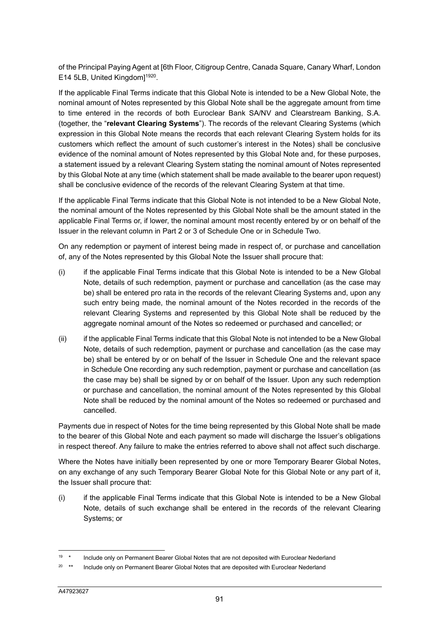of the Principal Paying Agent at [6th Floor, Citigroup Centre, Canada Square, Canary Wharf, London E14 5LB, United Kingdom]<sup>1920</sup>.

If the applicable Final Terms indicate that this Global Note is intended to be a New Global Note, the nominal amount of Notes represented by this Global Note shall be the aggregate amount from time to time entered in the records of both Euroclear Bank SA/NV and Clearstream Banking, S.A. (together, the "**relevant Clearing Systems**"). The records of the relevant Clearing Systems (which expression in this Global Note means the records that each relevant Clearing System holds for its customers which reflect the amount of such customer's interest in the Notes) shall be conclusive evidence of the nominal amount of Notes represented by this Global Note and, for these purposes, a statement issued by a relevant Clearing System stating the nominal amount of Notes represented by this Global Note at any time (which statement shall be made available to the bearer upon request) shall be conclusive evidence of the records of the relevant Clearing System at that time.

If the applicable Final Terms indicate that this Global Note is not intended to be a New Global Note, the nominal amount of the Notes represented by this Global Note shall be the amount stated in the applicable Final Terms or, if lower, the nominal amount most recently entered by or on behalf of the Issuer in the relevant column in Part 2 or 3 of Schedule One or in Schedule Two.

On any redemption or payment of interest being made in respect of, or purchase and cancellation of, any of the Notes represented by this Global Note the Issuer shall procure that:

- (i) if the applicable Final Terms indicate that this Global Note is intended to be a New Global Note, details of such redemption, payment or purchase and cancellation (as the case may be) shall be entered pro rata in the records of the relevant Clearing Systems and, upon any such entry being made, the nominal amount of the Notes recorded in the records of the relevant Clearing Systems and represented by this Global Note shall be reduced by the aggregate nominal amount of the Notes so redeemed or purchased and cancelled; or
- (ii) if the applicable Final Terms indicate that this Global Note is not intended to be a New Global Note, details of such redemption, payment or purchase and cancellation (as the case may be) shall be entered by or on behalf of the Issuer in Schedule One and the relevant space in Schedule One recording any such redemption, payment or purchase and cancellation (as the case may be) shall be signed by or on behalf of the Issuer. Upon any such redemption or purchase and cancellation, the nominal amount of the Notes represented by this Global Note shall be reduced by the nominal amount of the Notes so redeemed or purchased and cancelled.

Payments due in respect of Notes for the time being represented by this Global Note shall be made to the bearer of this Global Note and each payment so made will discharge the Issuer's obligations in respect thereof. Any failure to make the entries referred to above shall not affect such discharge.

Where the Notes have initially been represented by one or more Temporary Bearer Global Notes, on any exchange of any such Temporary Bearer Global Note for this Global Note or any part of it, the Issuer shall procure that:

(i) if the applicable Final Terms indicate that this Global Note is intended to be a New Global Note, details of such exchange shall be entered in the records of the relevant Clearing Systems; or

<sup>&</sup>lt;sup>19</sup> \* Include only on Permanent Bearer Global Notes that are not deposited with Euroclear Nederland

<sup>&</sup>lt;sup>20</sup> \*\* Include only on Permanent Bearer Global Notes that are deposited with Euroclear Nederland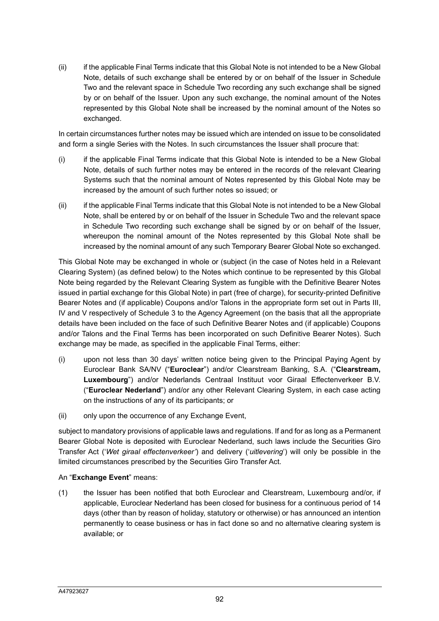(ii) if the applicable Final Terms indicate that this Global Note is not intended to be a New Global Note, details of such exchange shall be entered by or on behalf of the Issuer in Schedule Two and the relevant space in Schedule Two recording any such exchange shall be signed by or on behalf of the Issuer. Upon any such exchange, the nominal amount of the Notes represented by this Global Note shall be increased by the nominal amount of the Notes so exchanged.

In certain circumstances further notes may be issued which are intended on issue to be consolidated and form a single Series with the Notes. In such circumstances the Issuer shall procure that:

- (i) if the applicable Final Terms indicate that this Global Note is intended to be a New Global Note, details of such further notes may be entered in the records of the relevant Clearing Systems such that the nominal amount of Notes represented by this Global Note may be increased by the amount of such further notes so issued; or
- (ii) if the applicable Final Terms indicate that this Global Note is not intended to be a New Global Note, shall be entered by or on behalf of the Issuer in Schedule Two and the relevant space in Schedule Two recording such exchange shall be signed by or on behalf of the Issuer, whereupon the nominal amount of the Notes represented by this Global Note shall be increased by the nominal amount of any such Temporary Bearer Global Note so exchanged.

This Global Note may be exchanged in whole or (subject (in the case of Notes held in a Relevant Clearing System) (as defined below) to the Notes which continue to be represented by this Global Note being regarded by the Relevant Clearing System as fungible with the Definitive Bearer Notes issued in partial exchange for this Global Note) in part (free of charge), for security-printed Definitive Bearer Notes and (if applicable) Coupons and/or Talons in the appropriate form set out in Parts III, IV and V respectively of Schedule 3 to the Agency Agreement (on the basis that all the appropriate details have been included on the face of such Definitive Bearer Notes and (if applicable) Coupons and/or Talons and the Final Terms has been incorporated on such Definitive Bearer Notes). Such exchange may be made, as specified in the applicable Final Terms, either:

- (i) upon not less than 30 days' written notice being given to the Principal Paying Agent by Euroclear Bank SA/NV ("**Euroclear**") and/or Clearstream Banking, S.A. ("**Clearstream, Luxembourg**") and/or Nederlands Centraal Instituut voor Giraal Effectenverkeer B.V. ("**Euroclear Nederland**") and/or any other Relevant Clearing System, in each case acting on the instructions of any of its participants; or
- (ii) only upon the occurrence of any Exchange Event,

subject to mandatory provisions of applicable laws and regulations. If and for as long as a Permanent Bearer Global Note is deposited with Euroclear Nederland, such laws include the Securities Giro Transfer Act ('*Wet giraal effectenverkeer'*) and delivery ('*uitlevering*') will only be possible in the limited circumstances prescribed by the Securities Giro Transfer Act.

### An "**Exchange Event**" means:

(1) the Issuer has been notified that both Euroclear and Clearstream, Luxembourg and/or, if applicable, Euroclear Nederland has been closed for business for a continuous period of 14 days (other than by reason of holiday, statutory or otherwise) or has announced an intention permanently to cease business or has in fact done so and no alternative clearing system is available; or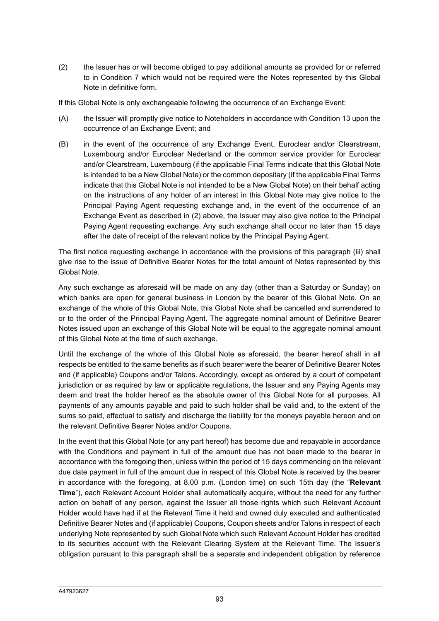(2) the Issuer has or will become obliged to pay additional amounts as provided for or referred to in Condition 7 which would not be required were the Notes represented by this Global Note in definitive form.

If this Global Note is only exchangeable following the occurrence of an Exchange Event:

- (A) the Issuer will promptly give notice to Noteholders in accordance with Condition 13 upon the occurrence of an Exchange Event; and
- (B) in the event of the occurrence of any Exchange Event, Euroclear and/or Clearstream, Luxembourg and/or Euroclear Nederland or the common service provider for Euroclear and/or Clearstream, Luxembourg (if the applicable Final Terms indicate that this Global Note is intended to be a New Global Note) or the common depositary (if the applicable Final Terms indicate that this Global Note is not intended to be a New Global Note) on their behalf acting on the instructions of any holder of an interest in this Global Note may give notice to the Principal Paying Agent requesting exchange and, in the event of the occurrence of an Exchange Event as described in (2) above, the Issuer may also give notice to the Principal Paying Agent requesting exchange. Any such exchange shall occur no later than 15 days after the date of receipt of the relevant notice by the Principal Paying Agent.

The first notice requesting exchange in accordance with the provisions of this paragraph (iii) shall give rise to the issue of Definitive Bearer Notes for the total amount of Notes represented by this Global Note.

Any such exchange as aforesaid will be made on any day (other than a Saturday or Sunday) on which banks are open for general business in London by the bearer of this Global Note. On an exchange of the whole of this Global Note, this Global Note shall be cancelled and surrendered to or to the order of the Principal Paying Agent. The aggregate nominal amount of Definitive Bearer Notes issued upon an exchange of this Global Note will be equal to the aggregate nominal amount of this Global Note at the time of such exchange.

Until the exchange of the whole of this Global Note as aforesaid, the bearer hereof shall in all respects be entitled to the same benefits as if such bearer were the bearer of Definitive Bearer Notes and (if applicable) Coupons and/or Talons. Accordingly, except as ordered by a court of competent jurisdiction or as required by law or applicable regulations, the Issuer and any Paying Agents may deem and treat the holder hereof as the absolute owner of this Global Note for all purposes. All payments of any amounts payable and paid to such holder shall be valid and, to the extent of the sums so paid, effectual to satisfy and discharge the liability for the moneys payable hereon and on the relevant Definitive Bearer Notes and/or Coupons.

In the event that this Global Note (or any part hereof) has become due and repayable in accordance with the Conditions and payment in full of the amount due has not been made to the bearer in accordance with the foregoing then, unless within the period of 15 days commencing on the relevant due date payment in full of the amount due in respect of this Global Note is received by the bearer in accordance with the foregoing, at 8.00 p.m. (London time) on such 15th day (the "**Relevant Time**"), each Relevant Account Holder shall automatically acquire, without the need for any further action on behalf of any person, against the Issuer all those rights which such Relevant Account Holder would have had if at the Relevant Time it held and owned duly executed and authenticated Definitive Bearer Notes and (if applicable) Coupons, Coupon sheets and/or Talons in respect of each underlying Note represented by such Global Note which such Relevant Account Holder has credited to its securities account with the Relevant Clearing System at the Relevant Time. The Issuer's obligation pursuant to this paragraph shall be a separate and independent obligation by reference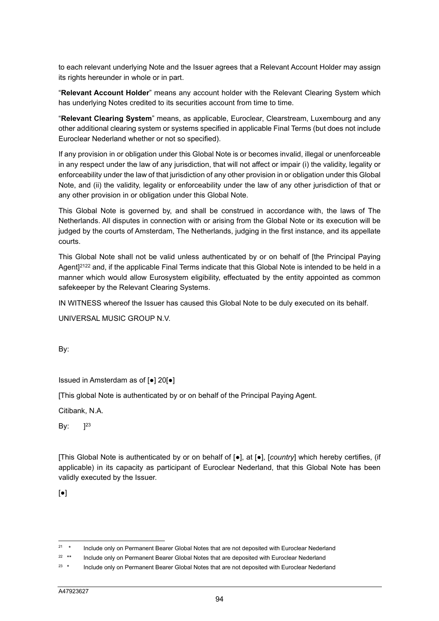to each relevant underlying Note and the Issuer agrees that a Relevant Account Holder may assign its rights hereunder in whole or in part.

"**Relevant Account Holder**" means any account holder with the Relevant Clearing System which has underlying Notes credited to its securities account from time to time.

"**Relevant Clearing System**" means, as applicable, Euroclear, Clearstream, Luxembourg and any other additional clearing system or systems specified in applicable Final Terms (but does not include Euroclear Nederland whether or not so specified).

If any provision in or obligation under this Global Note is or becomes invalid, illegal or unenforceable in any respect under the law of any jurisdiction, that will not affect or impair (i) the validity, legality or enforceability under the law of that jurisdiction of any other provision in or obligation under this Global Note, and (ii) the validity, legality or enforceability under the law of any other jurisdiction of that or any other provision in or obligation under this Global Note.

This Global Note is governed by, and shall be construed in accordance with, the laws of The Netherlands. All disputes in connection with or arising from the Global Note or its execution will be judged by the courts of Amsterdam, The Netherlands, judging in the first instance, and its appellate courts.

This Global Note shall not be valid unless authenticated by or on behalf of [the Principal Paying Agent]<sup>2122</sup> and, if the applicable Final Terms indicate that this Global Note is intended to be held in a manner which would allow Eurosystem eligibility, effectuated by the entity appointed as common safekeeper by the Relevant Clearing Systems.

IN WITNESS whereof the Issuer has caused this Global Note to be duly executed on its behalf.

UNIVERSAL MUSIC GROUP N.V.

By:

Issued in Amsterdam as of [●] 20[●]

[This global Note is authenticated by or on behalf of the Principal Paying Agent.

Citibank, N.A.

By:  $]^{23}$ 

[This Global Note is authenticated by or on behalf of [●], at [●], [*country*] which hereby certifies, (if applicable) in its capacity as participant of Euroclear Nederland, that this Global Note has been validly executed by the Issuer.

[●]

<sup>&</sup>lt;sup>21</sup> \* Include only on Permanent Bearer Global Notes that are not deposited with Euroclear Nederland

<sup>&</sup>lt;sup>22 \*\*</sup> Include only on Permanent Bearer Global Notes that are deposited with Euroclear Nederland

<sup>&</sup>lt;sup>23</sup> \* Include only on Permanent Bearer Global Notes that are not deposited with Euroclear Nederland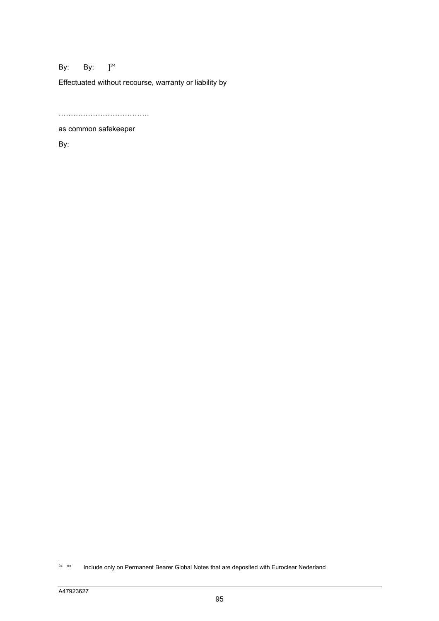## By: By:  $]^{24}$

Effectuated without recourse, warranty or liability by

……………………………….

as common safekeeper

By:

<sup>&</sup>lt;sup>24</sup> \*\* Include only on Permanent Bearer Global Notes that are deposited with Euroclear Nederland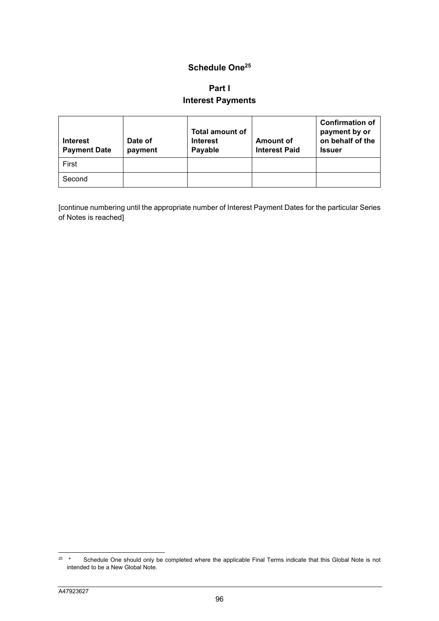## **Schedule One25**

# **Part I Interest Payments**

| <b>Interest</b><br><b>Payment Date</b> | Date of<br>payment | <b>Total amount of</b><br><b>Interest</b><br>Payable | Amount of<br><b>Interest Paid</b> | <b>Confirmation of</b><br>payment by or<br>on behalf of the<br><b>Issuer</b> |
|----------------------------------------|--------------------|------------------------------------------------------|-----------------------------------|------------------------------------------------------------------------------|
| First                                  |                    |                                                      |                                   |                                                                              |
| Second                                 |                    |                                                      |                                   |                                                                              |

[continue numbering until the appropriate number of Interest Payment Dates for the particular Series of Notes is reached]

<sup>&</sup>lt;sup>25</sup> \* Schedule One should only be completed where the applicable Final Terms indicate that this Global Note is not intended to be a New Global Note.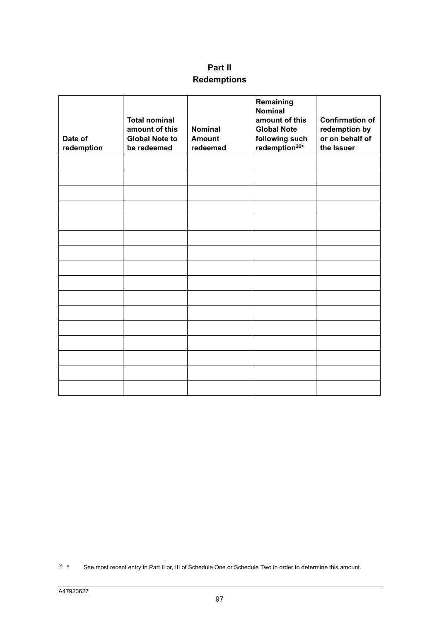# **Part II Redemptions**

| Date of<br>redemption | <b>Total nominal</b><br>amount of this<br><b>Global Note to</b><br>be redeemed | <b>Nominal</b><br><b>Amount</b><br>redeemed | Remaining<br><b>Nominal</b><br>amount of this<br><b>Global Note</b><br>following such<br>redemption <sup>26*</sup> | <b>Confirmation of</b><br>redemption by<br>or on behalf of<br>the Issuer |
|-----------------------|--------------------------------------------------------------------------------|---------------------------------------------|--------------------------------------------------------------------------------------------------------------------|--------------------------------------------------------------------------|
|                       |                                                                                |                                             |                                                                                                                    |                                                                          |
|                       |                                                                                |                                             |                                                                                                                    |                                                                          |
|                       |                                                                                |                                             |                                                                                                                    |                                                                          |
|                       |                                                                                |                                             |                                                                                                                    |                                                                          |
|                       |                                                                                |                                             |                                                                                                                    |                                                                          |
|                       |                                                                                |                                             |                                                                                                                    |                                                                          |
|                       |                                                                                |                                             |                                                                                                                    |                                                                          |
|                       |                                                                                |                                             |                                                                                                                    |                                                                          |
|                       |                                                                                |                                             |                                                                                                                    |                                                                          |
|                       |                                                                                |                                             |                                                                                                                    |                                                                          |
|                       |                                                                                |                                             |                                                                                                                    |                                                                          |
|                       |                                                                                |                                             |                                                                                                                    |                                                                          |
|                       |                                                                                |                                             |                                                                                                                    |                                                                          |
|                       |                                                                                |                                             |                                                                                                                    |                                                                          |
|                       |                                                                                |                                             |                                                                                                                    |                                                                          |
|                       |                                                                                |                                             |                                                                                                                    |                                                                          |

<sup>&</sup>lt;sup>26</sup> \* See most recent entry in Part II or, III of Schedule One or Schedule Two in order to determine this amount.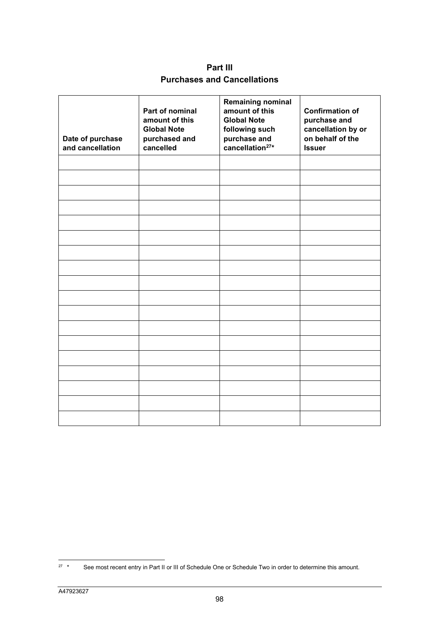**Part III Purchases and Cancellations** 

| Date of purchase<br>and cancellation | Part of nominal<br>amount of this<br><b>Global Note</b><br>purchased and<br>cancelled | <b>Remaining nominal</b><br>amount of this<br><b>Global Note</b><br>following such<br>purchase and<br>cancellation <sup>27*</sup> | <b>Confirmation of</b><br>purchase and<br>cancellation by or<br>on behalf of the<br><b>Issuer</b> |
|--------------------------------------|---------------------------------------------------------------------------------------|-----------------------------------------------------------------------------------------------------------------------------------|---------------------------------------------------------------------------------------------------|
|                                      |                                                                                       |                                                                                                                                   |                                                                                                   |
|                                      |                                                                                       |                                                                                                                                   |                                                                                                   |
|                                      |                                                                                       |                                                                                                                                   |                                                                                                   |
|                                      |                                                                                       |                                                                                                                                   |                                                                                                   |
|                                      |                                                                                       |                                                                                                                                   |                                                                                                   |
|                                      |                                                                                       |                                                                                                                                   |                                                                                                   |
|                                      |                                                                                       |                                                                                                                                   |                                                                                                   |
|                                      |                                                                                       |                                                                                                                                   |                                                                                                   |
|                                      |                                                                                       |                                                                                                                                   |                                                                                                   |
|                                      |                                                                                       |                                                                                                                                   |                                                                                                   |
|                                      |                                                                                       |                                                                                                                                   |                                                                                                   |
|                                      |                                                                                       |                                                                                                                                   |                                                                                                   |
|                                      |                                                                                       |                                                                                                                                   |                                                                                                   |
|                                      |                                                                                       |                                                                                                                                   |                                                                                                   |
|                                      |                                                                                       |                                                                                                                                   |                                                                                                   |
|                                      |                                                                                       |                                                                                                                                   |                                                                                                   |
|                                      |                                                                                       |                                                                                                                                   |                                                                                                   |
|                                      |                                                                                       |                                                                                                                                   |                                                                                                   |

<sup>&</sup>lt;sup>27</sup> \* See most recent entry in Part II or III of Schedule One or Schedule Two in order to determine this amount.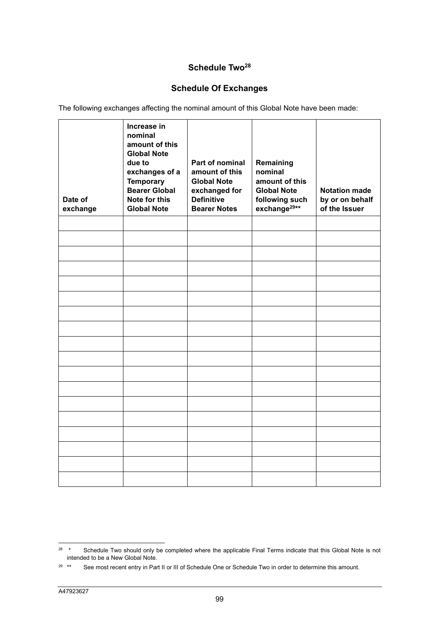## Schedule Two<sup>28</sup>

# **Schedule Of Exchanges**

The following exchanges affecting the nominal amount of this Global Note have been made:

| Date of<br>exchange | Increase in<br>nominal<br>amount of this<br><b>Global Note</b><br>due to<br>exchanges of a<br><b>Temporary</b><br><b>Bearer Global</b><br>Note for this<br><b>Global Note</b> | Part of nominal<br>amount of this<br><b>Global Note</b><br>exchanged for<br><b>Definitive</b><br><b>Bearer Notes</b> | Remaining<br>nominal<br>amount of this<br><b>Global Note</b><br>following such<br>exchange <sup>29**</sup> | <b>Notation made</b><br>by or on behalf<br>of the Issuer |
|---------------------|-------------------------------------------------------------------------------------------------------------------------------------------------------------------------------|----------------------------------------------------------------------------------------------------------------------|------------------------------------------------------------------------------------------------------------|----------------------------------------------------------|
|                     |                                                                                                                                                                               |                                                                                                                      |                                                                                                            |                                                          |
|                     |                                                                                                                                                                               |                                                                                                                      |                                                                                                            |                                                          |
|                     |                                                                                                                                                                               |                                                                                                                      |                                                                                                            |                                                          |
|                     |                                                                                                                                                                               |                                                                                                                      |                                                                                                            |                                                          |
|                     |                                                                                                                                                                               |                                                                                                                      |                                                                                                            |                                                          |
|                     |                                                                                                                                                                               |                                                                                                                      |                                                                                                            |                                                          |
|                     |                                                                                                                                                                               |                                                                                                                      |                                                                                                            |                                                          |
|                     |                                                                                                                                                                               |                                                                                                                      |                                                                                                            |                                                          |
|                     |                                                                                                                                                                               |                                                                                                                      |                                                                                                            |                                                          |
|                     |                                                                                                                                                                               |                                                                                                                      |                                                                                                            |                                                          |
|                     |                                                                                                                                                                               |                                                                                                                      |                                                                                                            |                                                          |
|                     |                                                                                                                                                                               |                                                                                                                      |                                                                                                            |                                                          |
|                     |                                                                                                                                                                               |                                                                                                                      |                                                                                                            |                                                          |
|                     |                                                                                                                                                                               |                                                                                                                      |                                                                                                            |                                                          |
|                     |                                                                                                                                                                               |                                                                                                                      |                                                                                                            |                                                          |
|                     |                                                                                                                                                                               |                                                                                                                      |                                                                                                            |                                                          |
|                     |                                                                                                                                                                               |                                                                                                                      |                                                                                                            |                                                          |
|                     |                                                                                                                                                                               |                                                                                                                      |                                                                                                            |                                                          |

<sup>&</sup>lt;sup>28</sup> \* Schedule Two should only be completed where the applicable Final Terms indicate that this Global Note is not intended to be a New Global Note.

<sup>&</sup>lt;sup>29 \*\*</sup> See most recent entry in Part II or III of Schedule One or Schedule Two in order to determine this amount.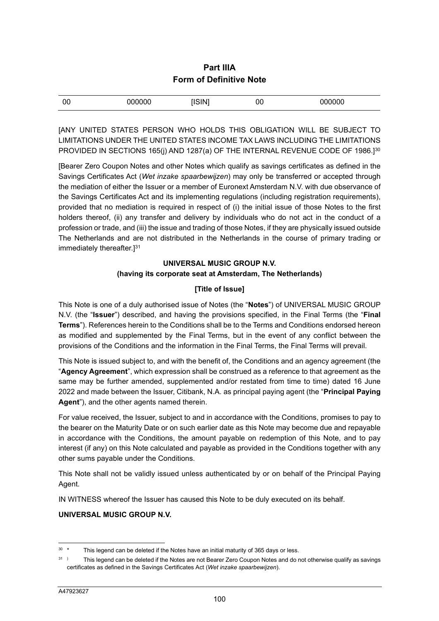## **Part IIIA Form of Definitive Note**

| <b>CINIT</b><br>$\cdots$<br>$\cdots$<br>00<br>00<br>) ( ) (<br>п<br>טע<br>ורו<br><br>,,,, |  |
|-------------------------------------------------------------------------------------------|--|
|-------------------------------------------------------------------------------------------|--|

[ANY UNITED STATES PERSON WHO HOLDS THIS OBLIGATION WILL BE SUBJECT TO LIMITATIONS UNDER THE UNITED STATES INCOME TAX LAWS INCLUDING THE LIMITATIONS PROVIDED IN SECTIONS 165(j) AND 1287(a) OF THE INTERNAL REVENUE CODE OF 1986.]<sup>30</sup>

[Bearer Zero Coupon Notes and other Notes which qualify as savings certificates as defined in the Savings Certificates Act (*Wet inzake spaarbewijzen*) may only be transferred or accepted through the mediation of either the Issuer or a member of Euronext Amsterdam N.V. with due observance of the Savings Certificates Act and its implementing regulations (including registration requirements), provided that no mediation is required in respect of (i) the initial issue of those Notes to the first holders thereof, (ii) any transfer and delivery by individuals who do not act in the conduct of a profession or trade, and (iii) the issue and trading of those Notes, if they are physically issued outside The Netherlands and are not distributed in the Netherlands in the course of primary trading or immediately thereafter.<sup>131</sup>

## **UNIVERSAL MUSIC GROUP N.V. (having its corporate seat at Amsterdam, The Netherlands)**

## **[Title of Issue]**

This Note is one of a duly authorised issue of Notes (the "**Notes**") of UNIVERSAL MUSIC GROUP N.V. (the "**Issuer**") described, and having the provisions specified, in the Final Terms (the "**Final Terms**"). References herein to the Conditions shall be to the Terms and Conditions endorsed hereon as modified and supplemented by the Final Terms, but in the event of any conflict between the provisions of the Conditions and the information in the Final Terms, the Final Terms will prevail.

This Note is issued subject to, and with the benefit of, the Conditions and an agency agreement (the "**Agency Agreement**", which expression shall be construed as a reference to that agreement as the same may be further amended, supplemented and/or restated from time to time) dated 16 June 2022 and made between the Issuer, Citibank, N.A. as principal paying agent (the "**Principal Paying Agent**"), and the other agents named therein.

For value received, the Issuer, subject to and in accordance with the Conditions, promises to pay to the bearer on the Maturity Date or on such earlier date as this Note may become due and repayable in accordance with the Conditions, the amount payable on redemption of this Note, and to pay interest (if any) on this Note calculated and payable as provided in the Conditions together with any other sums payable under the Conditions.

This Note shall not be validly issued unless authenticated by or on behalf of the Principal Paying Agent.

IN WITNESS whereof the Issuer has caused this Note to be duly executed on its behalf.

### **UNIVERSAL MUSIC GROUP N.V.**

 $30 *$  This legend can be deleted if the Notes have an initial maturity of 365 days or less.

<sup>&</sup>lt;sup>31</sup> ) This legend can be deleted if the Notes are not Bearer Zero Coupon Notes and do not otherwise qualify as savings certificates as defined in the Savings Certificates Act (*Wet inzake spaarbewijzen*).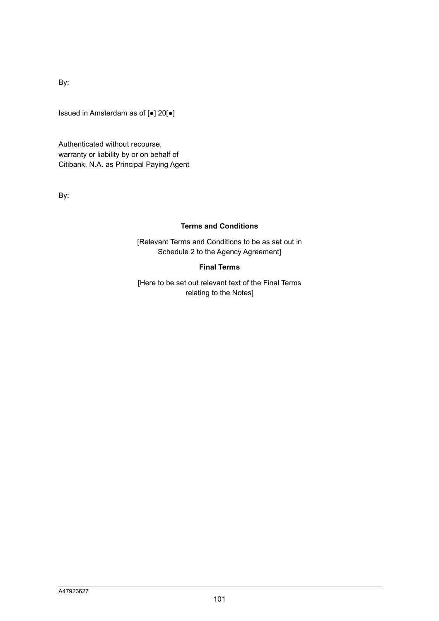By:

Issued in Amsterdam as of [●] 20[●]

Authenticated without recourse, warranty or liability by or on behalf of Citibank, N.A. as Principal Paying Agent

By:

#### **Terms and Conditions**

[Relevant Terms and Conditions to be as set out in Schedule 2 to the Agency Agreement]

#### **Final Terms**

[Here to be set out relevant text of the Final Terms relating to the Notes]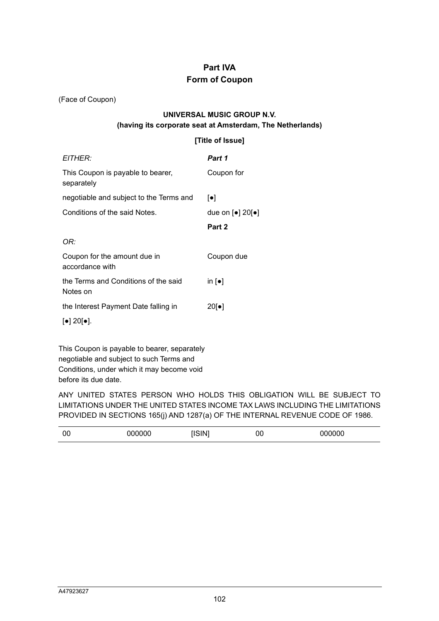# **Part IVA Form of Coupon**

(Face of Coupon)

## **UNIVERSAL MUSIC GROUP N.V. (having its corporate seat at Amsterdam, The Netherlands)**

### **[Title of Issue]**

| EITHER:                                              | Part 1                                                    |
|------------------------------------------------------|-----------------------------------------------------------|
| This Coupon is payable to bearer,<br>separately      | Coupon for                                                |
| negotiable and subject to the Terms and              | $\lceil \bullet \rceil$                                   |
| Conditions of the said Notes.                        | due on $\lceil \bullet \rceil$ 20 $\lceil \bullet \rceil$ |
|                                                      | Part 2                                                    |
| OR:                                                  |                                                           |
| Coupon for the amount due in<br>accordance with      | Coupon due                                                |
| the Terms and Conditions of the said<br>Notes on     | in $\lceil \bullet \rceil$                                |
| the Interest Payment Date falling in                 | 20[•]                                                     |
| $\lceil \bullet \rceil$ 20 $\lceil \bullet \rceil$ . |                                                           |
|                                                      |                                                           |

This Coupon is payable to bearer, separately negotiable and subject to such Terms and Conditions, under which it may become void before its due date.

ANY UNITED STATES PERSON WHO HOLDS THIS OBLIGATION WILL BE SUBJECT TO LIMITATIONS UNDER THE UNITED STATES INCOME TAX LAWS INCLUDING THE LIMITATIONS PROVIDED IN SECTIONS 165(j) AND 1287(a) OF THE INTERNAL REVENUE CODE OF 1986.

| 00 | 000000 | $\sim$ | 00 | 000000 |  |
|----|--------|--------|----|--------|--|
|----|--------|--------|----|--------|--|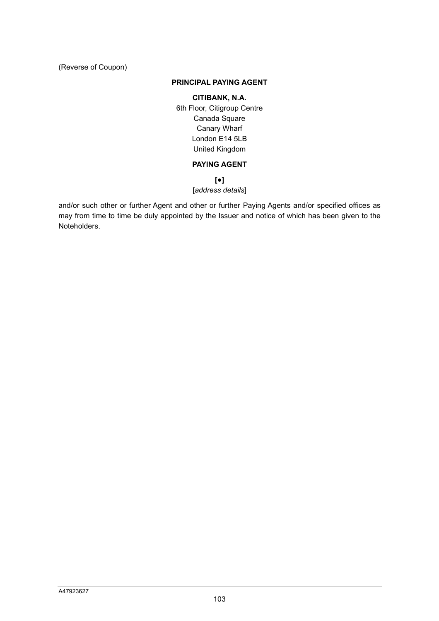(Reverse of Coupon)

#### **PRINCIPAL PAYING AGENT**

#### **CITIBANK, N.A.**

6th Floor, Citigroup Centre Canada Square Canary Wharf London E14 5LB United Kingdom

### **PAYING AGENT**

## **[●]**

## [*address details*]

and/or such other or further Agent and other or further Paying Agents and/or specified offices as may from time to time be duly appointed by the Issuer and notice of which has been given to the Noteholders.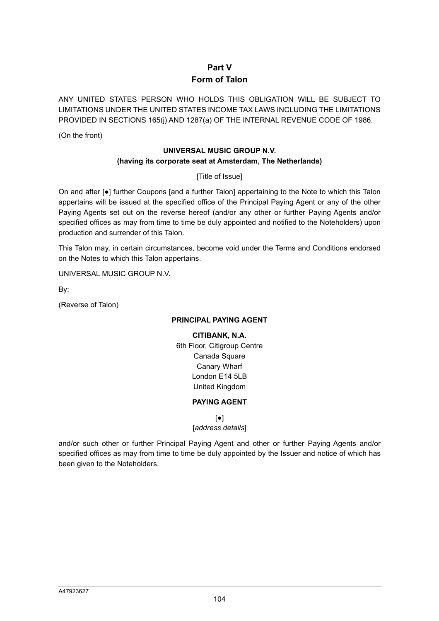## **Part V Form of Talon**

ANY UNITED STATES PERSON WHO HOLDS THIS OBLIGATION WILL BE SUBJECT TO LIMITATIONS UNDER THE UNITED STATES INCOME TAX LAWS INCLUDING THE LIMITATIONS PROVIDED IN SECTIONS 165(j) AND 1287(a) OF THE INTERNAL REVENUE CODE OF 1986.

(On the front)

## **UNIVERSAL MUSIC GROUP N.V. (having its corporate seat at Amsterdam, The Netherlands)**

[Title of Issue]

On and after [●] further Coupons [and a further Talon] appertaining to the Note to which this Talon appertains will be issued at the specified office of the Principal Paying Agent or any of the other Paying Agents set out on the reverse hereof (and/or any other or further Paying Agents and/or specified offices as may from time to time be duly appointed and notified to the Noteholders) upon production and surrender of this Talon.

This Talon may, in certain circumstances, become void under the Terms and Conditions endorsed on the Notes to which this Talon appertains.

UNIVERSAL MUSIC GROUP N.V.

By:

(Reverse of Talon)

### **PRINCIPAL PAYING AGENT**

**CITIBANK, N.A.**  6th Floor, Citigroup Centre Canada Square Canary Wharf London E14 5LB United Kingdom

### **PAYING AGENT**

 $\lceil \bullet \rceil$ 

[*address details*]

and/or such other or further Principal Paying Agent and other or further Paying Agents and/or specified offices as may from time to time be duly appointed by the Issuer and notice of which has been given to the Noteholders.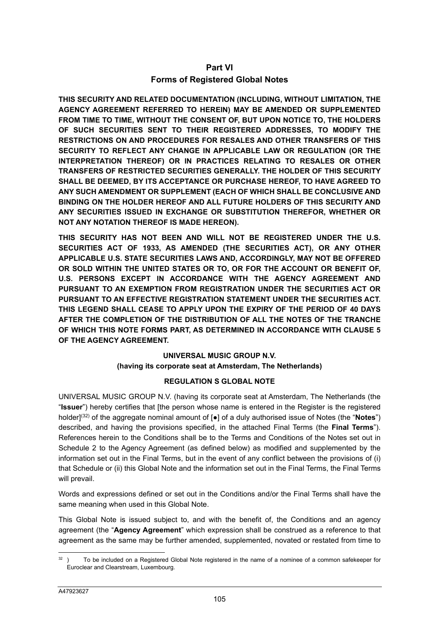## **Part VI Forms of Registered Global Notes**

**THIS SECURITY AND RELATED DOCUMENTATION (INCLUDING, WITHOUT LIMITATION, THE AGENCY AGREEMENT REFERRED TO HEREIN) MAY BE AMENDED OR SUPPLEMENTED FROM TIME TO TIME, WITHOUT THE CONSENT OF, BUT UPON NOTICE TO, THE HOLDERS OF SUCH SECURITIES SENT TO THEIR REGISTERED ADDRESSES, TO MODIFY THE RESTRICTIONS ON AND PROCEDURES FOR RESALES AND OTHER TRANSFERS OF THIS SECURITY TO REFLECT ANY CHANGE IN APPLICABLE LAW OR REGULATION (OR THE INTERPRETATION THEREOF) OR IN PRACTICES RELATING TO RESALES OR OTHER TRANSFERS OF RESTRICTED SECURITIES GENERALLY. THE HOLDER OF THIS SECURITY SHALL BE DEEMED, BY ITS ACCEPTANCE OR PURCHASE HEREOF, TO HAVE AGREED TO ANY SUCH AMENDMENT OR SUPPLEMENT (EACH OF WHICH SHALL BE CONCLUSIVE AND BINDING ON THE HOLDER HEREOF AND ALL FUTURE HOLDERS OF THIS SECURITY AND ANY SECURITIES ISSUED IN EXCHANGE OR SUBSTITUTION THEREFOR, WHETHER OR NOT ANY NOTATION THEREOF IS MADE HEREON).** 

**THIS SECURITY HAS NOT BEEN AND WILL NOT BE REGISTERED UNDER THE U.S. SECURITIES ACT OF 1933, AS AMENDED (THE SECURITIES ACT), OR ANY OTHER APPLICABLE U.S. STATE SECURITIES LAWS AND, ACCORDINGLY, MAY NOT BE OFFERED OR SOLD WITHIN THE UNITED STATES OR TO, OR FOR THE ACCOUNT OR BENEFIT OF, U.S. PERSONS EXCEPT IN ACCORDANCE WITH THE AGENCY AGREEMENT AND PURSUANT TO AN EXEMPTION FROM REGISTRATION UNDER THE SECURITIES ACT OR PURSUANT TO AN EFFECTIVE REGISTRATION STATEMENT UNDER THE SECURITIES ACT. THIS LEGEND SHALL CEASE TO APPLY UPON THE EXPIRY OF THE PERIOD OF 40 DAYS AFTER THE COMPLETION OF THE DISTRIBUTION OF ALL THE NOTES OF THE TRANCHE OF WHICH THIS NOTE FORMS PART, AS DETERMINED IN ACCORDANCE WITH CLAUSE 5 OF THE AGENCY AGREEMENT.**

#### **UNIVERSAL MUSIC GROUP N.V. (having its corporate seat at Amsterdam, The Netherlands)**

## **REGULATION S GLOBAL NOTE**

UNIVERSAL MUSIC GROUP N.V. (having its corporate seat at Amsterdam, The Netherlands (the "**Issuer**") hereby certifies that [the person whose name is entered in the Register is the registered holder](32) of the aggregate nominal amount of [●] of a duly authorised issue of Notes (the "**Notes**") described, and having the provisions specified, in the attached Final Terms (the **Final Terms**"). References herein to the Conditions shall be to the Terms and Conditions of the Notes set out in Schedule 2 to the Agency Agreement (as defined below) as modified and supplemented by the information set out in the Final Terms, but in the event of any conflict between the provisions of (i) that Schedule or (ii) this Global Note and the information set out in the Final Terms, the Final Terms will prevail.

Words and expressions defined or set out in the Conditions and/or the Final Terms shall have the same meaning when used in this Global Note.

This Global Note is issued subject to, and with the benefit of, the Conditions and an agency agreement (the "**Agency Agreement**" which expression shall be construed as a reference to that agreement as the same may be further amended, supplemented, novated or restated from time to

 $32$ ) To be included on a Registered Global Note registered in the name of a nominee of a common safekeeper for Euroclear and Clearstream, Luxembourg.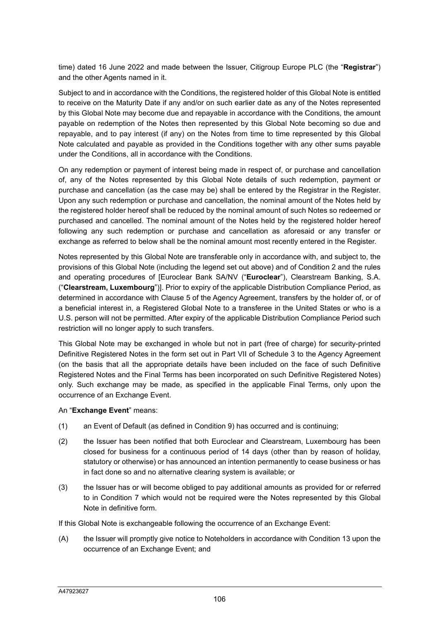time) dated 16 June 2022 and made between the Issuer, Citigroup Europe PLC (the "**Registrar**") and the other Agents named in it.

Subject to and in accordance with the Conditions, the registered holder of this Global Note is entitled to receive on the Maturity Date if any and/or on such earlier date as any of the Notes represented by this Global Note may become due and repayable in accordance with the Conditions, the amount payable on redemption of the Notes then represented by this Global Note becoming so due and repayable, and to pay interest (if any) on the Notes from time to time represented by this Global Note calculated and payable as provided in the Conditions together with any other sums payable under the Conditions, all in accordance with the Conditions.

On any redemption or payment of interest being made in respect of, or purchase and cancellation of, any of the Notes represented by this Global Note details of such redemption, payment or purchase and cancellation (as the case may be) shall be entered by the Registrar in the Register. Upon any such redemption or purchase and cancellation, the nominal amount of the Notes held by the registered holder hereof shall be reduced by the nominal amount of such Notes so redeemed or purchased and cancelled. The nominal amount of the Notes held by the registered holder hereof following any such redemption or purchase and cancellation as aforesaid or any transfer or exchange as referred to below shall be the nominal amount most recently entered in the Register.

Notes represented by this Global Note are transferable only in accordance with, and subject to, the provisions of this Global Note (including the legend set out above) and of Condition 2 and the rules and operating procedures of [Euroclear Bank SA/NV ("**Euroclear**"), Clearstream Banking, S.A. ("**Clearstream, Luxembourg**")]. Prior to expiry of the applicable Distribution Compliance Period, as determined in accordance with Clause 5 of the Agency Agreement, transfers by the holder of, or of a beneficial interest in, a Registered Global Note to a transferee in the United States or who is a U.S. person will not be permitted. After expiry of the applicable Distribution Compliance Period such restriction will no longer apply to such transfers.

This Global Note may be exchanged in whole but not in part (free of charge) for security-printed Definitive Registered Notes in the form set out in Part VII of Schedule 3 to the Agency Agreement (on the basis that all the appropriate details have been included on the face of such Definitive Registered Notes and the Final Terms has been incorporated on such Definitive Registered Notes) only. Such exchange may be made, as specified in the applicable Final Terms, only upon the occurrence of an Exchange Event.

#### An "**Exchange Event**" means:

- (1) an Event of Default (as defined in Condition 9) has occurred and is continuing;
- (2) the Issuer has been notified that both Euroclear and Clearstream, Luxembourg has been closed for business for a continuous period of 14 days (other than by reason of holiday, statutory or otherwise) or has announced an intention permanently to cease business or has in fact done so and no alternative clearing system is available; or
- (3) the Issuer has or will become obliged to pay additional amounts as provided for or referred to in Condition 7 which would not be required were the Notes represented by this Global Note in definitive form.

If this Global Note is exchangeable following the occurrence of an Exchange Event:

(A) the Issuer will promptly give notice to Noteholders in accordance with Condition 13 upon the occurrence of an Exchange Event; and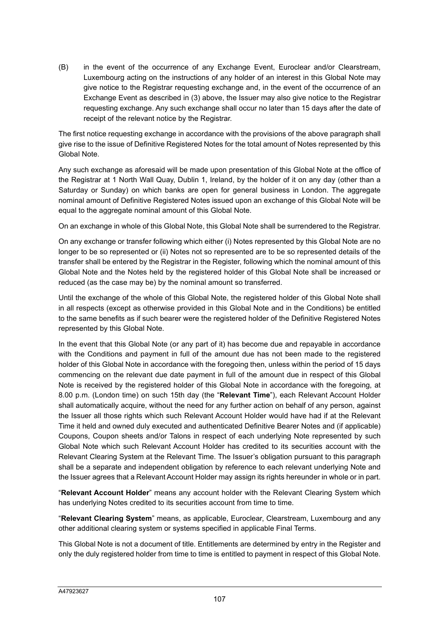(B) in the event of the occurrence of any Exchange Event, Euroclear and/or Clearstream, Luxembourg acting on the instructions of any holder of an interest in this Global Note may give notice to the Registrar requesting exchange and, in the event of the occurrence of an Exchange Event as described in (3) above, the Issuer may also give notice to the Registrar requesting exchange. Any such exchange shall occur no later than 15 days after the date of receipt of the relevant notice by the Registrar.

The first notice requesting exchange in accordance with the provisions of the above paragraph shall give rise to the issue of Definitive Registered Notes for the total amount of Notes represented by this Global Note.

Any such exchange as aforesaid will be made upon presentation of this Global Note at the office of the Registrar at 1 North Wall Quay, Dublin 1, Ireland, by the holder of it on any day (other than a Saturday or Sunday) on which banks are open for general business in London. The aggregate nominal amount of Definitive Registered Notes issued upon an exchange of this Global Note will be equal to the aggregate nominal amount of this Global Note.

On an exchange in whole of this Global Note, this Global Note shall be surrendered to the Registrar.

On any exchange or transfer following which either (i) Notes represented by this Global Note are no longer to be so represented or (ii) Notes not so represented are to be so represented details of the transfer shall be entered by the Registrar in the Register, following which the nominal amount of this Global Note and the Notes held by the registered holder of this Global Note shall be increased or reduced (as the case may be) by the nominal amount so transferred.

Until the exchange of the whole of this Global Note, the registered holder of this Global Note shall in all respects (except as otherwise provided in this Global Note and in the Conditions) be entitled to the same benefits as if such bearer were the registered holder of the Definitive Registered Notes represented by this Global Note.

In the event that this Global Note (or any part of it) has become due and repayable in accordance with the Conditions and payment in full of the amount due has not been made to the registered holder of this Global Note in accordance with the foregoing then, unless within the period of 15 days commencing on the relevant due date payment in full of the amount due in respect of this Global Note is received by the registered holder of this Global Note in accordance with the foregoing, at 8.00 p.m. (London time) on such 15th day (the "**Relevant Time**"), each Relevant Account Holder shall automatically acquire, without the need for any further action on behalf of any person, against the Issuer all those rights which such Relevant Account Holder would have had if at the Relevant Time it held and owned duly executed and authenticated Definitive Bearer Notes and (if applicable) Coupons, Coupon sheets and/or Talons in respect of each underlying Note represented by such Global Note which such Relevant Account Holder has credited to its securities account with the Relevant Clearing System at the Relevant Time. The Issuer's obligation pursuant to this paragraph shall be a separate and independent obligation by reference to each relevant underlying Note and the Issuer agrees that a Relevant Account Holder may assign its rights hereunder in whole or in part.

"**Relevant Account Holder**" means any account holder with the Relevant Clearing System which has underlying Notes credited to its securities account from time to time.

"**Relevant Clearing System**" means, as applicable, Euroclear, Clearstream, Luxembourg and any other additional clearing system or systems specified in applicable Final Terms.

This Global Note is not a document of title. Entitlements are determined by entry in the Register and only the duly registered holder from time to time is entitled to payment in respect of this Global Note.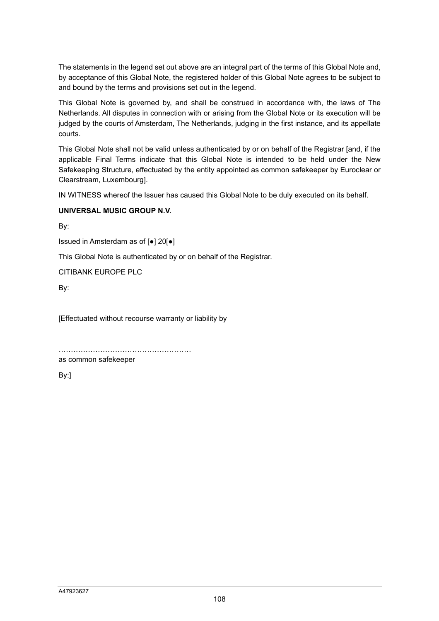The statements in the legend set out above are an integral part of the terms of this Global Note and, by acceptance of this Global Note, the registered holder of this Global Note agrees to be subject to and bound by the terms and provisions set out in the legend.

This Global Note is governed by, and shall be construed in accordance with, the laws of The Netherlands. All disputes in connection with or arising from the Global Note or its execution will be judged by the courts of Amsterdam, The Netherlands, judging in the first instance, and its appellate courts.

This Global Note shall not be valid unless authenticated by or on behalf of the Registrar [and, if the applicable Final Terms indicate that this Global Note is intended to be held under the New Safekeeping Structure, effectuated by the entity appointed as common safekeeper by Euroclear or Clearstream, Luxembourg].

IN WITNESS whereof the Issuer has caused this Global Note to be duly executed on its behalf.

#### **UNIVERSAL MUSIC GROUP N.V.**

By:

Issued in Amsterdam as of [●] 20[●]

This Global Note is authenticated by or on behalf of the Registrar.

CITIBANK EUROPE PLC

By:

[Effectuated without recourse warranty or liability by

………………………………………………

as common safekeeper

By:]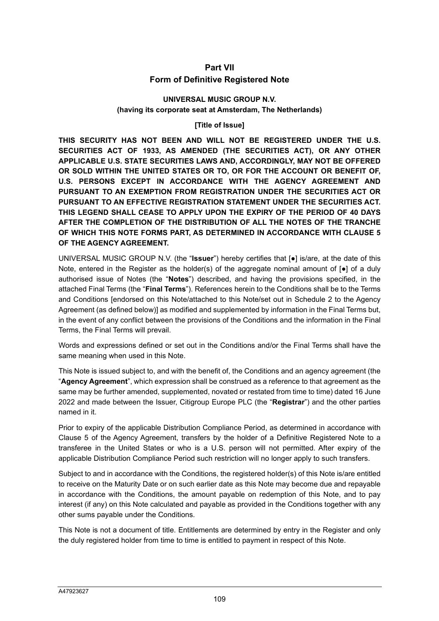### **Part VII Form of Definitive Registered Note**

#### **UNIVERSAL MUSIC GROUP N.V. (having its corporate seat at Amsterdam, The Netherlands)**

#### **[Title of Issue]**

**THIS SECURITY HAS NOT BEEN AND WILL NOT BE REGISTERED UNDER THE U.S. SECURITIES ACT OF 1933, AS AMENDED (THE SECURITIES ACT), OR ANY OTHER APPLICABLE U.S. STATE SECURITIES LAWS AND, ACCORDINGLY, MAY NOT BE OFFERED OR SOLD WITHIN THE UNITED STATES OR TO, OR FOR THE ACCOUNT OR BENEFIT OF, U.S. PERSONS EXCEPT IN ACCORDANCE WITH THE AGENCY AGREEMENT AND PURSUANT TO AN EXEMPTION FROM REGISTRATION UNDER THE SECURITIES ACT OR PURSUANT TO AN EFFECTIVE REGISTRATION STATEMENT UNDER THE SECURITIES ACT. THIS LEGEND SHALL CEASE TO APPLY UPON THE EXPIRY OF THE PERIOD OF 40 DAYS AFTER THE COMPLETION OF THE DISTRIBUTION OF ALL THE NOTES OF THE TRANCHE OF WHICH THIS NOTE FORMS PART, AS DETERMINED IN ACCORDANCE WITH CLAUSE 5 OF THE AGENCY AGREEMENT.** 

UNIVERSAL MUSIC GROUP N.V. (the "**Issuer**") hereby certifies that [●] is/are, at the date of this Note, entered in the Register as the holder(s) of the aggregate nominal amount of  $[e]$  of a duly authorised issue of Notes (the "**Notes**") described, and having the provisions specified, in the attached Final Terms (the "**Final Terms**"). References herein to the Conditions shall be to the Terms and Conditions [endorsed on this Note/attached to this Note/set out in Schedule 2 to the Agency Agreement (as defined below)] as modified and supplemented by information in the Final Terms but, in the event of any conflict between the provisions of the Conditions and the information in the Final Terms, the Final Terms will prevail.

Words and expressions defined or set out in the Conditions and/or the Final Terms shall have the same meaning when used in this Note.

This Note is issued subject to, and with the benefit of, the Conditions and an agency agreement (the "**Agency Agreement**", which expression shall be construed as a reference to that agreement as the same may be further amended, supplemented, novated or restated from time to time) dated 16 June 2022 and made between the Issuer, Citigroup Europe PLC (the "**Registrar**") and the other parties named in it.

Prior to expiry of the applicable Distribution Compliance Period, as determined in accordance with Clause 5 of the Agency Agreement, transfers by the holder of a Definitive Registered Note to a transferee in the United States or who is a U.S. person will not permitted. After expiry of the applicable Distribution Compliance Period such restriction will no longer apply to such transfers.

Subject to and in accordance with the Conditions, the registered holder(s) of this Note is/are entitled to receive on the Maturity Date or on such earlier date as this Note may become due and repayable in accordance with the Conditions, the amount payable on redemption of this Note, and to pay interest (if any) on this Note calculated and payable as provided in the Conditions together with any other sums payable under the Conditions.

This Note is not a document of title. Entitlements are determined by entry in the Register and only the duly registered holder from time to time is entitled to payment in respect of this Note.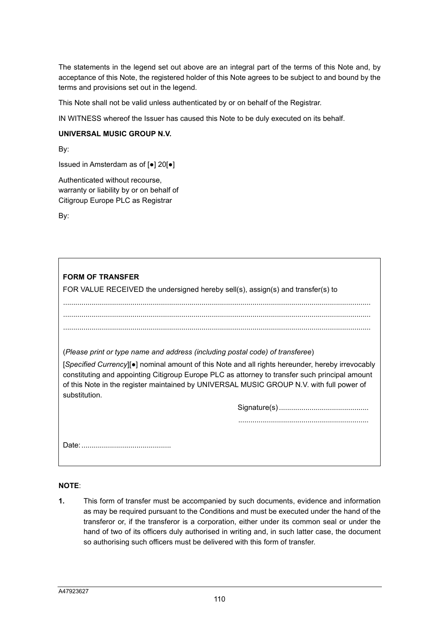The statements in the legend set out above are an integral part of the terms of this Note and, by acceptance of this Note, the registered holder of this Note agrees to be subject to and bound by the terms and provisions set out in the legend.

This Note shall not be valid unless authenticated by or on behalf of the Registrar.

IN WITNESS whereof the Issuer has caused this Note to be duly executed on its behalf.

#### **UNIVERSAL MUSIC GROUP N.V.**

By:

Issued in Amsterdam as of [●] 20[●]

Authenticated without recourse, warranty or liability by or on behalf of Citigroup Europe PLC as Registrar

By:

**FORM OF TRANSFER**  FOR VALUE RECEIVED the undersigned hereby sell(s), assign(s) and transfer(s) to ....................................................................................................................................................... ....................................................................................................................................................... ....................................................................................................................................................... (*Please print or type name and address (including postal code) of transferee*) [*Specified Currency*][●] nominal amount of this Note and all rights hereunder, hereby irrevocably constituting and appointing Citigroup Europe PLC as attorney to transfer such principal amount of this Note in the register maintained by UNIVERSAL MUSIC GROUP N.V. with full power of substitution. Signature(s) ............................................ ................................................................ Date: ............................................

#### **NOTE**:

**1.** This form of transfer must be accompanied by such documents, evidence and information as may be required pursuant to the Conditions and must be executed under the hand of the transferor or, if the transferor is a corporation, either under its common seal or under the hand of two of its officers duly authorised in writing and, in such latter case, the document so authorising such officers must be delivered with this form of transfer.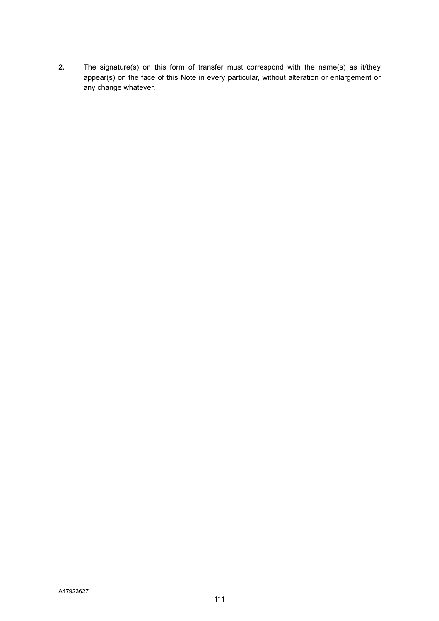**2.** The signature(s) on this form of transfer must correspond with the name(s) as it/they appear(s) on the face of this Note in every particular, without alteration or enlargement or any change whatever.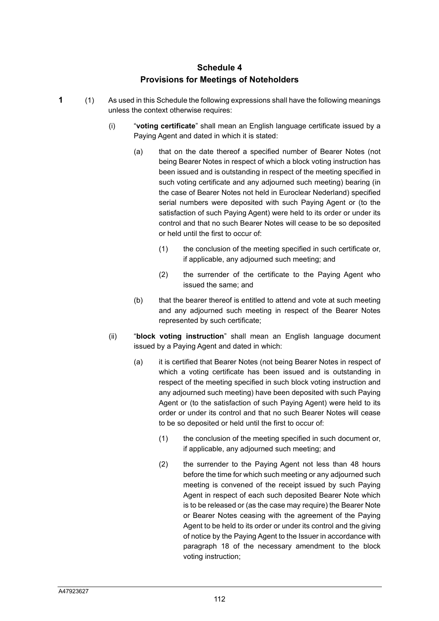# **Schedule 4 Provisions for Meetings of Noteholders**

- **1** (1) As used in this Schedule the following expressions shall have the following meanings unless the context otherwise requires:
	- (i) "**voting certificate**" shall mean an English language certificate issued by a Paying Agent and dated in which it is stated:
		- (a) that on the date thereof a specified number of Bearer Notes (not being Bearer Notes in respect of which a block voting instruction has been issued and is outstanding in respect of the meeting specified in such voting certificate and any adjourned such meeting) bearing (in the case of Bearer Notes not held in Euroclear Nederland) specified serial numbers were deposited with such Paying Agent or (to the satisfaction of such Paying Agent) were held to its order or under its control and that no such Bearer Notes will cease to be so deposited or held until the first to occur of:
			- (1) the conclusion of the meeting specified in such certificate or, if applicable, any adjourned such meeting; and
			- (2) the surrender of the certificate to the Paying Agent who issued the same; and
		- (b) that the bearer thereof is entitled to attend and vote at such meeting and any adjourned such meeting in respect of the Bearer Notes represented by such certificate;
	- (ii) "**block voting instruction**" shall mean an English language document issued by a Paying Agent and dated in which:
		- (a) it is certified that Bearer Notes (not being Bearer Notes in respect of which a voting certificate has been issued and is outstanding in respect of the meeting specified in such block voting instruction and any adjourned such meeting) have been deposited with such Paying Agent or (to the satisfaction of such Paying Agent) were held to its order or under its control and that no such Bearer Notes will cease to be so deposited or held until the first to occur of:
			- (1) the conclusion of the meeting specified in such document or, if applicable, any adjourned such meeting; and
			- (2) the surrender to the Paying Agent not less than 48 hours before the time for which such meeting or any adjourned such meeting is convened of the receipt issued by such Paying Agent in respect of each such deposited Bearer Note which is to be released or (as the case may require) the Bearer Note or Bearer Notes ceasing with the agreement of the Paying Agent to be held to its order or under its control and the giving of notice by the Paying Agent to the Issuer in accordance with paragraph 18 of the necessary amendment to the block voting instruction;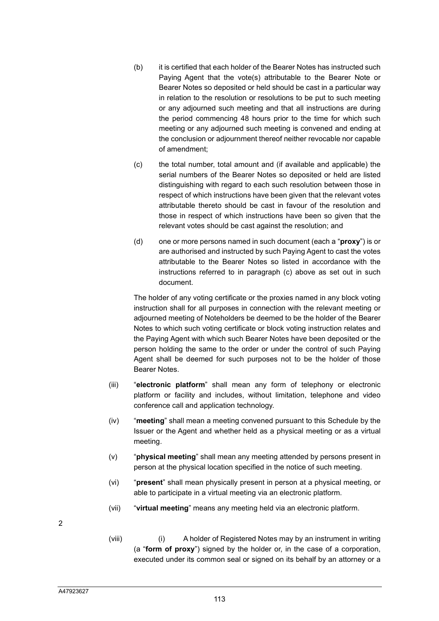- (b) it is certified that each holder of the Bearer Notes has instructed such Paying Agent that the vote(s) attributable to the Bearer Note or Bearer Notes so deposited or held should be cast in a particular way in relation to the resolution or resolutions to be put to such meeting or any adjourned such meeting and that all instructions are during the period commencing 48 hours prior to the time for which such meeting or any adjourned such meeting is convened and ending at the conclusion or adjournment thereof neither revocable nor capable of amendment;
- (c) the total number, total amount and (if available and applicable) the serial numbers of the Bearer Notes so deposited or held are listed distinguishing with regard to each such resolution between those in respect of which instructions have been given that the relevant votes attributable thereto should be cast in favour of the resolution and those in respect of which instructions have been so given that the relevant votes should be cast against the resolution; and
- (d) one or more persons named in such document (each a "**proxy**") is or are authorised and instructed by such Paying Agent to cast the votes attributable to the Bearer Notes so listed in accordance with the instructions referred to in paragraph (c) above as set out in such document.

The holder of any voting certificate or the proxies named in any block voting instruction shall for all purposes in connection with the relevant meeting or adjourned meeting of Noteholders be deemed to be the holder of the Bearer Notes to which such voting certificate or block voting instruction relates and the Paying Agent with which such Bearer Notes have been deposited or the person holding the same to the order or under the control of such Paying Agent shall be deemed for such purposes not to be the holder of those Bearer Notes.

- (iii) "**electronic platform**" shall mean any form of telephony or electronic platform or facility and includes, without limitation, telephone and video conference call and application technology.
- (iv) "**meeting**" shall mean a meeting convened pursuant to this Schedule by the Issuer or the Agent and whether held as a physical meeting or as a virtual meeting.
- (v) "**physical meeting**" shall mean any meeting attended by persons present in person at the physical location specified in the notice of such meeting.
- (vi) "**present**" shall mean physically present in person at a physical meeting, or able to participate in a virtual meeting via an electronic platform.
- (vii) "**virtual meeting**" means any meeting held via an electronic platform.
- 2
- (viii) (i) A holder of Registered Notes may by an instrument in writing (a "**form of proxy**") signed by the holder or, in the case of a corporation, executed under its common seal or signed on its behalf by an attorney or a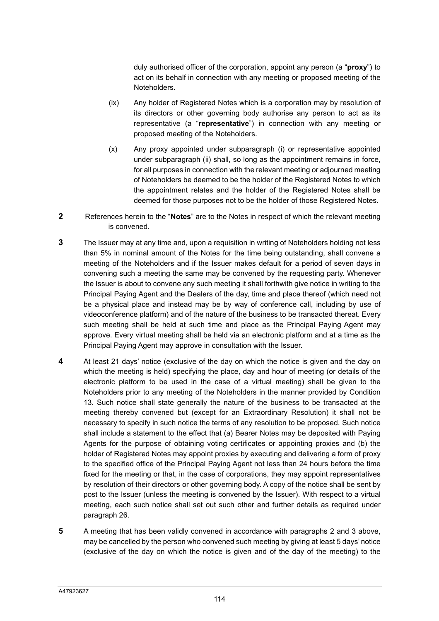duly authorised officer of the corporation, appoint any person (a "**proxy**") to act on its behalf in connection with any meeting or proposed meeting of the Noteholders.

- (ix) Any holder of Registered Notes which is a corporation may by resolution of its directors or other governing body authorise any person to act as its representative (a "**representative**") in connection with any meeting or proposed meeting of the Noteholders.
- (x) Any proxy appointed under subparagraph (i) or representative appointed under subparagraph (ii) shall, so long as the appointment remains in force, for all purposes in connection with the relevant meeting or adjourned meeting of Noteholders be deemed to be the holder of the Registered Notes to which the appointment relates and the holder of the Registered Notes shall be deemed for those purposes not to be the holder of those Registered Notes.
- **2** References herein to the "**Notes**" are to the Notes in respect of which the relevant meeting is convened.
- **3** The Issuer may at any time and, upon a requisition in writing of Noteholders holding not less than 5% in nominal amount of the Notes for the time being outstanding, shall convene a meeting of the Noteholders and if the Issuer makes default for a period of seven days in convening such a meeting the same may be convened by the requesting party. Whenever the Issuer is about to convene any such meeting it shall forthwith give notice in writing to the Principal Paying Agent and the Dealers of the day, time and place thereof (which need not be a physical place and instead may be by way of conference call, including by use of videoconference platform) and of the nature of the business to be transacted thereat. Every such meeting shall be held at such time and place as the Principal Paying Agent may approve. Every virtual meeting shall be held via an electronic platform and at a time as the Principal Paying Agent may approve in consultation with the Issuer.
- **4** At least 21 days' notice (exclusive of the day on which the notice is given and the day on which the meeting is held) specifying the place, day and hour of meeting (or details of the electronic platform to be used in the case of a virtual meeting) shall be given to the Noteholders prior to any meeting of the Noteholders in the manner provided by Condition 13. Such notice shall state generally the nature of the business to be transacted at the meeting thereby convened but (except for an Extraordinary Resolution) it shall not be necessary to specify in such notice the terms of any resolution to be proposed. Such notice shall include a statement to the effect that (a) Bearer Notes may be deposited with Paying Agents for the purpose of obtaining voting certificates or appointing proxies and (b) the holder of Registered Notes may appoint proxies by executing and delivering a form of proxy to the specified office of the Principal Paying Agent not less than 24 hours before the time fixed for the meeting or that, in the case of corporations, they may appoint representatives by resolution of their directors or other governing body. A copy of the notice shall be sent by post to the Issuer (unless the meeting is convened by the Issuer). With respect to a virtual meeting, each such notice shall set out such other and further details as required under paragraph 26.
- **5** A meeting that has been validly convened in accordance with paragraphs 2 and 3 above, may be cancelled by the person who convened such meeting by giving at least 5 days' notice (exclusive of the day on which the notice is given and of the day of the meeting) to the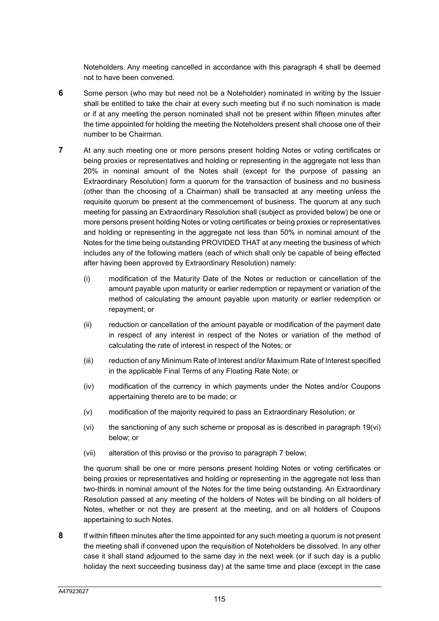Noteholders. Any meeting cancelled in accordance with this paragraph 4 shall be deemed not to have been convened.

- **6** Some person (who may but need not be a Noteholder) nominated in writing by the Issuer shall be entitled to take the chair at every such meeting but if no such nomination is made or if at any meeting the person nominated shall not be present within fifteen minutes after the time appointed for holding the meeting the Noteholders present shall choose one of their number to be Chairman.
- **7** At any such meeting one or more persons present holding Notes or voting certificates or being proxies or representatives and holding or representing in the aggregate not less than 20% in nominal amount of the Notes shall (except for the purpose of passing an Extraordinary Resolution) form a quorum for the transaction of business and no business (other than the choosing of a Chairman) shall be transacted at any meeting unless the requisite quorum be present at the commencement of business. The quorum at any such meeting for passing an Extraordinary Resolution shall (subject as provided below) be one or more persons present holding Notes or voting certificates or being proxies or representatives and holding or representing in the aggregate not less than 50% in nominal amount of the Notes for the time being outstanding PROVIDED THAT at any meeting the business of which includes any of the following matters (each of which shall only be capable of being effected after having been approved by Extraordinary Resolution) namely:
	- (i) modification of the Maturity Date of the Notes or reduction or cancellation of the amount payable upon maturity or earlier redemption or repayment or variation of the method of calculating the amount payable upon maturity or earlier redemption or repayment; or
	- (ii) reduction or cancellation of the amount payable or modification of the payment date in respect of any interest in respect of the Notes or variation of the method of calculating the rate of interest in respect of the Notes; or
	- (iii) reduction of any Minimum Rate of Interest and/or Maximum Rate of Interest specified in the applicable Final Terms of any Floating Rate Note; or
	- (iv) modification of the currency in which payments under the Notes and/or Coupons appertaining thereto are to be made; or
	- (v) modification of the majority required to pass an Extraordinary Resolution; or
	- (vi) the sanctioning of any such scheme or proposal as is described in paragraph 19(vi) below; or
	- (vii) alteration of this proviso or the proviso to paragraph 7 below;

the quorum shall be one or more persons present holding Notes or voting certificates or being proxies or representatives and holding or representing in the aggregate not less than two-thirds in nominal amount of the Notes for the time being outstanding. An Extraordinary Resolution passed at any meeting of the holders of Notes will be binding on all holders of Notes, whether or not they are present at the meeting, and on all holders of Coupons appertaining to such Notes.

**8** If within fifteen minutes after the time appointed for any such meeting a quorum is not present the meeting shall if convened upon the requisition of Noteholders be dissolved. In any other case it shall stand adjourned to the same day in the next week (or if such day is a public holiday the next succeeding business day) at the same time and place (except in the case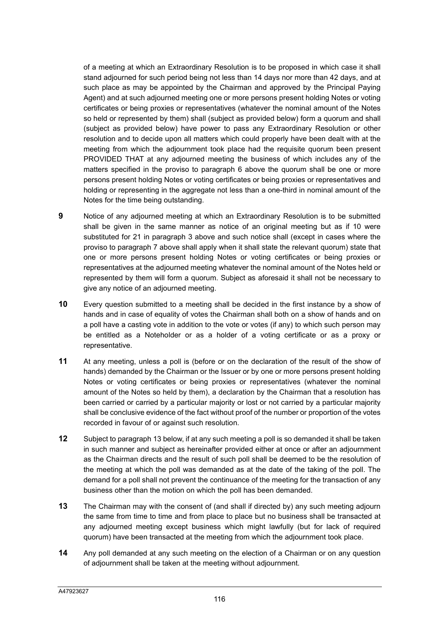of a meeting at which an Extraordinary Resolution is to be proposed in which case it shall stand adjourned for such period being not less than 14 days nor more than 42 days, and at such place as may be appointed by the Chairman and approved by the Principal Paying Agent) and at such adjourned meeting one or more persons present holding Notes or voting certificates or being proxies or representatives (whatever the nominal amount of the Notes so held or represented by them) shall (subject as provided below) form a quorum and shall (subject as provided below) have power to pass any Extraordinary Resolution or other resolution and to decide upon all matters which could properly have been dealt with at the meeting from which the adjournment took place had the requisite quorum been present PROVIDED THAT at any adjourned meeting the business of which includes any of the matters specified in the proviso to paragraph 6 above the quorum shall be one or more persons present holding Notes or voting certificates or being proxies or representatives and holding or representing in the aggregate not less than a one-third in nominal amount of the Notes for the time being outstanding.

- **9** Notice of any adjourned meeting at which an Extraordinary Resolution is to be submitted shall be given in the same manner as notice of an original meeting but as if 10 were substituted for 21 in paragraph 3 above and such notice shall (except in cases where the proviso to paragraph 7 above shall apply when it shall state the relevant quorum) state that one or more persons present holding Notes or voting certificates or being proxies or representatives at the adjourned meeting whatever the nominal amount of the Notes held or represented by them will form a quorum. Subject as aforesaid it shall not be necessary to give any notice of an adjourned meeting.
- **10** Every question submitted to a meeting shall be decided in the first instance by a show of hands and in case of equality of votes the Chairman shall both on a show of hands and on a poll have a casting vote in addition to the vote or votes (if any) to which such person may be entitled as a Noteholder or as a holder of a voting certificate or as a proxy or representative.
- **11** At any meeting, unless a poll is (before or on the declaration of the result of the show of hands) demanded by the Chairman or the Issuer or by one or more persons present holding Notes or voting certificates or being proxies or representatives (whatever the nominal amount of the Notes so held by them), a declaration by the Chairman that a resolution has been carried or carried by a particular majority or lost or not carried by a particular majority shall be conclusive evidence of the fact without proof of the number or proportion of the votes recorded in favour of or against such resolution.
- **12** Subject to paragraph 13 below, if at any such meeting a poll is so demanded it shall be taken in such manner and subject as hereinafter provided either at once or after an adjournment as the Chairman directs and the result of such poll shall be deemed to be the resolution of the meeting at which the poll was demanded as at the date of the taking of the poll. The demand for a poll shall not prevent the continuance of the meeting for the transaction of any business other than the motion on which the poll has been demanded.
- **13** The Chairman may with the consent of (and shall if directed by) any such meeting adjourn the same from time to time and from place to place but no business shall be transacted at any adjourned meeting except business which might lawfully (but for lack of required quorum) have been transacted at the meeting from which the adjournment took place.
- **14** Any poll demanded at any such meeting on the election of a Chairman or on any question of adjournment shall be taken at the meeting without adjournment.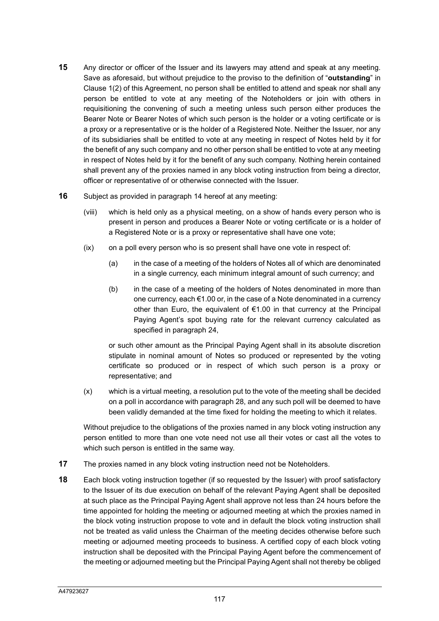- **15** Any director or officer of the Issuer and its lawyers may attend and speak at any meeting. Save as aforesaid, but without prejudice to the proviso to the definition of "**outstanding**" in Clause 1(2) of this Agreement, no person shall be entitled to attend and speak nor shall any person be entitled to vote at any meeting of the Noteholders or join with others in requisitioning the convening of such a meeting unless such person either produces the Bearer Note or Bearer Notes of which such person is the holder or a voting certificate or is a proxy or a representative or is the holder of a Registered Note. Neither the Issuer, nor any of its subsidiaries shall be entitled to vote at any meeting in respect of Notes held by it for the benefit of any such company and no other person shall be entitled to vote at any meeting in respect of Notes held by it for the benefit of any such company. Nothing herein contained shall prevent any of the proxies named in any block voting instruction from being a director, officer or representative of or otherwise connected with the Issuer.
- **16** Subject as provided in paragraph 14 hereof at any meeting:
	- (viii) which is held only as a physical meeting, on a show of hands every person who is present in person and produces a Bearer Note or voting certificate or is a holder of a Registered Note or is a proxy or representative shall have one vote;
	- (ix) on a poll every person who is so present shall have one vote in respect of:
		- (a) in the case of a meeting of the holders of Notes all of which are denominated in a single currency, each minimum integral amount of such currency; and
		- (b) in the case of a meeting of the holders of Notes denominated in more than one currency, each €1.00 or, in the case of a Note denominated in a currency other than Euro, the equivalent of €1.00 in that currency at the Principal Paying Agent's spot buying rate for the relevant currency calculated as specified in paragraph 24,

or such other amount as the Principal Paying Agent shall in its absolute discretion stipulate in nominal amount of Notes so produced or represented by the voting certificate so produced or in respect of which such person is a proxy or representative; and

(x) which is a virtual meeting, a resolution put to the vote of the meeting shall be decided on a poll in accordance with paragraph 28, and any such poll will be deemed to have been validly demanded at the time fixed for holding the meeting to which it relates.

Without prejudice to the obligations of the proxies named in any block voting instruction any person entitled to more than one vote need not use all their votes or cast all the votes to which such person is entitled in the same way.

- **17** The proxies named in any block voting instruction need not be Noteholders.
- **18** Each block voting instruction together (if so requested by the Issuer) with proof satisfactory to the Issuer of its due execution on behalf of the relevant Paying Agent shall be deposited at such place as the Principal Paying Agent shall approve not less than 24 hours before the time appointed for holding the meeting or adjourned meeting at which the proxies named in the block voting instruction propose to vote and in default the block voting instruction shall not be treated as valid unless the Chairman of the meeting decides otherwise before such meeting or adjourned meeting proceeds to business. A certified copy of each block voting instruction shall be deposited with the Principal Paying Agent before the commencement of the meeting or adjourned meeting but the Principal Paying Agent shall not thereby be obliged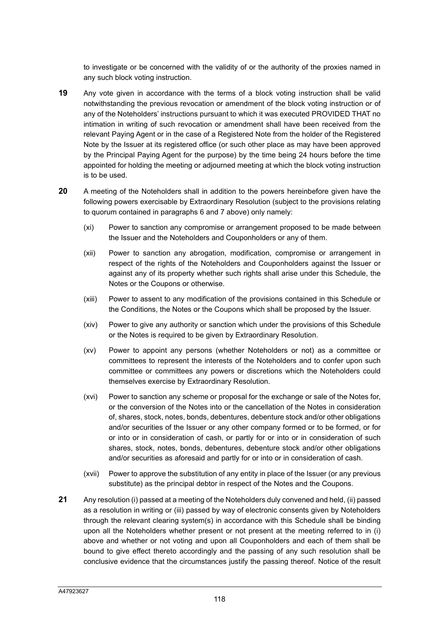to investigate or be concerned with the validity of or the authority of the proxies named in any such block voting instruction.

- **19** Any vote given in accordance with the terms of a block voting instruction shall be valid notwithstanding the previous revocation or amendment of the block voting instruction or of any of the Noteholders' instructions pursuant to which it was executed PROVIDED THAT no intimation in writing of such revocation or amendment shall have been received from the relevant Paying Agent or in the case of a Registered Note from the holder of the Registered Note by the Issuer at its registered office (or such other place as may have been approved by the Principal Paying Agent for the purpose) by the time being 24 hours before the time appointed for holding the meeting or adjourned meeting at which the block voting instruction is to be used.
- **20** A meeting of the Noteholders shall in addition to the powers hereinbefore given have the following powers exercisable by Extraordinary Resolution (subject to the provisions relating to quorum contained in paragraphs 6 and 7 above) only namely:
	- (xi) Power to sanction any compromise or arrangement proposed to be made between the Issuer and the Noteholders and Couponholders or any of them.
	- (xii) Power to sanction any abrogation, modification, compromise or arrangement in respect of the rights of the Noteholders and Couponholders against the Issuer or against any of its property whether such rights shall arise under this Schedule, the Notes or the Coupons or otherwise.
	- (xiii) Power to assent to any modification of the provisions contained in this Schedule or the Conditions, the Notes or the Coupons which shall be proposed by the Issuer.
	- (xiv) Power to give any authority or sanction which under the provisions of this Schedule or the Notes is required to be given by Extraordinary Resolution.
	- (xv) Power to appoint any persons (whether Noteholders or not) as a committee or committees to represent the interests of the Noteholders and to confer upon such committee or committees any powers or discretions which the Noteholders could themselves exercise by Extraordinary Resolution.
	- (xvi) Power to sanction any scheme or proposal for the exchange or sale of the Notes for, or the conversion of the Notes into or the cancellation of the Notes in consideration of, shares, stock, notes, bonds, debentures, debenture stock and/or other obligations and/or securities of the Issuer or any other company formed or to be formed, or for or into or in consideration of cash, or partly for or into or in consideration of such shares, stock, notes, bonds, debentures, debenture stock and/or other obligations and/or securities as aforesaid and partly for or into or in consideration of cash.
	- (xvii) Power to approve the substitution of any entity in place of the Issuer (or any previous substitute) as the principal debtor in respect of the Notes and the Coupons.
- **21** Any resolution (i) passed at a meeting of the Noteholders duly convened and held, (ii) passed as a resolution in writing or (iii) passed by way of electronic consents given by Noteholders through the relevant clearing system(s) in accordance with this Schedule shall be binding upon all the Noteholders whether present or not present at the meeting referred to in (i) above and whether or not voting and upon all Couponholders and each of them shall be bound to give effect thereto accordingly and the passing of any such resolution shall be conclusive evidence that the circumstances justify the passing thereof. Notice of the result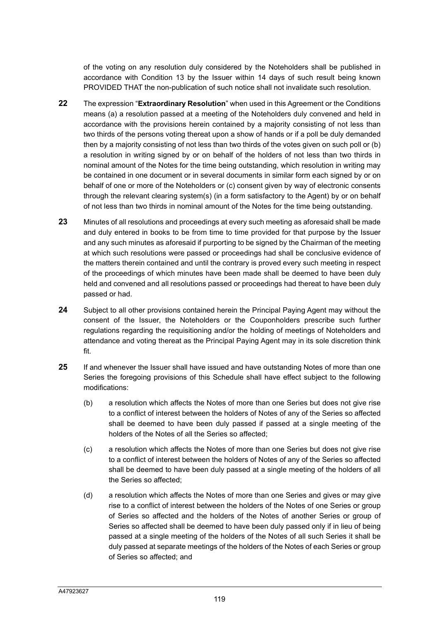of the voting on any resolution duly considered by the Noteholders shall be published in accordance with Condition 13 by the Issuer within 14 days of such result being known PROVIDED THAT the non-publication of such notice shall not invalidate such resolution.

- **22** The expression "**Extraordinary Resolution**" when used in this Agreement or the Conditions means (a) a resolution passed at a meeting of the Noteholders duly convened and held in accordance with the provisions herein contained by a majority consisting of not less than two thirds of the persons voting thereat upon a show of hands or if a poll be duly demanded then by a majority consisting of not less than two thirds of the votes given on such poll or (b) a resolution in writing signed by or on behalf of the holders of not less than two thirds in nominal amount of the Notes for the time being outstanding, which resolution in writing may be contained in one document or in several documents in similar form each signed by or on behalf of one or more of the Noteholders or (c) consent given by way of electronic consents through the relevant clearing system(s) (in a form satisfactory to the Agent) by or on behalf of not less than two thirds in nominal amount of the Notes for the time being outstanding.
- **23** Minutes of all resolutions and proceedings at every such meeting as aforesaid shall be made and duly entered in books to be from time to time provided for that purpose by the Issuer and any such minutes as aforesaid if purporting to be signed by the Chairman of the meeting at which such resolutions were passed or proceedings had shall be conclusive evidence of the matters therein contained and until the contrary is proved every such meeting in respect of the proceedings of which minutes have been made shall be deemed to have been duly held and convened and all resolutions passed or proceedings had thereat to have been duly passed or had.
- **24** Subject to all other provisions contained herein the Principal Paying Agent may without the consent of the Issuer, the Noteholders or the Couponholders prescribe such further regulations regarding the requisitioning and/or the holding of meetings of Noteholders and attendance and voting thereat as the Principal Paying Agent may in its sole discretion think fit.
- **25** If and whenever the Issuer shall have issued and have outstanding Notes of more than one Series the foregoing provisions of this Schedule shall have effect subject to the following modifications:
	- (b) a resolution which affects the Notes of more than one Series but does not give rise to a conflict of interest between the holders of Notes of any of the Series so affected shall be deemed to have been duly passed if passed at a single meeting of the holders of the Notes of all the Series so affected;
	- (c) a resolution which affects the Notes of more than one Series but does not give rise to a conflict of interest between the holders of Notes of any of the Series so affected shall be deemed to have been duly passed at a single meeting of the holders of all the Series so affected;
	- (d) a resolution which affects the Notes of more than one Series and gives or may give rise to a conflict of interest between the holders of the Notes of one Series or group of Series so affected and the holders of the Notes of another Series or group of Series so affected shall be deemed to have been duly passed only if in lieu of being passed at a single meeting of the holders of the Notes of all such Series it shall be duly passed at separate meetings of the holders of the Notes of each Series or group of Series so affected; and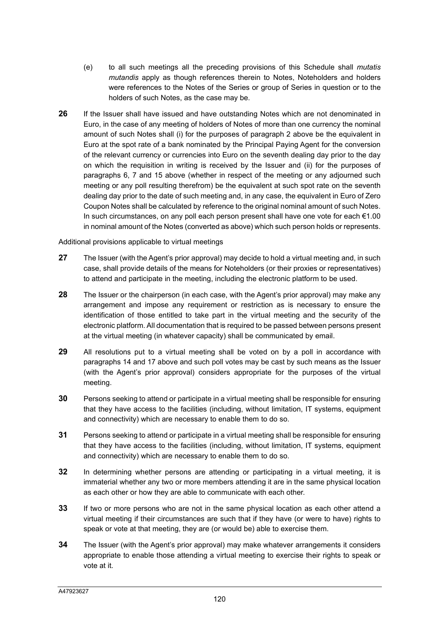- (e) to all such meetings all the preceding provisions of this Schedule shall *mutatis mutandis* apply as though references therein to Notes, Noteholders and holders were references to the Notes of the Series or group of Series in question or to the holders of such Notes, as the case may be.
- **26** If the Issuer shall have issued and have outstanding Notes which are not denominated in Euro, in the case of any meeting of holders of Notes of more than one currency the nominal amount of such Notes shall (i) for the purposes of paragraph 2 above be the equivalent in Euro at the spot rate of a bank nominated by the Principal Paying Agent for the conversion of the relevant currency or currencies into Euro on the seventh dealing day prior to the day on which the requisition in writing is received by the Issuer and (ii) for the purposes of paragraphs 6, 7 and 15 above (whether in respect of the meeting or any adjourned such meeting or any poll resulting therefrom) be the equivalent at such spot rate on the seventh dealing day prior to the date of such meeting and, in any case, the equivalent in Euro of Zero Coupon Notes shall be calculated by reference to the original nominal amount of such Notes. In such circumstances, on any poll each person present shall have one vote for each €1.00 in nominal amount of the Notes (converted as above) which such person holds or represents.

Additional provisions applicable to virtual meetings

- **27** The Issuer (with the Agent's prior approval) may decide to hold a virtual meeting and, in such case, shall provide details of the means for Noteholders (or their proxies or representatives) to attend and participate in the meeting, including the electronic platform to be used.
- **28** The Issuer or the chairperson (in each case, with the Agent's prior approval) may make any arrangement and impose any requirement or restriction as is necessary to ensure the identification of those entitled to take part in the virtual meeting and the security of the electronic platform. All documentation that is required to be passed between persons present at the virtual meeting (in whatever capacity) shall be communicated by email.
- **29** All resolutions put to a virtual meeting shall be voted on by a poll in accordance with paragraphs 14 and 17 above and such poll votes may be cast by such means as the Issuer (with the Agent's prior approval) considers appropriate for the purposes of the virtual meeting.
- **30** Persons seeking to attend or participate in a virtual meeting shall be responsible for ensuring that they have access to the facilities (including, without limitation, IT systems, equipment and connectivity) which are necessary to enable them to do so.
- **31** Persons seeking to attend or participate in a virtual meeting shall be responsible for ensuring that they have access to the facilities (including, without limitation, IT systems, equipment and connectivity) which are necessary to enable them to do so.
- **32** In determining whether persons are attending or participating in a virtual meeting, it is immaterial whether any two or more members attending it are in the same physical location as each other or how they are able to communicate with each other.
- **33** If two or more persons who are not in the same physical location as each other attend a virtual meeting if their circumstances are such that if they have (or were to have) rights to speak or vote at that meeting, they are (or would be) able to exercise them.
- **34** The Issuer (with the Agent's prior approval) may make whatever arrangements it considers appropriate to enable those attending a virtual meeting to exercise their rights to speak or vote at it.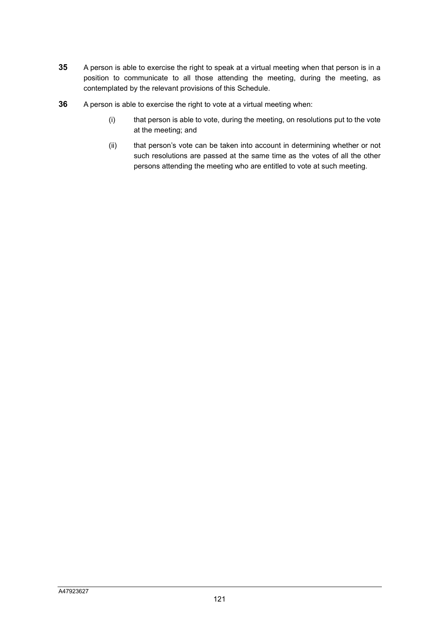- **35** A person is able to exercise the right to speak at a virtual meeting when that person is in a position to communicate to all those attending the meeting, during the meeting, as contemplated by the relevant provisions of this Schedule.
- **36** A person is able to exercise the right to vote at a virtual meeting when:
	- (i) that person is able to vote, during the meeting, on resolutions put to the vote at the meeting; and
	- (ii) that person's vote can be taken into account in determining whether or not such resolutions are passed at the same time as the votes of all the other persons attending the meeting who are entitled to vote at such meeting.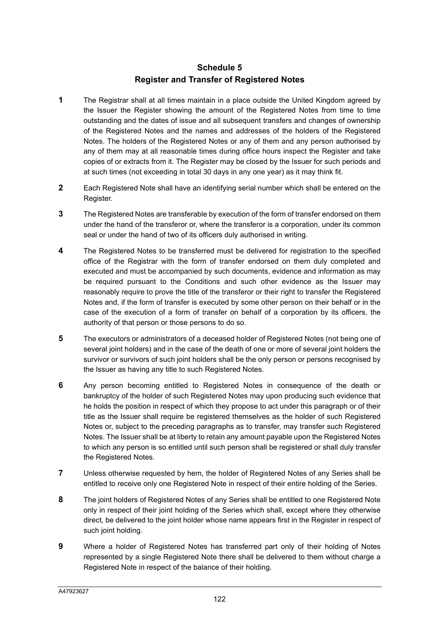### **Schedule 5 Register and Transfer of Registered Notes**

- **1** The Registrar shall at all times maintain in a place outside the United Kingdom agreed by the Issuer the Register showing the amount of the Registered Notes from time to time outstanding and the dates of issue and all subsequent transfers and changes of ownership of the Registered Notes and the names and addresses of the holders of the Registered Notes. The holders of the Registered Notes or any of them and any person authorised by any of them may at all reasonable times during office hours inspect the Register and take copies of or extracts from it. The Register may be closed by the Issuer for such periods and at such times (not exceeding in total 30 days in any one year) as it may think fit.
- **2** Each Registered Note shall have an identifying serial number which shall be entered on the Register.
- **3** The Registered Notes are transferable by execution of the form of transfer endorsed on them under the hand of the transferor or, where the transferor is a corporation, under its common seal or under the hand of two of its officers duly authorised in writing.
- **4** The Registered Notes to be transferred must be delivered for registration to the specified office of the Registrar with the form of transfer endorsed on them duly completed and executed and must be accompanied by such documents, evidence and information as may be required pursuant to the Conditions and such other evidence as the Issuer may reasonably require to prove the title of the transferor or their right to transfer the Registered Notes and, if the form of transfer is executed by some other person on their behalf or in the case of the execution of a form of transfer on behalf of a corporation by its officers, the authority of that person or those persons to do so.
- **5** The executors or administrators of a deceased holder of Registered Notes (not being one of several joint holders) and in the case of the death of one or more of several joint holders the survivor or survivors of such joint holders shall be the only person or persons recognised by the Issuer as having any title to such Registered Notes.
- **6** Any person becoming entitled to Registered Notes in consequence of the death or bankruptcy of the holder of such Registered Notes may upon producing such evidence that he holds the position in respect of which they propose to act under this paragraph or of their title as the Issuer shall require be registered themselves as the holder of such Registered Notes or, subject to the preceding paragraphs as to transfer, may transfer such Registered Notes. The Issuer shall be at liberty to retain any amount payable upon the Registered Notes to which any person is so entitled until such person shall be registered or shall duly transfer the Registered Notes.
- **7** Unless otherwise requested by hem, the holder of Registered Notes of any Series shall be entitled to receive only one Registered Note in respect of their entire holding of the Series.
- **8** The joint holders of Registered Notes of any Series shall be entitled to one Registered Note only in respect of their joint holding of the Series which shall, except where they otherwise direct, be delivered to the joint holder whose name appears first in the Register in respect of such joint holding.
- **9** Where a holder of Registered Notes has transferred part only of their holding of Notes represented by a single Registered Note there shall be delivered to them without charge a Registered Note in respect of the balance of their holding.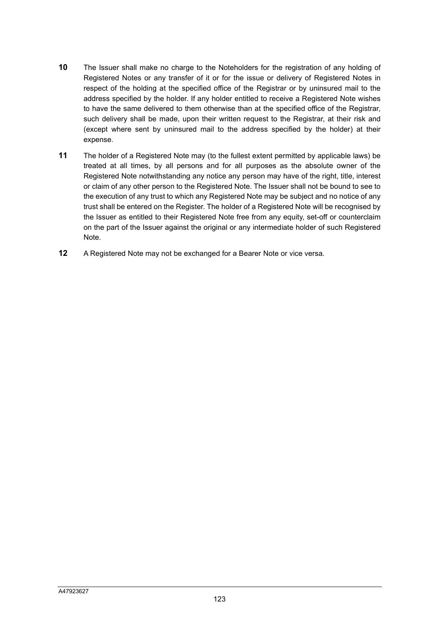- **10** The Issuer shall make no charge to the Noteholders for the registration of any holding of Registered Notes or any transfer of it or for the issue or delivery of Registered Notes in respect of the holding at the specified office of the Registrar or by uninsured mail to the address specified by the holder. If any holder entitled to receive a Registered Note wishes to have the same delivered to them otherwise than at the specified office of the Registrar, such delivery shall be made, upon their written request to the Registrar, at their risk and (except where sent by uninsured mail to the address specified by the holder) at their expense.
- **11** The holder of a Registered Note may (to the fullest extent permitted by applicable laws) be treated at all times, by all persons and for all purposes as the absolute owner of the Registered Note notwithstanding any notice any person may have of the right, title, interest or claim of any other person to the Registered Note. The Issuer shall not be bound to see to the execution of any trust to which any Registered Note may be subject and no notice of any trust shall be entered on the Register. The holder of a Registered Note will be recognised by the Issuer as entitled to their Registered Note free from any equity, set-off or counterclaim on the part of the Issuer against the original or any intermediate holder of such Registered Note.
- **12** A Registered Note may not be exchanged for a Bearer Note or vice versa.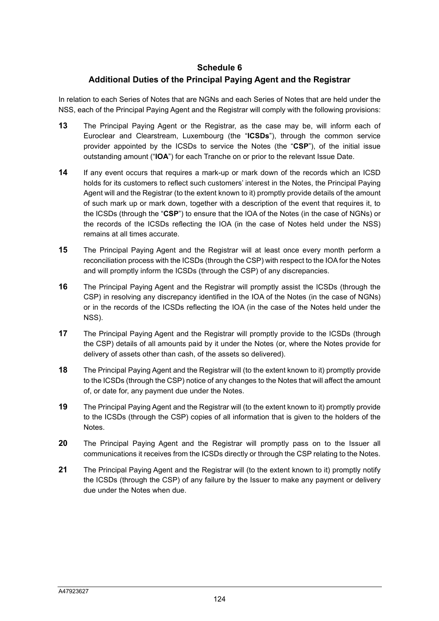#### **Schedule 6**

### **Additional Duties of the Principal Paying Agent and the Registrar**

In relation to each Series of Notes that are NGNs and each Series of Notes that are held under the NSS, each of the Principal Paying Agent and the Registrar will comply with the following provisions:

- **13** The Principal Paying Agent or the Registrar, as the case may be, will inform each of Euroclear and Clearstream, Luxembourg (the "**ICSDs**"), through the common service provider appointed by the ICSDs to service the Notes (the "**CSP**"), of the initial issue outstanding amount ("**IOA**") for each Tranche on or prior to the relevant Issue Date.
- **14** If any event occurs that requires a mark-up or mark down of the records which an ICSD holds for its customers to reflect such customers' interest in the Notes, the Principal Paying Agent will and the Registrar (to the extent known to it) promptly provide details of the amount of such mark up or mark down, together with a description of the event that requires it, to the ICSDs (through the "**CSP**") to ensure that the IOA of the Notes (in the case of NGNs) or the records of the ICSDs reflecting the IOA (in the case of Notes held under the NSS) remains at all times accurate.
- **15** The Principal Paying Agent and the Registrar will at least once every month perform a reconciliation process with the ICSDs (through the CSP) with respect to the IOA for the Notes and will promptly inform the ICSDs (through the CSP) of any discrepancies.
- **16** The Principal Paying Agent and the Registrar will promptly assist the ICSDs (through the CSP) in resolving any discrepancy identified in the IOA of the Notes (in the case of NGNs) or in the records of the ICSDs reflecting the IOA (in the case of the Notes held under the NSS).
- **17** The Principal Paying Agent and the Registrar will promptly provide to the ICSDs (through the CSP) details of all amounts paid by it under the Notes (or, where the Notes provide for delivery of assets other than cash, of the assets so delivered).
- **18** The Principal Paying Agent and the Registrar will (to the extent known to it) promptly provide to the ICSDs (through the CSP) notice of any changes to the Notes that will affect the amount of, or date for, any payment due under the Notes.
- **19** The Principal Paying Agent and the Registrar will (to the extent known to it) promptly provide to the ICSDs (through the CSP) copies of all information that is given to the holders of the Notes.
- **20** The Principal Paying Agent and the Registrar will promptly pass on to the Issuer all communications it receives from the ICSDs directly or through the CSP relating to the Notes.
- **21** The Principal Paying Agent and the Registrar will (to the extent known to it) promptly notify the ICSDs (through the CSP) of any failure by the Issuer to make any payment or delivery due under the Notes when due.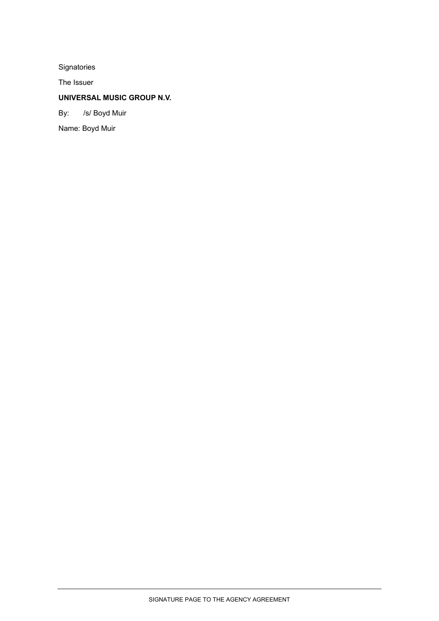Signatories

The Issuer

# **UNIVERSAL MUSIC GROUP N.V.**

By: /s/ Boyd Muir

Name: Boyd Muir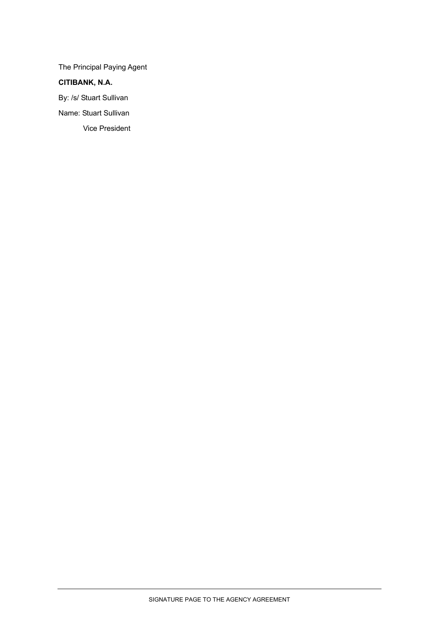The Principal Paying Agent

# **CITIBANK, N.A.**

By: /s/ Stuart Sullivan

Name: Stuart Sullivan

Vice President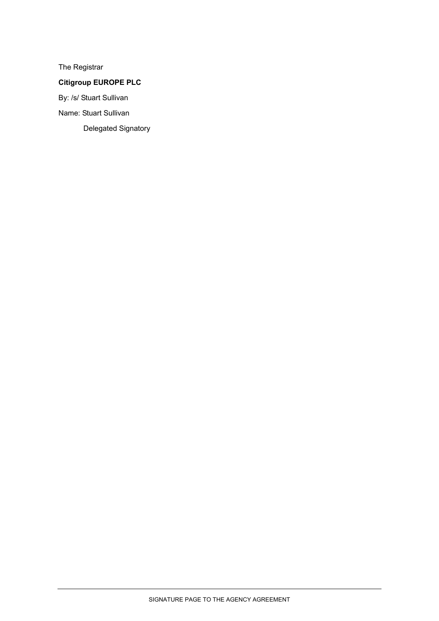The Registrar

# **Citigroup EUROPE PLC**

By: /s/ Stuart Sullivan

Name: Stuart Sullivan

Delegated Signatory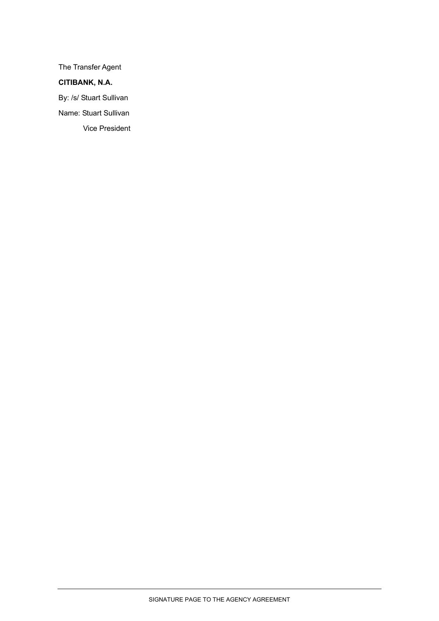The Transfer Agent

# **CITIBANK, N.A.**

By: /s/ Stuart Sullivan

Name: Stuart Sullivan

Vice President